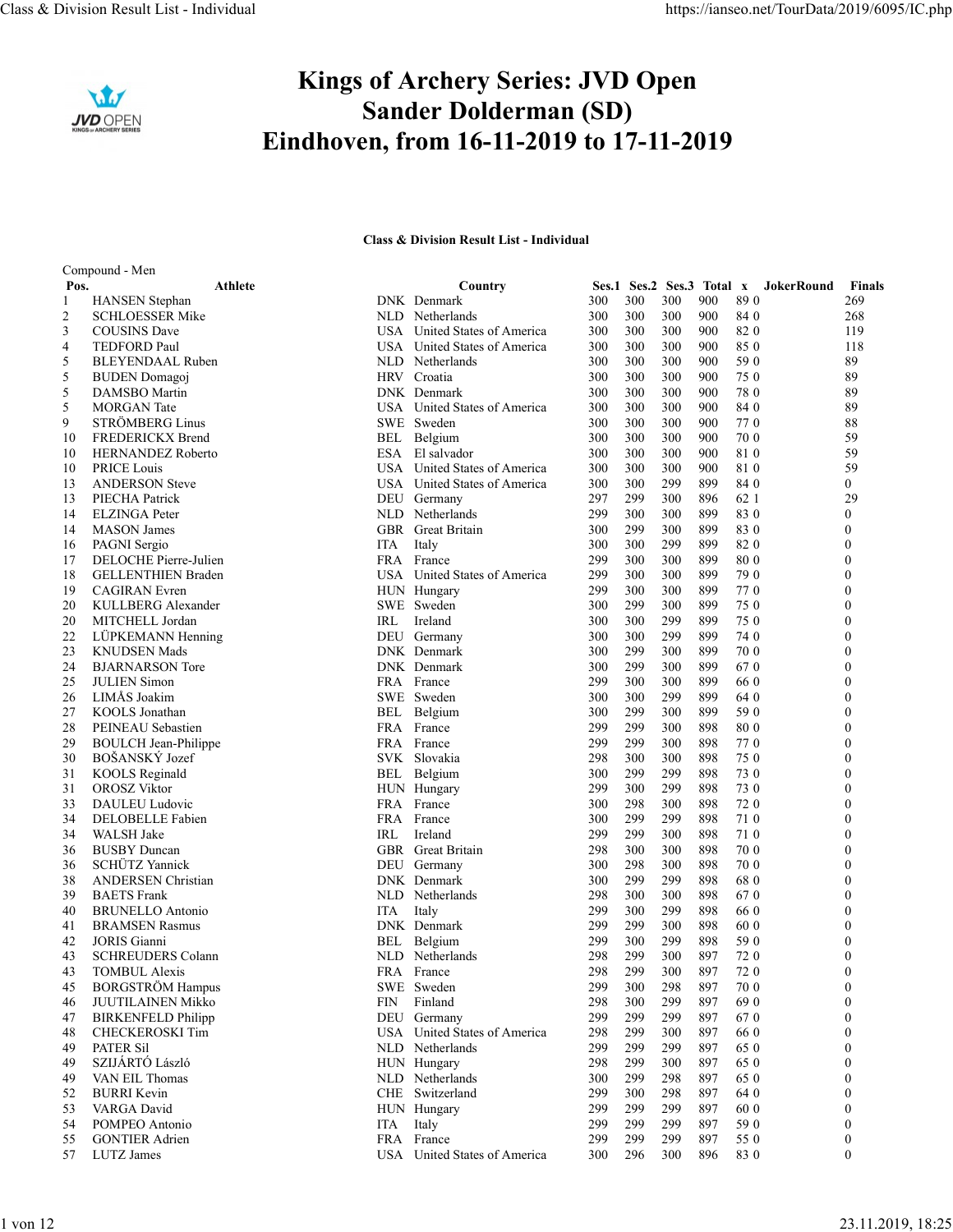

## Kings of Archery Series: JVD Open Sander Dolderman (SD) Eindhoven, from 16-11-2019 to 17-11-2019 Class & Division Result List - Individual https://ianseo.net/TourData/2019/6095/IC.php<br> **Kings of Archery Series: JVD Open**<br> **Sander Dolderman (SD)**

## Class & Division Result List - Individual

|                |                                                    |                   | <b>Kings of Archery Series: JVD Open</b>                                 |            |            |            |                           |              |                      |
|----------------|----------------------------------------------------|-------------------|--------------------------------------------------------------------------|------------|------------|------------|---------------------------|--------------|----------------------|
|                | IVD OPEN                                           |                   | <b>Sander Dolderman (SD)</b><br>Eindhoven, from 16-11-2019 to 17-11-2019 |            |            |            |                           |              |                      |
|                |                                                    |                   | <b>Class &amp; Division Result List - Individual</b>                     |            |            |            |                           |              |                      |
| Pos.           | Compound - Men<br>Athlete                          |                   | Country                                                                  |            |            |            | Ses.1 Ses.2 Ses.3 Total x | JokerRound   | Finals               |
| $\overline{2}$ | <b>HANSEN</b> Stephan<br><b>SCHLOESSER Mike</b>    |                   | DNK Denmark<br>NLD Netherlands                                           | 300<br>300 | 300<br>300 | 300<br>300 | 900<br>900                | 890<br>84 0  | 269<br>268           |
| 3              | <b>COUSINS</b> Dave                                |                   | USA United States of America                                             | 300        | 300        | 300        | 900                       | 820          | 119                  |
| 4<br>5         | TEDFORD Paul<br><b>BLEYENDAAL Ruben</b>            | USA               | United States of America<br>NLD Netherlands                              | 300<br>300 | 300<br>300 | 300<br>300 | 900<br>900                | 850<br>59 0  | 118<br>89            |
| 5              | <b>BUDEN</b> Domagoj                               |                   | HRV Croatia                                                              | 300        | 300        | 300        | 900                       | 75 0         | 89                   |
| 5<br>5         | DAMSBO Martin<br><b>MORGAN</b> Tate                |                   | DNK Denmark<br>USA United States of America                              | 300<br>300 | 300<br>300 | 300<br>300 | 900<br>900                | 780<br>84 0  | 89<br>89             |
| 9              | <b>STRÖMBERG Linus</b>                             |                   | SWE Sweden                                                               | 300        | 300        | 300        | 900                       | 770          | 88                   |
| 10             | <b>FREDERICKX Brend</b>                            | BEL               | Belgium                                                                  | 300        | 300        | 300        | 900                       | 70 0         | 59                   |
| 10<br>10       | <b>HERNANDEZ Roberto</b><br>PRICE Louis            | USA.              | ESA El salvador<br>United States of America                              | 300<br>300 | 300<br>300 | 300<br>300 | 900<br>900                | 810<br>810   | 59<br>59             |
| 13             | <b>ANDERSON</b> Steve                              | USA.              | United States of America                                                 | 300        | 300        | 299        | 899                       | 84 0         | $\overline{0}$       |
| 13<br>14       | PIECHA Patrick<br><b>ELZINGA</b> Peter             | NLD               | DEU Germany<br>Netherlands                                               | 297<br>299 | 299<br>300 | 300<br>300 | 896<br>899                | 62 1<br>830  | 29<br>$\Omega$       |
| 14             | <b>MASON</b> James                                 |                   | GBR Great Britain                                                        | 300        | 299        | 300        | 899                       | 830          |                      |
| 16             | PAGNI Sergio                                       | ITA               | Italy                                                                    | 300        | 300        | 299        | 899                       | 820          |                      |
| 17<br>18       | DELOCHE Pierre-Julien<br><b>GELLENTHIEN Braden</b> |                   | FRA France<br>USA United States of America                               | 299<br>299 | 300<br>300 | 300<br>300 | 899<br>899                | 800<br>79 0  |                      |
| 19             | <b>CAGIRAN</b> Evren                               |                   | HUN Hungary                                                              | 299        | 300        | 300        | 899                       | 770          | $\Omega$             |
| 20<br>20       | KULLBERG Alexander<br>MITCHELL Jordan              | IRL               | SWE Sweden<br>Ireland                                                    | 300<br>300 | 299<br>300 | 300<br>299 | 899<br>899                | 75 0<br>75 0 | $\Omega$<br>$\theta$ |
| 22             | LÜPKEMANN Henning                                  | DEU               | Germany                                                                  | 300        | 300        | 299        | 899                       | 74 0         | $\theta$             |
| 23             | <b>KNUDSEN Mads</b>                                |                   | DNK Denmark                                                              | 300        | 299        | 300        | 899                       | 70 0         | $\Omega$             |
| 24<br>25       | <b>BJARNARSON</b> Tore<br><b>JULIEN Simon</b>      | FRA               | DNK Denmark<br>France                                                    | 300<br>299 | 299<br>300 | 300<br>300 | 899<br>899                | 670<br>66 0  | $\theta$             |
| 26             | LIMÅS Joakim                                       |                   | SWE Sweden                                                               | 300        | 300        | 299        | 899                       | 64 0         | $\Omega$             |
| 27<br>28       | KOOLS Jonathan<br>PEINEAU Sebastien                | BEL<br><b>FRA</b> | Belgium<br>France                                                        | 300<br>299 | 299<br>299 | 300<br>300 | 899<br>898                | 59 0<br>800  | $\mathbf{0}$         |
| 29             | <b>BOULCH</b> Jean-Philippe                        |                   | FRA France                                                               | 299        | 299        | 300        | 898                       | 770          | $\theta$             |
| 30<br>31       | BOŠANSKÝ Jozef<br><b>KOOLS</b> Reginald            | SVK.<br>BEL       | Slovakia<br>Belgium                                                      | 298<br>300 | 300<br>299 | 300<br>299 | 898<br>898                | 750<br>73 0  | $\Omega$             |
| 31             | <b>OROSZ Viktor</b>                                |                   | HUN Hungary                                                              | 299        | 300        | 299        | 898                       | 73 0         | $\theta$             |
| 33             | DAULEU Ludovic                                     | FRA               | France                                                                   | 300        | 298        | 300        | 898                       | 720          |                      |
| 34<br>34       | DELOBELLE Fabien<br>WALSH Jake                     | FRA<br>IRL        | France<br>Ireland                                                        | 300<br>299 | 299<br>299 | 299<br>300 | 898<br>898                | 710<br>710   | $\Omega$<br>$\theta$ |
| 36             | <b>BUSBY</b> Duncan                                | <b>GBR</b>        | Great Britain                                                            | 298        | 300        | 300        | 898                       | 70 0         |                      |
| 36<br>38       | SCHÜTZ Yannick<br><b>ANDERSEN</b> Christian        |                   | DEU Germany<br>DNK Denmark                                               | 300<br>300 | 298<br>299 | 300<br>299 | 898<br>898                | 70 0<br>680  | $\theta$             |
| 39             | <b>BAETS</b> Frank                                 |                   | NLD Netherlands                                                          | 298        | 300        | 300        | 898                       | 670          |                      |
| 40             | <b>BRUNELLO Antonio</b>                            | ITA               | Italy                                                                    | 299        | 300        | 299        | 898                       | 66 0         | $\theta$             |
| 41<br>42       | <b>BRAMSEN Rasmus</b><br><b>JORIS</b> Gianni       | BEL               | DNK Denmark<br>Belgium                                                   | 299<br>299 | 299<br>300 | 300<br>299 | 898<br>898                | 60 0<br>59 0 |                      |
| 43             | <b>SCHREUDERS Colann</b>                           |                   | NLD Netherlands                                                          | 298        | 299        | 300        | 897                       | 720          | $\theta$             |
| 43             | <b>TOMBUL Alexis</b><br><b>BORGSTRÖM Hampus</b>    | FRA               | France<br>SWE Sweden                                                     | 298        | 299        | 300        | 897<br>897                | 720<br>70 0  |                      |
| 45<br>46       | <b>JUUTILAINEN Mikko</b>                           | <b>FIN</b>        | Finland                                                                  | 299<br>298 | 300<br>300 | 298<br>299 | 897                       | 69 0         | $\theta$             |
| 47             | <b>BIRKENFELD Philipp</b>                          | DEU               | Germany                                                                  | 299        | 299        | 299        | 897                       | 670          |                      |
| 48<br>49       | <b>CHECKEROSKI Tim</b><br><b>PATER Sil</b>         | <b>USA</b><br>NLD | United States of America<br>Netherlands                                  | 298<br>299 | 299<br>299 | 300<br>299 | 897<br>897                | 66 0<br>65 0 | $\theta$<br>$\theta$ |
| 49             | SZIJÁRTÓ László                                    | <b>HUN</b>        | Hungary                                                                  | 298        | 299        | 300        | 897                       | 65 0         |                      |
| 49             | VAN EIL Thomas                                     |                   | NLD Netherlands                                                          | 300        | 299        | 298        | 897                       | 65 0         | $\theta$             |
| 52<br>53       | <b>BURRI</b> Kevin<br>VARGA David                  |                   | CHE Switzerland<br>HUN Hungary                                           | 299<br>299 | 300<br>299 | 298<br>299 | 897<br>897                | 64 0<br>60 0 | $\Omega$             |
| 54             | POMPEO Antonio                                     | <b>ITA</b>        | Italy                                                                    | 299        | 299        | 299        | 897                       | 59 0         | $\theta$             |
| 55             | <b>GONTIER Adrien</b>                              | <b>FRA</b>        | France                                                                   | 299        | 299        | 299        | 897                       | 55 0         | $\theta$             |
|                | 57 LUTZ James                                      |                   | USA United States of America                                             | 300        | 296        | 300        | 896                       | 830          | $\overline{0}$       |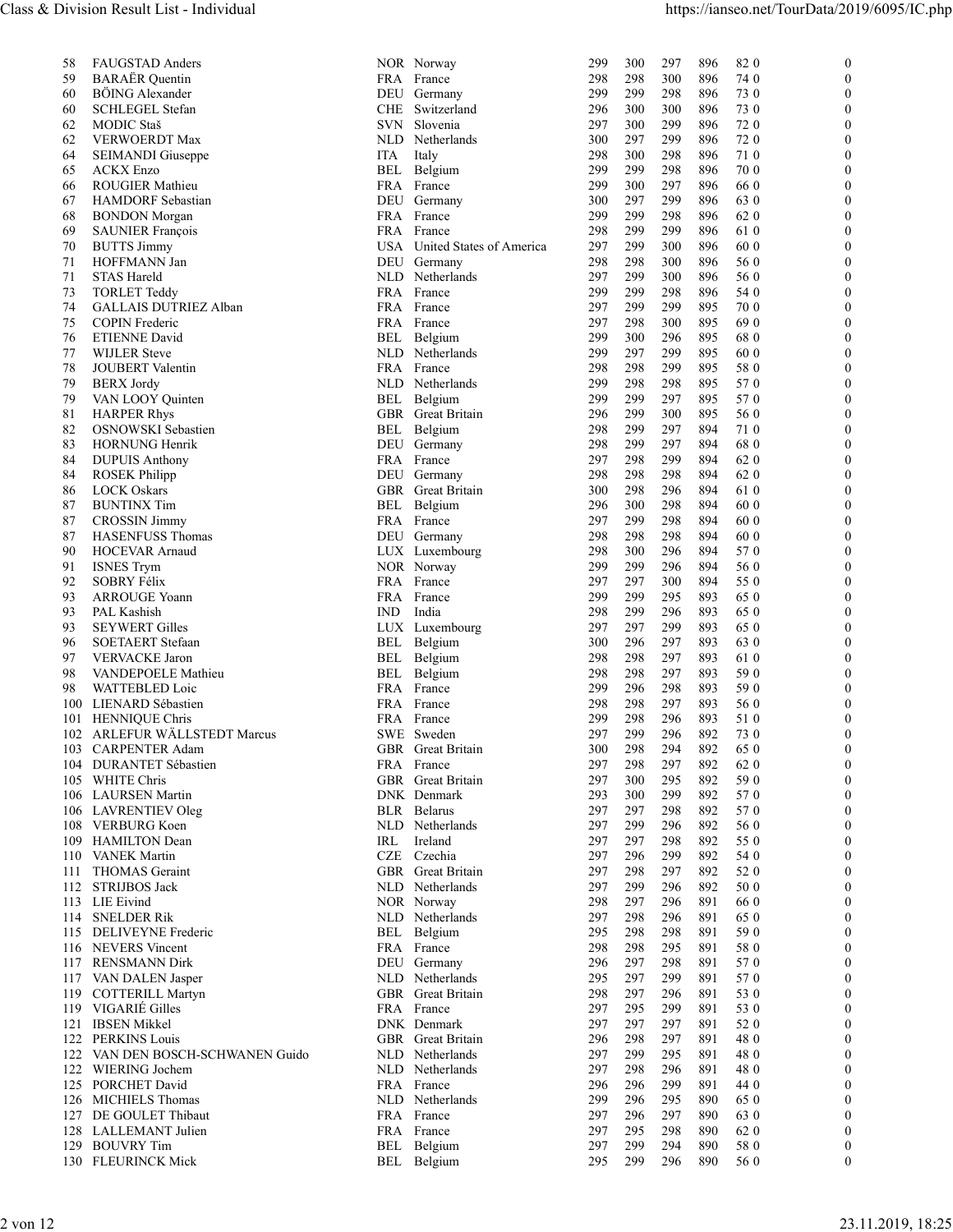| FAUGSTAD Anders<br>NOR Norway<br>300<br>297<br>896<br>820<br>$\mathbf{0}$<br>58<br>299<br><b>BARAËR</b> Quentin<br>59<br>FRA France<br>300<br>896<br>74 0<br>$\Omega$<br>298<br>298<br>BÖING Alexander<br>299<br>299<br>298<br>896<br>73 0<br>$\Omega$<br>60<br>DEU Germany<br><b>SCHLEGEL Stefan</b><br>CHE<br>Switzerland<br>300<br>300<br>896<br>73 0<br>60<br>296<br>$\Omega$<br>299<br>720<br>62<br>MODIC Staš<br>SVN Slovenia<br>297<br>300<br>896<br>$\Omega$<br>62<br>VERWOERDT Max<br>NLD Netherlands<br>300<br>297<br>299<br>72 0<br>896<br>$\Omega$<br>298<br>300<br>298<br>896<br>710<br>$\theta$<br>64<br>SEIMANDI Giuseppe<br>ITA<br>Italy<br><b>ACKX Enzo</b><br>298<br>Belgium<br>299<br>299<br>896<br>70 0<br>65<br>BEL<br>$\Omega$<br>ROUGIER Mathieu<br>FRA France<br>299<br>300<br>297<br>66 0<br>66<br>896<br>$\Omega$<br>67<br><b>HAMDORF</b> Sebastian<br>DEU Germany<br>300<br>297<br>299<br>896<br>63 0<br>$\Omega$<br>FRA France<br>299<br>299<br>298<br>896<br>62 0<br>68<br><b>BONDON</b> Morgan<br>$\Omega$<br><b>SAUNIER François</b><br>FRA France<br>298<br>299<br>299<br>896<br>61 0<br>69<br>$\Omega$<br>USA United States of America<br>299<br>300<br>896<br>60 0<br>$\Omega$<br>70<br><b>BUTTS Jimmy</b><br>297<br>HOFFMANN Jan<br>298<br>300<br>896<br>56 0<br>71<br>DEU Germany<br>298<br>$\Omega$<br>Netherlands<br>56 0<br>71<br>STAS Hareld<br>NLD<br>297<br>299<br>300<br>896<br>$\Omega$<br>73<br><b>TORLET Teddy</b><br>FRA France<br>299<br>299<br>298<br>896<br>54 0<br>$\Omega$<br>74<br><b>GALLAIS DUTRIEZ Alban</b><br>FRA<br>297<br>299<br>299<br>895<br>70 0<br>$\theta$<br>France<br>297<br>298<br>300<br>895<br>690<br>75<br>COPIN Frederic<br>FRA France<br>$\mathbf{0}$<br>Belgium<br>296<br>895<br><b>ETIENNE David</b><br>BEL<br>299<br>300<br>68 0<br>76<br>$\Omega$<br>299<br>297<br>299<br>895<br>60 0<br>77<br><b>WIJLER</b> Steve<br>NLD Netherlands<br>$\theta$<br>78<br><b>JOUBERT</b> Valentin<br>FRA France<br>298<br>298<br>299<br>895<br>58 0<br>$\theta$<br>299<br>298<br>298<br>895<br>570<br>79<br><b>BERX</b> Jordy<br>NLD Netherlands<br>$\theta$<br>299<br>297<br>895<br>570<br>79<br>VAN LOOY Quinten<br>BEL Belgium<br>299<br>$\Omega$<br>296<br>299<br>300<br>895<br>56 0<br>81<br><b>HARPER Rhys</b><br>GBR<br>Great Britain<br>$\theta$<br>297<br>82<br>OSNOWSKI Sebastien<br>BEL<br>Belgium<br>298<br>299<br>894<br>710<br>$\theta$<br>299<br>297<br>894<br>680<br>83<br><b>HORNUNG Henrik</b><br>DEU Germany<br>298<br>$\theta$<br>298<br>299<br>894<br>62 0<br>84<br><b>DUPUIS Anthony</b><br>FRA France<br>297<br>$\Omega$<br>298<br>298<br>298<br>894<br>62 0<br>84<br>DEU Germany<br><b>ROSEK Philipp</b><br>$\theta$<br>296<br>86<br><b>LOCK Oskars</b><br>GBR<br>Great Britain<br>300<br>298<br>894<br>61 0<br>$\theta$<br><b>BUNTINX Tim</b><br>296<br>300<br>298<br>894<br>60 0<br>87<br>BEL<br>Belgium<br>$\Omega$<br>298<br>894<br>60 0<br>87<br><b>CROSSIN Jimmy</b><br>FRA France<br>297<br>299<br>$\Omega$<br>894<br>87<br><b>HASENFUSS Thomas</b><br>DEU Germany<br>298<br>298<br>298<br>60 0<br>$\theta$<br>298<br>300<br>296<br>894<br>570<br>90<br>HOCEVAR Arnaud<br>LUX Luxembourg<br>$\theta$<br>894<br>56 0<br><b>ISNES Trym</b><br>NOR Norway<br>299<br>299<br>296<br>91<br>$\theta$<br>92<br>SOBRY Félix<br>297<br>297<br>300<br>894<br>55 0<br>FRA France<br>$\theta$<br>299<br>295<br>893<br><b>ARROUGE Yoann</b><br>FRA France<br>299<br>65 0<br>93<br>$\theta$<br>PAL Kashish<br>298<br>299<br>296<br>893<br>65 0<br>93<br>IND<br>India<br>$\theta$<br><b>SEYWERT Gilles</b><br>297<br>299<br>893<br>65 0<br>93<br>LUX<br>Luxembourg<br>297<br>$\Omega$<br>296<br>297<br>893<br>63 0<br>96<br>SOETAERT Stefaan<br>BEL Belgium<br>300<br>$\theta$<br>297<br>97<br><b>VERVACKE</b> Jaron<br>BEL<br>Belgium<br>298<br>298<br>893<br>61 0<br>$\theta$<br>Belgium<br>298<br>298<br>297<br>893<br>59 0<br>98<br>VANDEPOELE Mathieu<br>BEL<br>$\Omega$<br>298<br>893<br>59 0<br>98<br>WATTEBLED Loic<br>FRA France<br>299<br>296<br>$\Omega$<br>297<br>893<br>56 0<br>100<br>LIENARD Sébastien<br>FRA France<br>298<br>298<br>$\theta$<br>296<br>893<br><b>HENNIQUE Chris</b><br>FRA France<br>299<br>298<br>51 0<br>101<br>$\theta$<br>ARLEFUR WÄLLSTEDT Marcus<br>299<br>296<br>892<br>73 0<br>SWE Sweden<br>297<br>102<br>$\theta$<br>294<br>892<br>65 0<br><b>CARPENTER Adam</b><br>GBR Great Britain<br>300<br>298<br>$\Omega$<br>103<br>298<br>297<br>892<br>62 0<br>DURANTET Sébastien<br>FRA France<br>297<br>104<br>$\theta$<br>WHITE Chris<br>Great Britain<br>297<br>295<br>892<br>59 0<br>GBR<br>300<br>105<br>$\theta$<br>299<br>892<br>570<br><b>LAURSEN Martin</b><br>DNK Denmark<br>293<br>300<br>106<br>$\Omega$<br>297<br>297<br>298<br>892<br>570<br>106 LAVRENTIEV Oleg<br><b>BLR</b> Belarus<br>$\theta$<br><b>VERBURG Koen</b><br>Netherlands<br>297<br>299<br>296<br>892<br>56 0<br>108<br>NLD<br>$\theta$<br><b>HAMILTON</b> Dean<br>IRL<br>297<br>297<br>298<br>892<br>55 0<br>109<br>Ireland<br>$\theta$<br>Czechia<br>CZE<br>297<br>296<br>299<br>892<br>54 0<br><b>VANEK Martin</b><br>110<br>$\theta$<br>297<br>298<br>297<br>892<br>52 0<br><b>GBR</b><br>Great Britain<br>$\mathbf{0}$<br>111<br><b>THOMAS</b> Geraint<br><b>STRIJBOS Jack</b><br>297<br>299<br>296<br>892<br>50 0<br>112<br>NLD Netherlands<br>$\theta$<br>297<br>296<br>891<br>66 0<br>LIE Eivind<br>NOR Norway<br>298<br>113<br>$\theta$<br>296<br>65 0<br>114<br><b>SNELDER Rik</b><br>NLD<br>Netherlands<br>297<br>298<br>891<br>$\Omega$<br>295<br>298<br>298<br>891<br>59 0<br>DELIVEYNE Frederic<br>BEL Belgium<br>115<br>$\theta$<br><b>NEVERS</b> Vincent<br>FRA France<br>298<br>298<br>295<br>891<br>58 0<br>116<br>$\theta$<br>298<br>891<br>570<br><b>RENSMANN Dirk</b><br>DEU Germany<br>296<br>297<br>117<br>$\Omega$<br>570<br>Netherlands<br>295<br>297<br>299<br>891<br>117 VAN DALEN Jasper<br>NLD<br>$\Omega$<br>119 COTTERILL Martyn<br>GBR Great Britain<br>298<br>297<br>296<br>891<br>53 0<br>$\Omega$<br>119 VIGARIÉ Gilles<br>FRA France<br>297<br>53 0<br>295<br>299<br>891<br>$\theta$<br>121 IBSEN Mikkel<br>DNK Denmark<br>297<br>297<br>297<br>891<br>52 0<br>$\Omega$<br>122 PERKINS Louis<br>297<br>891<br>GBR Great Britain<br>296<br>298<br>480<br>$\theta$<br>122 VAN DEN BOSCH-SCHWANEN Guido<br>NLD Netherlands<br>297<br>299<br>295<br>891<br>480<br>$\Omega$<br>122 WIERING Jochem<br>NLD Netherlands<br>296<br>891<br>297<br>298<br>480<br>125 PORCHET David<br>FRA France<br>299<br>891<br>296<br>296<br>44 0<br>$\Omega$<br>295<br>890<br>126 MICHIELS Thomas<br>NLD Netherlands<br>299<br>296<br>65 0<br>$\left($<br>DE GOULET Thibaut<br>297<br>FRA France<br>297<br>296<br>890<br>63 0<br>127<br>295<br>298<br>890<br>128 LALLEMANT Julien<br>FRA France<br>297<br>62 0<br>$\theta$<br>129 BOUVRY Tim<br>299<br>294<br>890<br>BEL Belgium<br>297<br>58 0<br>$\bf{0}$<br>130 FLEURINCK Mick<br>299<br>296<br>890<br>BEL Belgium<br>295<br>56 0<br>$\mathbf{0}$ | 23.11.2019, 18:25<br>2 von 12 |  |  |  |  |  |  |
|-----------------------------------------------------------------------------------------------------------------------------------------------------------------------------------------------------------------------------------------------------------------------------------------------------------------------------------------------------------------------------------------------------------------------------------------------------------------------------------------------------------------------------------------------------------------------------------------------------------------------------------------------------------------------------------------------------------------------------------------------------------------------------------------------------------------------------------------------------------------------------------------------------------------------------------------------------------------------------------------------------------------------------------------------------------------------------------------------------------------------------------------------------------------------------------------------------------------------------------------------------------------------------------------------------------------------------------------------------------------------------------------------------------------------------------------------------------------------------------------------------------------------------------------------------------------------------------------------------------------------------------------------------------------------------------------------------------------------------------------------------------------------------------------------------------------------------------------------------------------------------------------------------------------------------------------------------------------------------------------------------------------------------------------------------------------------------------------------------------------------------------------------------------------------------------------------------------------------------------------------------------------------------------------------------------------------------------------------------------------------------------------------------------------------------------------------------------------------------------------------------------------------------------------------------------------------------------------------------------------------------------------------------------------------------------------------------------------------------------------------------------------------------------------------------------------------------------------------------------------------------------------------------------------------------------------------------------------------------------------------------------------------------------------------------------------------------------------------------------------------------------------------------------------------------------------------------------------------------------------------------------------------------------------------------------------------------------------------------------------------------------------------------------------------------------------------------------------------------------------------------------------------------------------------------------------------------------------------------------------------------------------------------------------------------------------------------------------------------------------------------------------------------------------------------------------------------------------------------------------------------------------------------------------------------------------------------------------------------------------------------------------------------------------------------------------------------------------------------------------------------------------------------------------------------------------------------------------------------------------------------------------------------------------------------------------------------------------------------------------------------------------------------------------------------------------------------------------------------------------------------------------------------------------------------------------------------------------------------------------------------------------------------------------------------------------------------------------------------------------------------------------------------------------------------------------------------------------------------------------------------------------------------------------------------------------------------------------------------------------------------------------------------------------------------------------------------------------------------------------------------------------------------------------------------------------------------------------------------------------------------------------------------------------------------------------------------------------------------------------------------------------------------------------------------------------------------------------------------------------------------------------------------------------------------------------------------------------------------------------------------------------------------------------------------------------------------------------------------------------------------------------------------------------------------------------------------------------------------------------------------------------------------------------------------------------------------------------------------------------------------------------------------------------------------------------------------------------------------------------------------------------------------------------------------------------------------------------------------------------------------------------------------------------------------------------------------------------------------------------------------------------------------------------------------------------------------------------------------------------------------------------------------------------------------------------------------------------------------------------------------------------------------------------------------------------------------------------------------------------------------------------------------------------------------------------------------------------------------------------------------------------------------------------------------------------------------------------------------------------------------------------|-------------------------------|--|--|--|--|--|--|
|                                                                                                                                                                                                                                                                                                                                                                                                                                                                                                                                                                                                                                                                                                                                                                                                                                                                                                                                                                                                                                                                                                                                                                                                                                                                                                                                                                                                                                                                                                                                                                                                                                                                                                                                                                                                                                                                                                                                                                                                                                                                                                                                                                                                                                                                                                                                                                                                                                                                                                                                                                                                                                                                                                                                                                                                                                                                                                                                                                                                                                                                                                                                                                                                                                                                                                                                                                                                                                                                                                                                                                                                                                                                                                                                                                                                                                                                                                                                                                                                                                                                                                                                                                                                                                                                                                                                                                                                                                                                                                                                                                                                                                                                                                                                                                                                                                                                                                                                                                                                                                                                                                                                                                                                                                                                                                                                                                                                                                                                                                                                                                                                                                                                                                                                                                                                                                                                                                                                                                                                                                                                                                                                                                                                                                                                                                                                                                                                                                                                                                                                                                                                                                                                                                                                                                                                                                                                                                                                                                                                                 |                               |  |  |  |  |  |  |
|                                                                                                                                                                                                                                                                                                                                                                                                                                                                                                                                                                                                                                                                                                                                                                                                                                                                                                                                                                                                                                                                                                                                                                                                                                                                                                                                                                                                                                                                                                                                                                                                                                                                                                                                                                                                                                                                                                                                                                                                                                                                                                                                                                                                                                                                                                                                                                                                                                                                                                                                                                                                                                                                                                                                                                                                                                                                                                                                                                                                                                                                                                                                                                                                                                                                                                                                                                                                                                                                                                                                                                                                                                                                                                                                                                                                                                                                                                                                                                                                                                                                                                                                                                                                                                                                                                                                                                                                                                                                                                                                                                                                                                                                                                                                                                                                                                                                                                                                                                                                                                                                                                                                                                                                                                                                                                                                                                                                                                                                                                                                                                                                                                                                                                                                                                                                                                                                                                                                                                                                                                                                                                                                                                                                                                                                                                                                                                                                                                                                                                                                                                                                                                                                                                                                                                                                                                                                                                                                                                                                                 |                               |  |  |  |  |  |  |
|                                                                                                                                                                                                                                                                                                                                                                                                                                                                                                                                                                                                                                                                                                                                                                                                                                                                                                                                                                                                                                                                                                                                                                                                                                                                                                                                                                                                                                                                                                                                                                                                                                                                                                                                                                                                                                                                                                                                                                                                                                                                                                                                                                                                                                                                                                                                                                                                                                                                                                                                                                                                                                                                                                                                                                                                                                                                                                                                                                                                                                                                                                                                                                                                                                                                                                                                                                                                                                                                                                                                                                                                                                                                                                                                                                                                                                                                                                                                                                                                                                                                                                                                                                                                                                                                                                                                                                                                                                                                                                                                                                                                                                                                                                                                                                                                                                                                                                                                                                                                                                                                                                                                                                                                                                                                                                                                                                                                                                                                                                                                                                                                                                                                                                                                                                                                                                                                                                                                                                                                                                                                                                                                                                                                                                                                                                                                                                                                                                                                                                                                                                                                                                                                                                                                                                                                                                                                                                                                                                                                                 |                               |  |  |  |  |  |  |
|                                                                                                                                                                                                                                                                                                                                                                                                                                                                                                                                                                                                                                                                                                                                                                                                                                                                                                                                                                                                                                                                                                                                                                                                                                                                                                                                                                                                                                                                                                                                                                                                                                                                                                                                                                                                                                                                                                                                                                                                                                                                                                                                                                                                                                                                                                                                                                                                                                                                                                                                                                                                                                                                                                                                                                                                                                                                                                                                                                                                                                                                                                                                                                                                                                                                                                                                                                                                                                                                                                                                                                                                                                                                                                                                                                                                                                                                                                                                                                                                                                                                                                                                                                                                                                                                                                                                                                                                                                                                                                                                                                                                                                                                                                                                                                                                                                                                                                                                                                                                                                                                                                                                                                                                                                                                                                                                                                                                                                                                                                                                                                                                                                                                                                                                                                                                                                                                                                                                                                                                                                                                                                                                                                                                                                                                                                                                                                                                                                                                                                                                                                                                                                                                                                                                                                                                                                                                                                                                                                                                                 |                               |  |  |  |  |  |  |
|                                                                                                                                                                                                                                                                                                                                                                                                                                                                                                                                                                                                                                                                                                                                                                                                                                                                                                                                                                                                                                                                                                                                                                                                                                                                                                                                                                                                                                                                                                                                                                                                                                                                                                                                                                                                                                                                                                                                                                                                                                                                                                                                                                                                                                                                                                                                                                                                                                                                                                                                                                                                                                                                                                                                                                                                                                                                                                                                                                                                                                                                                                                                                                                                                                                                                                                                                                                                                                                                                                                                                                                                                                                                                                                                                                                                                                                                                                                                                                                                                                                                                                                                                                                                                                                                                                                                                                                                                                                                                                                                                                                                                                                                                                                                                                                                                                                                                                                                                                                                                                                                                                                                                                                                                                                                                                                                                                                                                                                                                                                                                                                                                                                                                                                                                                                                                                                                                                                                                                                                                                                                                                                                                                                                                                                                                                                                                                                                                                                                                                                                                                                                                                                                                                                                                                                                                                                                                                                                                                                                                 |                               |  |  |  |  |  |  |
|                                                                                                                                                                                                                                                                                                                                                                                                                                                                                                                                                                                                                                                                                                                                                                                                                                                                                                                                                                                                                                                                                                                                                                                                                                                                                                                                                                                                                                                                                                                                                                                                                                                                                                                                                                                                                                                                                                                                                                                                                                                                                                                                                                                                                                                                                                                                                                                                                                                                                                                                                                                                                                                                                                                                                                                                                                                                                                                                                                                                                                                                                                                                                                                                                                                                                                                                                                                                                                                                                                                                                                                                                                                                                                                                                                                                                                                                                                                                                                                                                                                                                                                                                                                                                                                                                                                                                                                                                                                                                                                                                                                                                                                                                                                                                                                                                                                                                                                                                                                                                                                                                                                                                                                                                                                                                                                                                                                                                                                                                                                                                                                                                                                                                                                                                                                                                                                                                                                                                                                                                                                                                                                                                                                                                                                                                                                                                                                                                                                                                                                                                                                                                                                                                                                                                                                                                                                                                                                                                                                                                 |                               |  |  |  |  |  |  |
|                                                                                                                                                                                                                                                                                                                                                                                                                                                                                                                                                                                                                                                                                                                                                                                                                                                                                                                                                                                                                                                                                                                                                                                                                                                                                                                                                                                                                                                                                                                                                                                                                                                                                                                                                                                                                                                                                                                                                                                                                                                                                                                                                                                                                                                                                                                                                                                                                                                                                                                                                                                                                                                                                                                                                                                                                                                                                                                                                                                                                                                                                                                                                                                                                                                                                                                                                                                                                                                                                                                                                                                                                                                                                                                                                                                                                                                                                                                                                                                                                                                                                                                                                                                                                                                                                                                                                                                                                                                                                                                                                                                                                                                                                                                                                                                                                                                                                                                                                                                                                                                                                                                                                                                                                                                                                                                                                                                                                                                                                                                                                                                                                                                                                                                                                                                                                                                                                                                                                                                                                                                                                                                                                                                                                                                                                                                                                                                                                                                                                                                                                                                                                                                                                                                                                                                                                                                                                                                                                                                                                 |                               |  |  |  |  |  |  |
|                                                                                                                                                                                                                                                                                                                                                                                                                                                                                                                                                                                                                                                                                                                                                                                                                                                                                                                                                                                                                                                                                                                                                                                                                                                                                                                                                                                                                                                                                                                                                                                                                                                                                                                                                                                                                                                                                                                                                                                                                                                                                                                                                                                                                                                                                                                                                                                                                                                                                                                                                                                                                                                                                                                                                                                                                                                                                                                                                                                                                                                                                                                                                                                                                                                                                                                                                                                                                                                                                                                                                                                                                                                                                                                                                                                                                                                                                                                                                                                                                                                                                                                                                                                                                                                                                                                                                                                                                                                                                                                                                                                                                                                                                                                                                                                                                                                                                                                                                                                                                                                                                                                                                                                                                                                                                                                                                                                                                                                                                                                                                                                                                                                                                                                                                                                                                                                                                                                                                                                                                                                                                                                                                                                                                                                                                                                                                                                                                                                                                                                                                                                                                                                                                                                                                                                                                                                                                                                                                                                                                 |                               |  |  |  |  |  |  |
|                                                                                                                                                                                                                                                                                                                                                                                                                                                                                                                                                                                                                                                                                                                                                                                                                                                                                                                                                                                                                                                                                                                                                                                                                                                                                                                                                                                                                                                                                                                                                                                                                                                                                                                                                                                                                                                                                                                                                                                                                                                                                                                                                                                                                                                                                                                                                                                                                                                                                                                                                                                                                                                                                                                                                                                                                                                                                                                                                                                                                                                                                                                                                                                                                                                                                                                                                                                                                                                                                                                                                                                                                                                                                                                                                                                                                                                                                                                                                                                                                                                                                                                                                                                                                                                                                                                                                                                                                                                                                                                                                                                                                                                                                                                                                                                                                                                                                                                                                                                                                                                                                                                                                                                                                                                                                                                                                                                                                                                                                                                                                                                                                                                                                                                                                                                                                                                                                                                                                                                                                                                                                                                                                                                                                                                                                                                                                                                                                                                                                                                                                                                                                                                                                                                                                                                                                                                                                                                                                                                                                 |                               |  |  |  |  |  |  |
|                                                                                                                                                                                                                                                                                                                                                                                                                                                                                                                                                                                                                                                                                                                                                                                                                                                                                                                                                                                                                                                                                                                                                                                                                                                                                                                                                                                                                                                                                                                                                                                                                                                                                                                                                                                                                                                                                                                                                                                                                                                                                                                                                                                                                                                                                                                                                                                                                                                                                                                                                                                                                                                                                                                                                                                                                                                                                                                                                                                                                                                                                                                                                                                                                                                                                                                                                                                                                                                                                                                                                                                                                                                                                                                                                                                                                                                                                                                                                                                                                                                                                                                                                                                                                                                                                                                                                                                                                                                                                                                                                                                                                                                                                                                                                                                                                                                                                                                                                                                                                                                                                                                                                                                                                                                                                                                                                                                                                                                                                                                                                                                                                                                                                                                                                                                                                                                                                                                                                                                                                                                                                                                                                                                                                                                                                                                                                                                                                                                                                                                                                                                                                                                                                                                                                                                                                                                                                                                                                                                                                 |                               |  |  |  |  |  |  |
|                                                                                                                                                                                                                                                                                                                                                                                                                                                                                                                                                                                                                                                                                                                                                                                                                                                                                                                                                                                                                                                                                                                                                                                                                                                                                                                                                                                                                                                                                                                                                                                                                                                                                                                                                                                                                                                                                                                                                                                                                                                                                                                                                                                                                                                                                                                                                                                                                                                                                                                                                                                                                                                                                                                                                                                                                                                                                                                                                                                                                                                                                                                                                                                                                                                                                                                                                                                                                                                                                                                                                                                                                                                                                                                                                                                                                                                                                                                                                                                                                                                                                                                                                                                                                                                                                                                                                                                                                                                                                                                                                                                                                                                                                                                                                                                                                                                                                                                                                                                                                                                                                                                                                                                                                                                                                                                                                                                                                                                                                                                                                                                                                                                                                                                                                                                                                                                                                                                                                                                                                                                                                                                                                                                                                                                                                                                                                                                                                                                                                                                                                                                                                                                                                                                                                                                                                                                                                                                                                                                                                 |                               |  |  |  |  |  |  |
|                                                                                                                                                                                                                                                                                                                                                                                                                                                                                                                                                                                                                                                                                                                                                                                                                                                                                                                                                                                                                                                                                                                                                                                                                                                                                                                                                                                                                                                                                                                                                                                                                                                                                                                                                                                                                                                                                                                                                                                                                                                                                                                                                                                                                                                                                                                                                                                                                                                                                                                                                                                                                                                                                                                                                                                                                                                                                                                                                                                                                                                                                                                                                                                                                                                                                                                                                                                                                                                                                                                                                                                                                                                                                                                                                                                                                                                                                                                                                                                                                                                                                                                                                                                                                                                                                                                                                                                                                                                                                                                                                                                                                                                                                                                                                                                                                                                                                                                                                                                                                                                                                                                                                                                                                                                                                                                                                                                                                                                                                                                                                                                                                                                                                                                                                                                                                                                                                                                                                                                                                                                                                                                                                                                                                                                                                                                                                                                                                                                                                                                                                                                                                                                                                                                                                                                                                                                                                                                                                                                                                 |                               |  |  |  |  |  |  |
|                                                                                                                                                                                                                                                                                                                                                                                                                                                                                                                                                                                                                                                                                                                                                                                                                                                                                                                                                                                                                                                                                                                                                                                                                                                                                                                                                                                                                                                                                                                                                                                                                                                                                                                                                                                                                                                                                                                                                                                                                                                                                                                                                                                                                                                                                                                                                                                                                                                                                                                                                                                                                                                                                                                                                                                                                                                                                                                                                                                                                                                                                                                                                                                                                                                                                                                                                                                                                                                                                                                                                                                                                                                                                                                                                                                                                                                                                                                                                                                                                                                                                                                                                                                                                                                                                                                                                                                                                                                                                                                                                                                                                                                                                                                                                                                                                                                                                                                                                                                                                                                                                                                                                                                                                                                                                                                                                                                                                                                                                                                                                                                                                                                                                                                                                                                                                                                                                                                                                                                                                                                                                                                                                                                                                                                                                                                                                                                                                                                                                                                                                                                                                                                                                                                                                                                                                                                                                                                                                                                                                 |                               |  |  |  |  |  |  |
|                                                                                                                                                                                                                                                                                                                                                                                                                                                                                                                                                                                                                                                                                                                                                                                                                                                                                                                                                                                                                                                                                                                                                                                                                                                                                                                                                                                                                                                                                                                                                                                                                                                                                                                                                                                                                                                                                                                                                                                                                                                                                                                                                                                                                                                                                                                                                                                                                                                                                                                                                                                                                                                                                                                                                                                                                                                                                                                                                                                                                                                                                                                                                                                                                                                                                                                                                                                                                                                                                                                                                                                                                                                                                                                                                                                                                                                                                                                                                                                                                                                                                                                                                                                                                                                                                                                                                                                                                                                                                                                                                                                                                                                                                                                                                                                                                                                                                                                                                                                                                                                                                                                                                                                                                                                                                                                                                                                                                                                                                                                                                                                                                                                                                                                                                                                                                                                                                                                                                                                                                                                                                                                                                                                                                                                                                                                                                                                                                                                                                                                                                                                                                                                                                                                                                                                                                                                                                                                                                                                                                 |                               |  |  |  |  |  |  |
|                                                                                                                                                                                                                                                                                                                                                                                                                                                                                                                                                                                                                                                                                                                                                                                                                                                                                                                                                                                                                                                                                                                                                                                                                                                                                                                                                                                                                                                                                                                                                                                                                                                                                                                                                                                                                                                                                                                                                                                                                                                                                                                                                                                                                                                                                                                                                                                                                                                                                                                                                                                                                                                                                                                                                                                                                                                                                                                                                                                                                                                                                                                                                                                                                                                                                                                                                                                                                                                                                                                                                                                                                                                                                                                                                                                                                                                                                                                                                                                                                                                                                                                                                                                                                                                                                                                                                                                                                                                                                                                                                                                                                                                                                                                                                                                                                                                                                                                                                                                                                                                                                                                                                                                                                                                                                                                                                                                                                                                                                                                                                                                                                                                                                                                                                                                                                                                                                                                                                                                                                                                                                                                                                                                                                                                                                                                                                                                                                                                                                                                                                                                                                                                                                                                                                                                                                                                                                                                                                                                                                 |                               |  |  |  |  |  |  |
|                                                                                                                                                                                                                                                                                                                                                                                                                                                                                                                                                                                                                                                                                                                                                                                                                                                                                                                                                                                                                                                                                                                                                                                                                                                                                                                                                                                                                                                                                                                                                                                                                                                                                                                                                                                                                                                                                                                                                                                                                                                                                                                                                                                                                                                                                                                                                                                                                                                                                                                                                                                                                                                                                                                                                                                                                                                                                                                                                                                                                                                                                                                                                                                                                                                                                                                                                                                                                                                                                                                                                                                                                                                                                                                                                                                                                                                                                                                                                                                                                                                                                                                                                                                                                                                                                                                                                                                                                                                                                                                                                                                                                                                                                                                                                                                                                                                                                                                                                                                                                                                                                                                                                                                                                                                                                                                                                                                                                                                                                                                                                                                                                                                                                                                                                                                                                                                                                                                                                                                                                                                                                                                                                                                                                                                                                                                                                                                                                                                                                                                                                                                                                                                                                                                                                                                                                                                                                                                                                                                                                 |                               |  |  |  |  |  |  |
|                                                                                                                                                                                                                                                                                                                                                                                                                                                                                                                                                                                                                                                                                                                                                                                                                                                                                                                                                                                                                                                                                                                                                                                                                                                                                                                                                                                                                                                                                                                                                                                                                                                                                                                                                                                                                                                                                                                                                                                                                                                                                                                                                                                                                                                                                                                                                                                                                                                                                                                                                                                                                                                                                                                                                                                                                                                                                                                                                                                                                                                                                                                                                                                                                                                                                                                                                                                                                                                                                                                                                                                                                                                                                                                                                                                                                                                                                                                                                                                                                                                                                                                                                                                                                                                                                                                                                                                                                                                                                                                                                                                                                                                                                                                                                                                                                                                                                                                                                                                                                                                                                                                                                                                                                                                                                                                                                                                                                                                                                                                                                                                                                                                                                                                                                                                                                                                                                                                                                                                                                                                                                                                                                                                                                                                                                                                                                                                                                                                                                                                                                                                                                                                                                                                                                                                                                                                                                                                                                                                                                 |                               |  |  |  |  |  |  |
|                                                                                                                                                                                                                                                                                                                                                                                                                                                                                                                                                                                                                                                                                                                                                                                                                                                                                                                                                                                                                                                                                                                                                                                                                                                                                                                                                                                                                                                                                                                                                                                                                                                                                                                                                                                                                                                                                                                                                                                                                                                                                                                                                                                                                                                                                                                                                                                                                                                                                                                                                                                                                                                                                                                                                                                                                                                                                                                                                                                                                                                                                                                                                                                                                                                                                                                                                                                                                                                                                                                                                                                                                                                                                                                                                                                                                                                                                                                                                                                                                                                                                                                                                                                                                                                                                                                                                                                                                                                                                                                                                                                                                                                                                                                                                                                                                                                                                                                                                                                                                                                                                                                                                                                                                                                                                                                                                                                                                                                                                                                                                                                                                                                                                                                                                                                                                                                                                                                                                                                                                                                                                                                                                                                                                                                                                                                                                                                                                                                                                                                                                                                                                                                                                                                                                                                                                                                                                                                                                                                                                 |                               |  |  |  |  |  |  |
|                                                                                                                                                                                                                                                                                                                                                                                                                                                                                                                                                                                                                                                                                                                                                                                                                                                                                                                                                                                                                                                                                                                                                                                                                                                                                                                                                                                                                                                                                                                                                                                                                                                                                                                                                                                                                                                                                                                                                                                                                                                                                                                                                                                                                                                                                                                                                                                                                                                                                                                                                                                                                                                                                                                                                                                                                                                                                                                                                                                                                                                                                                                                                                                                                                                                                                                                                                                                                                                                                                                                                                                                                                                                                                                                                                                                                                                                                                                                                                                                                                                                                                                                                                                                                                                                                                                                                                                                                                                                                                                                                                                                                                                                                                                                                                                                                                                                                                                                                                                                                                                                                                                                                                                                                                                                                                                                                                                                                                                                                                                                                                                                                                                                                                                                                                                                                                                                                                                                                                                                                                                                                                                                                                                                                                                                                                                                                                                                                                                                                                                                                                                                                                                                                                                                                                                                                                                                                                                                                                                                                 |                               |  |  |  |  |  |  |
|                                                                                                                                                                                                                                                                                                                                                                                                                                                                                                                                                                                                                                                                                                                                                                                                                                                                                                                                                                                                                                                                                                                                                                                                                                                                                                                                                                                                                                                                                                                                                                                                                                                                                                                                                                                                                                                                                                                                                                                                                                                                                                                                                                                                                                                                                                                                                                                                                                                                                                                                                                                                                                                                                                                                                                                                                                                                                                                                                                                                                                                                                                                                                                                                                                                                                                                                                                                                                                                                                                                                                                                                                                                                                                                                                                                                                                                                                                                                                                                                                                                                                                                                                                                                                                                                                                                                                                                                                                                                                                                                                                                                                                                                                                                                                                                                                                                                                                                                                                                                                                                                                                                                                                                                                                                                                                                                                                                                                                                                                                                                                                                                                                                                                                                                                                                                                                                                                                                                                                                                                                                                                                                                                                                                                                                                                                                                                                                                                                                                                                                                                                                                                                                                                                                                                                                                                                                                                                                                                                                                                 |                               |  |  |  |  |  |  |
|                                                                                                                                                                                                                                                                                                                                                                                                                                                                                                                                                                                                                                                                                                                                                                                                                                                                                                                                                                                                                                                                                                                                                                                                                                                                                                                                                                                                                                                                                                                                                                                                                                                                                                                                                                                                                                                                                                                                                                                                                                                                                                                                                                                                                                                                                                                                                                                                                                                                                                                                                                                                                                                                                                                                                                                                                                                                                                                                                                                                                                                                                                                                                                                                                                                                                                                                                                                                                                                                                                                                                                                                                                                                                                                                                                                                                                                                                                                                                                                                                                                                                                                                                                                                                                                                                                                                                                                                                                                                                                                                                                                                                                                                                                                                                                                                                                                                                                                                                                                                                                                                                                                                                                                                                                                                                                                                                                                                                                                                                                                                                                                                                                                                                                                                                                                                                                                                                                                                                                                                                                                                                                                                                                                                                                                                                                                                                                                                                                                                                                                                                                                                                                                                                                                                                                                                                                                                                                                                                                                                                 |                               |  |  |  |  |  |  |
|                                                                                                                                                                                                                                                                                                                                                                                                                                                                                                                                                                                                                                                                                                                                                                                                                                                                                                                                                                                                                                                                                                                                                                                                                                                                                                                                                                                                                                                                                                                                                                                                                                                                                                                                                                                                                                                                                                                                                                                                                                                                                                                                                                                                                                                                                                                                                                                                                                                                                                                                                                                                                                                                                                                                                                                                                                                                                                                                                                                                                                                                                                                                                                                                                                                                                                                                                                                                                                                                                                                                                                                                                                                                                                                                                                                                                                                                                                                                                                                                                                                                                                                                                                                                                                                                                                                                                                                                                                                                                                                                                                                                                                                                                                                                                                                                                                                                                                                                                                                                                                                                                                                                                                                                                                                                                                                                                                                                                                                                                                                                                                                                                                                                                                                                                                                                                                                                                                                                                                                                                                                                                                                                                                                                                                                                                                                                                                                                                                                                                                                                                                                                                                                                                                                                                                                                                                                                                                                                                                                                                 |                               |  |  |  |  |  |  |
|                                                                                                                                                                                                                                                                                                                                                                                                                                                                                                                                                                                                                                                                                                                                                                                                                                                                                                                                                                                                                                                                                                                                                                                                                                                                                                                                                                                                                                                                                                                                                                                                                                                                                                                                                                                                                                                                                                                                                                                                                                                                                                                                                                                                                                                                                                                                                                                                                                                                                                                                                                                                                                                                                                                                                                                                                                                                                                                                                                                                                                                                                                                                                                                                                                                                                                                                                                                                                                                                                                                                                                                                                                                                                                                                                                                                                                                                                                                                                                                                                                                                                                                                                                                                                                                                                                                                                                                                                                                                                                                                                                                                                                                                                                                                                                                                                                                                                                                                                                                                                                                                                                                                                                                                                                                                                                                                                                                                                                                                                                                                                                                                                                                                                                                                                                                                                                                                                                                                                                                                                                                                                                                                                                                                                                                                                                                                                                                                                                                                                                                                                                                                                                                                                                                                                                                                                                                                                                                                                                                                                 |                               |  |  |  |  |  |  |
|                                                                                                                                                                                                                                                                                                                                                                                                                                                                                                                                                                                                                                                                                                                                                                                                                                                                                                                                                                                                                                                                                                                                                                                                                                                                                                                                                                                                                                                                                                                                                                                                                                                                                                                                                                                                                                                                                                                                                                                                                                                                                                                                                                                                                                                                                                                                                                                                                                                                                                                                                                                                                                                                                                                                                                                                                                                                                                                                                                                                                                                                                                                                                                                                                                                                                                                                                                                                                                                                                                                                                                                                                                                                                                                                                                                                                                                                                                                                                                                                                                                                                                                                                                                                                                                                                                                                                                                                                                                                                                                                                                                                                                                                                                                                                                                                                                                                                                                                                                                                                                                                                                                                                                                                                                                                                                                                                                                                                                                                                                                                                                                                                                                                                                                                                                                                                                                                                                                                                                                                                                                                                                                                                                                                                                                                                                                                                                                                                                                                                                                                                                                                                                                                                                                                                                                                                                                                                                                                                                                                                 |                               |  |  |  |  |  |  |
|                                                                                                                                                                                                                                                                                                                                                                                                                                                                                                                                                                                                                                                                                                                                                                                                                                                                                                                                                                                                                                                                                                                                                                                                                                                                                                                                                                                                                                                                                                                                                                                                                                                                                                                                                                                                                                                                                                                                                                                                                                                                                                                                                                                                                                                                                                                                                                                                                                                                                                                                                                                                                                                                                                                                                                                                                                                                                                                                                                                                                                                                                                                                                                                                                                                                                                                                                                                                                                                                                                                                                                                                                                                                                                                                                                                                                                                                                                                                                                                                                                                                                                                                                                                                                                                                                                                                                                                                                                                                                                                                                                                                                                                                                                                                                                                                                                                                                                                                                                                                                                                                                                                                                                                                                                                                                                                                                                                                                                                                                                                                                                                                                                                                                                                                                                                                                                                                                                                                                                                                                                                                                                                                                                                                                                                                                                                                                                                                                                                                                                                                                                                                                                                                                                                                                                                                                                                                                                                                                                                                                 |                               |  |  |  |  |  |  |
|                                                                                                                                                                                                                                                                                                                                                                                                                                                                                                                                                                                                                                                                                                                                                                                                                                                                                                                                                                                                                                                                                                                                                                                                                                                                                                                                                                                                                                                                                                                                                                                                                                                                                                                                                                                                                                                                                                                                                                                                                                                                                                                                                                                                                                                                                                                                                                                                                                                                                                                                                                                                                                                                                                                                                                                                                                                                                                                                                                                                                                                                                                                                                                                                                                                                                                                                                                                                                                                                                                                                                                                                                                                                                                                                                                                                                                                                                                                                                                                                                                                                                                                                                                                                                                                                                                                                                                                                                                                                                                                                                                                                                                                                                                                                                                                                                                                                                                                                                                                                                                                                                                                                                                                                                                                                                                                                                                                                                                                                                                                                                                                                                                                                                                                                                                                                                                                                                                                                                                                                                                                                                                                                                                                                                                                                                                                                                                                                                                                                                                                                                                                                                                                                                                                                                                                                                                                                                                                                                                                                                 |                               |  |  |  |  |  |  |
|                                                                                                                                                                                                                                                                                                                                                                                                                                                                                                                                                                                                                                                                                                                                                                                                                                                                                                                                                                                                                                                                                                                                                                                                                                                                                                                                                                                                                                                                                                                                                                                                                                                                                                                                                                                                                                                                                                                                                                                                                                                                                                                                                                                                                                                                                                                                                                                                                                                                                                                                                                                                                                                                                                                                                                                                                                                                                                                                                                                                                                                                                                                                                                                                                                                                                                                                                                                                                                                                                                                                                                                                                                                                                                                                                                                                                                                                                                                                                                                                                                                                                                                                                                                                                                                                                                                                                                                                                                                                                                                                                                                                                                                                                                                                                                                                                                                                                                                                                                                                                                                                                                                                                                                                                                                                                                                                                                                                                                                                                                                                                                                                                                                                                                                                                                                                                                                                                                                                                                                                                                                                                                                                                                                                                                                                                                                                                                                                                                                                                                                                                                                                                                                                                                                                                                                                                                                                                                                                                                                                                 |                               |  |  |  |  |  |  |
|                                                                                                                                                                                                                                                                                                                                                                                                                                                                                                                                                                                                                                                                                                                                                                                                                                                                                                                                                                                                                                                                                                                                                                                                                                                                                                                                                                                                                                                                                                                                                                                                                                                                                                                                                                                                                                                                                                                                                                                                                                                                                                                                                                                                                                                                                                                                                                                                                                                                                                                                                                                                                                                                                                                                                                                                                                                                                                                                                                                                                                                                                                                                                                                                                                                                                                                                                                                                                                                                                                                                                                                                                                                                                                                                                                                                                                                                                                                                                                                                                                                                                                                                                                                                                                                                                                                                                                                                                                                                                                                                                                                                                                                                                                                                                                                                                                                                                                                                                                                                                                                                                                                                                                                                                                                                                                                                                                                                                                                                                                                                                                                                                                                                                                                                                                                                                                                                                                                                                                                                                                                                                                                                                                                                                                                                                                                                                                                                                                                                                                                                                                                                                                                                                                                                                                                                                                                                                                                                                                                                                 |                               |  |  |  |  |  |  |
|                                                                                                                                                                                                                                                                                                                                                                                                                                                                                                                                                                                                                                                                                                                                                                                                                                                                                                                                                                                                                                                                                                                                                                                                                                                                                                                                                                                                                                                                                                                                                                                                                                                                                                                                                                                                                                                                                                                                                                                                                                                                                                                                                                                                                                                                                                                                                                                                                                                                                                                                                                                                                                                                                                                                                                                                                                                                                                                                                                                                                                                                                                                                                                                                                                                                                                                                                                                                                                                                                                                                                                                                                                                                                                                                                                                                                                                                                                                                                                                                                                                                                                                                                                                                                                                                                                                                                                                                                                                                                                                                                                                                                                                                                                                                                                                                                                                                                                                                                                                                                                                                                                                                                                                                                                                                                                                                                                                                                                                                                                                                                                                                                                                                                                                                                                                                                                                                                                                                                                                                                                                                                                                                                                                                                                                                                                                                                                                                                                                                                                                                                                                                                                                                                                                                                                                                                                                                                                                                                                                                                 |                               |  |  |  |  |  |  |
|                                                                                                                                                                                                                                                                                                                                                                                                                                                                                                                                                                                                                                                                                                                                                                                                                                                                                                                                                                                                                                                                                                                                                                                                                                                                                                                                                                                                                                                                                                                                                                                                                                                                                                                                                                                                                                                                                                                                                                                                                                                                                                                                                                                                                                                                                                                                                                                                                                                                                                                                                                                                                                                                                                                                                                                                                                                                                                                                                                                                                                                                                                                                                                                                                                                                                                                                                                                                                                                                                                                                                                                                                                                                                                                                                                                                                                                                                                                                                                                                                                                                                                                                                                                                                                                                                                                                                                                                                                                                                                                                                                                                                                                                                                                                                                                                                                                                                                                                                                                                                                                                                                                                                                                                                                                                                                                                                                                                                                                                                                                                                                                                                                                                                                                                                                                                                                                                                                                                                                                                                                                                                                                                                                                                                                                                                                                                                                                                                                                                                                                                                                                                                                                                                                                                                                                                                                                                                                                                                                                                                 |                               |  |  |  |  |  |  |
|                                                                                                                                                                                                                                                                                                                                                                                                                                                                                                                                                                                                                                                                                                                                                                                                                                                                                                                                                                                                                                                                                                                                                                                                                                                                                                                                                                                                                                                                                                                                                                                                                                                                                                                                                                                                                                                                                                                                                                                                                                                                                                                                                                                                                                                                                                                                                                                                                                                                                                                                                                                                                                                                                                                                                                                                                                                                                                                                                                                                                                                                                                                                                                                                                                                                                                                                                                                                                                                                                                                                                                                                                                                                                                                                                                                                                                                                                                                                                                                                                                                                                                                                                                                                                                                                                                                                                                                                                                                                                                                                                                                                                                                                                                                                                                                                                                                                                                                                                                                                                                                                                                                                                                                                                                                                                                                                                                                                                                                                                                                                                                                                                                                                                                                                                                                                                                                                                                                                                                                                                                                                                                                                                                                                                                                                                                                                                                                                                                                                                                                                                                                                                                                                                                                                                                                                                                                                                                                                                                                                                 |                               |  |  |  |  |  |  |
|                                                                                                                                                                                                                                                                                                                                                                                                                                                                                                                                                                                                                                                                                                                                                                                                                                                                                                                                                                                                                                                                                                                                                                                                                                                                                                                                                                                                                                                                                                                                                                                                                                                                                                                                                                                                                                                                                                                                                                                                                                                                                                                                                                                                                                                                                                                                                                                                                                                                                                                                                                                                                                                                                                                                                                                                                                                                                                                                                                                                                                                                                                                                                                                                                                                                                                                                                                                                                                                                                                                                                                                                                                                                                                                                                                                                                                                                                                                                                                                                                                                                                                                                                                                                                                                                                                                                                                                                                                                                                                                                                                                                                                                                                                                                                                                                                                                                                                                                                                                                                                                                                                                                                                                                                                                                                                                                                                                                                                                                                                                                                                                                                                                                                                                                                                                                                                                                                                                                                                                                                                                                                                                                                                                                                                                                                                                                                                                                                                                                                                                                                                                                                                                                                                                                                                                                                                                                                                                                                                                                                 |                               |  |  |  |  |  |  |
|                                                                                                                                                                                                                                                                                                                                                                                                                                                                                                                                                                                                                                                                                                                                                                                                                                                                                                                                                                                                                                                                                                                                                                                                                                                                                                                                                                                                                                                                                                                                                                                                                                                                                                                                                                                                                                                                                                                                                                                                                                                                                                                                                                                                                                                                                                                                                                                                                                                                                                                                                                                                                                                                                                                                                                                                                                                                                                                                                                                                                                                                                                                                                                                                                                                                                                                                                                                                                                                                                                                                                                                                                                                                                                                                                                                                                                                                                                                                                                                                                                                                                                                                                                                                                                                                                                                                                                                                                                                                                                                                                                                                                                                                                                                                                                                                                                                                                                                                                                                                                                                                                                                                                                                                                                                                                                                                                                                                                                                                                                                                                                                                                                                                                                                                                                                                                                                                                                                                                                                                                                                                                                                                                                                                                                                                                                                                                                                                                                                                                                                                                                                                                                                                                                                                                                                                                                                                                                                                                                                                                 |                               |  |  |  |  |  |  |
|                                                                                                                                                                                                                                                                                                                                                                                                                                                                                                                                                                                                                                                                                                                                                                                                                                                                                                                                                                                                                                                                                                                                                                                                                                                                                                                                                                                                                                                                                                                                                                                                                                                                                                                                                                                                                                                                                                                                                                                                                                                                                                                                                                                                                                                                                                                                                                                                                                                                                                                                                                                                                                                                                                                                                                                                                                                                                                                                                                                                                                                                                                                                                                                                                                                                                                                                                                                                                                                                                                                                                                                                                                                                                                                                                                                                                                                                                                                                                                                                                                                                                                                                                                                                                                                                                                                                                                                                                                                                                                                                                                                                                                                                                                                                                                                                                                                                                                                                                                                                                                                                                                                                                                                                                                                                                                                                                                                                                                                                                                                                                                                                                                                                                                                                                                                                                                                                                                                                                                                                                                                                                                                                                                                                                                                                                                                                                                                                                                                                                                                                                                                                                                                                                                                                                                                                                                                                                                                                                                                                                 |                               |  |  |  |  |  |  |
|                                                                                                                                                                                                                                                                                                                                                                                                                                                                                                                                                                                                                                                                                                                                                                                                                                                                                                                                                                                                                                                                                                                                                                                                                                                                                                                                                                                                                                                                                                                                                                                                                                                                                                                                                                                                                                                                                                                                                                                                                                                                                                                                                                                                                                                                                                                                                                                                                                                                                                                                                                                                                                                                                                                                                                                                                                                                                                                                                                                                                                                                                                                                                                                                                                                                                                                                                                                                                                                                                                                                                                                                                                                                                                                                                                                                                                                                                                                                                                                                                                                                                                                                                                                                                                                                                                                                                                                                                                                                                                                                                                                                                                                                                                                                                                                                                                                                                                                                                                                                                                                                                                                                                                                                                                                                                                                                                                                                                                                                                                                                                                                                                                                                                                                                                                                                                                                                                                                                                                                                                                                                                                                                                                                                                                                                                                                                                                                                                                                                                                                                                                                                                                                                                                                                                                                                                                                                                                                                                                                                                 |                               |  |  |  |  |  |  |
|                                                                                                                                                                                                                                                                                                                                                                                                                                                                                                                                                                                                                                                                                                                                                                                                                                                                                                                                                                                                                                                                                                                                                                                                                                                                                                                                                                                                                                                                                                                                                                                                                                                                                                                                                                                                                                                                                                                                                                                                                                                                                                                                                                                                                                                                                                                                                                                                                                                                                                                                                                                                                                                                                                                                                                                                                                                                                                                                                                                                                                                                                                                                                                                                                                                                                                                                                                                                                                                                                                                                                                                                                                                                                                                                                                                                                                                                                                                                                                                                                                                                                                                                                                                                                                                                                                                                                                                                                                                                                                                                                                                                                                                                                                                                                                                                                                                                                                                                                                                                                                                                                                                                                                                                                                                                                                                                                                                                                                                                                                                                                                                                                                                                                                                                                                                                                                                                                                                                                                                                                                                                                                                                                                                                                                                                                                                                                                                                                                                                                                                                                                                                                                                                                                                                                                                                                                                                                                                                                                                                                 |                               |  |  |  |  |  |  |
|                                                                                                                                                                                                                                                                                                                                                                                                                                                                                                                                                                                                                                                                                                                                                                                                                                                                                                                                                                                                                                                                                                                                                                                                                                                                                                                                                                                                                                                                                                                                                                                                                                                                                                                                                                                                                                                                                                                                                                                                                                                                                                                                                                                                                                                                                                                                                                                                                                                                                                                                                                                                                                                                                                                                                                                                                                                                                                                                                                                                                                                                                                                                                                                                                                                                                                                                                                                                                                                                                                                                                                                                                                                                                                                                                                                                                                                                                                                                                                                                                                                                                                                                                                                                                                                                                                                                                                                                                                                                                                                                                                                                                                                                                                                                                                                                                                                                                                                                                                                                                                                                                                                                                                                                                                                                                                                                                                                                                                                                                                                                                                                                                                                                                                                                                                                                                                                                                                                                                                                                                                                                                                                                                                                                                                                                                                                                                                                                                                                                                                                                                                                                                                                                                                                                                                                                                                                                                                                                                                                                                 |                               |  |  |  |  |  |  |
|                                                                                                                                                                                                                                                                                                                                                                                                                                                                                                                                                                                                                                                                                                                                                                                                                                                                                                                                                                                                                                                                                                                                                                                                                                                                                                                                                                                                                                                                                                                                                                                                                                                                                                                                                                                                                                                                                                                                                                                                                                                                                                                                                                                                                                                                                                                                                                                                                                                                                                                                                                                                                                                                                                                                                                                                                                                                                                                                                                                                                                                                                                                                                                                                                                                                                                                                                                                                                                                                                                                                                                                                                                                                                                                                                                                                                                                                                                                                                                                                                                                                                                                                                                                                                                                                                                                                                                                                                                                                                                                                                                                                                                                                                                                                                                                                                                                                                                                                                                                                                                                                                                                                                                                                                                                                                                                                                                                                                                                                                                                                                                                                                                                                                                                                                                                                                                                                                                                                                                                                                                                                                                                                                                                                                                                                                                                                                                                                                                                                                                                                                                                                                                                                                                                                                                                                                                                                                                                                                                                                                 |                               |  |  |  |  |  |  |
|                                                                                                                                                                                                                                                                                                                                                                                                                                                                                                                                                                                                                                                                                                                                                                                                                                                                                                                                                                                                                                                                                                                                                                                                                                                                                                                                                                                                                                                                                                                                                                                                                                                                                                                                                                                                                                                                                                                                                                                                                                                                                                                                                                                                                                                                                                                                                                                                                                                                                                                                                                                                                                                                                                                                                                                                                                                                                                                                                                                                                                                                                                                                                                                                                                                                                                                                                                                                                                                                                                                                                                                                                                                                                                                                                                                                                                                                                                                                                                                                                                                                                                                                                                                                                                                                                                                                                                                                                                                                                                                                                                                                                                                                                                                                                                                                                                                                                                                                                                                                                                                                                                                                                                                                                                                                                                                                                                                                                                                                                                                                                                                                                                                                                                                                                                                                                                                                                                                                                                                                                                                                                                                                                                                                                                                                                                                                                                                                                                                                                                                                                                                                                                                                                                                                                                                                                                                                                                                                                                                                                 |                               |  |  |  |  |  |  |
|                                                                                                                                                                                                                                                                                                                                                                                                                                                                                                                                                                                                                                                                                                                                                                                                                                                                                                                                                                                                                                                                                                                                                                                                                                                                                                                                                                                                                                                                                                                                                                                                                                                                                                                                                                                                                                                                                                                                                                                                                                                                                                                                                                                                                                                                                                                                                                                                                                                                                                                                                                                                                                                                                                                                                                                                                                                                                                                                                                                                                                                                                                                                                                                                                                                                                                                                                                                                                                                                                                                                                                                                                                                                                                                                                                                                                                                                                                                                                                                                                                                                                                                                                                                                                                                                                                                                                                                                                                                                                                                                                                                                                                                                                                                                                                                                                                                                                                                                                                                                                                                                                                                                                                                                                                                                                                                                                                                                                                                                                                                                                                                                                                                                                                                                                                                                                                                                                                                                                                                                                                                                                                                                                                                                                                                                                                                                                                                                                                                                                                                                                                                                                                                                                                                                                                                                                                                                                                                                                                                                                 |                               |  |  |  |  |  |  |
|                                                                                                                                                                                                                                                                                                                                                                                                                                                                                                                                                                                                                                                                                                                                                                                                                                                                                                                                                                                                                                                                                                                                                                                                                                                                                                                                                                                                                                                                                                                                                                                                                                                                                                                                                                                                                                                                                                                                                                                                                                                                                                                                                                                                                                                                                                                                                                                                                                                                                                                                                                                                                                                                                                                                                                                                                                                                                                                                                                                                                                                                                                                                                                                                                                                                                                                                                                                                                                                                                                                                                                                                                                                                                                                                                                                                                                                                                                                                                                                                                                                                                                                                                                                                                                                                                                                                                                                                                                                                                                                                                                                                                                                                                                                                                                                                                                                                                                                                                                                                                                                                                                                                                                                                                                                                                                                                                                                                                                                                                                                                                                                                                                                                                                                                                                                                                                                                                                                                                                                                                                                                                                                                                                                                                                                                                                                                                                                                                                                                                                                                                                                                                                                                                                                                                                                                                                                                                                                                                                                                                 |                               |  |  |  |  |  |  |
|                                                                                                                                                                                                                                                                                                                                                                                                                                                                                                                                                                                                                                                                                                                                                                                                                                                                                                                                                                                                                                                                                                                                                                                                                                                                                                                                                                                                                                                                                                                                                                                                                                                                                                                                                                                                                                                                                                                                                                                                                                                                                                                                                                                                                                                                                                                                                                                                                                                                                                                                                                                                                                                                                                                                                                                                                                                                                                                                                                                                                                                                                                                                                                                                                                                                                                                                                                                                                                                                                                                                                                                                                                                                                                                                                                                                                                                                                                                                                                                                                                                                                                                                                                                                                                                                                                                                                                                                                                                                                                                                                                                                                                                                                                                                                                                                                                                                                                                                                                                                                                                                                                                                                                                                                                                                                                                                                                                                                                                                                                                                                                                                                                                                                                                                                                                                                                                                                                                                                                                                                                                                                                                                                                                                                                                                                                                                                                                                                                                                                                                                                                                                                                                                                                                                                                                                                                                                                                                                                                                                                 |                               |  |  |  |  |  |  |
|                                                                                                                                                                                                                                                                                                                                                                                                                                                                                                                                                                                                                                                                                                                                                                                                                                                                                                                                                                                                                                                                                                                                                                                                                                                                                                                                                                                                                                                                                                                                                                                                                                                                                                                                                                                                                                                                                                                                                                                                                                                                                                                                                                                                                                                                                                                                                                                                                                                                                                                                                                                                                                                                                                                                                                                                                                                                                                                                                                                                                                                                                                                                                                                                                                                                                                                                                                                                                                                                                                                                                                                                                                                                                                                                                                                                                                                                                                                                                                                                                                                                                                                                                                                                                                                                                                                                                                                                                                                                                                                                                                                                                                                                                                                                                                                                                                                                                                                                                                                                                                                                                                                                                                                                                                                                                                                                                                                                                                                                                                                                                                                                                                                                                                                                                                                                                                                                                                                                                                                                                                                                                                                                                                                                                                                                                                                                                                                                                                                                                                                                                                                                                                                                                                                                                                                                                                                                                                                                                                                                                 |                               |  |  |  |  |  |  |
|                                                                                                                                                                                                                                                                                                                                                                                                                                                                                                                                                                                                                                                                                                                                                                                                                                                                                                                                                                                                                                                                                                                                                                                                                                                                                                                                                                                                                                                                                                                                                                                                                                                                                                                                                                                                                                                                                                                                                                                                                                                                                                                                                                                                                                                                                                                                                                                                                                                                                                                                                                                                                                                                                                                                                                                                                                                                                                                                                                                                                                                                                                                                                                                                                                                                                                                                                                                                                                                                                                                                                                                                                                                                                                                                                                                                                                                                                                                                                                                                                                                                                                                                                                                                                                                                                                                                                                                                                                                                                                                                                                                                                                                                                                                                                                                                                                                                                                                                                                                                                                                                                                                                                                                                                                                                                                                                                                                                                                                                                                                                                                                                                                                                                                                                                                                                                                                                                                                                                                                                                                                                                                                                                                                                                                                                                                                                                                                                                                                                                                                                                                                                                                                                                                                                                                                                                                                                                                                                                                                                                 |                               |  |  |  |  |  |  |
|                                                                                                                                                                                                                                                                                                                                                                                                                                                                                                                                                                                                                                                                                                                                                                                                                                                                                                                                                                                                                                                                                                                                                                                                                                                                                                                                                                                                                                                                                                                                                                                                                                                                                                                                                                                                                                                                                                                                                                                                                                                                                                                                                                                                                                                                                                                                                                                                                                                                                                                                                                                                                                                                                                                                                                                                                                                                                                                                                                                                                                                                                                                                                                                                                                                                                                                                                                                                                                                                                                                                                                                                                                                                                                                                                                                                                                                                                                                                                                                                                                                                                                                                                                                                                                                                                                                                                                                                                                                                                                                                                                                                                                                                                                                                                                                                                                                                                                                                                                                                                                                                                                                                                                                                                                                                                                                                                                                                                                                                                                                                                                                                                                                                                                                                                                                                                                                                                                                                                                                                                                                                                                                                                                                                                                                                                                                                                                                                                                                                                                                                                                                                                                                                                                                                                                                                                                                                                                                                                                                                                 |                               |  |  |  |  |  |  |
|                                                                                                                                                                                                                                                                                                                                                                                                                                                                                                                                                                                                                                                                                                                                                                                                                                                                                                                                                                                                                                                                                                                                                                                                                                                                                                                                                                                                                                                                                                                                                                                                                                                                                                                                                                                                                                                                                                                                                                                                                                                                                                                                                                                                                                                                                                                                                                                                                                                                                                                                                                                                                                                                                                                                                                                                                                                                                                                                                                                                                                                                                                                                                                                                                                                                                                                                                                                                                                                                                                                                                                                                                                                                                                                                                                                                                                                                                                                                                                                                                                                                                                                                                                                                                                                                                                                                                                                                                                                                                                                                                                                                                                                                                                                                                                                                                                                                                                                                                                                                                                                                                                                                                                                                                                                                                                                                                                                                                                                                                                                                                                                                                                                                                                                                                                                                                                                                                                                                                                                                                                                                                                                                                                                                                                                                                                                                                                                                                                                                                                                                                                                                                                                                                                                                                                                                                                                                                                                                                                                                                 |                               |  |  |  |  |  |  |
|                                                                                                                                                                                                                                                                                                                                                                                                                                                                                                                                                                                                                                                                                                                                                                                                                                                                                                                                                                                                                                                                                                                                                                                                                                                                                                                                                                                                                                                                                                                                                                                                                                                                                                                                                                                                                                                                                                                                                                                                                                                                                                                                                                                                                                                                                                                                                                                                                                                                                                                                                                                                                                                                                                                                                                                                                                                                                                                                                                                                                                                                                                                                                                                                                                                                                                                                                                                                                                                                                                                                                                                                                                                                                                                                                                                                                                                                                                                                                                                                                                                                                                                                                                                                                                                                                                                                                                                                                                                                                                                                                                                                                                                                                                                                                                                                                                                                                                                                                                                                                                                                                                                                                                                                                                                                                                                                                                                                                                                                                                                                                                                                                                                                                                                                                                                                                                                                                                                                                                                                                                                                                                                                                                                                                                                                                                                                                                                                                                                                                                                                                                                                                                                                                                                                                                                                                                                                                                                                                                                                                 |                               |  |  |  |  |  |  |
|                                                                                                                                                                                                                                                                                                                                                                                                                                                                                                                                                                                                                                                                                                                                                                                                                                                                                                                                                                                                                                                                                                                                                                                                                                                                                                                                                                                                                                                                                                                                                                                                                                                                                                                                                                                                                                                                                                                                                                                                                                                                                                                                                                                                                                                                                                                                                                                                                                                                                                                                                                                                                                                                                                                                                                                                                                                                                                                                                                                                                                                                                                                                                                                                                                                                                                                                                                                                                                                                                                                                                                                                                                                                                                                                                                                                                                                                                                                                                                                                                                                                                                                                                                                                                                                                                                                                                                                                                                                                                                                                                                                                                                                                                                                                                                                                                                                                                                                                                                                                                                                                                                                                                                                                                                                                                                                                                                                                                                                                                                                                                                                                                                                                                                                                                                                                                                                                                                                                                                                                                                                                                                                                                                                                                                                                                                                                                                                                                                                                                                                                                                                                                                                                                                                                                                                                                                                                                                                                                                                                                 |                               |  |  |  |  |  |  |
|                                                                                                                                                                                                                                                                                                                                                                                                                                                                                                                                                                                                                                                                                                                                                                                                                                                                                                                                                                                                                                                                                                                                                                                                                                                                                                                                                                                                                                                                                                                                                                                                                                                                                                                                                                                                                                                                                                                                                                                                                                                                                                                                                                                                                                                                                                                                                                                                                                                                                                                                                                                                                                                                                                                                                                                                                                                                                                                                                                                                                                                                                                                                                                                                                                                                                                                                                                                                                                                                                                                                                                                                                                                                                                                                                                                                                                                                                                                                                                                                                                                                                                                                                                                                                                                                                                                                                                                                                                                                                                                                                                                                                                                                                                                                                                                                                                                                                                                                                                                                                                                                                                                                                                                                                                                                                                                                                                                                                                                                                                                                                                                                                                                                                                                                                                                                                                                                                                                                                                                                                                                                                                                                                                                                                                                                                                                                                                                                                                                                                                                                                                                                                                                                                                                                                                                                                                                                                                                                                                                                                 |                               |  |  |  |  |  |  |
|                                                                                                                                                                                                                                                                                                                                                                                                                                                                                                                                                                                                                                                                                                                                                                                                                                                                                                                                                                                                                                                                                                                                                                                                                                                                                                                                                                                                                                                                                                                                                                                                                                                                                                                                                                                                                                                                                                                                                                                                                                                                                                                                                                                                                                                                                                                                                                                                                                                                                                                                                                                                                                                                                                                                                                                                                                                                                                                                                                                                                                                                                                                                                                                                                                                                                                                                                                                                                                                                                                                                                                                                                                                                                                                                                                                                                                                                                                                                                                                                                                                                                                                                                                                                                                                                                                                                                                                                                                                                                                                                                                                                                                                                                                                                                                                                                                                                                                                                                                                                                                                                                                                                                                                                                                                                                                                                                                                                                                                                                                                                                                                                                                                                                                                                                                                                                                                                                                                                                                                                                                                                                                                                                                                                                                                                                                                                                                                                                                                                                                                                                                                                                                                                                                                                                                                                                                                                                                                                                                                                                 |                               |  |  |  |  |  |  |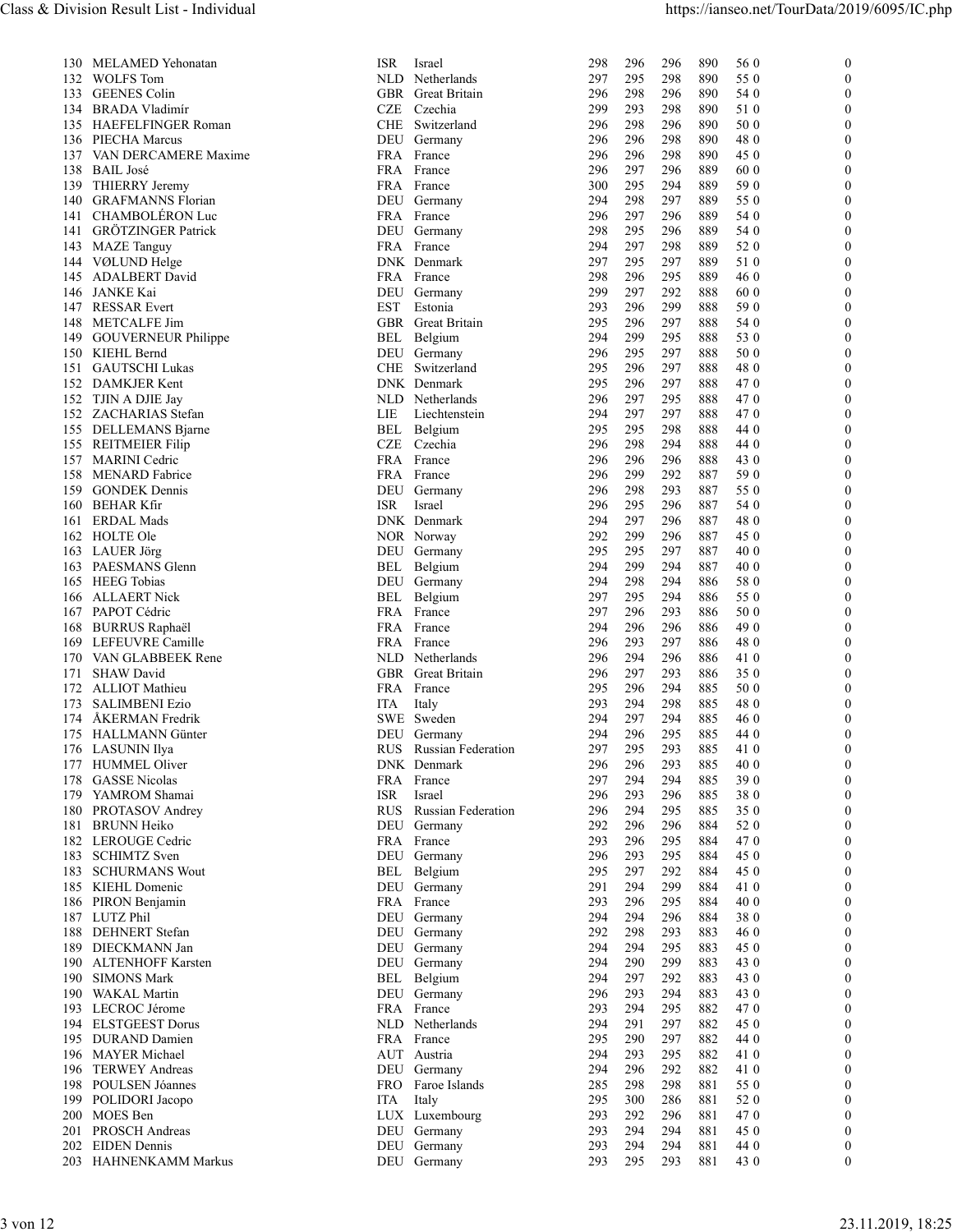| 130 MELAMED Yehonatan<br><b>ISR</b><br>296<br>296<br>890<br>56 0<br>Israel<br>298<br>$\overline{0}$<br>132<br><b>WOLFS Tom</b><br>NLD Netherlands<br>298<br>890<br>55 0<br>297<br>295<br>$\Omega$<br>133 GEENES Colin<br>GBR Great Britain<br>296<br>298<br>296<br>890<br>54 0<br>$\Omega$<br>BRADA Vladimír<br>CZE<br>Czechia<br>293<br>298<br>890<br>51 0<br>134<br>299<br>$\Omega$<br>HAEFELFINGER Roman<br>CHE Switzerland<br>296<br>298<br>296<br>890<br>50 0<br>135<br>$\Omega$<br>PIECHA Marcus<br>298<br>890<br>48 0<br>136<br>DEU Germany<br>296<br>296<br>$\Omega$<br>VAN DERCAMERE Maxime<br>296<br>298<br>890<br>45 0<br>137<br>FRA France<br>296<br>$\theta$<br><b>BAIL José</b><br>138<br>FRA France<br>296<br>297<br>296<br>889<br>60 0<br>$\Omega$<br>295<br>294<br>889<br>59 0<br>THIERRY Jeremy<br>FRA France<br>300<br>$\theta$<br>139<br><b>GRAFMANNS Florian</b><br>294<br>298<br>297<br>889<br>55 0<br>140<br>DEU Germany<br>$\Omega$<br>CHAMBOLÉRON Luc<br>297<br>296<br>889<br>FRA France<br>296<br>54 0<br>141<br>$\theta$<br><b>GRÖTZINGER Patrick</b><br>298<br>295<br>296<br>889<br>54 0<br>141<br>DEU Germany<br>$\Omega$<br>298<br>889<br>52 0<br>143 MAZE Tanguy<br>FRA France<br>294<br>297<br>$\theta$<br>DNK Denmark<br>297<br>295<br>297<br>889<br>51 0<br>144 VØLUND Helge<br>$\Omega$<br>295<br><b>ADALBERT David</b><br>FRA France<br>298<br>296<br>889<br>46 0<br>145<br>$\left($<br>146 JANKE Kai<br>299<br>297<br>292<br>888<br>60 0<br>$\Omega$<br>DEU Germany<br>147<br><b>RESSAR Evert</b><br>EST<br>Estonia<br>293<br>296<br>299<br>888<br>59 0<br>$\theta$<br><b>Great Britain</b><br>295<br>296<br>297<br>888<br>148<br>METCALFE Jim<br>GBR<br>54 0<br>$\mathbf{0}$<br>295<br>888<br>149 GOUVERNEUR Philippe<br>Belgium<br>294<br>299<br>53 0<br>BEL<br>$\Omega$<br>295<br>297<br>50 0<br>296<br>888<br>150 KIEHL Bernd<br>DEU Germany<br>$\theta$<br>151 GAUTSCHI Lukas<br>CHE<br>Switzerland<br>295<br>296<br>297<br>888<br>48 0<br>$\theta$<br>295<br>296<br>297<br>888<br>470<br>152 DAMKJER Kent<br>DNK Denmark<br>$\theta$<br>297<br>295<br>470<br>152<br>TJIN A DJIE Jay<br>Netherlands<br>296<br>888<br>NLD<br>$\Omega$<br>294<br>297<br>297<br>888<br>470<br>ZACHARIAS Stefan<br>LIE<br>Liechtenstein<br>$\theta$<br>152<br>298<br>DELLEMANS Bjarne<br><b>BEL</b><br>Belgium<br>295<br>295<br>888<br>44 0<br>$\Omega$<br>155<br>298<br>294<br>44 0<br><b>REITMEIER Filip</b><br>CZE<br>Czechia<br>296<br>888<br>$\theta$<br>155<br>296<br>157<br>MARINI Cedric<br>FRA France<br>296<br>296<br>888<br>43 0<br>$\Omega$<br>299<br>292<br>59 0<br>158 MENARD Fabrice<br>FRA France<br>296<br>887<br>$\theta$<br>293<br><b>GONDEK Dennis</b><br>DEU<br>296<br>298<br>887<br>55 0<br>159<br>Germany<br>$\theta$<br>295<br>296<br>887<br>BEHAR Kfir<br>ISR<br>296<br>54 0<br>160<br>Israel<br>$\Omega$<br>297<br>296<br>480<br><b>ERDAL Mads</b><br>DNK Denmark<br>294<br>887<br>161<br>$\theta$<br>296<br>162<br>HOLTE Ole<br>NOR Norway<br>292<br>299<br>887<br>45 0<br>$\theta$<br>295<br>297<br>887<br>40 0<br>163 LAUER Jörg<br>DEU Germany<br>295<br>$\theta$<br>294<br>PAESMANS Glenn<br>BEL Belgium<br>294<br>299<br>887<br>40 0<br>163<br>$\theta$<br><b>HEEG</b> Tobias<br>294<br>298<br>294<br>58 0<br>DEU Germany<br>886<br>$\theta$<br>165<br>294<br>166 ALLAERT Nick<br>BEL Belgium<br>297<br>295<br>886<br>55 0<br>$\theta$<br>297<br>296<br>293<br>50 0<br>PAPOT Cédric<br>FRA France<br>886<br>167<br>$\theta$<br>294<br>296<br>296<br>886<br>49 0<br><b>BURRUS Raphaël</b><br>FRA France<br>168<br>$\Omega$<br>293<br>297<br>480<br>LEFEUVRE Camille<br>FRA France<br>296<br>886<br>169<br>$\theta$<br>294<br>296<br>VAN GLABBEEK Rene<br>NLD<br>Netherlands<br>296<br>886<br>41 0<br>170<br>$\theta$<br>296<br>297<br>293<br>886<br>171 SHAW David<br>GBR Great Britain<br>350<br>$\Omega$<br>294<br>50 0<br>172 ALLIOT Mathieu<br>FRA France<br>295<br>296<br>885<br>$\theta$<br>298<br><b>SALIMBENI Ezio</b><br>ITA<br>293<br>294<br>885<br>48 0<br>173<br>Italy<br>$\theta$<br>294<br>297<br>294<br>174 ÅKERMAN Fredrik<br>SWE Sweden<br>885<br>46 0<br>$\Omega$<br>295<br>175 HALLMANN Günter<br>294<br>296<br>885<br>44 0<br>DEU Germany<br>$\theta$<br>Russian Federation<br>295<br>293<br>885<br>176 LASUNIN Ilya<br>RUS<br>297<br>41 0<br>$\Omega$<br>293<br>177 HUMMEL Oliver<br>DNK Denmark<br>296<br>296<br>885<br>40 0<br>$\theta$<br><b>GASSE Nicolas</b><br>297<br>294<br>294<br>885<br>390<br>178<br>FRA France<br>$\theta$<br>296<br>885<br>YAMROM Shamai<br>ISR<br>Israel<br>296<br>293<br>380<br>179<br>$\Omega$<br>294<br>295<br>885<br>350<br>PROTASOV Andrey<br>RUS<br><b>Russian Federation</b><br>296<br>180<br>$\theta$<br><b>BRUNN Heiko</b><br>DEU<br>Germany<br>292<br>296<br>296<br>884<br>52 0<br>181<br>$\theta$<br>293<br>296<br>295<br>884<br>470<br>182 LEROUGE Cedric<br>FRA France<br>$\theta$<br>293<br>295<br>884<br>45 0<br><b>SCHIMTZ</b> Sven<br>DEU<br>296<br>183<br>Germany<br>$\Omega$<br>295<br>297<br>292<br>884<br>45 0<br><b>SCHURMANS Wout</b><br>BEL<br>$\mathbf{0}$<br>183<br>Belgium<br>294<br>299<br>KIEHL Domenic<br>DEU<br>Germany<br>291<br>884<br>41 0<br>185<br>$\Omega$<br>296<br>295<br>40 0<br>FRA<br>293<br>884<br>186<br>PIRON Benjamin<br>France<br>$\theta$<br>LUTZ Phil<br>296<br>187<br>DEU Germany<br>294<br>294<br>884<br>380<br>$\Omega$<br>292<br>298<br>293<br>883<br>DEHNERT Stefan<br>46 0<br>188<br>DEU Germany<br>$\theta$<br>295<br>DIECKMANN Jan<br>DEU<br>294<br>294<br>883<br>45 0<br>189<br>Germany<br>$\theta$<br>290<br>299<br><b>ALTENHOFF Karsten</b><br>DEU Germany<br>294<br>883<br>43 0<br>190<br>$\theta$<br><b>SIMONS Mark</b><br>294<br>297<br>292<br>883<br>43 0<br>190<br>BEL Belgium<br>$\Omega$<br>190 WAKAL Martin<br>DEU Germany<br>296<br>293<br>294<br>883<br>43 0<br>$\Omega$<br>193 LECROC Jérome<br>FRA France<br>293<br>470<br>294<br>295<br>882<br>$\theta$<br>194 ELSTGEEST Dorus<br>NLD Netherlands<br>294<br>291<br>297<br>882<br>45 0<br>$\Omega$<br>297<br>882<br>195 DURAND Damien<br>295<br>290<br>44 0<br>FRA France<br>$\Omega$<br>295<br>882<br>196 MAYER Michael<br>AUT Austria<br>294<br>293<br>41 0<br>$\Omega$<br>196 TERWEY Andreas<br>DEU Germany<br>294<br>296<br>292<br>882<br>41 0<br>$\theta$<br>298<br>198 POULSEN Jóannes<br>FRO Faroe Islands<br>298<br>881<br>55 0<br>285<br>$\Omega$<br>300<br>286<br>881<br>52 0<br>199 POLIDORI Jacopo<br>ITA Italy<br>295<br>$\Omega$<br>200 MOES Ben<br>LUX Luxembourg<br>296<br>881<br>293<br>292<br>470<br>$\Omega$<br>201 PROSCH Andreas<br>DEU Germany<br>293<br>294<br>294<br>881<br>45 0<br>$\Omega$<br><b>EIDEN</b> Dennis<br>DEU Germany<br>294<br>294<br>881<br>44 0<br>202<br>293<br>$\bf{0}$<br>293<br>DEU Germany<br>295<br>881<br>43 0<br>HAHNENKAMM Markus<br>293<br>$\mathbf{0}$<br>203 | 3 von 12          |  |  |  |
|-------------------------------------------------------------------------------------------------------------------------------------------------------------------------------------------------------------------------------------------------------------------------------------------------------------------------------------------------------------------------------------------------------------------------------------------------------------------------------------------------------------------------------------------------------------------------------------------------------------------------------------------------------------------------------------------------------------------------------------------------------------------------------------------------------------------------------------------------------------------------------------------------------------------------------------------------------------------------------------------------------------------------------------------------------------------------------------------------------------------------------------------------------------------------------------------------------------------------------------------------------------------------------------------------------------------------------------------------------------------------------------------------------------------------------------------------------------------------------------------------------------------------------------------------------------------------------------------------------------------------------------------------------------------------------------------------------------------------------------------------------------------------------------------------------------------------------------------------------------------------------------------------------------------------------------------------------------------------------------------------------------------------------------------------------------------------------------------------------------------------------------------------------------------------------------------------------------------------------------------------------------------------------------------------------------------------------------------------------------------------------------------------------------------------------------------------------------------------------------------------------------------------------------------------------------------------------------------------------------------------------------------------------------------------------------------------------------------------------------------------------------------------------------------------------------------------------------------------------------------------------------------------------------------------------------------------------------------------------------------------------------------------------------------------------------------------------------------------------------------------------------------------------------------------------------------------------------------------------------------------------------------------------------------------------------------------------------------------------------------------------------------------------------------------------------------------------------------------------------------------------------------------------------------------------------------------------------------------------------------------------------------------------------------------------------------------------------------------------------------------------------------------------------------------------------------------------------------------------------------------------------------------------------------------------------------------------------------------------------------------------------------------------------------------------------------------------------------------------------------------------------------------------------------------------------------------------------------------------------------------------------------------------------------------------------------------------------------------------------------------------------------------------------------------------------------------------------------------------------------------------------------------------------------------------------------------------------------------------------------------------------------------------------------------------------------------------------------------------------------------------------------------------------------------------------------------------------------------------------------------------------------------------------------------------------------------------------------------------------------------------------------------------------------------------------------------------------------------------------------------------------------------------------------------------------------------------------------------------------------------------------------------------------------------------------------------------------------------------------------------------------------------------------------------------------------------------------------------------------------------------------------------------------------------------------------------------------------------------------------------------------------------------------------------------------------------------------------------------------------------------------------------------------------------------------------------------------------------------------------------------------------------------------------------------------------------------------------------------------------------------------------------------------------------------------------------------------------------------------------------------------------------------------------------------------------------------------------------------------------------------------------------------------------------------------------------------------------------------------------------------------------------------------------------------------------------------------------------------------------------------------------------------------------------------------------------------------------------------------------------------------------------------------------------------------------------------------------------------------------------------------------------------------------------------------------------------------------------|-------------------|--|--|--|
|                                                                                                                                                                                                                                                                                                                                                                                                                                                                                                                                                                                                                                                                                                                                                                                                                                                                                                                                                                                                                                                                                                                                                                                                                                                                                                                                                                                                                                                                                                                                                                                                                                                                                                                                                                                                                                                                                                                                                                                                                                                                                                                                                                                                                                                                                                                                                                                                                                                                                                                                                                                                                                                                                                                                                                                                                                                                                                                                                                                                                                                                                                                                                                                                                                                                                                                                                                                                                                                                                                                                                                                                                                                                                                                                                                                                                                                                                                                                                                                                                                                                                                                                                                                                                                                                                                                                                                                                                                                                                                                                                                                                                                                                                                                                                                                                                                                                                                                                                                                                                                                                                                                                                                                                                                                                                                                                                                                                                                                                                                                                                                                                                                                                                                                                                                                                                                                                                                                                                                                                                                                                                                                                                                                                                                                                                                                                                                                                                                                                                                                                                                                                                                                                                                                                                                                                                                                 |                   |  |  |  |
|                                                                                                                                                                                                                                                                                                                                                                                                                                                                                                                                                                                                                                                                                                                                                                                                                                                                                                                                                                                                                                                                                                                                                                                                                                                                                                                                                                                                                                                                                                                                                                                                                                                                                                                                                                                                                                                                                                                                                                                                                                                                                                                                                                                                                                                                                                                                                                                                                                                                                                                                                                                                                                                                                                                                                                                                                                                                                                                                                                                                                                                                                                                                                                                                                                                                                                                                                                                                                                                                                                                                                                                                                                                                                                                                                                                                                                                                                                                                                                                                                                                                                                                                                                                                                                                                                                                                                                                                                                                                                                                                                                                                                                                                                                                                                                                                                                                                                                                                                                                                                                                                                                                                                                                                                                                                                                                                                                                                                                                                                                                                                                                                                                                                                                                                                                                                                                                                                                                                                                                                                                                                                                                                                                                                                                                                                                                                                                                                                                                                                                                                                                                                                                                                                                                                                                                                                                                 |                   |  |  |  |
|                                                                                                                                                                                                                                                                                                                                                                                                                                                                                                                                                                                                                                                                                                                                                                                                                                                                                                                                                                                                                                                                                                                                                                                                                                                                                                                                                                                                                                                                                                                                                                                                                                                                                                                                                                                                                                                                                                                                                                                                                                                                                                                                                                                                                                                                                                                                                                                                                                                                                                                                                                                                                                                                                                                                                                                                                                                                                                                                                                                                                                                                                                                                                                                                                                                                                                                                                                                                                                                                                                                                                                                                                                                                                                                                                                                                                                                                                                                                                                                                                                                                                                                                                                                                                                                                                                                                                                                                                                                                                                                                                                                                                                                                                                                                                                                                                                                                                                                                                                                                                                                                                                                                                                                                                                                                                                                                                                                                                                                                                                                                                                                                                                                                                                                                                                                                                                                                                                                                                                                                                                                                                                                                                                                                                                                                                                                                                                                                                                                                                                                                                                                                                                                                                                                                                                                                                                                 |                   |  |  |  |
|                                                                                                                                                                                                                                                                                                                                                                                                                                                                                                                                                                                                                                                                                                                                                                                                                                                                                                                                                                                                                                                                                                                                                                                                                                                                                                                                                                                                                                                                                                                                                                                                                                                                                                                                                                                                                                                                                                                                                                                                                                                                                                                                                                                                                                                                                                                                                                                                                                                                                                                                                                                                                                                                                                                                                                                                                                                                                                                                                                                                                                                                                                                                                                                                                                                                                                                                                                                                                                                                                                                                                                                                                                                                                                                                                                                                                                                                                                                                                                                                                                                                                                                                                                                                                                                                                                                                                                                                                                                                                                                                                                                                                                                                                                                                                                                                                                                                                                                                                                                                                                                                                                                                                                                                                                                                                                                                                                                                                                                                                                                                                                                                                                                                                                                                                                                                                                                                                                                                                                                                                                                                                                                                                                                                                                                                                                                                                                                                                                                                                                                                                                                                                                                                                                                                                                                                                                                 |                   |  |  |  |
|                                                                                                                                                                                                                                                                                                                                                                                                                                                                                                                                                                                                                                                                                                                                                                                                                                                                                                                                                                                                                                                                                                                                                                                                                                                                                                                                                                                                                                                                                                                                                                                                                                                                                                                                                                                                                                                                                                                                                                                                                                                                                                                                                                                                                                                                                                                                                                                                                                                                                                                                                                                                                                                                                                                                                                                                                                                                                                                                                                                                                                                                                                                                                                                                                                                                                                                                                                                                                                                                                                                                                                                                                                                                                                                                                                                                                                                                                                                                                                                                                                                                                                                                                                                                                                                                                                                                                                                                                                                                                                                                                                                                                                                                                                                                                                                                                                                                                                                                                                                                                                                                                                                                                                                                                                                                                                                                                                                                                                                                                                                                                                                                                                                                                                                                                                                                                                                                                                                                                                                                                                                                                                                                                                                                                                                                                                                                                                                                                                                                                                                                                                                                                                                                                                                                                                                                                                                 |                   |  |  |  |
|                                                                                                                                                                                                                                                                                                                                                                                                                                                                                                                                                                                                                                                                                                                                                                                                                                                                                                                                                                                                                                                                                                                                                                                                                                                                                                                                                                                                                                                                                                                                                                                                                                                                                                                                                                                                                                                                                                                                                                                                                                                                                                                                                                                                                                                                                                                                                                                                                                                                                                                                                                                                                                                                                                                                                                                                                                                                                                                                                                                                                                                                                                                                                                                                                                                                                                                                                                                                                                                                                                                                                                                                                                                                                                                                                                                                                                                                                                                                                                                                                                                                                                                                                                                                                                                                                                                                                                                                                                                                                                                                                                                                                                                                                                                                                                                                                                                                                                                                                                                                                                                                                                                                                                                                                                                                                                                                                                                                                                                                                                                                                                                                                                                                                                                                                                                                                                                                                                                                                                                                                                                                                                                                                                                                                                                                                                                                                                                                                                                                                                                                                                                                                                                                                                                                                                                                                                                 |                   |  |  |  |
|                                                                                                                                                                                                                                                                                                                                                                                                                                                                                                                                                                                                                                                                                                                                                                                                                                                                                                                                                                                                                                                                                                                                                                                                                                                                                                                                                                                                                                                                                                                                                                                                                                                                                                                                                                                                                                                                                                                                                                                                                                                                                                                                                                                                                                                                                                                                                                                                                                                                                                                                                                                                                                                                                                                                                                                                                                                                                                                                                                                                                                                                                                                                                                                                                                                                                                                                                                                                                                                                                                                                                                                                                                                                                                                                                                                                                                                                                                                                                                                                                                                                                                                                                                                                                                                                                                                                                                                                                                                                                                                                                                                                                                                                                                                                                                                                                                                                                                                                                                                                                                                                                                                                                                                                                                                                                                                                                                                                                                                                                                                                                                                                                                                                                                                                                                                                                                                                                                                                                                                                                                                                                                                                                                                                                                                                                                                                                                                                                                                                                                                                                                                                                                                                                                                                                                                                                                                 |                   |  |  |  |
|                                                                                                                                                                                                                                                                                                                                                                                                                                                                                                                                                                                                                                                                                                                                                                                                                                                                                                                                                                                                                                                                                                                                                                                                                                                                                                                                                                                                                                                                                                                                                                                                                                                                                                                                                                                                                                                                                                                                                                                                                                                                                                                                                                                                                                                                                                                                                                                                                                                                                                                                                                                                                                                                                                                                                                                                                                                                                                                                                                                                                                                                                                                                                                                                                                                                                                                                                                                                                                                                                                                                                                                                                                                                                                                                                                                                                                                                                                                                                                                                                                                                                                                                                                                                                                                                                                                                                                                                                                                                                                                                                                                                                                                                                                                                                                                                                                                                                                                                                                                                                                                                                                                                                                                                                                                                                                                                                                                                                                                                                                                                                                                                                                                                                                                                                                                                                                                                                                                                                                                                                                                                                                                                                                                                                                                                                                                                                                                                                                                                                                                                                                                                                                                                                                                                                                                                                                                 |                   |  |  |  |
|                                                                                                                                                                                                                                                                                                                                                                                                                                                                                                                                                                                                                                                                                                                                                                                                                                                                                                                                                                                                                                                                                                                                                                                                                                                                                                                                                                                                                                                                                                                                                                                                                                                                                                                                                                                                                                                                                                                                                                                                                                                                                                                                                                                                                                                                                                                                                                                                                                                                                                                                                                                                                                                                                                                                                                                                                                                                                                                                                                                                                                                                                                                                                                                                                                                                                                                                                                                                                                                                                                                                                                                                                                                                                                                                                                                                                                                                                                                                                                                                                                                                                                                                                                                                                                                                                                                                                                                                                                                                                                                                                                                                                                                                                                                                                                                                                                                                                                                                                                                                                                                                                                                                                                                                                                                                                                                                                                                                                                                                                                                                                                                                                                                                                                                                                                                                                                                                                                                                                                                                                                                                                                                                                                                                                                                                                                                                                                                                                                                                                                                                                                                                                                                                                                                                                                                                                                                 |                   |  |  |  |
|                                                                                                                                                                                                                                                                                                                                                                                                                                                                                                                                                                                                                                                                                                                                                                                                                                                                                                                                                                                                                                                                                                                                                                                                                                                                                                                                                                                                                                                                                                                                                                                                                                                                                                                                                                                                                                                                                                                                                                                                                                                                                                                                                                                                                                                                                                                                                                                                                                                                                                                                                                                                                                                                                                                                                                                                                                                                                                                                                                                                                                                                                                                                                                                                                                                                                                                                                                                                                                                                                                                                                                                                                                                                                                                                                                                                                                                                                                                                                                                                                                                                                                                                                                                                                                                                                                                                                                                                                                                                                                                                                                                                                                                                                                                                                                                                                                                                                                                                                                                                                                                                                                                                                                                                                                                                                                                                                                                                                                                                                                                                                                                                                                                                                                                                                                                                                                                                                                                                                                                                                                                                                                                                                                                                                                                                                                                                                                                                                                                                                                                                                                                                                                                                                                                                                                                                                                                 |                   |  |  |  |
|                                                                                                                                                                                                                                                                                                                                                                                                                                                                                                                                                                                                                                                                                                                                                                                                                                                                                                                                                                                                                                                                                                                                                                                                                                                                                                                                                                                                                                                                                                                                                                                                                                                                                                                                                                                                                                                                                                                                                                                                                                                                                                                                                                                                                                                                                                                                                                                                                                                                                                                                                                                                                                                                                                                                                                                                                                                                                                                                                                                                                                                                                                                                                                                                                                                                                                                                                                                                                                                                                                                                                                                                                                                                                                                                                                                                                                                                                                                                                                                                                                                                                                                                                                                                                                                                                                                                                                                                                                                                                                                                                                                                                                                                                                                                                                                                                                                                                                                                                                                                                                                                                                                                                                                                                                                                                                                                                                                                                                                                                                                                                                                                                                                                                                                                                                                                                                                                                                                                                                                                                                                                                                                                                                                                                                                                                                                                                                                                                                                                                                                                                                                                                                                                                                                                                                                                                                                 |                   |  |  |  |
|                                                                                                                                                                                                                                                                                                                                                                                                                                                                                                                                                                                                                                                                                                                                                                                                                                                                                                                                                                                                                                                                                                                                                                                                                                                                                                                                                                                                                                                                                                                                                                                                                                                                                                                                                                                                                                                                                                                                                                                                                                                                                                                                                                                                                                                                                                                                                                                                                                                                                                                                                                                                                                                                                                                                                                                                                                                                                                                                                                                                                                                                                                                                                                                                                                                                                                                                                                                                                                                                                                                                                                                                                                                                                                                                                                                                                                                                                                                                                                                                                                                                                                                                                                                                                                                                                                                                                                                                                                                                                                                                                                                                                                                                                                                                                                                                                                                                                                                                                                                                                                                                                                                                                                                                                                                                                                                                                                                                                                                                                                                                                                                                                                                                                                                                                                                                                                                                                                                                                                                                                                                                                                                                                                                                                                                                                                                                                                                                                                                                                                                                                                                                                                                                                                                                                                                                                                                 |                   |  |  |  |
|                                                                                                                                                                                                                                                                                                                                                                                                                                                                                                                                                                                                                                                                                                                                                                                                                                                                                                                                                                                                                                                                                                                                                                                                                                                                                                                                                                                                                                                                                                                                                                                                                                                                                                                                                                                                                                                                                                                                                                                                                                                                                                                                                                                                                                                                                                                                                                                                                                                                                                                                                                                                                                                                                                                                                                                                                                                                                                                                                                                                                                                                                                                                                                                                                                                                                                                                                                                                                                                                                                                                                                                                                                                                                                                                                                                                                                                                                                                                                                                                                                                                                                                                                                                                                                                                                                                                                                                                                                                                                                                                                                                                                                                                                                                                                                                                                                                                                                                                                                                                                                                                                                                                                                                                                                                                                                                                                                                                                                                                                                                                                                                                                                                                                                                                                                                                                                                                                                                                                                                                                                                                                                                                                                                                                                                                                                                                                                                                                                                                                                                                                                                                                                                                                                                                                                                                                                                 |                   |  |  |  |
|                                                                                                                                                                                                                                                                                                                                                                                                                                                                                                                                                                                                                                                                                                                                                                                                                                                                                                                                                                                                                                                                                                                                                                                                                                                                                                                                                                                                                                                                                                                                                                                                                                                                                                                                                                                                                                                                                                                                                                                                                                                                                                                                                                                                                                                                                                                                                                                                                                                                                                                                                                                                                                                                                                                                                                                                                                                                                                                                                                                                                                                                                                                                                                                                                                                                                                                                                                                                                                                                                                                                                                                                                                                                                                                                                                                                                                                                                                                                                                                                                                                                                                                                                                                                                                                                                                                                                                                                                                                                                                                                                                                                                                                                                                                                                                                                                                                                                                                                                                                                                                                                                                                                                                                                                                                                                                                                                                                                                                                                                                                                                                                                                                                                                                                                                                                                                                                                                                                                                                                                                                                                                                                                                                                                                                                                                                                                                                                                                                                                                                                                                                                                                                                                                                                                                                                                                                                 |                   |  |  |  |
|                                                                                                                                                                                                                                                                                                                                                                                                                                                                                                                                                                                                                                                                                                                                                                                                                                                                                                                                                                                                                                                                                                                                                                                                                                                                                                                                                                                                                                                                                                                                                                                                                                                                                                                                                                                                                                                                                                                                                                                                                                                                                                                                                                                                                                                                                                                                                                                                                                                                                                                                                                                                                                                                                                                                                                                                                                                                                                                                                                                                                                                                                                                                                                                                                                                                                                                                                                                                                                                                                                                                                                                                                                                                                                                                                                                                                                                                                                                                                                                                                                                                                                                                                                                                                                                                                                                                                                                                                                                                                                                                                                                                                                                                                                                                                                                                                                                                                                                                                                                                                                                                                                                                                                                                                                                                                                                                                                                                                                                                                                                                                                                                                                                                                                                                                                                                                                                                                                                                                                                                                                                                                                                                                                                                                                                                                                                                                                                                                                                                                                                                                                                                                                                                                                                                                                                                                                                 |                   |  |  |  |
|                                                                                                                                                                                                                                                                                                                                                                                                                                                                                                                                                                                                                                                                                                                                                                                                                                                                                                                                                                                                                                                                                                                                                                                                                                                                                                                                                                                                                                                                                                                                                                                                                                                                                                                                                                                                                                                                                                                                                                                                                                                                                                                                                                                                                                                                                                                                                                                                                                                                                                                                                                                                                                                                                                                                                                                                                                                                                                                                                                                                                                                                                                                                                                                                                                                                                                                                                                                                                                                                                                                                                                                                                                                                                                                                                                                                                                                                                                                                                                                                                                                                                                                                                                                                                                                                                                                                                                                                                                                                                                                                                                                                                                                                                                                                                                                                                                                                                                                                                                                                                                                                                                                                                                                                                                                                                                                                                                                                                                                                                                                                                                                                                                                                                                                                                                                                                                                                                                                                                                                                                                                                                                                                                                                                                                                                                                                                                                                                                                                                                                                                                                                                                                                                                                                                                                                                                                                 |                   |  |  |  |
|                                                                                                                                                                                                                                                                                                                                                                                                                                                                                                                                                                                                                                                                                                                                                                                                                                                                                                                                                                                                                                                                                                                                                                                                                                                                                                                                                                                                                                                                                                                                                                                                                                                                                                                                                                                                                                                                                                                                                                                                                                                                                                                                                                                                                                                                                                                                                                                                                                                                                                                                                                                                                                                                                                                                                                                                                                                                                                                                                                                                                                                                                                                                                                                                                                                                                                                                                                                                                                                                                                                                                                                                                                                                                                                                                                                                                                                                                                                                                                                                                                                                                                                                                                                                                                                                                                                                                                                                                                                                                                                                                                                                                                                                                                                                                                                                                                                                                                                                                                                                                                                                                                                                                                                                                                                                                                                                                                                                                                                                                                                                                                                                                                                                                                                                                                                                                                                                                                                                                                                                                                                                                                                                                                                                                                                                                                                                                                                                                                                                                                                                                                                                                                                                                                                                                                                                                                                 |                   |  |  |  |
|                                                                                                                                                                                                                                                                                                                                                                                                                                                                                                                                                                                                                                                                                                                                                                                                                                                                                                                                                                                                                                                                                                                                                                                                                                                                                                                                                                                                                                                                                                                                                                                                                                                                                                                                                                                                                                                                                                                                                                                                                                                                                                                                                                                                                                                                                                                                                                                                                                                                                                                                                                                                                                                                                                                                                                                                                                                                                                                                                                                                                                                                                                                                                                                                                                                                                                                                                                                                                                                                                                                                                                                                                                                                                                                                                                                                                                                                                                                                                                                                                                                                                                                                                                                                                                                                                                                                                                                                                                                                                                                                                                                                                                                                                                                                                                                                                                                                                                                                                                                                                                                                                                                                                                                                                                                                                                                                                                                                                                                                                                                                                                                                                                                                                                                                                                                                                                                                                                                                                                                                                                                                                                                                                                                                                                                                                                                                                                                                                                                                                                                                                                                                                                                                                                                                                                                                                                                 |                   |  |  |  |
|                                                                                                                                                                                                                                                                                                                                                                                                                                                                                                                                                                                                                                                                                                                                                                                                                                                                                                                                                                                                                                                                                                                                                                                                                                                                                                                                                                                                                                                                                                                                                                                                                                                                                                                                                                                                                                                                                                                                                                                                                                                                                                                                                                                                                                                                                                                                                                                                                                                                                                                                                                                                                                                                                                                                                                                                                                                                                                                                                                                                                                                                                                                                                                                                                                                                                                                                                                                                                                                                                                                                                                                                                                                                                                                                                                                                                                                                                                                                                                                                                                                                                                                                                                                                                                                                                                                                                                                                                                                                                                                                                                                                                                                                                                                                                                                                                                                                                                                                                                                                                                                                                                                                                                                                                                                                                                                                                                                                                                                                                                                                                                                                                                                                                                                                                                                                                                                                                                                                                                                                                                                                                                                                                                                                                                                                                                                                                                                                                                                                                                                                                                                                                                                                                                                                                                                                                                                 |                   |  |  |  |
|                                                                                                                                                                                                                                                                                                                                                                                                                                                                                                                                                                                                                                                                                                                                                                                                                                                                                                                                                                                                                                                                                                                                                                                                                                                                                                                                                                                                                                                                                                                                                                                                                                                                                                                                                                                                                                                                                                                                                                                                                                                                                                                                                                                                                                                                                                                                                                                                                                                                                                                                                                                                                                                                                                                                                                                                                                                                                                                                                                                                                                                                                                                                                                                                                                                                                                                                                                                                                                                                                                                                                                                                                                                                                                                                                                                                                                                                                                                                                                                                                                                                                                                                                                                                                                                                                                                                                                                                                                                                                                                                                                                                                                                                                                                                                                                                                                                                                                                                                                                                                                                                                                                                                                                                                                                                                                                                                                                                                                                                                                                                                                                                                                                                                                                                                                                                                                                                                                                                                                                                                                                                                                                                                                                                                                                                                                                                                                                                                                                                                                                                                                                                                                                                                                                                                                                                                                                 |                   |  |  |  |
|                                                                                                                                                                                                                                                                                                                                                                                                                                                                                                                                                                                                                                                                                                                                                                                                                                                                                                                                                                                                                                                                                                                                                                                                                                                                                                                                                                                                                                                                                                                                                                                                                                                                                                                                                                                                                                                                                                                                                                                                                                                                                                                                                                                                                                                                                                                                                                                                                                                                                                                                                                                                                                                                                                                                                                                                                                                                                                                                                                                                                                                                                                                                                                                                                                                                                                                                                                                                                                                                                                                                                                                                                                                                                                                                                                                                                                                                                                                                                                                                                                                                                                                                                                                                                                                                                                                                                                                                                                                                                                                                                                                                                                                                                                                                                                                                                                                                                                                                                                                                                                                                                                                                                                                                                                                                                                                                                                                                                                                                                                                                                                                                                                                                                                                                                                                                                                                                                                                                                                                                                                                                                                                                                                                                                                                                                                                                                                                                                                                                                                                                                                                                                                                                                                                                                                                                                                                 |                   |  |  |  |
|                                                                                                                                                                                                                                                                                                                                                                                                                                                                                                                                                                                                                                                                                                                                                                                                                                                                                                                                                                                                                                                                                                                                                                                                                                                                                                                                                                                                                                                                                                                                                                                                                                                                                                                                                                                                                                                                                                                                                                                                                                                                                                                                                                                                                                                                                                                                                                                                                                                                                                                                                                                                                                                                                                                                                                                                                                                                                                                                                                                                                                                                                                                                                                                                                                                                                                                                                                                                                                                                                                                                                                                                                                                                                                                                                                                                                                                                                                                                                                                                                                                                                                                                                                                                                                                                                                                                                                                                                                                                                                                                                                                                                                                                                                                                                                                                                                                                                                                                                                                                                                                                                                                                                                                                                                                                                                                                                                                                                                                                                                                                                                                                                                                                                                                                                                                                                                                                                                                                                                                                                                                                                                                                                                                                                                                                                                                                                                                                                                                                                                                                                                                                                                                                                                                                                                                                                                                 |                   |  |  |  |
|                                                                                                                                                                                                                                                                                                                                                                                                                                                                                                                                                                                                                                                                                                                                                                                                                                                                                                                                                                                                                                                                                                                                                                                                                                                                                                                                                                                                                                                                                                                                                                                                                                                                                                                                                                                                                                                                                                                                                                                                                                                                                                                                                                                                                                                                                                                                                                                                                                                                                                                                                                                                                                                                                                                                                                                                                                                                                                                                                                                                                                                                                                                                                                                                                                                                                                                                                                                                                                                                                                                                                                                                                                                                                                                                                                                                                                                                                                                                                                                                                                                                                                                                                                                                                                                                                                                                                                                                                                                                                                                                                                                                                                                                                                                                                                                                                                                                                                                                                                                                                                                                                                                                                                                                                                                                                                                                                                                                                                                                                                                                                                                                                                                                                                                                                                                                                                                                                                                                                                                                                                                                                                                                                                                                                                                                                                                                                                                                                                                                                                                                                                                                                                                                                                                                                                                                                                                 |                   |  |  |  |
|                                                                                                                                                                                                                                                                                                                                                                                                                                                                                                                                                                                                                                                                                                                                                                                                                                                                                                                                                                                                                                                                                                                                                                                                                                                                                                                                                                                                                                                                                                                                                                                                                                                                                                                                                                                                                                                                                                                                                                                                                                                                                                                                                                                                                                                                                                                                                                                                                                                                                                                                                                                                                                                                                                                                                                                                                                                                                                                                                                                                                                                                                                                                                                                                                                                                                                                                                                                                                                                                                                                                                                                                                                                                                                                                                                                                                                                                                                                                                                                                                                                                                                                                                                                                                                                                                                                                                                                                                                                                                                                                                                                                                                                                                                                                                                                                                                                                                                                                                                                                                                                                                                                                                                                                                                                                                                                                                                                                                                                                                                                                                                                                                                                                                                                                                                                                                                                                                                                                                                                                                                                                                                                                                                                                                                                                                                                                                                                                                                                                                                                                                                                                                                                                                                                                                                                                                                                 |                   |  |  |  |
|                                                                                                                                                                                                                                                                                                                                                                                                                                                                                                                                                                                                                                                                                                                                                                                                                                                                                                                                                                                                                                                                                                                                                                                                                                                                                                                                                                                                                                                                                                                                                                                                                                                                                                                                                                                                                                                                                                                                                                                                                                                                                                                                                                                                                                                                                                                                                                                                                                                                                                                                                                                                                                                                                                                                                                                                                                                                                                                                                                                                                                                                                                                                                                                                                                                                                                                                                                                                                                                                                                                                                                                                                                                                                                                                                                                                                                                                                                                                                                                                                                                                                                                                                                                                                                                                                                                                                                                                                                                                                                                                                                                                                                                                                                                                                                                                                                                                                                                                                                                                                                                                                                                                                                                                                                                                                                                                                                                                                                                                                                                                                                                                                                                                                                                                                                                                                                                                                                                                                                                                                                                                                                                                                                                                                                                                                                                                                                                                                                                                                                                                                                                                                                                                                                                                                                                                                                                 |                   |  |  |  |
|                                                                                                                                                                                                                                                                                                                                                                                                                                                                                                                                                                                                                                                                                                                                                                                                                                                                                                                                                                                                                                                                                                                                                                                                                                                                                                                                                                                                                                                                                                                                                                                                                                                                                                                                                                                                                                                                                                                                                                                                                                                                                                                                                                                                                                                                                                                                                                                                                                                                                                                                                                                                                                                                                                                                                                                                                                                                                                                                                                                                                                                                                                                                                                                                                                                                                                                                                                                                                                                                                                                                                                                                                                                                                                                                                                                                                                                                                                                                                                                                                                                                                                                                                                                                                                                                                                                                                                                                                                                                                                                                                                                                                                                                                                                                                                                                                                                                                                                                                                                                                                                                                                                                                                                                                                                                                                                                                                                                                                                                                                                                                                                                                                                                                                                                                                                                                                                                                                                                                                                                                                                                                                                                                                                                                                                                                                                                                                                                                                                                                                                                                                                                                                                                                                                                                                                                                                                 |                   |  |  |  |
|                                                                                                                                                                                                                                                                                                                                                                                                                                                                                                                                                                                                                                                                                                                                                                                                                                                                                                                                                                                                                                                                                                                                                                                                                                                                                                                                                                                                                                                                                                                                                                                                                                                                                                                                                                                                                                                                                                                                                                                                                                                                                                                                                                                                                                                                                                                                                                                                                                                                                                                                                                                                                                                                                                                                                                                                                                                                                                                                                                                                                                                                                                                                                                                                                                                                                                                                                                                                                                                                                                                                                                                                                                                                                                                                                                                                                                                                                                                                                                                                                                                                                                                                                                                                                                                                                                                                                                                                                                                                                                                                                                                                                                                                                                                                                                                                                                                                                                                                                                                                                                                                                                                                                                                                                                                                                                                                                                                                                                                                                                                                                                                                                                                                                                                                                                                                                                                                                                                                                                                                                                                                                                                                                                                                                                                                                                                                                                                                                                                                                                                                                                                                                                                                                                                                                                                                                                                 |                   |  |  |  |
|                                                                                                                                                                                                                                                                                                                                                                                                                                                                                                                                                                                                                                                                                                                                                                                                                                                                                                                                                                                                                                                                                                                                                                                                                                                                                                                                                                                                                                                                                                                                                                                                                                                                                                                                                                                                                                                                                                                                                                                                                                                                                                                                                                                                                                                                                                                                                                                                                                                                                                                                                                                                                                                                                                                                                                                                                                                                                                                                                                                                                                                                                                                                                                                                                                                                                                                                                                                                                                                                                                                                                                                                                                                                                                                                                                                                                                                                                                                                                                                                                                                                                                                                                                                                                                                                                                                                                                                                                                                                                                                                                                                                                                                                                                                                                                                                                                                                                                                                                                                                                                                                                                                                                                                                                                                                                                                                                                                                                                                                                                                                                                                                                                                                                                                                                                                                                                                                                                                                                                                                                                                                                                                                                                                                                                                                                                                                                                                                                                                                                                                                                                                                                                                                                                                                                                                                                                                 |                   |  |  |  |
|                                                                                                                                                                                                                                                                                                                                                                                                                                                                                                                                                                                                                                                                                                                                                                                                                                                                                                                                                                                                                                                                                                                                                                                                                                                                                                                                                                                                                                                                                                                                                                                                                                                                                                                                                                                                                                                                                                                                                                                                                                                                                                                                                                                                                                                                                                                                                                                                                                                                                                                                                                                                                                                                                                                                                                                                                                                                                                                                                                                                                                                                                                                                                                                                                                                                                                                                                                                                                                                                                                                                                                                                                                                                                                                                                                                                                                                                                                                                                                                                                                                                                                                                                                                                                                                                                                                                                                                                                                                                                                                                                                                                                                                                                                                                                                                                                                                                                                                                                                                                                                                                                                                                                                                                                                                                                                                                                                                                                                                                                                                                                                                                                                                                                                                                                                                                                                                                                                                                                                                                                                                                                                                                                                                                                                                                                                                                                                                                                                                                                                                                                                                                                                                                                                                                                                                                                                                 |                   |  |  |  |
|                                                                                                                                                                                                                                                                                                                                                                                                                                                                                                                                                                                                                                                                                                                                                                                                                                                                                                                                                                                                                                                                                                                                                                                                                                                                                                                                                                                                                                                                                                                                                                                                                                                                                                                                                                                                                                                                                                                                                                                                                                                                                                                                                                                                                                                                                                                                                                                                                                                                                                                                                                                                                                                                                                                                                                                                                                                                                                                                                                                                                                                                                                                                                                                                                                                                                                                                                                                                                                                                                                                                                                                                                                                                                                                                                                                                                                                                                                                                                                                                                                                                                                                                                                                                                                                                                                                                                                                                                                                                                                                                                                                                                                                                                                                                                                                                                                                                                                                                                                                                                                                                                                                                                                                                                                                                                                                                                                                                                                                                                                                                                                                                                                                                                                                                                                                                                                                                                                                                                                                                                                                                                                                                                                                                                                                                                                                                                                                                                                                                                                                                                                                                                                                                                                                                                                                                                                                 |                   |  |  |  |
|                                                                                                                                                                                                                                                                                                                                                                                                                                                                                                                                                                                                                                                                                                                                                                                                                                                                                                                                                                                                                                                                                                                                                                                                                                                                                                                                                                                                                                                                                                                                                                                                                                                                                                                                                                                                                                                                                                                                                                                                                                                                                                                                                                                                                                                                                                                                                                                                                                                                                                                                                                                                                                                                                                                                                                                                                                                                                                                                                                                                                                                                                                                                                                                                                                                                                                                                                                                                                                                                                                                                                                                                                                                                                                                                                                                                                                                                                                                                                                                                                                                                                                                                                                                                                                                                                                                                                                                                                                                                                                                                                                                                                                                                                                                                                                                                                                                                                                                                                                                                                                                                                                                                                                                                                                                                                                                                                                                                                                                                                                                                                                                                                                                                                                                                                                                                                                                                                                                                                                                                                                                                                                                                                                                                                                                                                                                                                                                                                                                                                                                                                                                                                                                                                                                                                                                                                                                 |                   |  |  |  |
|                                                                                                                                                                                                                                                                                                                                                                                                                                                                                                                                                                                                                                                                                                                                                                                                                                                                                                                                                                                                                                                                                                                                                                                                                                                                                                                                                                                                                                                                                                                                                                                                                                                                                                                                                                                                                                                                                                                                                                                                                                                                                                                                                                                                                                                                                                                                                                                                                                                                                                                                                                                                                                                                                                                                                                                                                                                                                                                                                                                                                                                                                                                                                                                                                                                                                                                                                                                                                                                                                                                                                                                                                                                                                                                                                                                                                                                                                                                                                                                                                                                                                                                                                                                                                                                                                                                                                                                                                                                                                                                                                                                                                                                                                                                                                                                                                                                                                                                                                                                                                                                                                                                                                                                                                                                                                                                                                                                                                                                                                                                                                                                                                                                                                                                                                                                                                                                                                                                                                                                                                                                                                                                                                                                                                                                                                                                                                                                                                                                                                                                                                                                                                                                                                                                                                                                                                                                 |                   |  |  |  |
|                                                                                                                                                                                                                                                                                                                                                                                                                                                                                                                                                                                                                                                                                                                                                                                                                                                                                                                                                                                                                                                                                                                                                                                                                                                                                                                                                                                                                                                                                                                                                                                                                                                                                                                                                                                                                                                                                                                                                                                                                                                                                                                                                                                                                                                                                                                                                                                                                                                                                                                                                                                                                                                                                                                                                                                                                                                                                                                                                                                                                                                                                                                                                                                                                                                                                                                                                                                                                                                                                                                                                                                                                                                                                                                                                                                                                                                                                                                                                                                                                                                                                                                                                                                                                                                                                                                                                                                                                                                                                                                                                                                                                                                                                                                                                                                                                                                                                                                                                                                                                                                                                                                                                                                                                                                                                                                                                                                                                                                                                                                                                                                                                                                                                                                                                                                                                                                                                                                                                                                                                                                                                                                                                                                                                                                                                                                                                                                                                                                                                                                                                                                                                                                                                                                                                                                                                                                 |                   |  |  |  |
|                                                                                                                                                                                                                                                                                                                                                                                                                                                                                                                                                                                                                                                                                                                                                                                                                                                                                                                                                                                                                                                                                                                                                                                                                                                                                                                                                                                                                                                                                                                                                                                                                                                                                                                                                                                                                                                                                                                                                                                                                                                                                                                                                                                                                                                                                                                                                                                                                                                                                                                                                                                                                                                                                                                                                                                                                                                                                                                                                                                                                                                                                                                                                                                                                                                                                                                                                                                                                                                                                                                                                                                                                                                                                                                                                                                                                                                                                                                                                                                                                                                                                                                                                                                                                                                                                                                                                                                                                                                                                                                                                                                                                                                                                                                                                                                                                                                                                                                                                                                                                                                                                                                                                                                                                                                                                                                                                                                                                                                                                                                                                                                                                                                                                                                                                                                                                                                                                                                                                                                                                                                                                                                                                                                                                                                                                                                                                                                                                                                                                                                                                                                                                                                                                                                                                                                                                                                 |                   |  |  |  |
|                                                                                                                                                                                                                                                                                                                                                                                                                                                                                                                                                                                                                                                                                                                                                                                                                                                                                                                                                                                                                                                                                                                                                                                                                                                                                                                                                                                                                                                                                                                                                                                                                                                                                                                                                                                                                                                                                                                                                                                                                                                                                                                                                                                                                                                                                                                                                                                                                                                                                                                                                                                                                                                                                                                                                                                                                                                                                                                                                                                                                                                                                                                                                                                                                                                                                                                                                                                                                                                                                                                                                                                                                                                                                                                                                                                                                                                                                                                                                                                                                                                                                                                                                                                                                                                                                                                                                                                                                                                                                                                                                                                                                                                                                                                                                                                                                                                                                                                                                                                                                                                                                                                                                                                                                                                                                                                                                                                                                                                                                                                                                                                                                                                                                                                                                                                                                                                                                                                                                                                                                                                                                                                                                                                                                                                                                                                                                                                                                                                                                                                                                                                                                                                                                                                                                                                                                                                 |                   |  |  |  |
|                                                                                                                                                                                                                                                                                                                                                                                                                                                                                                                                                                                                                                                                                                                                                                                                                                                                                                                                                                                                                                                                                                                                                                                                                                                                                                                                                                                                                                                                                                                                                                                                                                                                                                                                                                                                                                                                                                                                                                                                                                                                                                                                                                                                                                                                                                                                                                                                                                                                                                                                                                                                                                                                                                                                                                                                                                                                                                                                                                                                                                                                                                                                                                                                                                                                                                                                                                                                                                                                                                                                                                                                                                                                                                                                                                                                                                                                                                                                                                                                                                                                                                                                                                                                                                                                                                                                                                                                                                                                                                                                                                                                                                                                                                                                                                                                                                                                                                                                                                                                                                                                                                                                                                                                                                                                                                                                                                                                                                                                                                                                                                                                                                                                                                                                                                                                                                                                                                                                                                                                                                                                                                                                                                                                                                                                                                                                                                                                                                                                                                                                                                                                                                                                                                                                                                                                                                                 |                   |  |  |  |
|                                                                                                                                                                                                                                                                                                                                                                                                                                                                                                                                                                                                                                                                                                                                                                                                                                                                                                                                                                                                                                                                                                                                                                                                                                                                                                                                                                                                                                                                                                                                                                                                                                                                                                                                                                                                                                                                                                                                                                                                                                                                                                                                                                                                                                                                                                                                                                                                                                                                                                                                                                                                                                                                                                                                                                                                                                                                                                                                                                                                                                                                                                                                                                                                                                                                                                                                                                                                                                                                                                                                                                                                                                                                                                                                                                                                                                                                                                                                                                                                                                                                                                                                                                                                                                                                                                                                                                                                                                                                                                                                                                                                                                                                                                                                                                                                                                                                                                                                                                                                                                                                                                                                                                                                                                                                                                                                                                                                                                                                                                                                                                                                                                                                                                                                                                                                                                                                                                                                                                                                                                                                                                                                                                                                                                                                                                                                                                                                                                                                                                                                                                                                                                                                                                                                                                                                                                                 |                   |  |  |  |
|                                                                                                                                                                                                                                                                                                                                                                                                                                                                                                                                                                                                                                                                                                                                                                                                                                                                                                                                                                                                                                                                                                                                                                                                                                                                                                                                                                                                                                                                                                                                                                                                                                                                                                                                                                                                                                                                                                                                                                                                                                                                                                                                                                                                                                                                                                                                                                                                                                                                                                                                                                                                                                                                                                                                                                                                                                                                                                                                                                                                                                                                                                                                                                                                                                                                                                                                                                                                                                                                                                                                                                                                                                                                                                                                                                                                                                                                                                                                                                                                                                                                                                                                                                                                                                                                                                                                                                                                                                                                                                                                                                                                                                                                                                                                                                                                                                                                                                                                                                                                                                                                                                                                                                                                                                                                                                                                                                                                                                                                                                                                                                                                                                                                                                                                                                                                                                                                                                                                                                                                                                                                                                                                                                                                                                                                                                                                                                                                                                                                                                                                                                                                                                                                                                                                                                                                                                                 |                   |  |  |  |
|                                                                                                                                                                                                                                                                                                                                                                                                                                                                                                                                                                                                                                                                                                                                                                                                                                                                                                                                                                                                                                                                                                                                                                                                                                                                                                                                                                                                                                                                                                                                                                                                                                                                                                                                                                                                                                                                                                                                                                                                                                                                                                                                                                                                                                                                                                                                                                                                                                                                                                                                                                                                                                                                                                                                                                                                                                                                                                                                                                                                                                                                                                                                                                                                                                                                                                                                                                                                                                                                                                                                                                                                                                                                                                                                                                                                                                                                                                                                                                                                                                                                                                                                                                                                                                                                                                                                                                                                                                                                                                                                                                                                                                                                                                                                                                                                                                                                                                                                                                                                                                                                                                                                                                                                                                                                                                                                                                                                                                                                                                                                                                                                                                                                                                                                                                                                                                                                                                                                                                                                                                                                                                                                                                                                                                                                                                                                                                                                                                                                                                                                                                                                                                                                                                                                                                                                                                                 |                   |  |  |  |
|                                                                                                                                                                                                                                                                                                                                                                                                                                                                                                                                                                                                                                                                                                                                                                                                                                                                                                                                                                                                                                                                                                                                                                                                                                                                                                                                                                                                                                                                                                                                                                                                                                                                                                                                                                                                                                                                                                                                                                                                                                                                                                                                                                                                                                                                                                                                                                                                                                                                                                                                                                                                                                                                                                                                                                                                                                                                                                                                                                                                                                                                                                                                                                                                                                                                                                                                                                                                                                                                                                                                                                                                                                                                                                                                                                                                                                                                                                                                                                                                                                                                                                                                                                                                                                                                                                                                                                                                                                                                                                                                                                                                                                                                                                                                                                                                                                                                                                                                                                                                                                                                                                                                                                                                                                                                                                                                                                                                                                                                                                                                                                                                                                                                                                                                                                                                                                                                                                                                                                                                                                                                                                                                                                                                                                                                                                                                                                                                                                                                                                                                                                                                                                                                                                                                                                                                                                                 |                   |  |  |  |
|                                                                                                                                                                                                                                                                                                                                                                                                                                                                                                                                                                                                                                                                                                                                                                                                                                                                                                                                                                                                                                                                                                                                                                                                                                                                                                                                                                                                                                                                                                                                                                                                                                                                                                                                                                                                                                                                                                                                                                                                                                                                                                                                                                                                                                                                                                                                                                                                                                                                                                                                                                                                                                                                                                                                                                                                                                                                                                                                                                                                                                                                                                                                                                                                                                                                                                                                                                                                                                                                                                                                                                                                                                                                                                                                                                                                                                                                                                                                                                                                                                                                                                                                                                                                                                                                                                                                                                                                                                                                                                                                                                                                                                                                                                                                                                                                                                                                                                                                                                                                                                                                                                                                                                                                                                                                                                                                                                                                                                                                                                                                                                                                                                                                                                                                                                                                                                                                                                                                                                                                                                                                                                                                                                                                                                                                                                                                                                                                                                                                                                                                                                                                                                                                                                                                                                                                                                                 |                   |  |  |  |
|                                                                                                                                                                                                                                                                                                                                                                                                                                                                                                                                                                                                                                                                                                                                                                                                                                                                                                                                                                                                                                                                                                                                                                                                                                                                                                                                                                                                                                                                                                                                                                                                                                                                                                                                                                                                                                                                                                                                                                                                                                                                                                                                                                                                                                                                                                                                                                                                                                                                                                                                                                                                                                                                                                                                                                                                                                                                                                                                                                                                                                                                                                                                                                                                                                                                                                                                                                                                                                                                                                                                                                                                                                                                                                                                                                                                                                                                                                                                                                                                                                                                                                                                                                                                                                                                                                                                                                                                                                                                                                                                                                                                                                                                                                                                                                                                                                                                                                                                                                                                                                                                                                                                                                                                                                                                                                                                                                                                                                                                                                                                                                                                                                                                                                                                                                                                                                                                                                                                                                                                                                                                                                                                                                                                                                                                                                                                                                                                                                                                                                                                                                                                                                                                                                                                                                                                                                                 |                   |  |  |  |
|                                                                                                                                                                                                                                                                                                                                                                                                                                                                                                                                                                                                                                                                                                                                                                                                                                                                                                                                                                                                                                                                                                                                                                                                                                                                                                                                                                                                                                                                                                                                                                                                                                                                                                                                                                                                                                                                                                                                                                                                                                                                                                                                                                                                                                                                                                                                                                                                                                                                                                                                                                                                                                                                                                                                                                                                                                                                                                                                                                                                                                                                                                                                                                                                                                                                                                                                                                                                                                                                                                                                                                                                                                                                                                                                                                                                                                                                                                                                                                                                                                                                                                                                                                                                                                                                                                                                                                                                                                                                                                                                                                                                                                                                                                                                                                                                                                                                                                                                                                                                                                                                                                                                                                                                                                                                                                                                                                                                                                                                                                                                                                                                                                                                                                                                                                                                                                                                                                                                                                                                                                                                                                                                                                                                                                                                                                                                                                                                                                                                                                                                                                                                                                                                                                                                                                                                                                                 |                   |  |  |  |
|                                                                                                                                                                                                                                                                                                                                                                                                                                                                                                                                                                                                                                                                                                                                                                                                                                                                                                                                                                                                                                                                                                                                                                                                                                                                                                                                                                                                                                                                                                                                                                                                                                                                                                                                                                                                                                                                                                                                                                                                                                                                                                                                                                                                                                                                                                                                                                                                                                                                                                                                                                                                                                                                                                                                                                                                                                                                                                                                                                                                                                                                                                                                                                                                                                                                                                                                                                                                                                                                                                                                                                                                                                                                                                                                                                                                                                                                                                                                                                                                                                                                                                                                                                                                                                                                                                                                                                                                                                                                                                                                                                                                                                                                                                                                                                                                                                                                                                                                                                                                                                                                                                                                                                                                                                                                                                                                                                                                                                                                                                                                                                                                                                                                                                                                                                                                                                                                                                                                                                                                                                                                                                                                                                                                                                                                                                                                                                                                                                                                                                                                                                                                                                                                                                                                                                                                                                                 |                   |  |  |  |
|                                                                                                                                                                                                                                                                                                                                                                                                                                                                                                                                                                                                                                                                                                                                                                                                                                                                                                                                                                                                                                                                                                                                                                                                                                                                                                                                                                                                                                                                                                                                                                                                                                                                                                                                                                                                                                                                                                                                                                                                                                                                                                                                                                                                                                                                                                                                                                                                                                                                                                                                                                                                                                                                                                                                                                                                                                                                                                                                                                                                                                                                                                                                                                                                                                                                                                                                                                                                                                                                                                                                                                                                                                                                                                                                                                                                                                                                                                                                                                                                                                                                                                                                                                                                                                                                                                                                                                                                                                                                                                                                                                                                                                                                                                                                                                                                                                                                                                                                                                                                                                                                                                                                                                                                                                                                                                                                                                                                                                                                                                                                                                                                                                                                                                                                                                                                                                                                                                                                                                                                                                                                                                                                                                                                                                                                                                                                                                                                                                                                                                                                                                                                                                                                                                                                                                                                                                                 |                   |  |  |  |
|                                                                                                                                                                                                                                                                                                                                                                                                                                                                                                                                                                                                                                                                                                                                                                                                                                                                                                                                                                                                                                                                                                                                                                                                                                                                                                                                                                                                                                                                                                                                                                                                                                                                                                                                                                                                                                                                                                                                                                                                                                                                                                                                                                                                                                                                                                                                                                                                                                                                                                                                                                                                                                                                                                                                                                                                                                                                                                                                                                                                                                                                                                                                                                                                                                                                                                                                                                                                                                                                                                                                                                                                                                                                                                                                                                                                                                                                                                                                                                                                                                                                                                                                                                                                                                                                                                                                                                                                                                                                                                                                                                                                                                                                                                                                                                                                                                                                                                                                                                                                                                                                                                                                                                                                                                                                                                                                                                                                                                                                                                                                                                                                                                                                                                                                                                                                                                                                                                                                                                                                                                                                                                                                                                                                                                                                                                                                                                                                                                                                                                                                                                                                                                                                                                                                                                                                                                                 |                   |  |  |  |
|                                                                                                                                                                                                                                                                                                                                                                                                                                                                                                                                                                                                                                                                                                                                                                                                                                                                                                                                                                                                                                                                                                                                                                                                                                                                                                                                                                                                                                                                                                                                                                                                                                                                                                                                                                                                                                                                                                                                                                                                                                                                                                                                                                                                                                                                                                                                                                                                                                                                                                                                                                                                                                                                                                                                                                                                                                                                                                                                                                                                                                                                                                                                                                                                                                                                                                                                                                                                                                                                                                                                                                                                                                                                                                                                                                                                                                                                                                                                                                                                                                                                                                                                                                                                                                                                                                                                                                                                                                                                                                                                                                                                                                                                                                                                                                                                                                                                                                                                                                                                                                                                                                                                                                                                                                                                                                                                                                                                                                                                                                                                                                                                                                                                                                                                                                                                                                                                                                                                                                                                                                                                                                                                                                                                                                                                                                                                                                                                                                                                                                                                                                                                                                                                                                                                                                                                                                                 |                   |  |  |  |
|                                                                                                                                                                                                                                                                                                                                                                                                                                                                                                                                                                                                                                                                                                                                                                                                                                                                                                                                                                                                                                                                                                                                                                                                                                                                                                                                                                                                                                                                                                                                                                                                                                                                                                                                                                                                                                                                                                                                                                                                                                                                                                                                                                                                                                                                                                                                                                                                                                                                                                                                                                                                                                                                                                                                                                                                                                                                                                                                                                                                                                                                                                                                                                                                                                                                                                                                                                                                                                                                                                                                                                                                                                                                                                                                                                                                                                                                                                                                                                                                                                                                                                                                                                                                                                                                                                                                                                                                                                                                                                                                                                                                                                                                                                                                                                                                                                                                                                                                                                                                                                                                                                                                                                                                                                                                                                                                                                                                                                                                                                                                                                                                                                                                                                                                                                                                                                                                                                                                                                                                                                                                                                                                                                                                                                                                                                                                                                                                                                                                                                                                                                                                                                                                                                                                                                                                                                                 |                   |  |  |  |
|                                                                                                                                                                                                                                                                                                                                                                                                                                                                                                                                                                                                                                                                                                                                                                                                                                                                                                                                                                                                                                                                                                                                                                                                                                                                                                                                                                                                                                                                                                                                                                                                                                                                                                                                                                                                                                                                                                                                                                                                                                                                                                                                                                                                                                                                                                                                                                                                                                                                                                                                                                                                                                                                                                                                                                                                                                                                                                                                                                                                                                                                                                                                                                                                                                                                                                                                                                                                                                                                                                                                                                                                                                                                                                                                                                                                                                                                                                                                                                                                                                                                                                                                                                                                                                                                                                                                                                                                                                                                                                                                                                                                                                                                                                                                                                                                                                                                                                                                                                                                                                                                                                                                                                                                                                                                                                                                                                                                                                                                                                                                                                                                                                                                                                                                                                                                                                                                                                                                                                                                                                                                                                                                                                                                                                                                                                                                                                                                                                                                                                                                                                                                                                                                                                                                                                                                                                                 |                   |  |  |  |
|                                                                                                                                                                                                                                                                                                                                                                                                                                                                                                                                                                                                                                                                                                                                                                                                                                                                                                                                                                                                                                                                                                                                                                                                                                                                                                                                                                                                                                                                                                                                                                                                                                                                                                                                                                                                                                                                                                                                                                                                                                                                                                                                                                                                                                                                                                                                                                                                                                                                                                                                                                                                                                                                                                                                                                                                                                                                                                                                                                                                                                                                                                                                                                                                                                                                                                                                                                                                                                                                                                                                                                                                                                                                                                                                                                                                                                                                                                                                                                                                                                                                                                                                                                                                                                                                                                                                                                                                                                                                                                                                                                                                                                                                                                                                                                                                                                                                                                                                                                                                                                                                                                                                                                                                                                                                                                                                                                                                                                                                                                                                                                                                                                                                                                                                                                                                                                                                                                                                                                                                                                                                                                                                                                                                                                                                                                                                                                                                                                                                                                                                                                                                                                                                                                                                                                                                                                                 | 23.11.2019, 18:25 |  |  |  |
|                                                                                                                                                                                                                                                                                                                                                                                                                                                                                                                                                                                                                                                                                                                                                                                                                                                                                                                                                                                                                                                                                                                                                                                                                                                                                                                                                                                                                                                                                                                                                                                                                                                                                                                                                                                                                                                                                                                                                                                                                                                                                                                                                                                                                                                                                                                                                                                                                                                                                                                                                                                                                                                                                                                                                                                                                                                                                                                                                                                                                                                                                                                                                                                                                                                                                                                                                                                                                                                                                                                                                                                                                                                                                                                                                                                                                                                                                                                                                                                                                                                                                                                                                                                                                                                                                                                                                                                                                                                                                                                                                                                                                                                                                                                                                                                                                                                                                                                                                                                                                                                                                                                                                                                                                                                                                                                                                                                                                                                                                                                                                                                                                                                                                                                                                                                                                                                                                                                                                                                                                                                                                                                                                                                                                                                                                                                                                                                                                                                                                                                                                                                                                                                                                                                                                                                                                                                 |                   |  |  |  |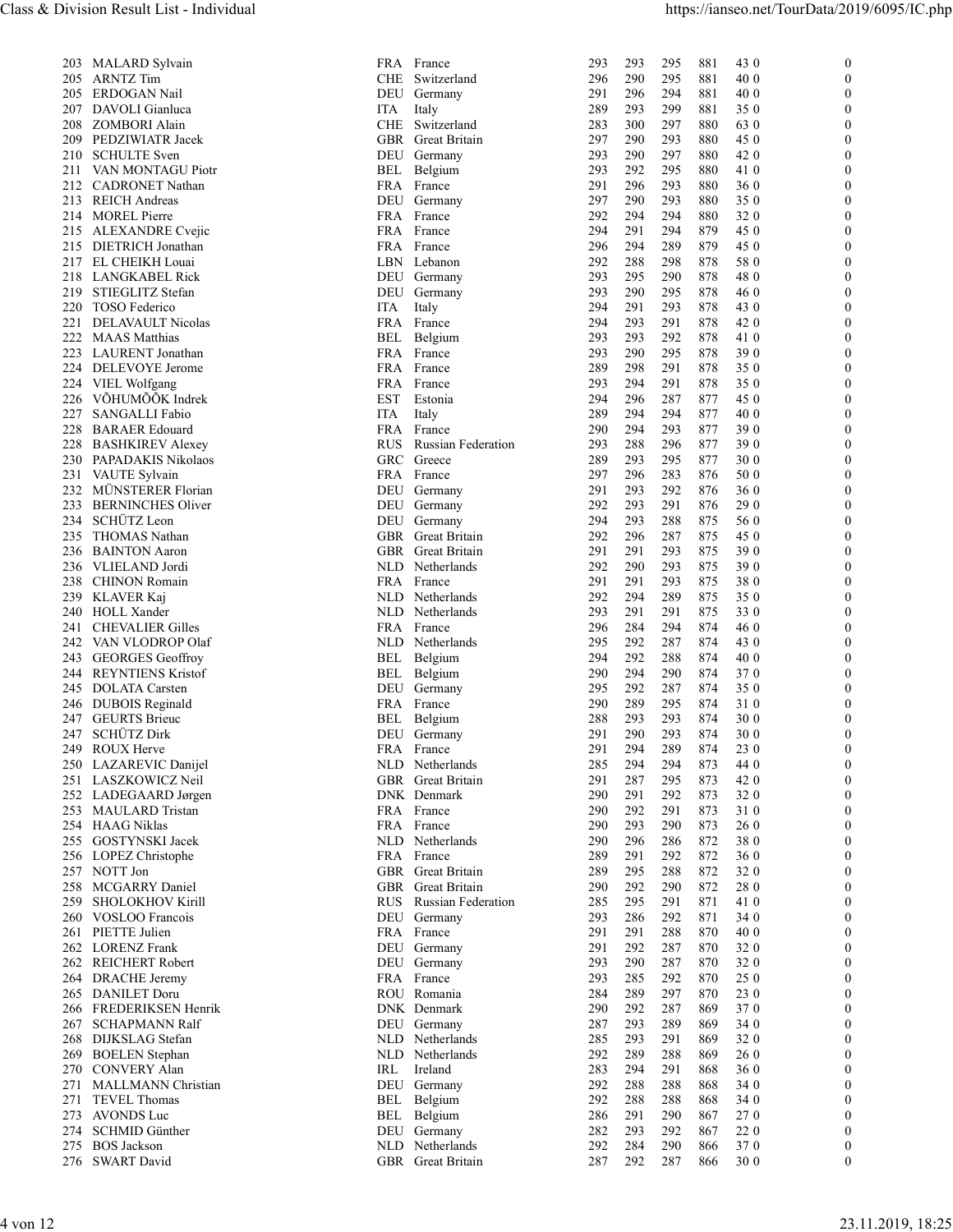| 203              | MALARD Sylvain                                      |
|------------------|-----------------------------------------------------|
| 205              | <b>ARNTZ</b> Tim                                    |
| 205              | ERDOGAN Nail                                        |
| 207              | DAVOLI Gianluca                                     |
| <b>208</b>       | <b>ZOMBORI Alain</b>                                |
| 209              | PEDZIWIATR Jacek                                    |
| 211              | 210 SCHULTE Sven                                    |
| 212              | VAN MONTAGU Piotr<br>CADRONET Nathan                |
| 213              | <b>REICH Andreas</b>                                |
| 214              | <b>MOREL Pierre</b>                                 |
| 215              | <b>ALEXANDRE</b> Cvejic                             |
| 215              | DIETRICH Jonathan                                   |
| 217              | EL CHEIKH Louai                                     |
| 218              | <b>LANGKABEL Rick</b>                               |
| 219              | STIEGLITZ Stefan                                    |
| 220              | TOSO Federico                                       |
| 221<br>222       | DELAVAULT Nicolas                                   |
| 223              | <b>MAAS</b> Matthias<br>LAURENT Jonathan            |
| 224              | DELEVOYE Jerome                                     |
| 224              | VIEL Wolfgang                                       |
| 226              | VÕHUMÕÕK Indrek                                     |
| 227              | SANGALLI Fabio                                      |
| 228              | <b>BARAER</b> Edouard                               |
| 228              | <b>BASHKIREV Alexey</b>                             |
| 230              | PAPADAKIS Nikolaos                                  |
| 231              | VAUTE Sylvain                                       |
| 232              | MÜNSTERER Florian                                   |
| 233<br>234       | <b>BERNINCHES Oliver</b><br>SCHÜTZ Leon             |
| 235              | THOMAS Nathan                                       |
| 236              | <b>BAINTON</b> Aaron                                |
| 236              | VLIELAND Jordi                                      |
| $\frac{1}{2}$ 38 | <b>CHINON</b> Romain                                |
| 239              | KLAVER Kaj                                          |
| 240              | <b>HOLL Xander</b>                                  |
| 241              | <b>CHEVALIER Gilles</b>                             |
| 242              | VAN VLODROP Olaf                                    |
| 243              | <b>GEORGES</b> Geoffroy<br><b>REYNTIENS Kristof</b> |
| 244<br>245       | <b>DOLATA</b> Carsten                               |
|                  |                                                     |
|                  | 246 DUBOIS Reginald<br>247 GEURTS Brieuc            |
|                  | 247 SCHÜTZ Dirk                                     |
| 249              | <b>ROUX Herve</b>                                   |
| 250              | LAZAREVIC Danijel                                   |
| 251              | LASZKOWICZ Neil                                     |
| 252              | LADEGAARD Jørgen                                    |
| 253              | MAULARD Tristan                                     |
| 254<br>255       | <b>HAAG Niklas</b><br>GOSTYNSKI Jacek               |
| 256              | LOPEZ Christophe                                    |
| 257              | NOTT Jon                                            |
| 258              | MCGARRY Daniel                                      |
| 259              | SHOLOKHOV Kirill                                    |
| 260              | VOSLOO Francois                                     |
| 261              | PIETTE Julien                                       |
| 262              | <b>LORENZ</b> Frank                                 |
| 262              | REICHERT Robert                                     |
| 264              | DRACHE Jeremy                                       |
| 265<br>266       | DANILET Doru<br>FREDERIKSEN Henrik                  |
| 267              | <b>SCHAPMANN Ralf</b>                               |
| 268              | DIJKSLAG Stefan                                     |
| 269              | <b>BOELEN</b> Stephan                               |
| 270              | <b>CONVERY Alan</b>                                 |
| 271              | MALLMANN Christian                                  |
| 271              | TEVEL Thomas                                        |
| 273              | <b>AVONDS</b> Luc                                   |
| 274<br>275       | SCHMID Günther<br><b>BOS</b> Jackson                |
|                  |                                                     |

| - | .               |
|---|-----------------|
|   | 276 SWART David |

| 203 MALARD Sylvain<br>FRA France<br>293<br>295<br>881<br>43 0<br>293<br>$\overline{0}$<br><b>ARNTZ Tim</b><br>CHE Switzerland<br>290<br>295<br>881<br>40 0<br>205<br>296<br>$\Omega$<br>ERDOGAN Nail<br>296<br>294<br>881<br>40 0<br>205<br>DEU Germany<br>291<br>$\Omega$<br>DAVOLI Gianluca<br>293<br>299<br>881<br>350<br>207<br>ITA<br>Italy<br>289<br>$\Omega$<br>283<br>300<br>297<br>880<br>63 0<br>208<br>ZOMBORI Alain<br>CHE Switzerland<br>$\Omega$<br>PEDZIWIATR Jacek<br>297<br>290<br>293<br>45 0<br>209<br>GBR Great Britain<br>880<br>$\Omega$<br><b>SCHULTE</b> Sven<br>293<br>290<br>297<br>880<br>42 0<br>210<br>DEU Germany<br>$\theta$<br>VAN MONTAGU Piotr<br>Belgium<br>293<br>292<br>295<br>880<br>41 0<br>211<br>BEL<br>$\Omega$<br>291<br>296<br>293<br>36 0<br>212<br><b>CADRONET Nathan</b><br>FRA France<br>880<br>$\Omega$<br><b>REICH Andreas</b><br>297<br>290<br>293<br>880<br>350<br>213<br>DEU Germany<br>$\Omega$<br>214 MOREL Pierre<br>292<br>294<br>294<br>880<br>320<br>FRA France<br>$\theta$<br>294<br>291<br>294<br>879<br>45 0<br>215 ALEXANDRE Cvejic<br>FRA France<br>$\Omega$<br>289<br>879<br>45 0<br>215<br>DIETRICH Jonathan<br>FRA France<br>296<br>294<br>$\Omega$<br>217 EL CHEIKH Louai<br>292<br>288<br>298<br>878<br>58 0<br>LBN Lebanon<br>$\Omega$<br>LANGKABEL Rick<br>293<br>295<br>290<br>878<br>48 0<br>218<br>DEU<br>Germany<br>$\left($<br>219 STIEGLITZ Stefan<br>293<br>290<br>295<br>878<br>46 0<br>$\Omega$<br>DEU Germany<br>220<br><b>TOSO</b> Federico<br>Italy<br>294<br>291<br>293<br>878<br>43 0<br>ľЮ<br>$\theta$<br>DELAVAULT Nicolas<br>294<br>293<br>291<br>42 0<br>221<br>FRA France<br>878<br>$\mathbf{0}$<br>Belgium<br>292<br>222 MAAS Matthias<br>293<br>293<br>878<br>41 0<br>BEL<br>$\Omega$<br>293<br>290<br>295<br>390<br>223<br>LAURENT Jonathan<br>FRA France<br>878<br>$\theta$<br>224<br>DELEVOYE Jerome<br>FRA France<br>289<br>298<br>291<br>878<br>350<br>$\theta$<br>293<br>294<br>291<br>878<br>224 VIEL Wolfgang<br>FRA France<br>350<br>$\theta$<br>VÕHUMÕÕK Indrek<br><b>EST</b><br>287<br>45 0<br>226<br>Estonia<br>294<br>296<br>877<br>$\Omega$<br>227<br><b>ITA</b><br>289<br>294<br>294<br>877<br>40 0<br><b>SANGALLI Fabio</b><br>$\theta$<br>Italy<br>293<br>228<br><b>BARAER Edouard</b><br>FRA France<br>290<br>294<br>877<br>39 0<br>$\theta$<br>288<br>296<br>390<br><b>BASHKIREV Alexey</b><br><b>RUS</b><br><b>Russian Federation</b><br>293<br>877<br>228<br>$\theta$<br>295<br>30 0<br>PAPADAKIS Nikolaos<br>GRC<br>Greece<br>289<br>293<br>877<br>230<br>$\Omega$<br>283<br>50 0<br>FRA France<br>297<br>296<br>876<br>231 VAUTE Sylvain<br>$\theta$<br>MÜNSTERER Florian<br>292<br>232<br>DEU Germany<br>291<br>293<br>876<br>36 0<br>$\theta$<br><b>BERNINCHES Oliver</b><br>292<br>293<br>291<br>876<br>29 0<br>233<br>DEU Germany<br>$\Omega$<br>SCHÜTZ Leon<br>293<br>288<br>56 0<br>234<br>DEU Germany<br>294<br>875<br>$\theta$<br>235<br>THOMAS Nathan<br>GBR Great Britain<br>292<br>296<br>287<br>875<br>45 0<br>$\theta$<br>236 BAINTON Aaron<br>291<br>291<br>293<br>875<br>390<br>GBR<br>Great Britain<br>$\theta$<br>290<br>390<br>VLIELAND Jordi<br>Netherlands<br>292<br>293<br>875<br>236<br>NLD<br>$\theta$<br>291<br>291<br>293<br>875<br>380<br>238<br><b>CHINON Romain</b><br>FRA France<br>$\theta$<br>292<br>289<br>239 KLAVER Kaj<br>NLD Netherlands<br>294<br>875<br>35 0<br>$\theta$<br>293<br>291<br>291<br>330<br>HOLL Xander<br>Netherlands<br>875<br>240<br>NLD<br>$\theta$<br>284<br>294<br>874<br>46 0<br><b>CHEVALIER Gilles</b><br>FRA<br>France<br>296<br>241<br>$\Omega$<br>292<br>287<br>VAN VLODROP Olaf<br>Netherlands<br>295<br>874<br>43 0<br>242<br>NLD<br>$\theta$<br><b>GEORGES</b> Geoffroy<br>288<br>40 0<br>BEL<br>Belgium<br>294<br>292<br>874<br>243<br>$\theta$<br>290<br>294<br>290<br>874<br>370<br><b>REYNTIENS Kristof</b><br>Belgium<br>244<br>BEL<br>$\Omega$<br>292<br>287<br>350<br><b>DOLATA</b> Carsten<br>295<br>874<br>245<br>DEU Germany<br>$\theta$<br>295<br>874<br>310<br>FRA France<br>290<br>289<br>246<br>DUBOIS Reginald<br>$\theta$<br>247 GEURTS Brieuc<br>293<br>BEL Belgium<br>288<br>293<br>874<br>30 0<br>$\theta$<br>SCHÜTZ Dirk<br>290<br>293<br>30 0<br>247<br>DEU<br>Germany<br>291<br>874<br>$\theta$<br>ROUX Herve<br>FRA France<br>294<br>289<br>23 0<br>249<br>291<br>874<br>$\Omega$<br>294<br>294<br>250 LAZAREVIC Danijel<br>NLD Netherlands<br>285<br>873<br>44 0<br>$\theta$<br>287<br>295<br>42 0<br>251 LASZKOWICZ Neil<br>GBR<br>Great Britain<br>291<br>873<br>$\theta$<br>292<br>252 LADEGAARD Jørgen<br>DNK Denmark<br>290<br>291<br>873<br>32 0<br>$\Omega$<br>290<br>292<br>291<br>873<br>310<br>FRA France<br>253 MAULARD Tristan<br>$\theta$<br>254<br><b>HAAG Niklas</b><br>FRA France<br>290<br>293<br>290<br>873<br>26 0<br>$\theta$<br>290<br>296<br>286<br>872<br>380<br>255 GOSTYNSKI Jacek<br>NLD Netherlands<br>$\theta$<br>291<br>292<br>360<br>LOPEZ Christophe<br>FRA France<br>289<br>872<br>256<br>$\Omega$<br>289<br>295<br>288<br>872<br>320<br>257<br>GBR Great Britain<br>$\mathbf{0}$<br>NOTT Jon<br>292<br>290<br>280<br>258<br>MCGARRY Daniel<br>GBR Great Britain<br>290<br>872<br>$\Omega$<br>295<br>291<br><b>SHOLOKHOV Kirill</b><br><b>Russian Federation</b><br>285<br>871<br>41 0<br>259<br><b>RUS</b><br>$\theta$<br>292<br>VOSLOO Francois<br>DEU<br>293<br>286<br>871<br>34 0<br>260<br>Germany<br>$\Omega$<br>291<br>288<br>PIETTE Julien<br>291<br>870<br>40 0<br>261<br>FRA France<br>$\theta$<br><b>LORENZ Frank</b><br>DEU<br>291<br>292<br>287<br>870<br>32 0<br>262<br>Germany<br>$\theta$<br>287<br>320<br><b>REICHERT Robert</b><br>DEU Germany<br>293<br>290<br>870<br>262<br>$\Omega$<br>25 0<br>FRA France<br>293<br>285<br>292<br>870<br>DRACHE Jeremy<br>$\Omega$<br>264<br>265 DANILET Doru<br>284<br>289<br>297<br>870<br>23 0<br>$\Omega$<br>ROU Romania<br>266 FREDERIKSEN Henrik<br>DNK Denmark<br>290<br>370<br>292<br>287<br>869<br>$\theta$<br>267 SCHAPMANN Ralf<br>DEU Germany<br>287<br>293<br>289<br>869<br>34 0<br>$\Omega$<br>268 DIJKSLAG Stefan<br>NLD Netherlands<br>293<br>291<br>869<br>320<br>285<br>$\theta$<br>NLD Netherlands<br>288<br>269 BOELEN Stephan<br>292<br>289<br>869<br>26 0<br>$\Omega$<br>270 CONVERY Alan<br>Ireland<br>283<br>291<br>868<br>360<br>IRL<br>294<br>$\Omega$<br>271 MALLMANN Christian<br>DEU Germany<br>292<br>288<br>288<br>868<br>34 0<br>$\Omega$<br>292<br>288<br>288<br>271 TEVEL Thomas<br>BEL Belgium<br>868<br>34 0<br>$\Omega$<br>273 AVONDS Luc<br>BEL Belgium<br>290<br>286<br>291<br>867<br>270<br>$\Omega$<br>274 SCHMID Günther<br>DEU Germany<br>282<br>293<br>292<br>867<br>220<br>$\Omega$<br>275 BOS Jackson<br>NLD Netherlands<br>284<br>290<br>370<br>292<br>866<br>$\overline{0}$<br>276 SWART David<br>GBR Great Britain<br>292<br>287<br>866<br>30 0<br>287<br>$\mathbf{0}$<br>23.11.2019, 18:25<br>4 von 12 |  | Class & Division Result List - Individual |  |  | https://ianseo.net/TourData/2019/6095/IC.php |  |
|-----------------------------------------------------------------------------------------------------------------------------------------------------------------------------------------------------------------------------------------------------------------------------------------------------------------------------------------------------------------------------------------------------------------------------------------------------------------------------------------------------------------------------------------------------------------------------------------------------------------------------------------------------------------------------------------------------------------------------------------------------------------------------------------------------------------------------------------------------------------------------------------------------------------------------------------------------------------------------------------------------------------------------------------------------------------------------------------------------------------------------------------------------------------------------------------------------------------------------------------------------------------------------------------------------------------------------------------------------------------------------------------------------------------------------------------------------------------------------------------------------------------------------------------------------------------------------------------------------------------------------------------------------------------------------------------------------------------------------------------------------------------------------------------------------------------------------------------------------------------------------------------------------------------------------------------------------------------------------------------------------------------------------------------------------------------------------------------------------------------------------------------------------------------------------------------------------------------------------------------------------------------------------------------------------------------------------------------------------------------------------------------------------------------------------------------------------------------------------------------------------------------------------------------------------------------------------------------------------------------------------------------------------------------------------------------------------------------------------------------------------------------------------------------------------------------------------------------------------------------------------------------------------------------------------------------------------------------------------------------------------------------------------------------------------------------------------------------------------------------------------------------------------------------------------------------------------------------------------------------------------------------------------------------------------------------------------------------------------------------------------------------------------------------------------------------------------------------------------------------------------------------------------------------------------------------------------------------------------------------------------------------------------------------------------------------------------------------------------------------------------------------------------------------------------------------------------------------------------------------------------------------------------------------------------------------------------------------------------------------------------------------------------------------------------------------------------------------------------------------------------------------------------------------------------------------------------------------------------------------------------------------------------------------------------------------------------------------------------------------------------------------------------------------------------------------------------------------------------------------------------------------------------------------------------------------------------------------------------------------------------------------------------------------------------------------------------------------------------------------------------------------------------------------------------------------------------------------------------------------------------------------------------------------------------------------------------------------------------------------------------------------------------------------------------------------------------------------------------------------------------------------------------------------------------------------------------------------------------------------------------------------------------------------------------------------------------------------------------------------------------------------------------------------------------------------------------------------------------------------------------------------------------------------------------------------------------------------------------------------------------------------------------------------------------------------------------------------------------------------------------------------------------------------------------------------------------------------------------------------------------------------------------------------------------------------------------------------------------------------------------------------------------------------------------------------------------------------------------------------------------------------------------------------------------------------------------------------------------------------------------------------------------------------------------------------------------------------------------------------------------------------------------------------------------------------------------------------------------------------------------------------------------------------------------------------------------------------------------------------------------------------------------------------------------------------------------------------------------------------------------------------------------------------------------------------------------------------------------------------------------------------------------------------------------------------------------------|--|-------------------------------------------|--|--|----------------------------------------------|--|
|                                                                                                                                                                                                                                                                                                                                                                                                                                                                                                                                                                                                                                                                                                                                                                                                                                                                                                                                                                                                                                                                                                                                                                                                                                                                                                                                                                                                                                                                                                                                                                                                                                                                                                                                                                                                                                                                                                                                                                                                                                                                                                                                                                                                                                                                                                                                                                                                                                                                                                                                                                                                                                                                                                                                                                                                                                                                                                                                                                                                                                                                                                                                                                                                                                                                                                                                                                                                                                                                                                                                                                                                                                                                                                                                                                                                                                                                                                                                                                                                                                                                                                                                                                                                                                                                                                                                                                                                                                                                                                                                                                                                                                                                                                                                                                                                                                                                                                                                                                                                                                                                                                                                                                                                                                                                                                                                                                                                                                                                                                                                                                                                                                                                                                                                                                                                                                                                                                                                                                                                                                                                                                                                                                                                                                                                                                                                                                                                                                                                                                                                                                                                                                                                                                                                                                                                                                                                                                                                                           |  |                                           |  |  |                                              |  |
|                                                                                                                                                                                                                                                                                                                                                                                                                                                                                                                                                                                                                                                                                                                                                                                                                                                                                                                                                                                                                                                                                                                                                                                                                                                                                                                                                                                                                                                                                                                                                                                                                                                                                                                                                                                                                                                                                                                                                                                                                                                                                                                                                                                                                                                                                                                                                                                                                                                                                                                                                                                                                                                                                                                                                                                                                                                                                                                                                                                                                                                                                                                                                                                                                                                                                                                                                                                                                                                                                                                                                                                                                                                                                                                                                                                                                                                                                                                                                                                                                                                                                                                                                                                                                                                                                                                                                                                                                                                                                                                                                                                                                                                                                                                                                                                                                                                                                                                                                                                                                                                                                                                                                                                                                                                                                                                                                                                                                                                                                                                                                                                                                                                                                                                                                                                                                                                                                                                                                                                                                                                                                                                                                                                                                                                                                                                                                                                                                                                                                                                                                                                                                                                                                                                                                                                                                                                                                                                                                           |  |                                           |  |  |                                              |  |
|                                                                                                                                                                                                                                                                                                                                                                                                                                                                                                                                                                                                                                                                                                                                                                                                                                                                                                                                                                                                                                                                                                                                                                                                                                                                                                                                                                                                                                                                                                                                                                                                                                                                                                                                                                                                                                                                                                                                                                                                                                                                                                                                                                                                                                                                                                                                                                                                                                                                                                                                                                                                                                                                                                                                                                                                                                                                                                                                                                                                                                                                                                                                                                                                                                                                                                                                                                                                                                                                                                                                                                                                                                                                                                                                                                                                                                                                                                                                                                                                                                                                                                                                                                                                                                                                                                                                                                                                                                                                                                                                                                                                                                                                                                                                                                                                                                                                                                                                                                                                                                                                                                                                                                                                                                                                                                                                                                                                                                                                                                                                                                                                                                                                                                                                                                                                                                                                                                                                                                                                                                                                                                                                                                                                                                                                                                                                                                                                                                                                                                                                                                                                                                                                                                                                                                                                                                                                                                                                                           |  |                                           |  |  |                                              |  |
|                                                                                                                                                                                                                                                                                                                                                                                                                                                                                                                                                                                                                                                                                                                                                                                                                                                                                                                                                                                                                                                                                                                                                                                                                                                                                                                                                                                                                                                                                                                                                                                                                                                                                                                                                                                                                                                                                                                                                                                                                                                                                                                                                                                                                                                                                                                                                                                                                                                                                                                                                                                                                                                                                                                                                                                                                                                                                                                                                                                                                                                                                                                                                                                                                                                                                                                                                                                                                                                                                                                                                                                                                                                                                                                                                                                                                                                                                                                                                                                                                                                                                                                                                                                                                                                                                                                                                                                                                                                                                                                                                                                                                                                                                                                                                                                                                                                                                                                                                                                                                                                                                                                                                                                                                                                                                                                                                                                                                                                                                                                                                                                                                                                                                                                                                                                                                                                                                                                                                                                                                                                                                                                                                                                                                                                                                                                                                                                                                                                                                                                                                                                                                                                                                                                                                                                                                                                                                                                                                           |  |                                           |  |  |                                              |  |
|                                                                                                                                                                                                                                                                                                                                                                                                                                                                                                                                                                                                                                                                                                                                                                                                                                                                                                                                                                                                                                                                                                                                                                                                                                                                                                                                                                                                                                                                                                                                                                                                                                                                                                                                                                                                                                                                                                                                                                                                                                                                                                                                                                                                                                                                                                                                                                                                                                                                                                                                                                                                                                                                                                                                                                                                                                                                                                                                                                                                                                                                                                                                                                                                                                                                                                                                                                                                                                                                                                                                                                                                                                                                                                                                                                                                                                                                                                                                                                                                                                                                                                                                                                                                                                                                                                                                                                                                                                                                                                                                                                                                                                                                                                                                                                                                                                                                                                                                                                                                                                                                                                                                                                                                                                                                                                                                                                                                                                                                                                                                                                                                                                                                                                                                                                                                                                                                                                                                                                                                                                                                                                                                                                                                                                                                                                                                                                                                                                                                                                                                                                                                                                                                                                                                                                                                                                                                                                                                                           |  |                                           |  |  |                                              |  |
|                                                                                                                                                                                                                                                                                                                                                                                                                                                                                                                                                                                                                                                                                                                                                                                                                                                                                                                                                                                                                                                                                                                                                                                                                                                                                                                                                                                                                                                                                                                                                                                                                                                                                                                                                                                                                                                                                                                                                                                                                                                                                                                                                                                                                                                                                                                                                                                                                                                                                                                                                                                                                                                                                                                                                                                                                                                                                                                                                                                                                                                                                                                                                                                                                                                                                                                                                                                                                                                                                                                                                                                                                                                                                                                                                                                                                                                                                                                                                                                                                                                                                                                                                                                                                                                                                                                                                                                                                                                                                                                                                                                                                                                                                                                                                                                                                                                                                                                                                                                                                                                                                                                                                                                                                                                                                                                                                                                                                                                                                                                                                                                                                                                                                                                                                                                                                                                                                                                                                                                                                                                                                                                                                                                                                                                                                                                                                                                                                                                                                                                                                                                                                                                                                                                                                                                                                                                                                                                                                           |  |                                           |  |  |                                              |  |
|                                                                                                                                                                                                                                                                                                                                                                                                                                                                                                                                                                                                                                                                                                                                                                                                                                                                                                                                                                                                                                                                                                                                                                                                                                                                                                                                                                                                                                                                                                                                                                                                                                                                                                                                                                                                                                                                                                                                                                                                                                                                                                                                                                                                                                                                                                                                                                                                                                                                                                                                                                                                                                                                                                                                                                                                                                                                                                                                                                                                                                                                                                                                                                                                                                                                                                                                                                                                                                                                                                                                                                                                                                                                                                                                                                                                                                                                                                                                                                                                                                                                                                                                                                                                                                                                                                                                                                                                                                                                                                                                                                                                                                                                                                                                                                                                                                                                                                                                                                                                                                                                                                                                                                                                                                                                                                                                                                                                                                                                                                                                                                                                                                                                                                                                                                                                                                                                                                                                                                                                                                                                                                                                                                                                                                                                                                                                                                                                                                                                                                                                                                                                                                                                                                                                                                                                                                                                                                                                                           |  |                                           |  |  |                                              |  |
|                                                                                                                                                                                                                                                                                                                                                                                                                                                                                                                                                                                                                                                                                                                                                                                                                                                                                                                                                                                                                                                                                                                                                                                                                                                                                                                                                                                                                                                                                                                                                                                                                                                                                                                                                                                                                                                                                                                                                                                                                                                                                                                                                                                                                                                                                                                                                                                                                                                                                                                                                                                                                                                                                                                                                                                                                                                                                                                                                                                                                                                                                                                                                                                                                                                                                                                                                                                                                                                                                                                                                                                                                                                                                                                                                                                                                                                                                                                                                                                                                                                                                                                                                                                                                                                                                                                                                                                                                                                                                                                                                                                                                                                                                                                                                                                                                                                                                                                                                                                                                                                                                                                                                                                                                                                                                                                                                                                                                                                                                                                                                                                                                                                                                                                                                                                                                                                                                                                                                                                                                                                                                                                                                                                                                                                                                                                                                                                                                                                                                                                                                                                                                                                                                                                                                                                                                                                                                                                                                           |  |                                           |  |  |                                              |  |
|                                                                                                                                                                                                                                                                                                                                                                                                                                                                                                                                                                                                                                                                                                                                                                                                                                                                                                                                                                                                                                                                                                                                                                                                                                                                                                                                                                                                                                                                                                                                                                                                                                                                                                                                                                                                                                                                                                                                                                                                                                                                                                                                                                                                                                                                                                                                                                                                                                                                                                                                                                                                                                                                                                                                                                                                                                                                                                                                                                                                                                                                                                                                                                                                                                                                                                                                                                                                                                                                                                                                                                                                                                                                                                                                                                                                                                                                                                                                                                                                                                                                                                                                                                                                                                                                                                                                                                                                                                                                                                                                                                                                                                                                                                                                                                                                                                                                                                                                                                                                                                                                                                                                                                                                                                                                                                                                                                                                                                                                                                                                                                                                                                                                                                                                                                                                                                                                                                                                                                                                                                                                                                                                                                                                                                                                                                                                                                                                                                                                                                                                                                                                                                                                                                                                                                                                                                                                                                                                                           |  |                                           |  |  |                                              |  |
|                                                                                                                                                                                                                                                                                                                                                                                                                                                                                                                                                                                                                                                                                                                                                                                                                                                                                                                                                                                                                                                                                                                                                                                                                                                                                                                                                                                                                                                                                                                                                                                                                                                                                                                                                                                                                                                                                                                                                                                                                                                                                                                                                                                                                                                                                                                                                                                                                                                                                                                                                                                                                                                                                                                                                                                                                                                                                                                                                                                                                                                                                                                                                                                                                                                                                                                                                                                                                                                                                                                                                                                                                                                                                                                                                                                                                                                                                                                                                                                                                                                                                                                                                                                                                                                                                                                                                                                                                                                                                                                                                                                                                                                                                                                                                                                                                                                                                                                                                                                                                                                                                                                                                                                                                                                                                                                                                                                                                                                                                                                                                                                                                                                                                                                                                                                                                                                                                                                                                                                                                                                                                                                                                                                                                                                                                                                                                                                                                                                                                                                                                                                                                                                                                                                                                                                                                                                                                                                                                           |  |                                           |  |  |                                              |  |
|                                                                                                                                                                                                                                                                                                                                                                                                                                                                                                                                                                                                                                                                                                                                                                                                                                                                                                                                                                                                                                                                                                                                                                                                                                                                                                                                                                                                                                                                                                                                                                                                                                                                                                                                                                                                                                                                                                                                                                                                                                                                                                                                                                                                                                                                                                                                                                                                                                                                                                                                                                                                                                                                                                                                                                                                                                                                                                                                                                                                                                                                                                                                                                                                                                                                                                                                                                                                                                                                                                                                                                                                                                                                                                                                                                                                                                                                                                                                                                                                                                                                                                                                                                                                                                                                                                                                                                                                                                                                                                                                                                                                                                                                                                                                                                                                                                                                                                                                                                                                                                                                                                                                                                                                                                                                                                                                                                                                                                                                                                                                                                                                                                                                                                                                                                                                                                                                                                                                                                                                                                                                                                                                                                                                                                                                                                                                                                                                                                                                                                                                                                                                                                                                                                                                                                                                                                                                                                                                                           |  |                                           |  |  |                                              |  |
|                                                                                                                                                                                                                                                                                                                                                                                                                                                                                                                                                                                                                                                                                                                                                                                                                                                                                                                                                                                                                                                                                                                                                                                                                                                                                                                                                                                                                                                                                                                                                                                                                                                                                                                                                                                                                                                                                                                                                                                                                                                                                                                                                                                                                                                                                                                                                                                                                                                                                                                                                                                                                                                                                                                                                                                                                                                                                                                                                                                                                                                                                                                                                                                                                                                                                                                                                                                                                                                                                                                                                                                                                                                                                                                                                                                                                                                                                                                                                                                                                                                                                                                                                                                                                                                                                                                                                                                                                                                                                                                                                                                                                                                                                                                                                                                                                                                                                                                                                                                                                                                                                                                                                                                                                                                                                                                                                                                                                                                                                                                                                                                                                                                                                                                                                                                                                                                                                                                                                                                                                                                                                                                                                                                                                                                                                                                                                                                                                                                                                                                                                                                                                                                                                                                                                                                                                                                                                                                                                           |  |                                           |  |  |                                              |  |
|                                                                                                                                                                                                                                                                                                                                                                                                                                                                                                                                                                                                                                                                                                                                                                                                                                                                                                                                                                                                                                                                                                                                                                                                                                                                                                                                                                                                                                                                                                                                                                                                                                                                                                                                                                                                                                                                                                                                                                                                                                                                                                                                                                                                                                                                                                                                                                                                                                                                                                                                                                                                                                                                                                                                                                                                                                                                                                                                                                                                                                                                                                                                                                                                                                                                                                                                                                                                                                                                                                                                                                                                                                                                                                                                                                                                                                                                                                                                                                                                                                                                                                                                                                                                                                                                                                                                                                                                                                                                                                                                                                                                                                                                                                                                                                                                                                                                                                                                                                                                                                                                                                                                                                                                                                                                                                                                                                                                                                                                                                                                                                                                                                                                                                                                                                                                                                                                                                                                                                                                                                                                                                                                                                                                                                                                                                                                                                                                                                                                                                                                                                                                                                                                                                                                                                                                                                                                                                                                                           |  |                                           |  |  |                                              |  |
|                                                                                                                                                                                                                                                                                                                                                                                                                                                                                                                                                                                                                                                                                                                                                                                                                                                                                                                                                                                                                                                                                                                                                                                                                                                                                                                                                                                                                                                                                                                                                                                                                                                                                                                                                                                                                                                                                                                                                                                                                                                                                                                                                                                                                                                                                                                                                                                                                                                                                                                                                                                                                                                                                                                                                                                                                                                                                                                                                                                                                                                                                                                                                                                                                                                                                                                                                                                                                                                                                                                                                                                                                                                                                                                                                                                                                                                                                                                                                                                                                                                                                                                                                                                                                                                                                                                                                                                                                                                                                                                                                                                                                                                                                                                                                                                                                                                                                                                                                                                                                                                                                                                                                                                                                                                                                                                                                                                                                                                                                                                                                                                                                                                                                                                                                                                                                                                                                                                                                                                                                                                                                                                                                                                                                                                                                                                                                                                                                                                                                                                                                                                                                                                                                                                                                                                                                                                                                                                                                           |  |                                           |  |  |                                              |  |
|                                                                                                                                                                                                                                                                                                                                                                                                                                                                                                                                                                                                                                                                                                                                                                                                                                                                                                                                                                                                                                                                                                                                                                                                                                                                                                                                                                                                                                                                                                                                                                                                                                                                                                                                                                                                                                                                                                                                                                                                                                                                                                                                                                                                                                                                                                                                                                                                                                                                                                                                                                                                                                                                                                                                                                                                                                                                                                                                                                                                                                                                                                                                                                                                                                                                                                                                                                                                                                                                                                                                                                                                                                                                                                                                                                                                                                                                                                                                                                                                                                                                                                                                                                                                                                                                                                                                                                                                                                                                                                                                                                                                                                                                                                                                                                                                                                                                                                                                                                                                                                                                                                                                                                                                                                                                                                                                                                                                                                                                                                                                                                                                                                                                                                                                                                                                                                                                                                                                                                                                                                                                                                                                                                                                                                                                                                                                                                                                                                                                                                                                                                                                                                                                                                                                                                                                                                                                                                                                                           |  |                                           |  |  |                                              |  |
|                                                                                                                                                                                                                                                                                                                                                                                                                                                                                                                                                                                                                                                                                                                                                                                                                                                                                                                                                                                                                                                                                                                                                                                                                                                                                                                                                                                                                                                                                                                                                                                                                                                                                                                                                                                                                                                                                                                                                                                                                                                                                                                                                                                                                                                                                                                                                                                                                                                                                                                                                                                                                                                                                                                                                                                                                                                                                                                                                                                                                                                                                                                                                                                                                                                                                                                                                                                                                                                                                                                                                                                                                                                                                                                                                                                                                                                                                                                                                                                                                                                                                                                                                                                                                                                                                                                                                                                                                                                                                                                                                                                                                                                                                                                                                                                                                                                                                                                                                                                                                                                                                                                                                                                                                                                                                                                                                                                                                                                                                                                                                                                                                                                                                                                                                                                                                                                                                                                                                                                                                                                                                                                                                                                                                                                                                                                                                                                                                                                                                                                                                                                                                                                                                                                                                                                                                                                                                                                                                           |  |                                           |  |  |                                              |  |
|                                                                                                                                                                                                                                                                                                                                                                                                                                                                                                                                                                                                                                                                                                                                                                                                                                                                                                                                                                                                                                                                                                                                                                                                                                                                                                                                                                                                                                                                                                                                                                                                                                                                                                                                                                                                                                                                                                                                                                                                                                                                                                                                                                                                                                                                                                                                                                                                                                                                                                                                                                                                                                                                                                                                                                                                                                                                                                                                                                                                                                                                                                                                                                                                                                                                                                                                                                                                                                                                                                                                                                                                                                                                                                                                                                                                                                                                                                                                                                                                                                                                                                                                                                                                                                                                                                                                                                                                                                                                                                                                                                                                                                                                                                                                                                                                                                                                                                                                                                                                                                                                                                                                                                                                                                                                                                                                                                                                                                                                                                                                                                                                                                                                                                                                                                                                                                                                                                                                                                                                                                                                                                                                                                                                                                                                                                                                                                                                                                                                                                                                                                                                                                                                                                                                                                                                                                                                                                                                                           |  |                                           |  |  |                                              |  |
|                                                                                                                                                                                                                                                                                                                                                                                                                                                                                                                                                                                                                                                                                                                                                                                                                                                                                                                                                                                                                                                                                                                                                                                                                                                                                                                                                                                                                                                                                                                                                                                                                                                                                                                                                                                                                                                                                                                                                                                                                                                                                                                                                                                                                                                                                                                                                                                                                                                                                                                                                                                                                                                                                                                                                                                                                                                                                                                                                                                                                                                                                                                                                                                                                                                                                                                                                                                                                                                                                                                                                                                                                                                                                                                                                                                                                                                                                                                                                                                                                                                                                                                                                                                                                                                                                                                                                                                                                                                                                                                                                                                                                                                                                                                                                                                                                                                                                                                                                                                                                                                                                                                                                                                                                                                                                                                                                                                                                                                                                                                                                                                                                                                                                                                                                                                                                                                                                                                                                                                                                                                                                                                                                                                                                                                                                                                                                                                                                                                                                                                                                                                                                                                                                                                                                                                                                                                                                                                                                           |  |                                           |  |  |                                              |  |
|                                                                                                                                                                                                                                                                                                                                                                                                                                                                                                                                                                                                                                                                                                                                                                                                                                                                                                                                                                                                                                                                                                                                                                                                                                                                                                                                                                                                                                                                                                                                                                                                                                                                                                                                                                                                                                                                                                                                                                                                                                                                                                                                                                                                                                                                                                                                                                                                                                                                                                                                                                                                                                                                                                                                                                                                                                                                                                                                                                                                                                                                                                                                                                                                                                                                                                                                                                                                                                                                                                                                                                                                                                                                                                                                                                                                                                                                                                                                                                                                                                                                                                                                                                                                                                                                                                                                                                                                                                                                                                                                                                                                                                                                                                                                                                                                                                                                                                                                                                                                                                                                                                                                                                                                                                                                                                                                                                                                                                                                                                                                                                                                                                                                                                                                                                                                                                                                                                                                                                                                                                                                                                                                                                                                                                                                                                                                                                                                                                                                                                                                                                                                                                                                                                                                                                                                                                                                                                                                                           |  |                                           |  |  |                                              |  |
|                                                                                                                                                                                                                                                                                                                                                                                                                                                                                                                                                                                                                                                                                                                                                                                                                                                                                                                                                                                                                                                                                                                                                                                                                                                                                                                                                                                                                                                                                                                                                                                                                                                                                                                                                                                                                                                                                                                                                                                                                                                                                                                                                                                                                                                                                                                                                                                                                                                                                                                                                                                                                                                                                                                                                                                                                                                                                                                                                                                                                                                                                                                                                                                                                                                                                                                                                                                                                                                                                                                                                                                                                                                                                                                                                                                                                                                                                                                                                                                                                                                                                                                                                                                                                                                                                                                                                                                                                                                                                                                                                                                                                                                                                                                                                                                                                                                                                                                                                                                                                                                                                                                                                                                                                                                                                                                                                                                                                                                                                                                                                                                                                                                                                                                                                                                                                                                                                                                                                                                                                                                                                                                                                                                                                                                                                                                                                                                                                                                                                                                                                                                                                                                                                                                                                                                                                                                                                                                                                           |  |                                           |  |  |                                              |  |
|                                                                                                                                                                                                                                                                                                                                                                                                                                                                                                                                                                                                                                                                                                                                                                                                                                                                                                                                                                                                                                                                                                                                                                                                                                                                                                                                                                                                                                                                                                                                                                                                                                                                                                                                                                                                                                                                                                                                                                                                                                                                                                                                                                                                                                                                                                                                                                                                                                                                                                                                                                                                                                                                                                                                                                                                                                                                                                                                                                                                                                                                                                                                                                                                                                                                                                                                                                                                                                                                                                                                                                                                                                                                                                                                                                                                                                                                                                                                                                                                                                                                                                                                                                                                                                                                                                                                                                                                                                                                                                                                                                                                                                                                                                                                                                                                                                                                                                                                                                                                                                                                                                                                                                                                                                                                                                                                                                                                                                                                                                                                                                                                                                                                                                                                                                                                                                                                                                                                                                                                                                                                                                                                                                                                                                                                                                                                                                                                                                                                                                                                                                                                                                                                                                                                                                                                                                                                                                                                                           |  |                                           |  |  |                                              |  |
|                                                                                                                                                                                                                                                                                                                                                                                                                                                                                                                                                                                                                                                                                                                                                                                                                                                                                                                                                                                                                                                                                                                                                                                                                                                                                                                                                                                                                                                                                                                                                                                                                                                                                                                                                                                                                                                                                                                                                                                                                                                                                                                                                                                                                                                                                                                                                                                                                                                                                                                                                                                                                                                                                                                                                                                                                                                                                                                                                                                                                                                                                                                                                                                                                                                                                                                                                                                                                                                                                                                                                                                                                                                                                                                                                                                                                                                                                                                                                                                                                                                                                                                                                                                                                                                                                                                                                                                                                                                                                                                                                                                                                                                                                                                                                                                                                                                                                                                                                                                                                                                                                                                                                                                                                                                                                                                                                                                                                                                                                                                                                                                                                                                                                                                                                                                                                                                                                                                                                                                                                                                                                                                                                                                                                                                                                                                                                                                                                                                                                                                                                                                                                                                                                                                                                                                                                                                                                                                                                           |  |                                           |  |  |                                              |  |
|                                                                                                                                                                                                                                                                                                                                                                                                                                                                                                                                                                                                                                                                                                                                                                                                                                                                                                                                                                                                                                                                                                                                                                                                                                                                                                                                                                                                                                                                                                                                                                                                                                                                                                                                                                                                                                                                                                                                                                                                                                                                                                                                                                                                                                                                                                                                                                                                                                                                                                                                                                                                                                                                                                                                                                                                                                                                                                                                                                                                                                                                                                                                                                                                                                                                                                                                                                                                                                                                                                                                                                                                                                                                                                                                                                                                                                                                                                                                                                                                                                                                                                                                                                                                                                                                                                                                                                                                                                                                                                                                                                                                                                                                                                                                                                                                                                                                                                                                                                                                                                                                                                                                                                                                                                                                                                                                                                                                                                                                                                                                                                                                                                                                                                                                                                                                                                                                                                                                                                                                                                                                                                                                                                                                                                                                                                                                                                                                                                                                                                                                                                                                                                                                                                                                                                                                                                                                                                                                                           |  |                                           |  |  |                                              |  |
|                                                                                                                                                                                                                                                                                                                                                                                                                                                                                                                                                                                                                                                                                                                                                                                                                                                                                                                                                                                                                                                                                                                                                                                                                                                                                                                                                                                                                                                                                                                                                                                                                                                                                                                                                                                                                                                                                                                                                                                                                                                                                                                                                                                                                                                                                                                                                                                                                                                                                                                                                                                                                                                                                                                                                                                                                                                                                                                                                                                                                                                                                                                                                                                                                                                                                                                                                                                                                                                                                                                                                                                                                                                                                                                                                                                                                                                                                                                                                                                                                                                                                                                                                                                                                                                                                                                                                                                                                                                                                                                                                                                                                                                                                                                                                                                                                                                                                                                                                                                                                                                                                                                                                                                                                                                                                                                                                                                                                                                                                                                                                                                                                                                                                                                                                                                                                                                                                                                                                                                                                                                                                                                                                                                                                                                                                                                                                                                                                                                                                                                                                                                                                                                                                                                                                                                                                                                                                                                                                           |  |                                           |  |  |                                              |  |
|                                                                                                                                                                                                                                                                                                                                                                                                                                                                                                                                                                                                                                                                                                                                                                                                                                                                                                                                                                                                                                                                                                                                                                                                                                                                                                                                                                                                                                                                                                                                                                                                                                                                                                                                                                                                                                                                                                                                                                                                                                                                                                                                                                                                                                                                                                                                                                                                                                                                                                                                                                                                                                                                                                                                                                                                                                                                                                                                                                                                                                                                                                                                                                                                                                                                                                                                                                                                                                                                                                                                                                                                                                                                                                                                                                                                                                                                                                                                                                                                                                                                                                                                                                                                                                                                                                                                                                                                                                                                                                                                                                                                                                                                                                                                                                                                                                                                                                                                                                                                                                                                                                                                                                                                                                                                                                                                                                                                                                                                                                                                                                                                                                                                                                                                                                                                                                                                                                                                                                                                                                                                                                                                                                                                                                                                                                                                                                                                                                                                                                                                                                                                                                                                                                                                                                                                                                                                                                                                                           |  |                                           |  |  |                                              |  |
|                                                                                                                                                                                                                                                                                                                                                                                                                                                                                                                                                                                                                                                                                                                                                                                                                                                                                                                                                                                                                                                                                                                                                                                                                                                                                                                                                                                                                                                                                                                                                                                                                                                                                                                                                                                                                                                                                                                                                                                                                                                                                                                                                                                                                                                                                                                                                                                                                                                                                                                                                                                                                                                                                                                                                                                                                                                                                                                                                                                                                                                                                                                                                                                                                                                                                                                                                                                                                                                                                                                                                                                                                                                                                                                                                                                                                                                                                                                                                                                                                                                                                                                                                                                                                                                                                                                                                                                                                                                                                                                                                                                                                                                                                                                                                                                                                                                                                                                                                                                                                                                                                                                                                                                                                                                                                                                                                                                                                                                                                                                                                                                                                                                                                                                                                                                                                                                                                                                                                                                                                                                                                                                                                                                                                                                                                                                                                                                                                                                                                                                                                                                                                                                                                                                                                                                                                                                                                                                                                           |  |                                           |  |  |                                              |  |
|                                                                                                                                                                                                                                                                                                                                                                                                                                                                                                                                                                                                                                                                                                                                                                                                                                                                                                                                                                                                                                                                                                                                                                                                                                                                                                                                                                                                                                                                                                                                                                                                                                                                                                                                                                                                                                                                                                                                                                                                                                                                                                                                                                                                                                                                                                                                                                                                                                                                                                                                                                                                                                                                                                                                                                                                                                                                                                                                                                                                                                                                                                                                                                                                                                                                                                                                                                                                                                                                                                                                                                                                                                                                                                                                                                                                                                                                                                                                                                                                                                                                                                                                                                                                                                                                                                                                                                                                                                                                                                                                                                                                                                                                                                                                                                                                                                                                                                                                                                                                                                                                                                                                                                                                                                                                                                                                                                                                                                                                                                                                                                                                                                                                                                                                                                                                                                                                                                                                                                                                                                                                                                                                                                                                                                                                                                                                                                                                                                                                                                                                                                                                                                                                                                                                                                                                                                                                                                                                                           |  |                                           |  |  |                                              |  |
|                                                                                                                                                                                                                                                                                                                                                                                                                                                                                                                                                                                                                                                                                                                                                                                                                                                                                                                                                                                                                                                                                                                                                                                                                                                                                                                                                                                                                                                                                                                                                                                                                                                                                                                                                                                                                                                                                                                                                                                                                                                                                                                                                                                                                                                                                                                                                                                                                                                                                                                                                                                                                                                                                                                                                                                                                                                                                                                                                                                                                                                                                                                                                                                                                                                                                                                                                                                                                                                                                                                                                                                                                                                                                                                                                                                                                                                                                                                                                                                                                                                                                                                                                                                                                                                                                                                                                                                                                                                                                                                                                                                                                                                                                                                                                                                                                                                                                                                                                                                                                                                                                                                                                                                                                                                                                                                                                                                                                                                                                                                                                                                                                                                                                                                                                                                                                                                                                                                                                                                                                                                                                                                                                                                                                                                                                                                                                                                                                                                                                                                                                                                                                                                                                                                                                                                                                                                                                                                                                           |  |                                           |  |  |                                              |  |
|                                                                                                                                                                                                                                                                                                                                                                                                                                                                                                                                                                                                                                                                                                                                                                                                                                                                                                                                                                                                                                                                                                                                                                                                                                                                                                                                                                                                                                                                                                                                                                                                                                                                                                                                                                                                                                                                                                                                                                                                                                                                                                                                                                                                                                                                                                                                                                                                                                                                                                                                                                                                                                                                                                                                                                                                                                                                                                                                                                                                                                                                                                                                                                                                                                                                                                                                                                                                                                                                                                                                                                                                                                                                                                                                                                                                                                                                                                                                                                                                                                                                                                                                                                                                                                                                                                                                                                                                                                                                                                                                                                                                                                                                                                                                                                                                                                                                                                                                                                                                                                                                                                                                                                                                                                                                                                                                                                                                                                                                                                                                                                                                                                                                                                                                                                                                                                                                                                                                                                                                                                                                                                                                                                                                                                                                                                                                                                                                                                                                                                                                                                                                                                                                                                                                                                                                                                                                                                                                                           |  |                                           |  |  |                                              |  |
|                                                                                                                                                                                                                                                                                                                                                                                                                                                                                                                                                                                                                                                                                                                                                                                                                                                                                                                                                                                                                                                                                                                                                                                                                                                                                                                                                                                                                                                                                                                                                                                                                                                                                                                                                                                                                                                                                                                                                                                                                                                                                                                                                                                                                                                                                                                                                                                                                                                                                                                                                                                                                                                                                                                                                                                                                                                                                                                                                                                                                                                                                                                                                                                                                                                                                                                                                                                                                                                                                                                                                                                                                                                                                                                                                                                                                                                                                                                                                                                                                                                                                                                                                                                                                                                                                                                                                                                                                                                                                                                                                                                                                                                                                                                                                                                                                                                                                                                                                                                                                                                                                                                                                                                                                                                                                                                                                                                                                                                                                                                                                                                                                                                                                                                                                                                                                                                                                                                                                                                                                                                                                                                                                                                                                                                                                                                                                                                                                                                                                                                                                                                                                                                                                                                                                                                                                                                                                                                                                           |  |                                           |  |  |                                              |  |
|                                                                                                                                                                                                                                                                                                                                                                                                                                                                                                                                                                                                                                                                                                                                                                                                                                                                                                                                                                                                                                                                                                                                                                                                                                                                                                                                                                                                                                                                                                                                                                                                                                                                                                                                                                                                                                                                                                                                                                                                                                                                                                                                                                                                                                                                                                                                                                                                                                                                                                                                                                                                                                                                                                                                                                                                                                                                                                                                                                                                                                                                                                                                                                                                                                                                                                                                                                                                                                                                                                                                                                                                                                                                                                                                                                                                                                                                                                                                                                                                                                                                                                                                                                                                                                                                                                                                                                                                                                                                                                                                                                                                                                                                                                                                                                                                                                                                                                                                                                                                                                                                                                                                                                                                                                                                                                                                                                                                                                                                                                                                                                                                                                                                                                                                                                                                                                                                                                                                                                                                                                                                                                                                                                                                                                                                                                                                                                                                                                                                                                                                                                                                                                                                                                                                                                                                                                                                                                                                                           |  |                                           |  |  |                                              |  |
|                                                                                                                                                                                                                                                                                                                                                                                                                                                                                                                                                                                                                                                                                                                                                                                                                                                                                                                                                                                                                                                                                                                                                                                                                                                                                                                                                                                                                                                                                                                                                                                                                                                                                                                                                                                                                                                                                                                                                                                                                                                                                                                                                                                                                                                                                                                                                                                                                                                                                                                                                                                                                                                                                                                                                                                                                                                                                                                                                                                                                                                                                                                                                                                                                                                                                                                                                                                                                                                                                                                                                                                                                                                                                                                                                                                                                                                                                                                                                                                                                                                                                                                                                                                                                                                                                                                                                                                                                                                                                                                                                                                                                                                                                                                                                                                                                                                                                                                                                                                                                                                                                                                                                                                                                                                                                                                                                                                                                                                                                                                                                                                                                                                                                                                                                                                                                                                                                                                                                                                                                                                                                                                                                                                                                                                                                                                                                                                                                                                                                                                                                                                                                                                                                                                                                                                                                                                                                                                                                           |  |                                           |  |  |                                              |  |
|                                                                                                                                                                                                                                                                                                                                                                                                                                                                                                                                                                                                                                                                                                                                                                                                                                                                                                                                                                                                                                                                                                                                                                                                                                                                                                                                                                                                                                                                                                                                                                                                                                                                                                                                                                                                                                                                                                                                                                                                                                                                                                                                                                                                                                                                                                                                                                                                                                                                                                                                                                                                                                                                                                                                                                                                                                                                                                                                                                                                                                                                                                                                                                                                                                                                                                                                                                                                                                                                                                                                                                                                                                                                                                                                                                                                                                                                                                                                                                                                                                                                                                                                                                                                                                                                                                                                                                                                                                                                                                                                                                                                                                                                                                                                                                                                                                                                                                                                                                                                                                                                                                                                                                                                                                                                                                                                                                                                                                                                                                                                                                                                                                                                                                                                                                                                                                                                                                                                                                                                                                                                                                                                                                                                                                                                                                                                                                                                                                                                                                                                                                                                                                                                                                                                                                                                                                                                                                                                                           |  |                                           |  |  |                                              |  |
|                                                                                                                                                                                                                                                                                                                                                                                                                                                                                                                                                                                                                                                                                                                                                                                                                                                                                                                                                                                                                                                                                                                                                                                                                                                                                                                                                                                                                                                                                                                                                                                                                                                                                                                                                                                                                                                                                                                                                                                                                                                                                                                                                                                                                                                                                                                                                                                                                                                                                                                                                                                                                                                                                                                                                                                                                                                                                                                                                                                                                                                                                                                                                                                                                                                                                                                                                                                                                                                                                                                                                                                                                                                                                                                                                                                                                                                                                                                                                                                                                                                                                                                                                                                                                                                                                                                                                                                                                                                                                                                                                                                                                                                                                                                                                                                                                                                                                                                                                                                                                                                                                                                                                                                                                                                                                                                                                                                                                                                                                                                                                                                                                                                                                                                                                                                                                                                                                                                                                                                                                                                                                                                                                                                                                                                                                                                                                                                                                                                                                                                                                                                                                                                                                                                                                                                                                                                                                                                                                           |  |                                           |  |  |                                              |  |
|                                                                                                                                                                                                                                                                                                                                                                                                                                                                                                                                                                                                                                                                                                                                                                                                                                                                                                                                                                                                                                                                                                                                                                                                                                                                                                                                                                                                                                                                                                                                                                                                                                                                                                                                                                                                                                                                                                                                                                                                                                                                                                                                                                                                                                                                                                                                                                                                                                                                                                                                                                                                                                                                                                                                                                                                                                                                                                                                                                                                                                                                                                                                                                                                                                                                                                                                                                                                                                                                                                                                                                                                                                                                                                                                                                                                                                                                                                                                                                                                                                                                                                                                                                                                                                                                                                                                                                                                                                                                                                                                                                                                                                                                                                                                                                                                                                                                                                                                                                                                                                                                                                                                                                                                                                                                                                                                                                                                                                                                                                                                                                                                                                                                                                                                                                                                                                                                                                                                                                                                                                                                                                                                                                                                                                                                                                                                                                                                                                                                                                                                                                                                                                                                                                                                                                                                                                                                                                                                                           |  |                                           |  |  |                                              |  |
|                                                                                                                                                                                                                                                                                                                                                                                                                                                                                                                                                                                                                                                                                                                                                                                                                                                                                                                                                                                                                                                                                                                                                                                                                                                                                                                                                                                                                                                                                                                                                                                                                                                                                                                                                                                                                                                                                                                                                                                                                                                                                                                                                                                                                                                                                                                                                                                                                                                                                                                                                                                                                                                                                                                                                                                                                                                                                                                                                                                                                                                                                                                                                                                                                                                                                                                                                                                                                                                                                                                                                                                                                                                                                                                                                                                                                                                                                                                                                                                                                                                                                                                                                                                                                                                                                                                                                                                                                                                                                                                                                                                                                                                                                                                                                                                                                                                                                                                                                                                                                                                                                                                                                                                                                                                                                                                                                                                                                                                                                                                                                                                                                                                                                                                                                                                                                                                                                                                                                                                                                                                                                                                                                                                                                                                                                                                                                                                                                                                                                                                                                                                                                                                                                                                                                                                                                                                                                                                                                           |  |                                           |  |  |                                              |  |
|                                                                                                                                                                                                                                                                                                                                                                                                                                                                                                                                                                                                                                                                                                                                                                                                                                                                                                                                                                                                                                                                                                                                                                                                                                                                                                                                                                                                                                                                                                                                                                                                                                                                                                                                                                                                                                                                                                                                                                                                                                                                                                                                                                                                                                                                                                                                                                                                                                                                                                                                                                                                                                                                                                                                                                                                                                                                                                                                                                                                                                                                                                                                                                                                                                                                                                                                                                                                                                                                                                                                                                                                                                                                                                                                                                                                                                                                                                                                                                                                                                                                                                                                                                                                                                                                                                                                                                                                                                                                                                                                                                                                                                                                                                                                                                                                                                                                                                                                                                                                                                                                                                                                                                                                                                                                                                                                                                                                                                                                                                                                                                                                                                                                                                                                                                                                                                                                                                                                                                                                                                                                                                                                                                                                                                                                                                                                                                                                                                                                                                                                                                                                                                                                                                                                                                                                                                                                                                                                                           |  |                                           |  |  |                                              |  |
|                                                                                                                                                                                                                                                                                                                                                                                                                                                                                                                                                                                                                                                                                                                                                                                                                                                                                                                                                                                                                                                                                                                                                                                                                                                                                                                                                                                                                                                                                                                                                                                                                                                                                                                                                                                                                                                                                                                                                                                                                                                                                                                                                                                                                                                                                                                                                                                                                                                                                                                                                                                                                                                                                                                                                                                                                                                                                                                                                                                                                                                                                                                                                                                                                                                                                                                                                                                                                                                                                                                                                                                                                                                                                                                                                                                                                                                                                                                                                                                                                                                                                                                                                                                                                                                                                                                                                                                                                                                                                                                                                                                                                                                                                                                                                                                                                                                                                                                                                                                                                                                                                                                                                                                                                                                                                                                                                                                                                                                                                                                                                                                                                                                                                                                                                                                                                                                                                                                                                                                                                                                                                                                                                                                                                                                                                                                                                                                                                                                                                                                                                                                                                                                                                                                                                                                                                                                                                                                                                           |  |                                           |  |  |                                              |  |
|                                                                                                                                                                                                                                                                                                                                                                                                                                                                                                                                                                                                                                                                                                                                                                                                                                                                                                                                                                                                                                                                                                                                                                                                                                                                                                                                                                                                                                                                                                                                                                                                                                                                                                                                                                                                                                                                                                                                                                                                                                                                                                                                                                                                                                                                                                                                                                                                                                                                                                                                                                                                                                                                                                                                                                                                                                                                                                                                                                                                                                                                                                                                                                                                                                                                                                                                                                                                                                                                                                                                                                                                                                                                                                                                                                                                                                                                                                                                                                                                                                                                                                                                                                                                                                                                                                                                                                                                                                                                                                                                                                                                                                                                                                                                                                                                                                                                                                                                                                                                                                                                                                                                                                                                                                                                                                                                                                                                                                                                                                                                                                                                                                                                                                                                                                                                                                                                                                                                                                                                                                                                                                                                                                                                                                                                                                                                                                                                                                                                                                                                                                                                                                                                                                                                                                                                                                                                                                                                                           |  |                                           |  |  |                                              |  |
|                                                                                                                                                                                                                                                                                                                                                                                                                                                                                                                                                                                                                                                                                                                                                                                                                                                                                                                                                                                                                                                                                                                                                                                                                                                                                                                                                                                                                                                                                                                                                                                                                                                                                                                                                                                                                                                                                                                                                                                                                                                                                                                                                                                                                                                                                                                                                                                                                                                                                                                                                                                                                                                                                                                                                                                                                                                                                                                                                                                                                                                                                                                                                                                                                                                                                                                                                                                                                                                                                                                                                                                                                                                                                                                                                                                                                                                                                                                                                                                                                                                                                                                                                                                                                                                                                                                                                                                                                                                                                                                                                                                                                                                                                                                                                                                                                                                                                                                                                                                                                                                                                                                                                                                                                                                                                                                                                                                                                                                                                                                                                                                                                                                                                                                                                                                                                                                                                                                                                                                                                                                                                                                                                                                                                                                                                                                                                                                                                                                                                                                                                                                                                                                                                                                                                                                                                                                                                                                                                           |  |                                           |  |  |                                              |  |
|                                                                                                                                                                                                                                                                                                                                                                                                                                                                                                                                                                                                                                                                                                                                                                                                                                                                                                                                                                                                                                                                                                                                                                                                                                                                                                                                                                                                                                                                                                                                                                                                                                                                                                                                                                                                                                                                                                                                                                                                                                                                                                                                                                                                                                                                                                                                                                                                                                                                                                                                                                                                                                                                                                                                                                                                                                                                                                                                                                                                                                                                                                                                                                                                                                                                                                                                                                                                                                                                                                                                                                                                                                                                                                                                                                                                                                                                                                                                                                                                                                                                                                                                                                                                                                                                                                                                                                                                                                                                                                                                                                                                                                                                                                                                                                                                                                                                                                                                                                                                                                                                                                                                                                                                                                                                                                                                                                                                                                                                                                                                                                                                                                                                                                                                                                                                                                                                                                                                                                                                                                                                                                                                                                                                                                                                                                                                                                                                                                                                                                                                                                                                                                                                                                                                                                                                                                                                                                                                                           |  |                                           |  |  |                                              |  |
|                                                                                                                                                                                                                                                                                                                                                                                                                                                                                                                                                                                                                                                                                                                                                                                                                                                                                                                                                                                                                                                                                                                                                                                                                                                                                                                                                                                                                                                                                                                                                                                                                                                                                                                                                                                                                                                                                                                                                                                                                                                                                                                                                                                                                                                                                                                                                                                                                                                                                                                                                                                                                                                                                                                                                                                                                                                                                                                                                                                                                                                                                                                                                                                                                                                                                                                                                                                                                                                                                                                                                                                                                                                                                                                                                                                                                                                                                                                                                                                                                                                                                                                                                                                                                                                                                                                                                                                                                                                                                                                                                                                                                                                                                                                                                                                                                                                                                                                                                                                                                                                                                                                                                                                                                                                                                                                                                                                                                                                                                                                                                                                                                                                                                                                                                                                                                                                                                                                                                                                                                                                                                                                                                                                                                                                                                                                                                                                                                                                                                                                                                                                                                                                                                                                                                                                                                                                                                                                                                           |  |                                           |  |  |                                              |  |
|                                                                                                                                                                                                                                                                                                                                                                                                                                                                                                                                                                                                                                                                                                                                                                                                                                                                                                                                                                                                                                                                                                                                                                                                                                                                                                                                                                                                                                                                                                                                                                                                                                                                                                                                                                                                                                                                                                                                                                                                                                                                                                                                                                                                                                                                                                                                                                                                                                                                                                                                                                                                                                                                                                                                                                                                                                                                                                                                                                                                                                                                                                                                                                                                                                                                                                                                                                                                                                                                                                                                                                                                                                                                                                                                                                                                                                                                                                                                                                                                                                                                                                                                                                                                                                                                                                                                                                                                                                                                                                                                                                                                                                                                                                                                                                                                                                                                                                                                                                                                                                                                                                                                                                                                                                                                                                                                                                                                                                                                                                                                                                                                                                                                                                                                                                                                                                                                                                                                                                                                                                                                                                                                                                                                                                                                                                                                                                                                                                                                                                                                                                                                                                                                                                                                                                                                                                                                                                                                                           |  |                                           |  |  |                                              |  |
|                                                                                                                                                                                                                                                                                                                                                                                                                                                                                                                                                                                                                                                                                                                                                                                                                                                                                                                                                                                                                                                                                                                                                                                                                                                                                                                                                                                                                                                                                                                                                                                                                                                                                                                                                                                                                                                                                                                                                                                                                                                                                                                                                                                                                                                                                                                                                                                                                                                                                                                                                                                                                                                                                                                                                                                                                                                                                                                                                                                                                                                                                                                                                                                                                                                                                                                                                                                                                                                                                                                                                                                                                                                                                                                                                                                                                                                                                                                                                                                                                                                                                                                                                                                                                                                                                                                                                                                                                                                                                                                                                                                                                                                                                                                                                                                                                                                                                                                                                                                                                                                                                                                                                                                                                                                                                                                                                                                                                                                                                                                                                                                                                                                                                                                                                                                                                                                                                                                                                                                                                                                                                                                                                                                                                                                                                                                                                                                                                                                                                                                                                                                                                                                                                                                                                                                                                                                                                                                                                           |  |                                           |  |  |                                              |  |
|                                                                                                                                                                                                                                                                                                                                                                                                                                                                                                                                                                                                                                                                                                                                                                                                                                                                                                                                                                                                                                                                                                                                                                                                                                                                                                                                                                                                                                                                                                                                                                                                                                                                                                                                                                                                                                                                                                                                                                                                                                                                                                                                                                                                                                                                                                                                                                                                                                                                                                                                                                                                                                                                                                                                                                                                                                                                                                                                                                                                                                                                                                                                                                                                                                                                                                                                                                                                                                                                                                                                                                                                                                                                                                                                                                                                                                                                                                                                                                                                                                                                                                                                                                                                                                                                                                                                                                                                                                                                                                                                                                                                                                                                                                                                                                                                                                                                                                                                                                                                                                                                                                                                                                                                                                                                                                                                                                                                                                                                                                                                                                                                                                                                                                                                                                                                                                                                                                                                                                                                                                                                                                                                                                                                                                                                                                                                                                                                                                                                                                                                                                                                                                                                                                                                                                                                                                                                                                                                                           |  |                                           |  |  |                                              |  |
|                                                                                                                                                                                                                                                                                                                                                                                                                                                                                                                                                                                                                                                                                                                                                                                                                                                                                                                                                                                                                                                                                                                                                                                                                                                                                                                                                                                                                                                                                                                                                                                                                                                                                                                                                                                                                                                                                                                                                                                                                                                                                                                                                                                                                                                                                                                                                                                                                                                                                                                                                                                                                                                                                                                                                                                                                                                                                                                                                                                                                                                                                                                                                                                                                                                                                                                                                                                                                                                                                                                                                                                                                                                                                                                                                                                                                                                                                                                                                                                                                                                                                                                                                                                                                                                                                                                                                                                                                                                                                                                                                                                                                                                                                                                                                                                                                                                                                                                                                                                                                                                                                                                                                                                                                                                                                                                                                                                                                                                                                                                                                                                                                                                                                                                                                                                                                                                                                                                                                                                                                                                                                                                                                                                                                                                                                                                                                                                                                                                                                                                                                                                                                                                                                                                                                                                                                                                                                                                                                           |  |                                           |  |  |                                              |  |
|                                                                                                                                                                                                                                                                                                                                                                                                                                                                                                                                                                                                                                                                                                                                                                                                                                                                                                                                                                                                                                                                                                                                                                                                                                                                                                                                                                                                                                                                                                                                                                                                                                                                                                                                                                                                                                                                                                                                                                                                                                                                                                                                                                                                                                                                                                                                                                                                                                                                                                                                                                                                                                                                                                                                                                                                                                                                                                                                                                                                                                                                                                                                                                                                                                                                                                                                                                                                                                                                                                                                                                                                                                                                                                                                                                                                                                                                                                                                                                                                                                                                                                                                                                                                                                                                                                                                                                                                                                                                                                                                                                                                                                                                                                                                                                                                                                                                                                                                                                                                                                                                                                                                                                                                                                                                                                                                                                                                                                                                                                                                                                                                                                                                                                                                                                                                                                                                                                                                                                                                                                                                                                                                                                                                                                                                                                                                                                                                                                                                                                                                                                                                                                                                                                                                                                                                                                                                                                                                                           |  |                                           |  |  |                                              |  |
|                                                                                                                                                                                                                                                                                                                                                                                                                                                                                                                                                                                                                                                                                                                                                                                                                                                                                                                                                                                                                                                                                                                                                                                                                                                                                                                                                                                                                                                                                                                                                                                                                                                                                                                                                                                                                                                                                                                                                                                                                                                                                                                                                                                                                                                                                                                                                                                                                                                                                                                                                                                                                                                                                                                                                                                                                                                                                                                                                                                                                                                                                                                                                                                                                                                                                                                                                                                                                                                                                                                                                                                                                                                                                                                                                                                                                                                                                                                                                                                                                                                                                                                                                                                                                                                                                                                                                                                                                                                                                                                                                                                                                                                                                                                                                                                                                                                                                                                                                                                                                                                                                                                                                                                                                                                                                                                                                                                                                                                                                                                                                                                                                                                                                                                                                                                                                                                                                                                                                                                                                                                                                                                                                                                                                                                                                                                                                                                                                                                                                                                                                                                                                                                                                                                                                                                                                                                                                                                                                           |  |                                           |  |  |                                              |  |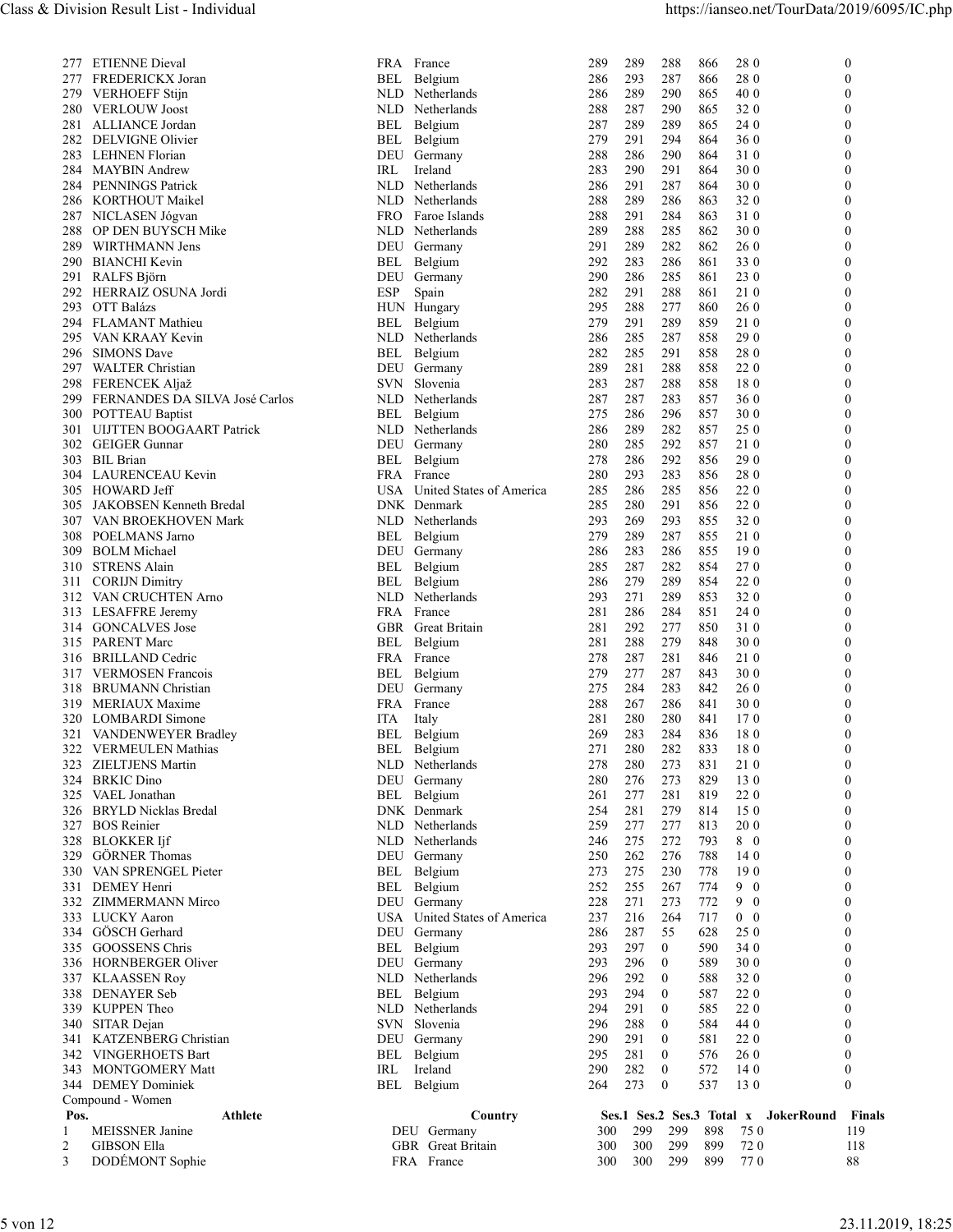|                                        | 336 HORNBERGER Oliver<br>337 KLAASSEN Roy<br>338 DENAYER Seb<br>339 KUPPEN Theo                                                                                                               | DEU Germany<br>NLD<br>Netherlands<br>BEL Belgium<br>NLD Netherlands<br>SVN Slovenia                                                           | 293<br>296<br>$\overline{0}$<br>296<br>292<br>$\bf{0}$<br>293<br>294<br>$\overline{0}$<br>294<br>291<br>$\bf{0}$<br>288<br>296<br>$\overline{0}$                     | 589<br>30 <sub>0</sub><br>588<br>320<br>587<br><b>220</b><br>220<br>585<br>584<br>44 0                                          | $\theta$<br>$\mathbf{0}$<br>$\theta$<br>$\theta$<br>$\mathbf{0}$                                                 |
|----------------------------------------|-----------------------------------------------------------------------------------------------------------------------------------------------------------------------------------------------|-----------------------------------------------------------------------------------------------------------------------------------------------|----------------------------------------------------------------------------------------------------------------------------------------------------------------------|---------------------------------------------------------------------------------------------------------------------------------|------------------------------------------------------------------------------------------------------------------|
| 329<br>330<br>332<br>335               | <b>GÖRNER Thomas</b><br>VAN SPRENGEL Pieter<br>331 DEMEY Henri<br>ZIMMERMANN Mirco<br>333 LUCKY Aaron<br>334 GÖSCH Gerhard<br><b>GOOSSENS Chris</b>                                           | DEU Germany<br>BEL<br>Belgium<br>BEL<br>Belgium<br>DEU<br>Germany<br><b>USA</b><br>United States of America<br>DEU Germany<br>BEL<br>Belgium  | 250<br>262<br>276<br>273<br>230<br>275<br>252<br>255<br>267<br>273<br>228<br>271<br>264<br>237<br>216<br>286<br>287<br>55<br>293<br>297<br>$\bf{0}$                  | 788<br>14 0<br>778<br>190<br>774<br>9 0<br>772<br>9 0<br>717<br>$0\quad 0$<br>628<br>25 0<br>590<br>34 0                        | $\mathbf{0}$<br>$\theta$<br>$\theta$<br>$\mathbf{0}$<br>$\mathbf{0}$<br>$\mathbf{0}$<br>$\theta$                 |
| 322<br>323<br>324<br>325<br>326<br>327 | <b>VERMEULEN Mathias</b><br>ZIELTJENS Martin<br><b>BRKIC Dino</b><br>VAEL Jonathan<br><b>BRYLD Nicklas Bredal</b><br><b>BOS</b> Reinier<br>328 BLOKKER Ijf                                    | BEL<br>Belgium<br>NLD Netherlands<br>DEU<br>Germany<br>BEL<br>Belgium<br>DNK Denmark<br>Netherlands<br>NLD<br>NLD Netherlands                 | 282<br>271<br>280<br>273<br>278<br>280<br>273<br>280<br>276<br>281<br>277<br>261<br>281<br>279<br>254<br>277<br>259<br>277<br>275<br>272<br>246                      | 833<br>180<br>831<br>21 0<br>829<br>130<br>819<br>22 0<br>814<br>150<br>813<br><b>200</b><br>793<br>8 0                         | $\mathbf{0}$<br>$\theta$<br>$\mathbf{0}$<br>$\theta$<br>$\mathbf{0}$<br>$\theta$<br>$\theta$                     |
| 314<br>316<br>319<br>321               | <b>GONCALVES Jose</b><br>315 PARENT Marc<br>BRILLAND Cedric<br>317 VERMOSEN Francois<br>318 BRUMANN Christian<br>MERIAUX Maxime<br>320 LOMBARDI Simone<br>VANDENWEYER Bradley                 | GBR Great Britain<br>BEL<br>Belgium<br>FRA<br>France<br>BEL<br>Belgium<br>DEU Germany<br>FRA France<br>ITA<br>Italy<br>BEL<br>Belgium         | 292<br>277<br>281<br>288<br>279<br>281<br>281<br>278<br>287<br>277<br>287<br>279<br>275<br>284<br>283<br>267<br>286<br>288<br>281<br>280<br>280<br>283<br>284<br>269 | 850<br>310<br>848<br>30 0<br>846<br>21 0<br>843<br>30 0<br>842<br>26 0<br>841<br>30 0<br>841<br>170<br>180<br>836               | $\mathbf{0}$<br>$\mathbf{0}$<br>$\theta$<br>$\theta$<br>$\mathbf{0}$<br>$\theta$<br>$\theta$<br>$\mathbf{0}$     |
| 307<br>308<br>309<br>310<br>311        | 305 JAKOBSEN Kenneth Bredal<br>VAN BROEKHOVEN Mark<br>POELMANS Jarno<br><b>BOLM Michael</b><br><b>STRENS Alain</b><br><b>CORIJN Dimitry</b><br>312 VAN CRUCHTEN Arno<br>313 LESAFFRE Jeremy   | DNK Denmark<br>NLD Netherlands<br>BEL<br>Belgium<br>DEU Germany<br>BEL<br>Belgium<br>BEL<br>Belgium<br>NLD Netherlands<br>FRA France          | 280<br>285<br>291<br>293<br>269<br>293<br>279<br>289<br>287<br>283<br>286<br>286<br>282<br>285<br>287<br>279<br>289<br>286<br>289<br>293<br>271<br>286<br>284<br>281 | 220<br>856<br>855<br>320<br>210<br>855<br>855<br>190<br>270<br>854<br>854<br>220<br>853<br>320<br>851<br>24 0                   | $\theta$<br>$\mathbf{0}$<br>$\theta$<br>$\theta$<br>$\mathbf{0}$<br>$\theta$<br>$\theta$<br>$\mathbf{0}$         |
| 300<br>302<br>303<br>305               | POTTEAU Baptist<br>301 UIJTTEN BOOGAART Patrick<br><b>GEIGER Gunnar</b><br><b>BIL Brian</b><br>304 LAURENCEAU Kevin<br>HOWARD Jeff                                                            | NLD.<br>BEL<br>Belgium<br>NLD Netherlands<br>DEU Germany<br>BEL<br>Belgium<br>FRA France<br>USA<br>United States of America                   | 275<br>296<br>286<br>282<br>286<br>289<br>292<br>280<br>285<br>292<br>278<br>286<br>283<br>280<br>293<br>285<br>286<br>285                                           | 857<br>30 0<br>857<br>25 0<br>857<br>21 0<br>290<br>856<br>856<br>28 0<br>856<br>22 0                                           | $\theta$<br>$\theta$<br>$\mathbf{0}$<br>$\mathbf{0}$<br>$\mathbf{0}$<br>$\theta$                                 |
| 293<br>297                             | 292 HERRAIZ OSUNA Jordi<br>OTT Balázs<br>294 FLAMANT Mathieu<br>295 VAN KRAAY Kevin<br>296 SIMONS Dave<br><b>WALTER Christian</b><br>298 FERENCEK Aljaž<br>299 FERNANDES DA SILVA José Carlos | ESP<br>Spain<br>HUN Hungary<br>BEL<br>Belgium<br>NLD Netherlands<br>BEL<br>Belgium<br>DEU Germany<br>SVN Slovenia<br>Netherlands              | 282<br>291<br>288<br>295<br>288<br>277<br>279<br>291<br>289<br>287<br>286<br>285<br>291<br>282<br>285<br>288<br>289<br>281<br>287<br>288<br>283<br>287<br>287<br>283 | 861<br>21 0<br>860<br><b>260</b><br>859<br>21 0<br>858<br>29 0<br>858<br>280<br>858<br><b>220</b><br>858<br>180<br>857<br>36 0  | $\Omega$<br>$\theta$<br>$\mathbf{0}$<br>$\theta$<br>$\mathbf{0}$<br>$\theta$<br>$\theta$<br>$\mathbf{0}$         |
| 286<br>287<br>288<br>289<br>290<br>291 | 284 PENNINGS Patrick<br>KORTHOUT Maikel<br>NICLASEN Jógvan<br>OP DEN BUYSCH Mike<br>WIRTHMANN Jens<br><b>BIANCHI Kevin</b><br>RALFS Björn                                                     | NLD Netherlands<br>Netherlands<br>NLD.<br>FRO -<br>Faroe Islands<br>NLD<br>Netherlands<br>DEU Germany<br>Belgium<br>BEL<br>DEU<br>Germany     | 286<br>291<br>287<br>288<br>289<br>286<br>288<br>291<br>284<br>289<br>288<br>285<br>291<br>289<br>282<br>292<br>283<br>286<br>290<br>286<br>285                      | 30 0<br>-864<br>863<br>32 0<br>863<br>310<br>862<br>30 0<br>862<br>26 0<br>861<br>33 0<br>23 0<br>-861                          | $\mathbf{0}$<br>$\theta$<br>$\theta$<br>$\mathbf{0}$<br>$\theta$<br>$\theta$<br>$\mathbf{0}$                     |
| 277<br>280<br>281<br>283<br>284        | 277 ETIENNE Dieval<br>FREDERICKX Joran<br>279 VERHOEFF Stijn<br><b>VERLOUW Joost</b><br>ALLIANCE Jordan<br>282 DELVIGNE Olivier<br><b>LEHNEN Florian</b><br><b>MAYBIN</b> Andrew              | FRA France<br>BEL<br>Belgium<br>NLD Netherlands<br>Netherlands<br>NLD<br>BEL<br>Belgium<br>BEL<br>Belgium<br>DEU<br>Germany<br>IRL<br>Ireland | 289<br>289<br>288<br>293<br>287<br>286<br>289<br>290<br>286<br>287<br>290<br>288<br>287<br>289<br>289<br>279<br>291<br>294<br>288<br>286<br>290<br>283<br>290<br>291 | 866<br>28 0<br>866<br>28 0<br>865<br>40 0<br>865<br>320<br>865<br>24 0<br>864<br>36 <sup>0</sup><br>-864<br>31 0<br>864<br>30 0 | $\mathbf{0}$<br>$\theta$<br>$\theta$<br>$\mathbf{0}$<br>$\mathbf{0}$<br>$\theta$<br>$\mathbf{0}$<br>$\mathbf{0}$ |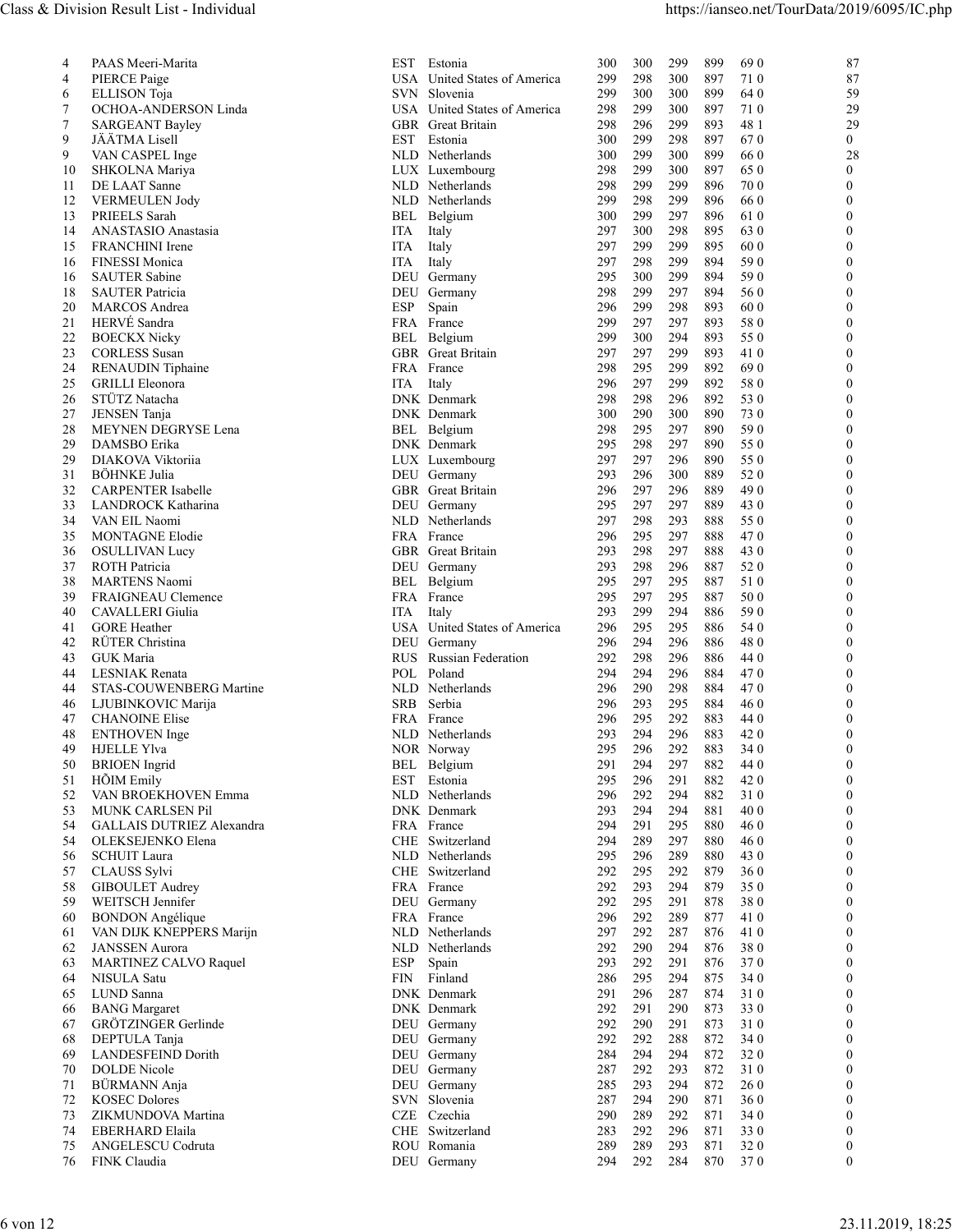| 300<br>299<br>899<br>690<br>PAAS Meeri-Marita<br>EST<br>Estonia<br>300<br>87<br>$\overline{4}$<br>87<br>PIERCE Paige<br>USA United States of America<br>298<br>300<br>897<br>710<br>299<br>4<br>SVN Slovenia<br>59<br><b>ELLISON</b> Toja<br>299<br>300<br>300<br>899<br>64 0<br>6<br>OCHOA-ANDERSON Linda<br>USA United States of America<br>299<br>300<br>897<br>710<br>29<br>298<br>7<br>48 1<br>29<br>7<br>GBR Great Britain<br>298<br>296<br>299<br>893<br><b>SARGEANT Bayley</b><br>JÄÄTMA Lisell<br>EST Estonia<br>300<br>299<br>298<br>897<br>670<br>$\theta$<br>9<br>VAN CASPEL Inge<br>NLD Netherlands<br>300<br>299<br>300<br>899<br>66 0<br>28<br>9<br>299<br>10<br>SHKOLNA Mariya<br>LUX Luxembourg<br>298<br>300<br>897<br>650<br>$\Omega$<br>70 0<br>298<br>299<br>299<br>896<br>$\Omega$<br>11<br>DE LAAT Sanne<br>NLD Netherlands<br>298<br>299<br>66 0<br>12<br><b>VERMEULEN Jody</b><br>NLD Netherlands<br>299<br>896<br>$\Omega$<br>297<br>PRIEELS Sarah<br>299<br>896<br>610<br>13<br>BEL<br>Belgium<br>300<br>$\Omega$<br>ANASTASIO Anastasia<br>297<br>300<br>298<br>895<br>63 0<br>14<br>ITA<br>Italy<br>$\Omega$<br><b>FRANCHINI</b> Irene<br>299<br>299<br>895<br>60 0<br>$\Omega$<br>15<br>Italy<br>297<br>ITA<br><b>FINESSI Monica</b><br>297<br>298<br>299<br>894<br>590<br>16<br>ITA<br>Italy<br>$\Omega$<br><b>SAUTER Sabine</b><br>299<br>894<br>590<br>Germany<br>295<br>300<br>$\Omega$<br>16<br>DEU<br>18<br><b>SAUTER Patricia</b><br>DEU Germany<br>298<br>299<br>297<br>894<br>56 0<br>$\Omega$<br>20<br>MARCOS Andrea<br>ESP<br>Spain<br>296<br>299<br>298<br>60 0<br>893<br>HERVÉ Sandra<br>299<br>297<br>297<br>580<br>21<br>FRA France<br>893<br>$\Omega$<br><b>BOECKX Nicky</b><br>294<br>893<br>22<br>BEL Belgium<br>299<br>300<br>55 0<br>$\Omega$<br>299<br>893<br>410<br>23<br><b>CORLESS</b> Susan<br>GBR Great Britain<br>297<br>297<br>$\Omega$<br>690<br>24<br><b>RENAUDIN</b> Tiphaine<br>FRA France<br>298<br>295<br>299<br>892<br>297<br>299<br>892<br>580<br>25<br><b>GRILLI</b> Eleonora<br>ITA Italy<br>296<br>$\Omega$<br>STÜTZ Natacha<br>DNK Denmark<br>298<br>296<br>892<br>53 0<br>26<br>298<br>$\Omega$<br>27<br>300<br>290<br>890<br>730<br>JENSEN Tanja<br>DNK Denmark<br>300<br>$\Omega$<br>890<br>590<br>28<br>MEYNEN DEGRYSE Lena<br>BEL Belgium<br>298<br>295<br>297<br>$\Omega$<br>298<br>297<br>890<br>55 0<br>DAMSBO Erika<br>DNK Denmark<br>295<br>29<br>$\theta$<br>296<br>890<br>55 0<br>29<br>DIAKOVA Viktoriia<br>LUX Luxembourg<br>297<br>297<br>$\Omega$<br>889<br>52 0<br>31<br>BÖHNKE Julia<br>DEU Germany<br>293<br>296<br>300<br>$\Omega$<br>GBR Great Britain<br>490<br>32<br><b>CARPENTER Isabelle</b><br>296<br>297<br>296<br>889<br>297<br>297<br>889<br>43 0<br>33<br>LANDROCK Katharina<br>DEU Germany<br>295<br>$\Omega$<br>34<br>VAN EIL Naomi<br>NLD Netherlands<br>297<br>298<br>293<br>888<br>55 0<br>$\Omega$<br>FRA France<br>297<br>888<br>470<br>35<br><b>MONTAGNE Elodie</b><br>296<br>295<br>GBR Great Britain<br>293<br>298<br>297<br>888<br>43 0<br><b>OSULLIVAN Lucy</b><br>36<br>$\Omega$<br>37<br>ROTH Patricia<br>DEU Germany<br>293<br>298<br>296<br>887<br>52 0<br>$\theta$<br>297<br>295<br>887<br>510<br>38<br><b>MARTENS</b> Naomi<br>BEL Belgium<br>295<br>$\Omega$<br>50 0<br>FRAIGNEAU Clemence<br>FRA France<br>295<br>297<br>295<br>887<br>39<br>$\Omega$<br>CAVALLERI Giulia<br>299<br>294<br>886<br>590<br>ITA Italy<br>293<br>40<br><b>GORE</b> Heather<br>295<br>295<br>886<br>54 0<br>41<br>USA United States of America<br>296<br>$\Omega$<br>294<br>480<br>42<br>RÜTER Christina<br>296<br>296<br>886<br>DEU Germany<br>$\Omega$<br>GUK Maria<br>RUS Russian Federation<br>292<br>298<br>296<br>886<br>44 0<br>43<br>LESNIAK Renata<br>POL Poland<br>294<br>296<br>884<br>470<br>294<br>44<br>$\Omega$<br>290<br>298<br>884<br>470<br>STAS-COUWENBERG Martine<br>NLD Netherlands<br>296<br>$\Omega$<br>44<br>SRB Serbia<br>293<br>295<br>884<br>460<br>LJUBINKOVIC Marija<br>296<br>46<br>$\Omega$<br>295<br>292<br>883<br>47<br><b>CHANOINE Elise</b><br>FRA France<br>296<br>44 0<br>$\Omega$<br>NLD Netherlands<br>294<br>296<br>883<br>420<br><b>ENTHOVEN</b> Inge<br>293<br>48<br>296<br>292<br>883<br>34 0<br><b>HJELLE Ylva</b><br>NOR Norway<br>295<br>$\Omega$<br>49<br>294<br>297<br>882<br>44 0<br><b>BRIOEN</b> Ingrid<br>BEL Belgium<br>291<br>50<br>$\Omega$<br>296<br>291<br>882<br>420<br>51<br>HÕIM Emily<br>EST Estonia<br>295<br>NLD Netherlands<br>292<br>294<br>882<br>52<br>VAN BROEKHOVEN Emma<br>296<br>310<br>$\Omega$<br>294<br>294<br>881<br>40 0<br>53<br>DNK Denmark<br>293<br>MUNK CARLSEN Pil<br>$\Omega$<br>295<br>54<br>GALLAIS DUTRIEZ Alexandra<br>FRA France<br>294<br>291<br>880<br>460<br>289<br>297<br>880<br>54<br>OLEKSEJENKO Elena<br>CHE Switzerland<br>294<br>46 0<br>$\Omega$<br>296<br>289<br>880<br>43 0<br>56<br><b>SCHUIT Laura</b><br>NLD Netherlands<br>295<br>$\Omega$<br>292<br>295<br>292<br>879<br>360<br>57<br>CLAUSS Sylvi<br>CHE Switzerland<br>$\Omega$<br>292<br>293<br>294<br>879<br>350<br>58<br><b>GIBOULET</b> Audrey<br>FRA France<br>$\Omega$<br>878<br>WEITSCH Jennifer<br>DEU Germany<br>292<br>295<br>291<br>380<br>59<br>292<br>289<br><b>BONDON</b> Angélique<br>FRA France<br>296<br>877<br>41 0<br>60<br>$\Omega$<br>292<br>287<br>876<br>VAN DIJK KNEPPERS Marijn<br>NLD Netherlands<br>297<br>41 0<br>61<br>$\Omega$<br>380<br>62<br><b>JANSSEN</b> Aurora<br>NLD Netherlands<br>292<br>290<br>294<br>876<br>292<br>370<br>MARTINEZ CALVO Raquel<br>Spain<br>293<br>291<br>876<br>63<br>ESP<br>$\Omega$<br>NISULA Satu<br>Finland<br>286<br>295<br>294<br>875<br>34 0<br>64<br>FIN<br>$\Omega$<br>65<br>LUND Sanna<br>291<br>296<br>287<br>874<br>310<br>$\Omega$<br>DNK Denmark<br><b>BANG</b> Margaret<br>DNK Denmark<br>292<br>873<br>330<br>290<br>291<br>$\Omega$<br>66<br>GRÖTZINGER Gerlinde<br>290<br>873<br>DEU Germany<br>292<br>291<br>310<br>$\theta$<br>67<br>DEPTULA Tanja<br>DEU Germany<br>292<br>292<br>288<br>872<br>34 0<br>$\theta$<br>68<br>294<br>872<br>320<br><b>LANDESFEIND Dorith</b><br>DEU Germany<br>284<br>294<br>69<br>$\Omega$<br><b>DOLDE</b> Nicole<br>292<br>293<br>872<br>310<br>70<br>DEU Germany<br>287<br>BÜRMANN Anja<br>294<br>872<br>DEU Germany<br>293<br>260<br>285<br>71<br>$\Omega$<br>SVN Slovenia<br>294<br>290 871<br>360<br>72<br><b>KOSEC Dolores</b><br>287<br>$\Omega$<br>ZIKMUNDOVA Martina<br>CZE Czechia<br>289<br>292<br>871<br>73<br>290<br>34 0<br>EBERHARD Elaila<br>CHE Switzerland<br>292<br>296<br>871<br>330<br>283<br>74<br>$\theta$<br>ANGELESCU Codruta<br>ROU Romania<br>289<br>293<br>871<br>320<br>289<br>$\mathbf{0}$<br>75<br>76<br>FINK Claudia<br>292<br>284<br>870<br>370<br>$\mathbf{0}$<br>DEU Germany<br>294 |  |  |  |  |  |  |
|--------------------------------------------------------------------------------------------------------------------------------------------------------------------------------------------------------------------------------------------------------------------------------------------------------------------------------------------------------------------------------------------------------------------------------------------------------------------------------------------------------------------------------------------------------------------------------------------------------------------------------------------------------------------------------------------------------------------------------------------------------------------------------------------------------------------------------------------------------------------------------------------------------------------------------------------------------------------------------------------------------------------------------------------------------------------------------------------------------------------------------------------------------------------------------------------------------------------------------------------------------------------------------------------------------------------------------------------------------------------------------------------------------------------------------------------------------------------------------------------------------------------------------------------------------------------------------------------------------------------------------------------------------------------------------------------------------------------------------------------------------------------------------------------------------------------------------------------------------------------------------------------------------------------------------------------------------------------------------------------------------------------------------------------------------------------------------------------------------------------------------------------------------------------------------------------------------------------------------------------------------------------------------------------------------------------------------------------------------------------------------------------------------------------------------------------------------------------------------------------------------------------------------------------------------------------------------------------------------------------------------------------------------------------------------------------------------------------------------------------------------------------------------------------------------------------------------------------------------------------------------------------------------------------------------------------------------------------------------------------------------------------------------------------------------------------------------------------------------------------------------------------------------------------------------------------------------------------------------------------------------------------------------------------------------------------------------------------------------------------------------------------------------------------------------------------------------------------------------------------------------------------------------------------------------------------------------------------------------------------------------------------------------------------------------------------------------------------------------------------------------------------------------------------------------------------------------------------------------------------------------------------------------------------------------------------------------------------------------------------------------------------------------------------------------------------------------------------------------------------------------------------------------------------------------------------------------------------------------------------------------------------------------------------------------------------------------------------------------------------------------------------------------------------------------------------------------------------------------------------------------------------------------------------------------------------------------------------------------------------------------------------------------------------------------------------------------------------------------------------------------------------------------------------------------------------------------------------------------------------------------------------------------------------------------------------------------------------------------------------------------------------------------------------------------------------------------------------------------------------------------------------------------------------------------------------------------------------------------------------------------------------------------------------------------------------------------------------------------------------------------------------------------------------------------------------------------------------------------------------------------------------------------------------------------------------------------------------------------------------------------------------------------------------------------------------------------------------------------------------------------------------------------------------------------------------------------------------------------------------------------------------------------------------------------------------------------------------------------------------------------------------------------------------------------------------------------------------------------------------------------------------------------------------------------------------------------------------------------------------------------------------------------------------------------------------------------------------------------------------------------------------------------------------------------------------------------------------------------------------------------------------------------------------------------------------------------------------------------------------------------------------------------------------------------------------------------------------------------------------------------------------------------------------------|--|--|--|--|--|--|
|                                                                                                                                                                                                                                                                                                                                                                                                                                                                                                                                                                                                                                                                                                                                                                                                                                                                                                                                                                                                                                                                                                                                                                                                                                                                                                                                                                                                                                                                                                                                                                                                                                                                                                                                                                                                                                                                                                                                                                                                                                                                                                                                                                                                                                                                                                                                                                                                                                                                                                                                                                                                                                                                                                                                                                                                                                                                                                                                                                                                                                                                                                                                                                                                                                                                                                                                                                                                                                                                                                                                                                                                                                                                                                                                                                                                                                                                                                                                                                                                                                                                                                                                                                                                                                                                                                                                                                                                                                                                                                                                                                                                                                                                                                                                                                                                                                                                                                                                                                                                                                                                                                                                                                                                                                                                                                                                                                                                                                                                                                                                                                                                                                                                                                                                                                                                                                                                                                                                                                                                                                                                                                                                                                                                                                                                                                                                                                                                                                                                                                                                                                                                                                                                                                                                                                                                  |  |  |  |  |  |  |
|                                                                                                                                                                                                                                                                                                                                                                                                                                                                                                                                                                                                                                                                                                                                                                                                                                                                                                                                                                                                                                                                                                                                                                                                                                                                                                                                                                                                                                                                                                                                                                                                                                                                                                                                                                                                                                                                                                                                                                                                                                                                                                                                                                                                                                                                                                                                                                                                                                                                                                                                                                                                                                                                                                                                                                                                                                                                                                                                                                                                                                                                                                                                                                                                                                                                                                                                                                                                                                                                                                                                                                                                                                                                                                                                                                                                                                                                                                                                                                                                                                                                                                                                                                                                                                                                                                                                                                                                                                                                                                                                                                                                                                                                                                                                                                                                                                                                                                                                                                                                                                                                                                                                                                                                                                                                                                                                                                                                                                                                                                                                                                                                                                                                                                                                                                                                                                                                                                                                                                                                                                                                                                                                                                                                                                                                                                                                                                                                                                                                                                                                                                                                                                                                                                                                                                                                  |  |  |  |  |  |  |
|                                                                                                                                                                                                                                                                                                                                                                                                                                                                                                                                                                                                                                                                                                                                                                                                                                                                                                                                                                                                                                                                                                                                                                                                                                                                                                                                                                                                                                                                                                                                                                                                                                                                                                                                                                                                                                                                                                                                                                                                                                                                                                                                                                                                                                                                                                                                                                                                                                                                                                                                                                                                                                                                                                                                                                                                                                                                                                                                                                                                                                                                                                                                                                                                                                                                                                                                                                                                                                                                                                                                                                                                                                                                                                                                                                                                                                                                                                                                                                                                                                                                                                                                                                                                                                                                                                                                                                                                                                                                                                                                                                                                                                                                                                                                                                                                                                                                                                                                                                                                                                                                                                                                                                                                                                                                                                                                                                                                                                                                                                                                                                                                                                                                                                                                                                                                                                                                                                                                                                                                                                                                                                                                                                                                                                                                                                                                                                                                                                                                                                                                                                                                                                                                                                                                                                                                  |  |  |  |  |  |  |
|                                                                                                                                                                                                                                                                                                                                                                                                                                                                                                                                                                                                                                                                                                                                                                                                                                                                                                                                                                                                                                                                                                                                                                                                                                                                                                                                                                                                                                                                                                                                                                                                                                                                                                                                                                                                                                                                                                                                                                                                                                                                                                                                                                                                                                                                                                                                                                                                                                                                                                                                                                                                                                                                                                                                                                                                                                                                                                                                                                                                                                                                                                                                                                                                                                                                                                                                                                                                                                                                                                                                                                                                                                                                                                                                                                                                                                                                                                                                                                                                                                                                                                                                                                                                                                                                                                                                                                                                                                                                                                                                                                                                                                                                                                                                                                                                                                                                                                                                                                                                                                                                                                                                                                                                                                                                                                                                                                                                                                                                                                                                                                                                                                                                                                                                                                                                                                                                                                                                                                                                                                                                                                                                                                                                                                                                                                                                                                                                                                                                                                                                                                                                                                                                                                                                                                                                  |  |  |  |  |  |  |
|                                                                                                                                                                                                                                                                                                                                                                                                                                                                                                                                                                                                                                                                                                                                                                                                                                                                                                                                                                                                                                                                                                                                                                                                                                                                                                                                                                                                                                                                                                                                                                                                                                                                                                                                                                                                                                                                                                                                                                                                                                                                                                                                                                                                                                                                                                                                                                                                                                                                                                                                                                                                                                                                                                                                                                                                                                                                                                                                                                                                                                                                                                                                                                                                                                                                                                                                                                                                                                                                                                                                                                                                                                                                                                                                                                                                                                                                                                                                                                                                                                                                                                                                                                                                                                                                                                                                                                                                                                                                                                                                                                                                                                                                                                                                                                                                                                                                                                                                                                                                                                                                                                                                                                                                                                                                                                                                                                                                                                                                                                                                                                                                                                                                                                                                                                                                                                                                                                                                                                                                                                                                                                                                                                                                                                                                                                                                                                                                                                                                                                                                                                                                                                                                                                                                                                                                  |  |  |  |  |  |  |
|                                                                                                                                                                                                                                                                                                                                                                                                                                                                                                                                                                                                                                                                                                                                                                                                                                                                                                                                                                                                                                                                                                                                                                                                                                                                                                                                                                                                                                                                                                                                                                                                                                                                                                                                                                                                                                                                                                                                                                                                                                                                                                                                                                                                                                                                                                                                                                                                                                                                                                                                                                                                                                                                                                                                                                                                                                                                                                                                                                                                                                                                                                                                                                                                                                                                                                                                                                                                                                                                                                                                                                                                                                                                                                                                                                                                                                                                                                                                                                                                                                                                                                                                                                                                                                                                                                                                                                                                                                                                                                                                                                                                                                                                                                                                                                                                                                                                                                                                                                                                                                                                                                                                                                                                                                                                                                                                                                                                                                                                                                                                                                                                                                                                                                                                                                                                                                                                                                                                                                                                                                                                                                                                                                                                                                                                                                                                                                                                                                                                                                                                                                                                                                                                                                                                                                                                  |  |  |  |  |  |  |
|                                                                                                                                                                                                                                                                                                                                                                                                                                                                                                                                                                                                                                                                                                                                                                                                                                                                                                                                                                                                                                                                                                                                                                                                                                                                                                                                                                                                                                                                                                                                                                                                                                                                                                                                                                                                                                                                                                                                                                                                                                                                                                                                                                                                                                                                                                                                                                                                                                                                                                                                                                                                                                                                                                                                                                                                                                                                                                                                                                                                                                                                                                                                                                                                                                                                                                                                                                                                                                                                                                                                                                                                                                                                                                                                                                                                                                                                                                                                                                                                                                                                                                                                                                                                                                                                                                                                                                                                                                                                                                                                                                                                                                                                                                                                                                                                                                                                                                                                                                                                                                                                                                                                                                                                                                                                                                                                                                                                                                                                                                                                                                                                                                                                                                                                                                                                                                                                                                                                                                                                                                                                                                                                                                                                                                                                                                                                                                                                                                                                                                                                                                                                                                                                                                                                                                                                  |  |  |  |  |  |  |
|                                                                                                                                                                                                                                                                                                                                                                                                                                                                                                                                                                                                                                                                                                                                                                                                                                                                                                                                                                                                                                                                                                                                                                                                                                                                                                                                                                                                                                                                                                                                                                                                                                                                                                                                                                                                                                                                                                                                                                                                                                                                                                                                                                                                                                                                                                                                                                                                                                                                                                                                                                                                                                                                                                                                                                                                                                                                                                                                                                                                                                                                                                                                                                                                                                                                                                                                                                                                                                                                                                                                                                                                                                                                                                                                                                                                                                                                                                                                                                                                                                                                                                                                                                                                                                                                                                                                                                                                                                                                                                                                                                                                                                                                                                                                                                                                                                                                                                                                                                                                                                                                                                                                                                                                                                                                                                                                                                                                                                                                                                                                                                                                                                                                                                                                                                                                                                                                                                                                                                                                                                                                                                                                                                                                                                                                                                                                                                                                                                                                                                                                                                                                                                                                                                                                                                                                  |  |  |  |  |  |  |
|                                                                                                                                                                                                                                                                                                                                                                                                                                                                                                                                                                                                                                                                                                                                                                                                                                                                                                                                                                                                                                                                                                                                                                                                                                                                                                                                                                                                                                                                                                                                                                                                                                                                                                                                                                                                                                                                                                                                                                                                                                                                                                                                                                                                                                                                                                                                                                                                                                                                                                                                                                                                                                                                                                                                                                                                                                                                                                                                                                                                                                                                                                                                                                                                                                                                                                                                                                                                                                                                                                                                                                                                                                                                                                                                                                                                                                                                                                                                                                                                                                                                                                                                                                                                                                                                                                                                                                                                                                                                                                                                                                                                                                                                                                                                                                                                                                                                                                                                                                                                                                                                                                                                                                                                                                                                                                                                                                                                                                                                                                                                                                                                                                                                                                                                                                                                                                                                                                                                                                                                                                                                                                                                                                                                                                                                                                                                                                                                                                                                                                                                                                                                                                                                                                                                                                                                  |  |  |  |  |  |  |
|                                                                                                                                                                                                                                                                                                                                                                                                                                                                                                                                                                                                                                                                                                                                                                                                                                                                                                                                                                                                                                                                                                                                                                                                                                                                                                                                                                                                                                                                                                                                                                                                                                                                                                                                                                                                                                                                                                                                                                                                                                                                                                                                                                                                                                                                                                                                                                                                                                                                                                                                                                                                                                                                                                                                                                                                                                                                                                                                                                                                                                                                                                                                                                                                                                                                                                                                                                                                                                                                                                                                                                                                                                                                                                                                                                                                                                                                                                                                                                                                                                                                                                                                                                                                                                                                                                                                                                                                                                                                                                                                                                                                                                                                                                                                                                                                                                                                                                                                                                                                                                                                                                                                                                                                                                                                                                                                                                                                                                                                                                                                                                                                                                                                                                                                                                                                                                                                                                                                                                                                                                                                                                                                                                                                                                                                                                                                                                                                                                                                                                                                                                                                                                                                                                                                                                                                  |  |  |  |  |  |  |
|                                                                                                                                                                                                                                                                                                                                                                                                                                                                                                                                                                                                                                                                                                                                                                                                                                                                                                                                                                                                                                                                                                                                                                                                                                                                                                                                                                                                                                                                                                                                                                                                                                                                                                                                                                                                                                                                                                                                                                                                                                                                                                                                                                                                                                                                                                                                                                                                                                                                                                                                                                                                                                                                                                                                                                                                                                                                                                                                                                                                                                                                                                                                                                                                                                                                                                                                                                                                                                                                                                                                                                                                                                                                                                                                                                                                                                                                                                                                                                                                                                                                                                                                                                                                                                                                                                                                                                                                                                                                                                                                                                                                                                                                                                                                                                                                                                                                                                                                                                                                                                                                                                                                                                                                                                                                                                                                                                                                                                                                                                                                                                                                                                                                                                                                                                                                                                                                                                                                                                                                                                                                                                                                                                                                                                                                                                                                                                                                                                                                                                                                                                                                                                                                                                                                                                                                  |  |  |  |  |  |  |
|                                                                                                                                                                                                                                                                                                                                                                                                                                                                                                                                                                                                                                                                                                                                                                                                                                                                                                                                                                                                                                                                                                                                                                                                                                                                                                                                                                                                                                                                                                                                                                                                                                                                                                                                                                                                                                                                                                                                                                                                                                                                                                                                                                                                                                                                                                                                                                                                                                                                                                                                                                                                                                                                                                                                                                                                                                                                                                                                                                                                                                                                                                                                                                                                                                                                                                                                                                                                                                                                                                                                                                                                                                                                                                                                                                                                                                                                                                                                                                                                                                                                                                                                                                                                                                                                                                                                                                                                                                                                                                                                                                                                                                                                                                                                                                                                                                                                                                                                                                                                                                                                                                                                                                                                                                                                                                                                                                                                                                                                                                                                                                                                                                                                                                                                                                                                                                                                                                                                                                                                                                                                                                                                                                                                                                                                                                                                                                                                                                                                                                                                                                                                                                                                                                                                                                                                  |  |  |  |  |  |  |
|                                                                                                                                                                                                                                                                                                                                                                                                                                                                                                                                                                                                                                                                                                                                                                                                                                                                                                                                                                                                                                                                                                                                                                                                                                                                                                                                                                                                                                                                                                                                                                                                                                                                                                                                                                                                                                                                                                                                                                                                                                                                                                                                                                                                                                                                                                                                                                                                                                                                                                                                                                                                                                                                                                                                                                                                                                                                                                                                                                                                                                                                                                                                                                                                                                                                                                                                                                                                                                                                                                                                                                                                                                                                                                                                                                                                                                                                                                                                                                                                                                                                                                                                                                                                                                                                                                                                                                                                                                                                                                                                                                                                                                                                                                                                                                                                                                                                                                                                                                                                                                                                                                                                                                                                                                                                                                                                                                                                                                                                                                                                                                                                                                                                                                                                                                                                                                                                                                                                                                                                                                                                                                                                                                                                                                                                                                                                                                                                                                                                                                                                                                                                                                                                                                                                                                                                  |  |  |  |  |  |  |
|                                                                                                                                                                                                                                                                                                                                                                                                                                                                                                                                                                                                                                                                                                                                                                                                                                                                                                                                                                                                                                                                                                                                                                                                                                                                                                                                                                                                                                                                                                                                                                                                                                                                                                                                                                                                                                                                                                                                                                                                                                                                                                                                                                                                                                                                                                                                                                                                                                                                                                                                                                                                                                                                                                                                                                                                                                                                                                                                                                                                                                                                                                                                                                                                                                                                                                                                                                                                                                                                                                                                                                                                                                                                                                                                                                                                                                                                                                                                                                                                                                                                                                                                                                                                                                                                                                                                                                                                                                                                                                                                                                                                                                                                                                                                                                                                                                                                                                                                                                                                                                                                                                                                                                                                                                                                                                                                                                                                                                                                                                                                                                                                                                                                                                                                                                                                                                                                                                                                                                                                                                                                                                                                                                                                                                                                                                                                                                                                                                                                                                                                                                                                                                                                                                                                                                                                  |  |  |  |  |  |  |
|                                                                                                                                                                                                                                                                                                                                                                                                                                                                                                                                                                                                                                                                                                                                                                                                                                                                                                                                                                                                                                                                                                                                                                                                                                                                                                                                                                                                                                                                                                                                                                                                                                                                                                                                                                                                                                                                                                                                                                                                                                                                                                                                                                                                                                                                                                                                                                                                                                                                                                                                                                                                                                                                                                                                                                                                                                                                                                                                                                                                                                                                                                                                                                                                                                                                                                                                                                                                                                                                                                                                                                                                                                                                                                                                                                                                                                                                                                                                                                                                                                                                                                                                                                                                                                                                                                                                                                                                                                                                                                                                                                                                                                                                                                                                                                                                                                                                                                                                                                                                                                                                                                                                                                                                                                                                                                                                                                                                                                                                                                                                                                                                                                                                                                                                                                                                                                                                                                                                                                                                                                                                                                                                                                                                                                                                                                                                                                                                                                                                                                                                                                                                                                                                                                                                                                                                  |  |  |  |  |  |  |
|                                                                                                                                                                                                                                                                                                                                                                                                                                                                                                                                                                                                                                                                                                                                                                                                                                                                                                                                                                                                                                                                                                                                                                                                                                                                                                                                                                                                                                                                                                                                                                                                                                                                                                                                                                                                                                                                                                                                                                                                                                                                                                                                                                                                                                                                                                                                                                                                                                                                                                                                                                                                                                                                                                                                                                                                                                                                                                                                                                                                                                                                                                                                                                                                                                                                                                                                                                                                                                                                                                                                                                                                                                                                                                                                                                                                                                                                                                                                                                                                                                                                                                                                                                                                                                                                                                                                                                                                                                                                                                                                                                                                                                                                                                                                                                                                                                                                                                                                                                                                                                                                                                                                                                                                                                                                                                                                                                                                                                                                                                                                                                                                                                                                                                                                                                                                                                                                                                                                                                                                                                                                                                                                                                                                                                                                                                                                                                                                                                                                                                                                                                                                                                                                                                                                                                                                  |  |  |  |  |  |  |
|                                                                                                                                                                                                                                                                                                                                                                                                                                                                                                                                                                                                                                                                                                                                                                                                                                                                                                                                                                                                                                                                                                                                                                                                                                                                                                                                                                                                                                                                                                                                                                                                                                                                                                                                                                                                                                                                                                                                                                                                                                                                                                                                                                                                                                                                                                                                                                                                                                                                                                                                                                                                                                                                                                                                                                                                                                                                                                                                                                                                                                                                                                                                                                                                                                                                                                                                                                                                                                                                                                                                                                                                                                                                                                                                                                                                                                                                                                                                                                                                                                                                                                                                                                                                                                                                                                                                                                                                                                                                                                                                                                                                                                                                                                                                                                                                                                                                                                                                                                                                                                                                                                                                                                                                                                                                                                                                                                                                                                                                                                                                                                                                                                                                                                                                                                                                                                                                                                                                                                                                                                                                                                                                                                                                                                                                                                                                                                                                                                                                                                                                                                                                                                                                                                                                                                                                  |  |  |  |  |  |  |
|                                                                                                                                                                                                                                                                                                                                                                                                                                                                                                                                                                                                                                                                                                                                                                                                                                                                                                                                                                                                                                                                                                                                                                                                                                                                                                                                                                                                                                                                                                                                                                                                                                                                                                                                                                                                                                                                                                                                                                                                                                                                                                                                                                                                                                                                                                                                                                                                                                                                                                                                                                                                                                                                                                                                                                                                                                                                                                                                                                                                                                                                                                                                                                                                                                                                                                                                                                                                                                                                                                                                                                                                                                                                                                                                                                                                                                                                                                                                                                                                                                                                                                                                                                                                                                                                                                                                                                                                                                                                                                                                                                                                                                                                                                                                                                                                                                                                                                                                                                                                                                                                                                                                                                                                                                                                                                                                                                                                                                                                                                                                                                                                                                                                                                                                                                                                                                                                                                                                                                                                                                                                                                                                                                                                                                                                                                                                                                                                                                                                                                                                                                                                                                                                                                                                                                                                  |  |  |  |  |  |  |
|                                                                                                                                                                                                                                                                                                                                                                                                                                                                                                                                                                                                                                                                                                                                                                                                                                                                                                                                                                                                                                                                                                                                                                                                                                                                                                                                                                                                                                                                                                                                                                                                                                                                                                                                                                                                                                                                                                                                                                                                                                                                                                                                                                                                                                                                                                                                                                                                                                                                                                                                                                                                                                                                                                                                                                                                                                                                                                                                                                                                                                                                                                                                                                                                                                                                                                                                                                                                                                                                                                                                                                                                                                                                                                                                                                                                                                                                                                                                                                                                                                                                                                                                                                                                                                                                                                                                                                                                                                                                                                                                                                                                                                                                                                                                                                                                                                                                                                                                                                                                                                                                                                                                                                                                                                                                                                                                                                                                                                                                                                                                                                                                                                                                                                                                                                                                                                                                                                                                                                                                                                                                                                                                                                                                                                                                                                                                                                                                                                                                                                                                                                                                                                                                                                                                                                                                  |  |  |  |  |  |  |
|                                                                                                                                                                                                                                                                                                                                                                                                                                                                                                                                                                                                                                                                                                                                                                                                                                                                                                                                                                                                                                                                                                                                                                                                                                                                                                                                                                                                                                                                                                                                                                                                                                                                                                                                                                                                                                                                                                                                                                                                                                                                                                                                                                                                                                                                                                                                                                                                                                                                                                                                                                                                                                                                                                                                                                                                                                                                                                                                                                                                                                                                                                                                                                                                                                                                                                                                                                                                                                                                                                                                                                                                                                                                                                                                                                                                                                                                                                                                                                                                                                                                                                                                                                                                                                                                                                                                                                                                                                                                                                                                                                                                                                                                                                                                                                                                                                                                                                                                                                                                                                                                                                                                                                                                                                                                                                                                                                                                                                                                                                                                                                                                                                                                                                                                                                                                                                                                                                                                                                                                                                                                                                                                                                                                                                                                                                                                                                                                                                                                                                                                                                                                                                                                                                                                                                                                  |  |  |  |  |  |  |
|                                                                                                                                                                                                                                                                                                                                                                                                                                                                                                                                                                                                                                                                                                                                                                                                                                                                                                                                                                                                                                                                                                                                                                                                                                                                                                                                                                                                                                                                                                                                                                                                                                                                                                                                                                                                                                                                                                                                                                                                                                                                                                                                                                                                                                                                                                                                                                                                                                                                                                                                                                                                                                                                                                                                                                                                                                                                                                                                                                                                                                                                                                                                                                                                                                                                                                                                                                                                                                                                                                                                                                                                                                                                                                                                                                                                                                                                                                                                                                                                                                                                                                                                                                                                                                                                                                                                                                                                                                                                                                                                                                                                                                                                                                                                                                                                                                                                                                                                                                                                                                                                                                                                                                                                                                                                                                                                                                                                                                                                                                                                                                                                                                                                                                                                                                                                                                                                                                                                                                                                                                                                                                                                                                                                                                                                                                                                                                                                                                                                                                                                                                                                                                                                                                                                                                                                  |  |  |  |  |  |  |
|                                                                                                                                                                                                                                                                                                                                                                                                                                                                                                                                                                                                                                                                                                                                                                                                                                                                                                                                                                                                                                                                                                                                                                                                                                                                                                                                                                                                                                                                                                                                                                                                                                                                                                                                                                                                                                                                                                                                                                                                                                                                                                                                                                                                                                                                                                                                                                                                                                                                                                                                                                                                                                                                                                                                                                                                                                                                                                                                                                                                                                                                                                                                                                                                                                                                                                                                                                                                                                                                                                                                                                                                                                                                                                                                                                                                                                                                                                                                                                                                                                                                                                                                                                                                                                                                                                                                                                                                                                                                                                                                                                                                                                                                                                                                                                                                                                                                                                                                                                                                                                                                                                                                                                                                                                                                                                                                                                                                                                                                                                                                                                                                                                                                                                                                                                                                                                                                                                                                                                                                                                                                                                                                                                                                                                                                                                                                                                                                                                                                                                                                                                                                                                                                                                                                                                                                  |  |  |  |  |  |  |
|                                                                                                                                                                                                                                                                                                                                                                                                                                                                                                                                                                                                                                                                                                                                                                                                                                                                                                                                                                                                                                                                                                                                                                                                                                                                                                                                                                                                                                                                                                                                                                                                                                                                                                                                                                                                                                                                                                                                                                                                                                                                                                                                                                                                                                                                                                                                                                                                                                                                                                                                                                                                                                                                                                                                                                                                                                                                                                                                                                                                                                                                                                                                                                                                                                                                                                                                                                                                                                                                                                                                                                                                                                                                                                                                                                                                                                                                                                                                                                                                                                                                                                                                                                                                                                                                                                                                                                                                                                                                                                                                                                                                                                                                                                                                                                                                                                                                                                                                                                                                                                                                                                                                                                                                                                                                                                                                                                                                                                                                                                                                                                                                                                                                                                                                                                                                                                                                                                                                                                                                                                                                                                                                                                                                                                                                                                                                                                                                                                                                                                                                                                                                                                                                                                                                                                                                  |  |  |  |  |  |  |
|                                                                                                                                                                                                                                                                                                                                                                                                                                                                                                                                                                                                                                                                                                                                                                                                                                                                                                                                                                                                                                                                                                                                                                                                                                                                                                                                                                                                                                                                                                                                                                                                                                                                                                                                                                                                                                                                                                                                                                                                                                                                                                                                                                                                                                                                                                                                                                                                                                                                                                                                                                                                                                                                                                                                                                                                                                                                                                                                                                                                                                                                                                                                                                                                                                                                                                                                                                                                                                                                                                                                                                                                                                                                                                                                                                                                                                                                                                                                                                                                                                                                                                                                                                                                                                                                                                                                                                                                                                                                                                                                                                                                                                                                                                                                                                                                                                                                                                                                                                                                                                                                                                                                                                                                                                                                                                                                                                                                                                                                                                                                                                                                                                                                                                                                                                                                                                                                                                                                                                                                                                                                                                                                                                                                                                                                                                                                                                                                                                                                                                                                                                                                                                                                                                                                                                                                  |  |  |  |  |  |  |
|                                                                                                                                                                                                                                                                                                                                                                                                                                                                                                                                                                                                                                                                                                                                                                                                                                                                                                                                                                                                                                                                                                                                                                                                                                                                                                                                                                                                                                                                                                                                                                                                                                                                                                                                                                                                                                                                                                                                                                                                                                                                                                                                                                                                                                                                                                                                                                                                                                                                                                                                                                                                                                                                                                                                                                                                                                                                                                                                                                                                                                                                                                                                                                                                                                                                                                                                                                                                                                                                                                                                                                                                                                                                                                                                                                                                                                                                                                                                                                                                                                                                                                                                                                                                                                                                                                                                                                                                                                                                                                                                                                                                                                                                                                                                                                                                                                                                                                                                                                                                                                                                                                                                                                                                                                                                                                                                                                                                                                                                                                                                                                                                                                                                                                                                                                                                                                                                                                                                                                                                                                                                                                                                                                                                                                                                                                                                                                                                                                                                                                                                                                                                                                                                                                                                                                                                  |  |  |  |  |  |  |
|                                                                                                                                                                                                                                                                                                                                                                                                                                                                                                                                                                                                                                                                                                                                                                                                                                                                                                                                                                                                                                                                                                                                                                                                                                                                                                                                                                                                                                                                                                                                                                                                                                                                                                                                                                                                                                                                                                                                                                                                                                                                                                                                                                                                                                                                                                                                                                                                                                                                                                                                                                                                                                                                                                                                                                                                                                                                                                                                                                                                                                                                                                                                                                                                                                                                                                                                                                                                                                                                                                                                                                                                                                                                                                                                                                                                                                                                                                                                                                                                                                                                                                                                                                                                                                                                                                                                                                                                                                                                                                                                                                                                                                                                                                                                                                                                                                                                                                                                                                                                                                                                                                                                                                                                                                                                                                                                                                                                                                                                                                                                                                                                                                                                                                                                                                                                                                                                                                                                                                                                                                                                                                                                                                                                                                                                                                                                                                                                                                                                                                                                                                                                                                                                                                                                                                                                  |  |  |  |  |  |  |
|                                                                                                                                                                                                                                                                                                                                                                                                                                                                                                                                                                                                                                                                                                                                                                                                                                                                                                                                                                                                                                                                                                                                                                                                                                                                                                                                                                                                                                                                                                                                                                                                                                                                                                                                                                                                                                                                                                                                                                                                                                                                                                                                                                                                                                                                                                                                                                                                                                                                                                                                                                                                                                                                                                                                                                                                                                                                                                                                                                                                                                                                                                                                                                                                                                                                                                                                                                                                                                                                                                                                                                                                                                                                                                                                                                                                                                                                                                                                                                                                                                                                                                                                                                                                                                                                                                                                                                                                                                                                                                                                                                                                                                                                                                                                                                                                                                                                                                                                                                                                                                                                                                                                                                                                                                                                                                                                                                                                                                                                                                                                                                                                                                                                                                                                                                                                                                                                                                                                                                                                                                                                                                                                                                                                                                                                                                                                                                                                                                                                                                                                                                                                                                                                                                                                                                                                  |  |  |  |  |  |  |
|                                                                                                                                                                                                                                                                                                                                                                                                                                                                                                                                                                                                                                                                                                                                                                                                                                                                                                                                                                                                                                                                                                                                                                                                                                                                                                                                                                                                                                                                                                                                                                                                                                                                                                                                                                                                                                                                                                                                                                                                                                                                                                                                                                                                                                                                                                                                                                                                                                                                                                                                                                                                                                                                                                                                                                                                                                                                                                                                                                                                                                                                                                                                                                                                                                                                                                                                                                                                                                                                                                                                                                                                                                                                                                                                                                                                                                                                                                                                                                                                                                                                                                                                                                                                                                                                                                                                                                                                                                                                                                                                                                                                                                                                                                                                                                                                                                                                                                                                                                                                                                                                                                                                                                                                                                                                                                                                                                                                                                                                                                                                                                                                                                                                                                                                                                                                                                                                                                                                                                                                                                                                                                                                                                                                                                                                                                                                                                                                                                                                                                                                                                                                                                                                                                                                                                                                  |  |  |  |  |  |  |
|                                                                                                                                                                                                                                                                                                                                                                                                                                                                                                                                                                                                                                                                                                                                                                                                                                                                                                                                                                                                                                                                                                                                                                                                                                                                                                                                                                                                                                                                                                                                                                                                                                                                                                                                                                                                                                                                                                                                                                                                                                                                                                                                                                                                                                                                                                                                                                                                                                                                                                                                                                                                                                                                                                                                                                                                                                                                                                                                                                                                                                                                                                                                                                                                                                                                                                                                                                                                                                                                                                                                                                                                                                                                                                                                                                                                                                                                                                                                                                                                                                                                                                                                                                                                                                                                                                                                                                                                                                                                                                                                                                                                                                                                                                                                                                                                                                                                                                                                                                                                                                                                                                                                                                                                                                                                                                                                                                                                                                                                                                                                                                                                                                                                                                                                                                                                                                                                                                                                                                                                                                                                                                                                                                                                                                                                                                                                                                                                                                                                                                                                                                                                                                                                                                                                                                                                  |  |  |  |  |  |  |
|                                                                                                                                                                                                                                                                                                                                                                                                                                                                                                                                                                                                                                                                                                                                                                                                                                                                                                                                                                                                                                                                                                                                                                                                                                                                                                                                                                                                                                                                                                                                                                                                                                                                                                                                                                                                                                                                                                                                                                                                                                                                                                                                                                                                                                                                                                                                                                                                                                                                                                                                                                                                                                                                                                                                                                                                                                                                                                                                                                                                                                                                                                                                                                                                                                                                                                                                                                                                                                                                                                                                                                                                                                                                                                                                                                                                                                                                                                                                                                                                                                                                                                                                                                                                                                                                                                                                                                                                                                                                                                                                                                                                                                                                                                                                                                                                                                                                                                                                                                                                                                                                                                                                                                                                                                                                                                                                                                                                                                                                                                                                                                                                                                                                                                                                                                                                                                                                                                                                                                                                                                                                                                                                                                                                                                                                                                                                                                                                                                                                                                                                                                                                                                                                                                                                                                                                  |  |  |  |  |  |  |
|                                                                                                                                                                                                                                                                                                                                                                                                                                                                                                                                                                                                                                                                                                                                                                                                                                                                                                                                                                                                                                                                                                                                                                                                                                                                                                                                                                                                                                                                                                                                                                                                                                                                                                                                                                                                                                                                                                                                                                                                                                                                                                                                                                                                                                                                                                                                                                                                                                                                                                                                                                                                                                                                                                                                                                                                                                                                                                                                                                                                                                                                                                                                                                                                                                                                                                                                                                                                                                                                                                                                                                                                                                                                                                                                                                                                                                                                                                                                                                                                                                                                                                                                                                                                                                                                                                                                                                                                                                                                                                                                                                                                                                                                                                                                                                                                                                                                                                                                                                                                                                                                                                                                                                                                                                                                                                                                                                                                                                                                                                                                                                                                                                                                                                                                                                                                                                                                                                                                                                                                                                                                                                                                                                                                                                                                                                                                                                                                                                                                                                                                                                                                                                                                                                                                                                                                  |  |  |  |  |  |  |
|                                                                                                                                                                                                                                                                                                                                                                                                                                                                                                                                                                                                                                                                                                                                                                                                                                                                                                                                                                                                                                                                                                                                                                                                                                                                                                                                                                                                                                                                                                                                                                                                                                                                                                                                                                                                                                                                                                                                                                                                                                                                                                                                                                                                                                                                                                                                                                                                                                                                                                                                                                                                                                                                                                                                                                                                                                                                                                                                                                                                                                                                                                                                                                                                                                                                                                                                                                                                                                                                                                                                                                                                                                                                                                                                                                                                                                                                                                                                                                                                                                                                                                                                                                                                                                                                                                                                                                                                                                                                                                                                                                                                                                                                                                                                                                                                                                                                                                                                                                                                                                                                                                                                                                                                                                                                                                                                                                                                                                                                                                                                                                                                                                                                                                                                                                                                                                                                                                                                                                                                                                                                                                                                                                                                                                                                                                                                                                                                                                                                                                                                                                                                                                                                                                                                                                                                  |  |  |  |  |  |  |
|                                                                                                                                                                                                                                                                                                                                                                                                                                                                                                                                                                                                                                                                                                                                                                                                                                                                                                                                                                                                                                                                                                                                                                                                                                                                                                                                                                                                                                                                                                                                                                                                                                                                                                                                                                                                                                                                                                                                                                                                                                                                                                                                                                                                                                                                                                                                                                                                                                                                                                                                                                                                                                                                                                                                                                                                                                                                                                                                                                                                                                                                                                                                                                                                                                                                                                                                                                                                                                                                                                                                                                                                                                                                                                                                                                                                                                                                                                                                                                                                                                                                                                                                                                                                                                                                                                                                                                                                                                                                                                                                                                                                                                                                                                                                                                                                                                                                                                                                                                                                                                                                                                                                                                                                                                                                                                                                                                                                                                                                                                                                                                                                                                                                                                                                                                                                                                                                                                                                                                                                                                                                                                                                                                                                                                                                                                                                                                                                                                                                                                                                                                                                                                                                                                                                                                                                  |  |  |  |  |  |  |
|                                                                                                                                                                                                                                                                                                                                                                                                                                                                                                                                                                                                                                                                                                                                                                                                                                                                                                                                                                                                                                                                                                                                                                                                                                                                                                                                                                                                                                                                                                                                                                                                                                                                                                                                                                                                                                                                                                                                                                                                                                                                                                                                                                                                                                                                                                                                                                                                                                                                                                                                                                                                                                                                                                                                                                                                                                                                                                                                                                                                                                                                                                                                                                                                                                                                                                                                                                                                                                                                                                                                                                                                                                                                                                                                                                                                                                                                                                                                                                                                                                                                                                                                                                                                                                                                                                                                                                                                                                                                                                                                                                                                                                                                                                                                                                                                                                                                                                                                                                                                                                                                                                                                                                                                                                                                                                                                                                                                                                                                                                                                                                                                                                                                                                                                                                                                                                                                                                                                                                                                                                                                                                                                                                                                                                                                                                                                                                                                                                                                                                                                                                                                                                                                                                                                                                                                  |  |  |  |  |  |  |
|                                                                                                                                                                                                                                                                                                                                                                                                                                                                                                                                                                                                                                                                                                                                                                                                                                                                                                                                                                                                                                                                                                                                                                                                                                                                                                                                                                                                                                                                                                                                                                                                                                                                                                                                                                                                                                                                                                                                                                                                                                                                                                                                                                                                                                                                                                                                                                                                                                                                                                                                                                                                                                                                                                                                                                                                                                                                                                                                                                                                                                                                                                                                                                                                                                                                                                                                                                                                                                                                                                                                                                                                                                                                                                                                                                                                                                                                                                                                                                                                                                                                                                                                                                                                                                                                                                                                                                                                                                                                                                                                                                                                                                                                                                                                                                                                                                                                                                                                                                                                                                                                                                                                                                                                                                                                                                                                                                                                                                                                                                                                                                                                                                                                                                                                                                                                                                                                                                                                                                                                                                                                                                                                                                                                                                                                                                                                                                                                                                                                                                                                                                                                                                                                                                                                                                                                  |  |  |  |  |  |  |
|                                                                                                                                                                                                                                                                                                                                                                                                                                                                                                                                                                                                                                                                                                                                                                                                                                                                                                                                                                                                                                                                                                                                                                                                                                                                                                                                                                                                                                                                                                                                                                                                                                                                                                                                                                                                                                                                                                                                                                                                                                                                                                                                                                                                                                                                                                                                                                                                                                                                                                                                                                                                                                                                                                                                                                                                                                                                                                                                                                                                                                                                                                                                                                                                                                                                                                                                                                                                                                                                                                                                                                                                                                                                                                                                                                                                                                                                                                                                                                                                                                                                                                                                                                                                                                                                                                                                                                                                                                                                                                                                                                                                                                                                                                                                                                                                                                                                                                                                                                                                                                                                                                                                                                                                                                                                                                                                                                                                                                                                                                                                                                                                                                                                                                                                                                                                                                                                                                                                                                                                                                                                                                                                                                                                                                                                                                                                                                                                                                                                                                                                                                                                                                                                                                                                                                                                  |  |  |  |  |  |  |
|                                                                                                                                                                                                                                                                                                                                                                                                                                                                                                                                                                                                                                                                                                                                                                                                                                                                                                                                                                                                                                                                                                                                                                                                                                                                                                                                                                                                                                                                                                                                                                                                                                                                                                                                                                                                                                                                                                                                                                                                                                                                                                                                                                                                                                                                                                                                                                                                                                                                                                                                                                                                                                                                                                                                                                                                                                                                                                                                                                                                                                                                                                                                                                                                                                                                                                                                                                                                                                                                                                                                                                                                                                                                                                                                                                                                                                                                                                                                                                                                                                                                                                                                                                                                                                                                                                                                                                                                                                                                                                                                                                                                                                                                                                                                                                                                                                                                                                                                                                                                                                                                                                                                                                                                                                                                                                                                                                                                                                                                                                                                                                                                                                                                                                                                                                                                                                                                                                                                                                                                                                                                                                                                                                                                                                                                                                                                                                                                                                                                                                                                                                                                                                                                                                                                                                                                  |  |  |  |  |  |  |
|                                                                                                                                                                                                                                                                                                                                                                                                                                                                                                                                                                                                                                                                                                                                                                                                                                                                                                                                                                                                                                                                                                                                                                                                                                                                                                                                                                                                                                                                                                                                                                                                                                                                                                                                                                                                                                                                                                                                                                                                                                                                                                                                                                                                                                                                                                                                                                                                                                                                                                                                                                                                                                                                                                                                                                                                                                                                                                                                                                                                                                                                                                                                                                                                                                                                                                                                                                                                                                                                                                                                                                                                                                                                                                                                                                                                                                                                                                                                                                                                                                                                                                                                                                                                                                                                                                                                                                                                                                                                                                                                                                                                                                                                                                                                                                                                                                                                                                                                                                                                                                                                                                                                                                                                                                                                                                                                                                                                                                                                                                                                                                                                                                                                                                                                                                                                                                                                                                                                                                                                                                                                                                                                                                                                                                                                                                                                                                                                                                                                                                                                                                                                                                                                                                                                                                                                  |  |  |  |  |  |  |
|                                                                                                                                                                                                                                                                                                                                                                                                                                                                                                                                                                                                                                                                                                                                                                                                                                                                                                                                                                                                                                                                                                                                                                                                                                                                                                                                                                                                                                                                                                                                                                                                                                                                                                                                                                                                                                                                                                                                                                                                                                                                                                                                                                                                                                                                                                                                                                                                                                                                                                                                                                                                                                                                                                                                                                                                                                                                                                                                                                                                                                                                                                                                                                                                                                                                                                                                                                                                                                                                                                                                                                                                                                                                                                                                                                                                                                                                                                                                                                                                                                                                                                                                                                                                                                                                                                                                                                                                                                                                                                                                                                                                                                                                                                                                                                                                                                                                                                                                                                                                                                                                                                                                                                                                                                                                                                                                                                                                                                                                                                                                                                                                                                                                                                                                                                                                                                                                                                                                                                                                                                                                                                                                                                                                                                                                                                                                                                                                                                                                                                                                                                                                                                                                                                                                                                                                  |  |  |  |  |  |  |
|                                                                                                                                                                                                                                                                                                                                                                                                                                                                                                                                                                                                                                                                                                                                                                                                                                                                                                                                                                                                                                                                                                                                                                                                                                                                                                                                                                                                                                                                                                                                                                                                                                                                                                                                                                                                                                                                                                                                                                                                                                                                                                                                                                                                                                                                                                                                                                                                                                                                                                                                                                                                                                                                                                                                                                                                                                                                                                                                                                                                                                                                                                                                                                                                                                                                                                                                                                                                                                                                                                                                                                                                                                                                                                                                                                                                                                                                                                                                                                                                                                                                                                                                                                                                                                                                                                                                                                                                                                                                                                                                                                                                                                                                                                                                                                                                                                                                                                                                                                                                                                                                                                                                                                                                                                                                                                                                                                                                                                                                                                                                                                                                                                                                                                                                                                                                                                                                                                                                                                                                                                                                                                                                                                                                                                                                                                                                                                                                                                                                                                                                                                                                                                                                                                                                                                                                  |  |  |  |  |  |  |
|                                                                                                                                                                                                                                                                                                                                                                                                                                                                                                                                                                                                                                                                                                                                                                                                                                                                                                                                                                                                                                                                                                                                                                                                                                                                                                                                                                                                                                                                                                                                                                                                                                                                                                                                                                                                                                                                                                                                                                                                                                                                                                                                                                                                                                                                                                                                                                                                                                                                                                                                                                                                                                                                                                                                                                                                                                                                                                                                                                                                                                                                                                                                                                                                                                                                                                                                                                                                                                                                                                                                                                                                                                                                                                                                                                                                                                                                                                                                                                                                                                                                                                                                                                                                                                                                                                                                                                                                                                                                                                                                                                                                                                                                                                                                                                                                                                                                                                                                                                                                                                                                                                                                                                                                                                                                                                                                                                                                                                                                                                                                                                                                                                                                                                                                                                                                                                                                                                                                                                                                                                                                                                                                                                                                                                                                                                                                                                                                                                                                                                                                                                                                                                                                                                                                                                                                  |  |  |  |  |  |  |
|                                                                                                                                                                                                                                                                                                                                                                                                                                                                                                                                                                                                                                                                                                                                                                                                                                                                                                                                                                                                                                                                                                                                                                                                                                                                                                                                                                                                                                                                                                                                                                                                                                                                                                                                                                                                                                                                                                                                                                                                                                                                                                                                                                                                                                                                                                                                                                                                                                                                                                                                                                                                                                                                                                                                                                                                                                                                                                                                                                                                                                                                                                                                                                                                                                                                                                                                                                                                                                                                                                                                                                                                                                                                                                                                                                                                                                                                                                                                                                                                                                                                                                                                                                                                                                                                                                                                                                                                                                                                                                                                                                                                                                                                                                                                                                                                                                                                                                                                                                                                                                                                                                                                                                                                                                                                                                                                                                                                                                                                                                                                                                                                                                                                                                                                                                                                                                                                                                                                                                                                                                                                                                                                                                                                                                                                                                                                                                                                                                                                                                                                                                                                                                                                                                                                                                                                  |  |  |  |  |  |  |
|                                                                                                                                                                                                                                                                                                                                                                                                                                                                                                                                                                                                                                                                                                                                                                                                                                                                                                                                                                                                                                                                                                                                                                                                                                                                                                                                                                                                                                                                                                                                                                                                                                                                                                                                                                                                                                                                                                                                                                                                                                                                                                                                                                                                                                                                                                                                                                                                                                                                                                                                                                                                                                                                                                                                                                                                                                                                                                                                                                                                                                                                                                                                                                                                                                                                                                                                                                                                                                                                                                                                                                                                                                                                                                                                                                                                                                                                                                                                                                                                                                                                                                                                                                                                                                                                                                                                                                                                                                                                                                                                                                                                                                                                                                                                                                                                                                                                                                                                                                                                                                                                                                                                                                                                                                                                                                                                                                                                                                                                                                                                                                                                                                                                                                                                                                                                                                                                                                                                                                                                                                                                                                                                                                                                                                                                                                                                                                                                                                                                                                                                                                                                                                                                                                                                                                                                  |  |  |  |  |  |  |
|                                                                                                                                                                                                                                                                                                                                                                                                                                                                                                                                                                                                                                                                                                                                                                                                                                                                                                                                                                                                                                                                                                                                                                                                                                                                                                                                                                                                                                                                                                                                                                                                                                                                                                                                                                                                                                                                                                                                                                                                                                                                                                                                                                                                                                                                                                                                                                                                                                                                                                                                                                                                                                                                                                                                                                                                                                                                                                                                                                                                                                                                                                                                                                                                                                                                                                                                                                                                                                                                                                                                                                                                                                                                                                                                                                                                                                                                                                                                                                                                                                                                                                                                                                                                                                                                                                                                                                                                                                                                                                                                                                                                                                                                                                                                                                                                                                                                                                                                                                                                                                                                                                                                                                                                                                                                                                                                                                                                                                                                                                                                                                                                                                                                                                                                                                                                                                                                                                                                                                                                                                                                                                                                                                                                                                                                                                                                                                                                                                                                                                                                                                                                                                                                                                                                                                                                  |  |  |  |  |  |  |
|                                                                                                                                                                                                                                                                                                                                                                                                                                                                                                                                                                                                                                                                                                                                                                                                                                                                                                                                                                                                                                                                                                                                                                                                                                                                                                                                                                                                                                                                                                                                                                                                                                                                                                                                                                                                                                                                                                                                                                                                                                                                                                                                                                                                                                                                                                                                                                                                                                                                                                                                                                                                                                                                                                                                                                                                                                                                                                                                                                                                                                                                                                                                                                                                                                                                                                                                                                                                                                                                                                                                                                                                                                                                                                                                                                                                                                                                                                                                                                                                                                                                                                                                                                                                                                                                                                                                                                                                                                                                                                                                                                                                                                                                                                                                                                                                                                                                                                                                                                                                                                                                                                                                                                                                                                                                                                                                                                                                                                                                                                                                                                                                                                                                                                                                                                                                                                                                                                                                                                                                                                                                                                                                                                                                                                                                                                                                                                                                                                                                                                                                                                                                                                                                                                                                                                                                  |  |  |  |  |  |  |
|                                                                                                                                                                                                                                                                                                                                                                                                                                                                                                                                                                                                                                                                                                                                                                                                                                                                                                                                                                                                                                                                                                                                                                                                                                                                                                                                                                                                                                                                                                                                                                                                                                                                                                                                                                                                                                                                                                                                                                                                                                                                                                                                                                                                                                                                                                                                                                                                                                                                                                                                                                                                                                                                                                                                                                                                                                                                                                                                                                                                                                                                                                                                                                                                                                                                                                                                                                                                                                                                                                                                                                                                                                                                                                                                                                                                                                                                                                                                                                                                                                                                                                                                                                                                                                                                                                                                                                                                                                                                                                                                                                                                                                                                                                                                                                                                                                                                                                                                                                                                                                                                                                                                                                                                                                                                                                                                                                                                                                                                                                                                                                                                                                                                                                                                                                                                                                                                                                                                                                                                                                                                                                                                                                                                                                                                                                                                                                                                                                                                                                                                                                                                                                                                                                                                                                                                  |  |  |  |  |  |  |
|                                                                                                                                                                                                                                                                                                                                                                                                                                                                                                                                                                                                                                                                                                                                                                                                                                                                                                                                                                                                                                                                                                                                                                                                                                                                                                                                                                                                                                                                                                                                                                                                                                                                                                                                                                                                                                                                                                                                                                                                                                                                                                                                                                                                                                                                                                                                                                                                                                                                                                                                                                                                                                                                                                                                                                                                                                                                                                                                                                                                                                                                                                                                                                                                                                                                                                                                                                                                                                                                                                                                                                                                                                                                                                                                                                                                                                                                                                                                                                                                                                                                                                                                                                                                                                                                                                                                                                                                                                                                                                                                                                                                                                                                                                                                                                                                                                                                                                                                                                                                                                                                                                                                                                                                                                                                                                                                                                                                                                                                                                                                                                                                                                                                                                                                                                                                                                                                                                                                                                                                                                                                                                                                                                                                                                                                                                                                                                                                                                                                                                                                                                                                                                                                                                                                                                                                  |  |  |  |  |  |  |
|                                                                                                                                                                                                                                                                                                                                                                                                                                                                                                                                                                                                                                                                                                                                                                                                                                                                                                                                                                                                                                                                                                                                                                                                                                                                                                                                                                                                                                                                                                                                                                                                                                                                                                                                                                                                                                                                                                                                                                                                                                                                                                                                                                                                                                                                                                                                                                                                                                                                                                                                                                                                                                                                                                                                                                                                                                                                                                                                                                                                                                                                                                                                                                                                                                                                                                                                                                                                                                                                                                                                                                                                                                                                                                                                                                                                                                                                                                                                                                                                                                                                                                                                                                                                                                                                                                                                                                                                                                                                                                                                                                                                                                                                                                                                                                                                                                                                                                                                                                                                                                                                                                                                                                                                                                                                                                                                                                                                                                                                                                                                                                                                                                                                                                                                                                                                                                                                                                                                                                                                                                                                                                                                                                                                                                                                                                                                                                                                                                                                                                                                                                                                                                                                                                                                                                                                  |  |  |  |  |  |  |
|                                                                                                                                                                                                                                                                                                                                                                                                                                                                                                                                                                                                                                                                                                                                                                                                                                                                                                                                                                                                                                                                                                                                                                                                                                                                                                                                                                                                                                                                                                                                                                                                                                                                                                                                                                                                                                                                                                                                                                                                                                                                                                                                                                                                                                                                                                                                                                                                                                                                                                                                                                                                                                                                                                                                                                                                                                                                                                                                                                                                                                                                                                                                                                                                                                                                                                                                                                                                                                                                                                                                                                                                                                                                                                                                                                                                                                                                                                                                                                                                                                                                                                                                                                                                                                                                                                                                                                                                                                                                                                                                                                                                                                                                                                                                                                                                                                                                                                                                                                                                                                                                                                                                                                                                                                                                                                                                                                                                                                                                                                                                                                                                                                                                                                                                                                                                                                                                                                                                                                                                                                                                                                                                                                                                                                                                                                                                                                                                                                                                                                                                                                                                                                                                                                                                                                                                  |  |  |  |  |  |  |
|                                                                                                                                                                                                                                                                                                                                                                                                                                                                                                                                                                                                                                                                                                                                                                                                                                                                                                                                                                                                                                                                                                                                                                                                                                                                                                                                                                                                                                                                                                                                                                                                                                                                                                                                                                                                                                                                                                                                                                                                                                                                                                                                                                                                                                                                                                                                                                                                                                                                                                                                                                                                                                                                                                                                                                                                                                                                                                                                                                                                                                                                                                                                                                                                                                                                                                                                                                                                                                                                                                                                                                                                                                                                                                                                                                                                                                                                                                                                                                                                                                                                                                                                                                                                                                                                                                                                                                                                                                                                                                                                                                                                                                                                                                                                                                                                                                                                                                                                                                                                                                                                                                                                                                                                                                                                                                                                                                                                                                                                                                                                                                                                                                                                                                                                                                                                                                                                                                                                                                                                                                                                                                                                                                                                                                                                                                                                                                                                                                                                                                                                                                                                                                                                                                                                                                                                  |  |  |  |  |  |  |
|                                                                                                                                                                                                                                                                                                                                                                                                                                                                                                                                                                                                                                                                                                                                                                                                                                                                                                                                                                                                                                                                                                                                                                                                                                                                                                                                                                                                                                                                                                                                                                                                                                                                                                                                                                                                                                                                                                                                                                                                                                                                                                                                                                                                                                                                                                                                                                                                                                                                                                                                                                                                                                                                                                                                                                                                                                                                                                                                                                                                                                                                                                                                                                                                                                                                                                                                                                                                                                                                                                                                                                                                                                                                                                                                                                                                                                                                                                                                                                                                                                                                                                                                                                                                                                                                                                                                                                                                                                                                                                                                                                                                                                                                                                                                                                                                                                                                                                                                                                                                                                                                                                                                                                                                                                                                                                                                                                                                                                                                                                                                                                                                                                                                                                                                                                                                                                                                                                                                                                                                                                                                                                                                                                                                                                                                                                                                                                                                                                                                                                                                                                                                                                                                                                                                                                                                  |  |  |  |  |  |  |
|                                                                                                                                                                                                                                                                                                                                                                                                                                                                                                                                                                                                                                                                                                                                                                                                                                                                                                                                                                                                                                                                                                                                                                                                                                                                                                                                                                                                                                                                                                                                                                                                                                                                                                                                                                                                                                                                                                                                                                                                                                                                                                                                                                                                                                                                                                                                                                                                                                                                                                                                                                                                                                                                                                                                                                                                                                                                                                                                                                                                                                                                                                                                                                                                                                                                                                                                                                                                                                                                                                                                                                                                                                                                                                                                                                                                                                                                                                                                                                                                                                                                                                                                                                                                                                                                                                                                                                                                                                                                                                                                                                                                                                                                                                                                                                                                                                                                                                                                                                                                                                                                                                                                                                                                                                                                                                                                                                                                                                                                                                                                                                                                                                                                                                                                                                                                                                                                                                                                                                                                                                                                                                                                                                                                                                                                                                                                                                                                                                                                                                                                                                                                                                                                                                                                                                                                  |  |  |  |  |  |  |
|                                                                                                                                                                                                                                                                                                                                                                                                                                                                                                                                                                                                                                                                                                                                                                                                                                                                                                                                                                                                                                                                                                                                                                                                                                                                                                                                                                                                                                                                                                                                                                                                                                                                                                                                                                                                                                                                                                                                                                                                                                                                                                                                                                                                                                                                                                                                                                                                                                                                                                                                                                                                                                                                                                                                                                                                                                                                                                                                                                                                                                                                                                                                                                                                                                                                                                                                                                                                                                                                                                                                                                                                                                                                                                                                                                                                                                                                                                                                                                                                                                                                                                                                                                                                                                                                                                                                                                                                                                                                                                                                                                                                                                                                                                                                                                                                                                                                                                                                                                                                                                                                                                                                                                                                                                                                                                                                                                                                                                                                                                                                                                                                                                                                                                                                                                                                                                                                                                                                                                                                                                                                                                                                                                                                                                                                                                                                                                                                                                                                                                                                                                                                                                                                                                                                                                                                  |  |  |  |  |  |  |
|                                                                                                                                                                                                                                                                                                                                                                                                                                                                                                                                                                                                                                                                                                                                                                                                                                                                                                                                                                                                                                                                                                                                                                                                                                                                                                                                                                                                                                                                                                                                                                                                                                                                                                                                                                                                                                                                                                                                                                                                                                                                                                                                                                                                                                                                                                                                                                                                                                                                                                                                                                                                                                                                                                                                                                                                                                                                                                                                                                                                                                                                                                                                                                                                                                                                                                                                                                                                                                                                                                                                                                                                                                                                                                                                                                                                                                                                                                                                                                                                                                                                                                                                                                                                                                                                                                                                                                                                                                                                                                                                                                                                                                                                                                                                                                                                                                                                                                                                                                                                                                                                                                                                                                                                                                                                                                                                                                                                                                                                                                                                                                                                                                                                                                                                                                                                                                                                                                                                                                                                                                                                                                                                                                                                                                                                                                                                                                                                                                                                                                                                                                                                                                                                                                                                                                                                  |  |  |  |  |  |  |
| 23.11.2019, 18:25                                                                                                                                                                                                                                                                                                                                                                                                                                                                                                                                                                                                                                                                                                                                                                                                                                                                                                                                                                                                                                                                                                                                                                                                                                                                                                                                                                                                                                                                                                                                                                                                                                                                                                                                                                                                                                                                                                                                                                                                                                                                                                                                                                                                                                                                                                                                                                                                                                                                                                                                                                                                                                                                                                                                                                                                                                                                                                                                                                                                                                                                                                                                                                                                                                                                                                                                                                                                                                                                                                                                                                                                                                                                                                                                                                                                                                                                                                                                                                                                                                                                                                                                                                                                                                                                                                                                                                                                                                                                                                                                                                                                                                                                                                                                                                                                                                                                                                                                                                                                                                                                                                                                                                                                                                                                                                                                                                                                                                                                                                                                                                                                                                                                                                                                                                                                                                                                                                                                                                                                                                                                                                                                                                                                                                                                                                                                                                                                                                                                                                                                                                                                                                                                                                                                                                                |  |  |  |  |  |  |
|                                                                                                                                                                                                                                                                                                                                                                                                                                                                                                                                                                                                                                                                                                                                                                                                                                                                                                                                                                                                                                                                                                                                                                                                                                                                                                                                                                                                                                                                                                                                                                                                                                                                                                                                                                                                                                                                                                                                                                                                                                                                                                                                                                                                                                                                                                                                                                                                                                                                                                                                                                                                                                                                                                                                                                                                                                                                                                                                                                                                                                                                                                                                                                                                                                                                                                                                                                                                                                                                                                                                                                                                                                                                                                                                                                                                                                                                                                                                                                                                                                                                                                                                                                                                                                                                                                                                                                                                                                                                                                                                                                                                                                                                                                                                                                                                                                                                                                                                                                                                                                                                                                                                                                                                                                                                                                                                                                                                                                                                                                                                                                                                                                                                                                                                                                                                                                                                                                                                                                                                                                                                                                                                                                                                                                                                                                                                                                                                                                                                                                                                                                                                                                                                                                                                                                                                  |  |  |  |  |  |  |
| 6 von 12                                                                                                                                                                                                                                                                                                                                                                                                                                                                                                                                                                                                                                                                                                                                                                                                                                                                                                                                                                                                                                                                                                                                                                                                                                                                                                                                                                                                                                                                                                                                                                                                                                                                                                                                                                                                                                                                                                                                                                                                                                                                                                                                                                                                                                                                                                                                                                                                                                                                                                                                                                                                                                                                                                                                                                                                                                                                                                                                                                                                                                                                                                                                                                                                                                                                                                                                                                                                                                                                                                                                                                                                                                                                                                                                                                                                                                                                                                                                                                                                                                                                                                                                                                                                                                                                                                                                                                                                                                                                                                                                                                                                                                                                                                                                                                                                                                                                                                                                                                                                                                                                                                                                                                                                                                                                                                                                                                                                                                                                                                                                                                                                                                                                                                                                                                                                                                                                                                                                                                                                                                                                                                                                                                                                                                                                                                                                                                                                                                                                                                                                                                                                                                                                                                                                                                                         |  |  |  |  |  |  |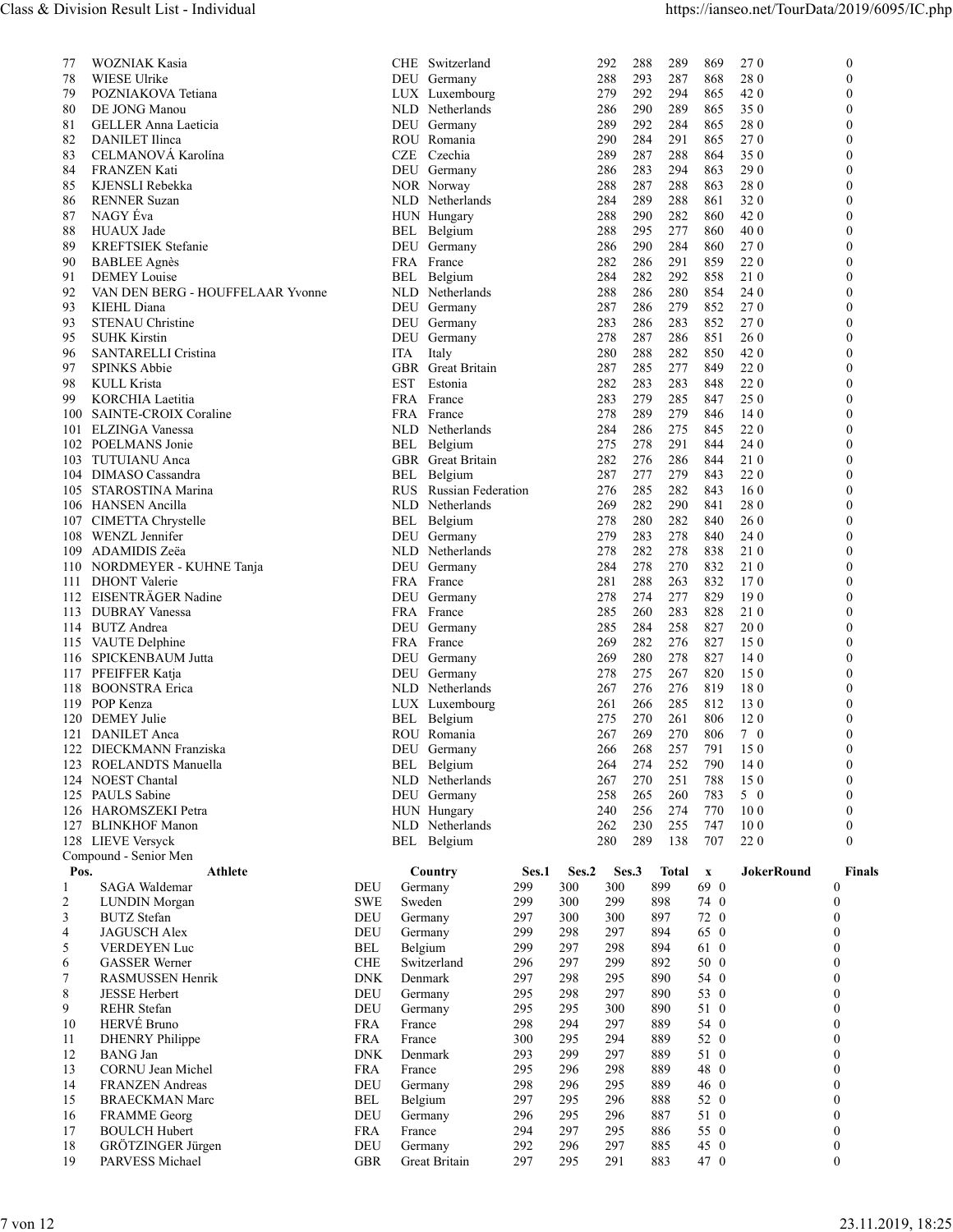| Class & Division Result List - Individual<br>https://ianseo.net/TourData/2019/6095/IC.php<br>869<br>WOZNIAK Kasia<br>CHE Switzerland<br>292<br>288<br>289<br><b>270</b><br>$\overline{0}$<br>77<br>280<br>78<br>WIESE Ulrike<br>DEU Germany<br>293<br>287<br>868<br>$\theta$<br>288<br>POZNIAKOVA Tetiana<br>279<br>292<br>294<br>865<br>42 0<br>$\Omega$<br>79<br>LUX Luxembourg<br>DE JONG Manou<br>NLD Netherlands<br>290<br>289<br>865<br>350<br>80<br>286<br>$\Omega$<br>280<br>81<br>289<br>292<br>284<br>865<br>$\Omega$<br><b>GELLER Anna Laeticia</b><br>DEU Germany<br>82<br>DANILET Ilinca<br>290<br>284<br>291<br>865<br><b>270</b><br>ROU Romania<br>$\Omega$<br>CELMANOVÁ Karolína<br>83<br>CZE Czechia<br>289<br>287<br>288<br>864<br>350<br>FRANZEN Kati<br>290<br>84<br>DEU Germany<br>286<br>283<br>294<br>863<br>$\Omega$<br>KJENSLI Rebekka<br>287<br>288<br>863<br>280<br>85<br>NOR Norway<br>288<br>$\Omega$<br><b>RENNER Suzan</b><br>320<br>86<br>NLD Netherlands<br>284<br>289<br>288<br>861<br>NAGY Éva<br>87<br>288<br>290<br>282<br>860<br>42 0<br>HUN Hungary<br>$\Omega$<br>HUAUX Jade<br>295<br>277<br>860<br>40 0<br>88<br>288<br>$\Omega$<br>BEL Belgium<br>KREFTSIEK Stefanie<br>290<br>284<br>860<br>270<br>89<br>DEU Germany<br>286<br>$\Omega$<br>282<br>286<br>291<br>859<br>220<br>90<br><b>BABLEE</b> Agnès<br>FRA France<br>292<br>858<br>91<br><b>DEMEY</b> Louise<br>284<br>282<br>21 0<br>Belgium<br>$\Omega$<br>BEL<br>92<br>VAN DEN BERG - HOUFFELAAR Yvonne<br>NLD Netherlands<br>288<br>286<br>280<br>854<br>24 0<br>$\Omega$<br>KIEHL Diana<br>DEU Germany<br>287<br>286<br>279<br>852<br>270<br>93<br>STENAU Christine<br>286<br>283<br>270<br>93<br>DEU Germany<br>283<br>852<br>$\Omega$<br>287<br>286<br>851<br>95<br><b>SUHK Kirstin</b><br>DEU Germany<br>278<br><b>260</b><br>$\Omega$<br>282<br>850<br>420<br>SANTARELLI Cristina<br>280<br>288<br>96<br>ITA Italy<br>$\Omega$<br>220<br>97<br><b>SPINKS Abbie</b><br>GBR Great Britain<br>287<br>285<br>277<br>849<br>KULL Krista<br>282<br>283<br>283<br>848<br>220<br>98<br>EST Estonia<br>$\Omega$<br>279<br>285<br>847<br>25 0<br>99<br>KORCHIA Laetitia<br>FRA France<br>283<br>$\Omega$<br>278<br>289<br>279<br>846<br>140<br>100<br>SAINTE-CROIX Coraline<br>FRA France<br>$\Omega$<br>275<br>220<br>101 ELZINGA Vanessa<br>NLD Netherlands<br>284<br>286<br>845<br>$\Omega$<br>844<br>24 0<br>102 POELMANS Jonie<br>BEL Belgium<br>275<br>278<br>291<br>GBR Great Britain<br>276<br>286<br>844<br>210<br>103 TUTUIANU Anca<br>282<br>$\Omega$<br>277<br>279<br>843<br>220<br>104 DIMASO Cassandra<br>BEL Belgium<br>287<br>$\Omega$<br>282<br>843<br>160<br>105 STAROSTINA Marina<br>RUS Russian Federation<br>276<br>285<br>282<br>290<br>841<br>280<br>106 HANSEN Ancilla<br>NLD Netherlands<br>269<br>$\Omega$<br>282<br>840<br>107 CIMETTA Chrystelle<br>BEL Belgium<br>278<br>280<br><b>260</b><br>$\Omega$<br>278<br>840<br>24 0<br>108 WENZL Jennifer<br>DEU Germany<br>279<br>283<br>109 ADAMIDIS Zeëa<br>NLD Netherlands<br>278<br>282<br>278<br>838<br>210<br>$\Omega$<br>110 NORDMEYER - KUHNE Tanja<br>DEU Germany<br>284<br>278<br>270<br>832<br>21 0<br>$\Omega$<br>288<br>263<br>832<br>170<br>111 DHONT Valerie<br>FRA France<br>281<br>$\Omega$<br>829<br>190<br>112 EISENTRÄGER Nadine<br>DEU Germany<br>278<br>274<br>277<br>$\Omega$<br>113 DUBRAY Vanessa<br>283<br>828<br>210<br>FRA France<br>285<br>260<br>114 BUTZ Andrea<br>284<br>258<br>827<br>200<br>DEU Germany<br>285<br>$\Omega$<br>282<br>276<br>827<br>150<br>FRA France<br>269<br>115 VAUTE Delphine<br>$\Omega$<br>116 SPICKENBAUM Jutta<br>827<br>140<br>DEU Germany<br>269<br>280<br>278<br>275<br>267<br>820<br>150<br>117 PFEIFFER Katja<br>DEU Germany<br>278<br>$\Omega$<br>819<br>180<br>118 BOONSTRA Erica<br>NLD Netherlands<br>267<br>276<br>276<br>$\Omega$<br>812<br>130<br>119 POP Kenza<br>LUX Luxembourg<br>261<br>266<br>285<br>$\Omega$<br>120 DEMEY Julie<br>270<br>806<br>120<br>BEL Belgium<br>275<br>261<br>$\Omega$<br>269<br>270<br>806<br>121 DANILET Anca<br>ROU Romania<br>267<br>7 0<br>268<br>257<br>150<br>122 DIECKMANN Franziska<br>DEU Germany<br>266<br>791<br>$\Omega$<br>252<br>790<br>140<br>123 ROELANDTS Manuella<br>BEL Belgium<br>274<br>264<br>$\Omega$<br>124 NOEST Chantal<br>251<br>788<br>150<br>NLD Netherlands<br>267<br>270<br>260<br>783<br>5 0<br>125 PAULS Sabine<br>DEU Germany<br>258<br>265<br>$\Omega$<br>274<br>770<br>100<br>126 HAROMSZEKI Petra<br>HUN Hungary<br>240<br>256<br>$\Omega$<br>100<br>127 BLINKHOF Manon<br>NLD Netherlands<br>262<br>230<br>255<br>747<br>$\theta$<br>128 LIEVE Versyck<br>280<br>289<br>138<br>707<br>220<br>BEL Belgium<br>$\Omega$<br>Compound - Senior Men<br>Total x<br>Pos.<br><b>Athlete</b><br>Ses.2<br>Ses.3<br><b>JokerRound</b><br><b>Finals</b><br>Country<br>Ses.1<br>SAGA Waldemar<br>899<br>69 0<br>DEU<br>299<br>300<br>300<br>Germany<br>$\Omega$<br><b>SWE</b><br>Sweden<br>299<br>299<br>74 0<br>LUNDIN Morgan<br>300<br>898<br>$\Omega$<br>2<br>3<br><b>BUTZ</b> Stefan<br>DEU<br>297<br>300<br>300<br>897<br>72 0<br>$\Omega$<br>Germany<br><b>JAGUSCH Alex</b><br>299<br>298<br>297<br>894<br>65 0<br>$\overline{4}$<br>DEU<br>Germany<br>298<br>61 0<br>5<br>VERDEYEN Luc<br>BEL<br>Belgium<br>299<br>297<br>894<br><b>GASSER</b> Werner<br><b>CHE</b><br>Switzerland<br>296<br>297<br>299<br>892<br>50 0<br>6<br>298<br>7<br><b>RASMUSSEN Henrik</b><br>Denmark<br>297<br>295<br>890<br>54 0<br><b>DNK</b><br>8<br>298<br>297<br>890<br>$\Omega$<br><b>JESSE Herbert</b><br>295<br>53 0<br>DEU<br>Germany<br>9<br>REHR Stefan<br>DEU<br>Germany<br>295<br>295<br>300<br>890<br>51 0<br>$\bf{0}$<br>54 0<br>HERVÉ Bruno<br>294<br>297<br>889<br>10<br><b>FRA</b><br>298<br>$\boldsymbol{0}$<br>France<br>300<br>295<br>52 0<br>11<br><b>DHENRY</b> Philippe<br><b>FRA</b><br>France<br>294<br>889<br>$\Omega$<br>$\Omega$<br>12<br><b>BANG</b> Jan<br><b>DNK</b><br>Denmark<br>293<br>299<br>297<br>889<br>51 0<br>CORNU Jean Michel<br>889<br>48 0<br>13<br><b>FRA</b><br>France<br>295<br>296<br>298<br>14<br><b>FRANZEN</b> Andreas<br>DEU<br>Germany<br>298<br>296<br>295<br>889<br>46 0<br>15<br>BEL<br>Belgium<br>297<br>295<br>296<br>888<br>52 0<br>$\Omega$<br><b>BRAECKMAN Marc</b><br>51 0<br><b>FRAMME</b> Georg<br>DEU<br>Germany<br>296<br>295<br>296<br>887<br>16<br>$\Omega$<br><b>BOULCH Hubert</b><br><b>FRA</b><br>294<br>297<br>295<br>886<br>55 0<br>$\Omega$<br>17<br>France<br>GRÖTZINGER Jürgen<br>18<br>DEU<br>292<br>296<br>297<br>885<br>45 0<br>$\boldsymbol{0}$<br>Germany<br>19<br>295<br>47 0<br>$\boldsymbol{0}$<br>PARVESS Michael<br><b>GBR</b><br>Great Britain<br>297<br>291<br>883<br>7 von 12 |  |  |  |  |  |  |
|-----------------------------------------------------------------------------------------------------------------------------------------------------------------------------------------------------------------------------------------------------------------------------------------------------------------------------------------------------------------------------------------------------------------------------------------------------------------------------------------------------------------------------------------------------------------------------------------------------------------------------------------------------------------------------------------------------------------------------------------------------------------------------------------------------------------------------------------------------------------------------------------------------------------------------------------------------------------------------------------------------------------------------------------------------------------------------------------------------------------------------------------------------------------------------------------------------------------------------------------------------------------------------------------------------------------------------------------------------------------------------------------------------------------------------------------------------------------------------------------------------------------------------------------------------------------------------------------------------------------------------------------------------------------------------------------------------------------------------------------------------------------------------------------------------------------------------------------------------------------------------------------------------------------------------------------------------------------------------------------------------------------------------------------------------------------------------------------------------------------------------------------------------------------------------------------------------------------------------------------------------------------------------------------------------------------------------------------------------------------------------------------------------------------------------------------------------------------------------------------------------------------------------------------------------------------------------------------------------------------------------------------------------------------------------------------------------------------------------------------------------------------------------------------------------------------------------------------------------------------------------------------------------------------------------------------------------------------------------------------------------------------------------------------------------------------------------------------------------------------------------------------------------------------------------------------------------------------------------------------------------------------------------------------------------------------------------------------------------------------------------------------------------------------------------------------------------------------------------------------------------------------------------------------------------------------------------------------------------------------------------------------------------------------------------------------------------------------------------------------------------------------------------------------------------------------------------------------------------------------------------------------------------------------------------------------------------------------------------------------------------------------------------------------------------------------------------------------------------------------------------------------------------------------------------------------------------------------------------------------------------------------------------------------------------------------------------------------------------------------------------------------------------------------------------------------------------------------------------------------------------------------------------------------------------------------------------------------------------------------------------------------------------------------------------------------------------------------------------------------------------------------------------------------------------------------------------------------------------------------------------------------------------------------------------------------------------------------------------------------------------------------------------------------------------------------------------------------------------------------------------------------------------------------------------------------------------------------------------------------------------------------------------------------------------------------------------------------------------------------------------------------------------------------------------------------------------------------------------------------------------------------------------------------------------------------------------------------------------------------------------------------------------------------------------------------------------------------------------------------------------------------------------------------------------------------------------------------------------------------------------------------------------------------------------------------------------------------------------------------------------------------------------------------------------------------------------------------------------------------------------------------------------------------------------------------------------------------------------------------------------------------------------------------------------------------------------------------------------------------------------------------------------------------------------------------------------------------------------------------------------------------------------------------------------------------------------------------------------------------------------------------------------------------------------------------------------------------------------------------------------------|--|--|--|--|--|--|
|                                                                                                                                                                                                                                                                                                                                                                                                                                                                                                                                                                                                                                                                                                                                                                                                                                                                                                                                                                                                                                                                                                                                                                                                                                                                                                                                                                                                                                                                                                                                                                                                                                                                                                                                                                                                                                                                                                                                                                                                                                                                                                                                                                                                                                                                                                                                                                                                                                                                                                                                                                                                                                                                                                                                                                                                                                                                                                                                                                                                                                                                                                                                                                                                                                                                                                                                                                                                                                                                                                                                                                                                                                                                                                                                                                                                                                                                                                                                                                                                                                                                                                                                                                                                                                                                                                                                                                                                                                                                                                                                                                                                                                                                                                                                                                                                                                                                                                                                                                                                                                                                                                                                                                                                                                                                                                                                                                                                                                                                                                                                                                                                                                                                                                                                                                                                                                                                                                                                                                                                                                                                                                                                                                                                                                                                                                                                                                                                                                                                                                                                                                                                                                                                                                                                                           |  |  |  |  |  |  |
|                                                                                                                                                                                                                                                                                                                                                                                                                                                                                                                                                                                                                                                                                                                                                                                                                                                                                                                                                                                                                                                                                                                                                                                                                                                                                                                                                                                                                                                                                                                                                                                                                                                                                                                                                                                                                                                                                                                                                                                                                                                                                                                                                                                                                                                                                                                                                                                                                                                                                                                                                                                                                                                                                                                                                                                                                                                                                                                                                                                                                                                                                                                                                                                                                                                                                                                                                                                                                                                                                                                                                                                                                                                                                                                                                                                                                                                                                                                                                                                                                                                                                                                                                                                                                                                                                                                                                                                                                                                                                                                                                                                                                                                                                                                                                                                                                                                                                                                                                                                                                                                                                                                                                                                                                                                                                                                                                                                                                                                                                                                                                                                                                                                                                                                                                                                                                                                                                                                                                                                                                                                                                                                                                                                                                                                                                                                                                                                                                                                                                                                                                                                                                                                                                                                                                           |  |  |  |  |  |  |
|                                                                                                                                                                                                                                                                                                                                                                                                                                                                                                                                                                                                                                                                                                                                                                                                                                                                                                                                                                                                                                                                                                                                                                                                                                                                                                                                                                                                                                                                                                                                                                                                                                                                                                                                                                                                                                                                                                                                                                                                                                                                                                                                                                                                                                                                                                                                                                                                                                                                                                                                                                                                                                                                                                                                                                                                                                                                                                                                                                                                                                                                                                                                                                                                                                                                                                                                                                                                                                                                                                                                                                                                                                                                                                                                                                                                                                                                                                                                                                                                                                                                                                                                                                                                                                                                                                                                                                                                                                                                                                                                                                                                                                                                                                                                                                                                                                                                                                                                                                                                                                                                                                                                                                                                                                                                                                                                                                                                                                                                                                                                                                                                                                                                                                                                                                                                                                                                                                                                                                                                                                                                                                                                                                                                                                                                                                                                                                                                                                                                                                                                                                                                                                                                                                                                                           |  |  |  |  |  |  |
|                                                                                                                                                                                                                                                                                                                                                                                                                                                                                                                                                                                                                                                                                                                                                                                                                                                                                                                                                                                                                                                                                                                                                                                                                                                                                                                                                                                                                                                                                                                                                                                                                                                                                                                                                                                                                                                                                                                                                                                                                                                                                                                                                                                                                                                                                                                                                                                                                                                                                                                                                                                                                                                                                                                                                                                                                                                                                                                                                                                                                                                                                                                                                                                                                                                                                                                                                                                                                                                                                                                                                                                                                                                                                                                                                                                                                                                                                                                                                                                                                                                                                                                                                                                                                                                                                                                                                                                                                                                                                                                                                                                                                                                                                                                                                                                                                                                                                                                                                                                                                                                                                                                                                                                                                                                                                                                                                                                                                                                                                                                                                                                                                                                                                                                                                                                                                                                                                                                                                                                                                                                                                                                                                                                                                                                                                                                                                                                                                                                                                                                                                                                                                                                                                                                                                           |  |  |  |  |  |  |
|                                                                                                                                                                                                                                                                                                                                                                                                                                                                                                                                                                                                                                                                                                                                                                                                                                                                                                                                                                                                                                                                                                                                                                                                                                                                                                                                                                                                                                                                                                                                                                                                                                                                                                                                                                                                                                                                                                                                                                                                                                                                                                                                                                                                                                                                                                                                                                                                                                                                                                                                                                                                                                                                                                                                                                                                                                                                                                                                                                                                                                                                                                                                                                                                                                                                                                                                                                                                                                                                                                                                                                                                                                                                                                                                                                                                                                                                                                                                                                                                                                                                                                                                                                                                                                                                                                                                                                                                                                                                                                                                                                                                                                                                                                                                                                                                                                                                                                                                                                                                                                                                                                                                                                                                                                                                                                                                                                                                                                                                                                                                                                                                                                                                                                                                                                                                                                                                                                                                                                                                                                                                                                                                                                                                                                                                                                                                                                                                                                                                                                                                                                                                                                                                                                                                                           |  |  |  |  |  |  |
|                                                                                                                                                                                                                                                                                                                                                                                                                                                                                                                                                                                                                                                                                                                                                                                                                                                                                                                                                                                                                                                                                                                                                                                                                                                                                                                                                                                                                                                                                                                                                                                                                                                                                                                                                                                                                                                                                                                                                                                                                                                                                                                                                                                                                                                                                                                                                                                                                                                                                                                                                                                                                                                                                                                                                                                                                                                                                                                                                                                                                                                                                                                                                                                                                                                                                                                                                                                                                                                                                                                                                                                                                                                                                                                                                                                                                                                                                                                                                                                                                                                                                                                                                                                                                                                                                                                                                                                                                                                                                                                                                                                                                                                                                                                                                                                                                                                                                                                                                                                                                                                                                                                                                                                                                                                                                                                                                                                                                                                                                                                                                                                                                                                                                                                                                                                                                                                                                                                                                                                                                                                                                                                                                                                                                                                                                                                                                                                                                                                                                                                                                                                                                                                                                                                                                           |  |  |  |  |  |  |
|                                                                                                                                                                                                                                                                                                                                                                                                                                                                                                                                                                                                                                                                                                                                                                                                                                                                                                                                                                                                                                                                                                                                                                                                                                                                                                                                                                                                                                                                                                                                                                                                                                                                                                                                                                                                                                                                                                                                                                                                                                                                                                                                                                                                                                                                                                                                                                                                                                                                                                                                                                                                                                                                                                                                                                                                                                                                                                                                                                                                                                                                                                                                                                                                                                                                                                                                                                                                                                                                                                                                                                                                                                                                                                                                                                                                                                                                                                                                                                                                                                                                                                                                                                                                                                                                                                                                                                                                                                                                                                                                                                                                                                                                                                                                                                                                                                                                                                                                                                                                                                                                                                                                                                                                                                                                                                                                                                                                                                                                                                                                                                                                                                                                                                                                                                                                                                                                                                                                                                                                                                                                                                                                                                                                                                                                                                                                                                                                                                                                                                                                                                                                                                                                                                                                                           |  |  |  |  |  |  |
|                                                                                                                                                                                                                                                                                                                                                                                                                                                                                                                                                                                                                                                                                                                                                                                                                                                                                                                                                                                                                                                                                                                                                                                                                                                                                                                                                                                                                                                                                                                                                                                                                                                                                                                                                                                                                                                                                                                                                                                                                                                                                                                                                                                                                                                                                                                                                                                                                                                                                                                                                                                                                                                                                                                                                                                                                                                                                                                                                                                                                                                                                                                                                                                                                                                                                                                                                                                                                                                                                                                                                                                                                                                                                                                                                                                                                                                                                                                                                                                                                                                                                                                                                                                                                                                                                                                                                                                                                                                                                                                                                                                                                                                                                                                                                                                                                                                                                                                                                                                                                                                                                                                                                                                                                                                                                                                                                                                                                                                                                                                                                                                                                                                                                                                                                                                                                                                                                                                                                                                                                                                                                                                                                                                                                                                                                                                                                                                                                                                                                                                                                                                                                                                                                                                                                           |  |  |  |  |  |  |
|                                                                                                                                                                                                                                                                                                                                                                                                                                                                                                                                                                                                                                                                                                                                                                                                                                                                                                                                                                                                                                                                                                                                                                                                                                                                                                                                                                                                                                                                                                                                                                                                                                                                                                                                                                                                                                                                                                                                                                                                                                                                                                                                                                                                                                                                                                                                                                                                                                                                                                                                                                                                                                                                                                                                                                                                                                                                                                                                                                                                                                                                                                                                                                                                                                                                                                                                                                                                                                                                                                                                                                                                                                                                                                                                                                                                                                                                                                                                                                                                                                                                                                                                                                                                                                                                                                                                                                                                                                                                                                                                                                                                                                                                                                                                                                                                                                                                                                                                                                                                                                                                                                                                                                                                                                                                                                                                                                                                                                                                                                                                                                                                                                                                                                                                                                                                                                                                                                                                                                                                                                                                                                                                                                                                                                                                                                                                                                                                                                                                                                                                                                                                                                                                                                                                                           |  |  |  |  |  |  |
|                                                                                                                                                                                                                                                                                                                                                                                                                                                                                                                                                                                                                                                                                                                                                                                                                                                                                                                                                                                                                                                                                                                                                                                                                                                                                                                                                                                                                                                                                                                                                                                                                                                                                                                                                                                                                                                                                                                                                                                                                                                                                                                                                                                                                                                                                                                                                                                                                                                                                                                                                                                                                                                                                                                                                                                                                                                                                                                                                                                                                                                                                                                                                                                                                                                                                                                                                                                                                                                                                                                                                                                                                                                                                                                                                                                                                                                                                                                                                                                                                                                                                                                                                                                                                                                                                                                                                                                                                                                                                                                                                                                                                                                                                                                                                                                                                                                                                                                                                                                                                                                                                                                                                                                                                                                                                                                                                                                                                                                                                                                                                                                                                                                                                                                                                                                                                                                                                                                                                                                                                                                                                                                                                                                                                                                                                                                                                                                                                                                                                                                                                                                                                                                                                                                                                           |  |  |  |  |  |  |
|                                                                                                                                                                                                                                                                                                                                                                                                                                                                                                                                                                                                                                                                                                                                                                                                                                                                                                                                                                                                                                                                                                                                                                                                                                                                                                                                                                                                                                                                                                                                                                                                                                                                                                                                                                                                                                                                                                                                                                                                                                                                                                                                                                                                                                                                                                                                                                                                                                                                                                                                                                                                                                                                                                                                                                                                                                                                                                                                                                                                                                                                                                                                                                                                                                                                                                                                                                                                                                                                                                                                                                                                                                                                                                                                                                                                                                                                                                                                                                                                                                                                                                                                                                                                                                                                                                                                                                                                                                                                                                                                                                                                                                                                                                                                                                                                                                                                                                                                                                                                                                                                                                                                                                                                                                                                                                                                                                                                                                                                                                                                                                                                                                                                                                                                                                                                                                                                                                                                                                                                                                                                                                                                                                                                                                                                                                                                                                                                                                                                                                                                                                                                                                                                                                                                                           |  |  |  |  |  |  |
|                                                                                                                                                                                                                                                                                                                                                                                                                                                                                                                                                                                                                                                                                                                                                                                                                                                                                                                                                                                                                                                                                                                                                                                                                                                                                                                                                                                                                                                                                                                                                                                                                                                                                                                                                                                                                                                                                                                                                                                                                                                                                                                                                                                                                                                                                                                                                                                                                                                                                                                                                                                                                                                                                                                                                                                                                                                                                                                                                                                                                                                                                                                                                                                                                                                                                                                                                                                                                                                                                                                                                                                                                                                                                                                                                                                                                                                                                                                                                                                                                                                                                                                                                                                                                                                                                                                                                                                                                                                                                                                                                                                                                                                                                                                                                                                                                                                                                                                                                                                                                                                                                                                                                                                                                                                                                                                                                                                                                                                                                                                                                                                                                                                                                                                                                                                                                                                                                                                                                                                                                                                                                                                                                                                                                                                                                                                                                                                                                                                                                                                                                                                                                                                                                                                                                           |  |  |  |  |  |  |
|                                                                                                                                                                                                                                                                                                                                                                                                                                                                                                                                                                                                                                                                                                                                                                                                                                                                                                                                                                                                                                                                                                                                                                                                                                                                                                                                                                                                                                                                                                                                                                                                                                                                                                                                                                                                                                                                                                                                                                                                                                                                                                                                                                                                                                                                                                                                                                                                                                                                                                                                                                                                                                                                                                                                                                                                                                                                                                                                                                                                                                                                                                                                                                                                                                                                                                                                                                                                                                                                                                                                                                                                                                                                                                                                                                                                                                                                                                                                                                                                                                                                                                                                                                                                                                                                                                                                                                                                                                                                                                                                                                                                                                                                                                                                                                                                                                                                                                                                                                                                                                                                                                                                                                                                                                                                                                                                                                                                                                                                                                                                                                                                                                                                                                                                                                                                                                                                                                                                                                                                                                                                                                                                                                                                                                                                                                                                                                                                                                                                                                                                                                                                                                                                                                                                                           |  |  |  |  |  |  |
|                                                                                                                                                                                                                                                                                                                                                                                                                                                                                                                                                                                                                                                                                                                                                                                                                                                                                                                                                                                                                                                                                                                                                                                                                                                                                                                                                                                                                                                                                                                                                                                                                                                                                                                                                                                                                                                                                                                                                                                                                                                                                                                                                                                                                                                                                                                                                                                                                                                                                                                                                                                                                                                                                                                                                                                                                                                                                                                                                                                                                                                                                                                                                                                                                                                                                                                                                                                                                                                                                                                                                                                                                                                                                                                                                                                                                                                                                                                                                                                                                                                                                                                                                                                                                                                                                                                                                                                                                                                                                                                                                                                                                                                                                                                                                                                                                                                                                                                                                                                                                                                                                                                                                                                                                                                                                                                                                                                                                                                                                                                                                                                                                                                                                                                                                                                                                                                                                                                                                                                                                                                                                                                                                                                                                                                                                                                                                                                                                                                                                                                                                                                                                                                                                                                                                           |  |  |  |  |  |  |
|                                                                                                                                                                                                                                                                                                                                                                                                                                                                                                                                                                                                                                                                                                                                                                                                                                                                                                                                                                                                                                                                                                                                                                                                                                                                                                                                                                                                                                                                                                                                                                                                                                                                                                                                                                                                                                                                                                                                                                                                                                                                                                                                                                                                                                                                                                                                                                                                                                                                                                                                                                                                                                                                                                                                                                                                                                                                                                                                                                                                                                                                                                                                                                                                                                                                                                                                                                                                                                                                                                                                                                                                                                                                                                                                                                                                                                                                                                                                                                                                                                                                                                                                                                                                                                                                                                                                                                                                                                                                                                                                                                                                                                                                                                                                                                                                                                                                                                                                                                                                                                                                                                                                                                                                                                                                                                                                                                                                                                                                                                                                                                                                                                                                                                                                                                                                                                                                                                                                                                                                                                                                                                                                                                                                                                                                                                                                                                                                                                                                                                                                                                                                                                                                                                                                                           |  |  |  |  |  |  |
|                                                                                                                                                                                                                                                                                                                                                                                                                                                                                                                                                                                                                                                                                                                                                                                                                                                                                                                                                                                                                                                                                                                                                                                                                                                                                                                                                                                                                                                                                                                                                                                                                                                                                                                                                                                                                                                                                                                                                                                                                                                                                                                                                                                                                                                                                                                                                                                                                                                                                                                                                                                                                                                                                                                                                                                                                                                                                                                                                                                                                                                                                                                                                                                                                                                                                                                                                                                                                                                                                                                                                                                                                                                                                                                                                                                                                                                                                                                                                                                                                                                                                                                                                                                                                                                                                                                                                                                                                                                                                                                                                                                                                                                                                                                                                                                                                                                                                                                                                                                                                                                                                                                                                                                                                                                                                                                                                                                                                                                                                                                                                                                                                                                                                                                                                                                                                                                                                                                                                                                                                                                                                                                                                                                                                                                                                                                                                                                                                                                                                                                                                                                                                                                                                                                                                           |  |  |  |  |  |  |
|                                                                                                                                                                                                                                                                                                                                                                                                                                                                                                                                                                                                                                                                                                                                                                                                                                                                                                                                                                                                                                                                                                                                                                                                                                                                                                                                                                                                                                                                                                                                                                                                                                                                                                                                                                                                                                                                                                                                                                                                                                                                                                                                                                                                                                                                                                                                                                                                                                                                                                                                                                                                                                                                                                                                                                                                                                                                                                                                                                                                                                                                                                                                                                                                                                                                                                                                                                                                                                                                                                                                                                                                                                                                                                                                                                                                                                                                                                                                                                                                                                                                                                                                                                                                                                                                                                                                                                                                                                                                                                                                                                                                                                                                                                                                                                                                                                                                                                                                                                                                                                                                                                                                                                                                                                                                                                                                                                                                                                                                                                                                                                                                                                                                                                                                                                                                                                                                                                                                                                                                                                                                                                                                                                                                                                                                                                                                                                                                                                                                                                                                                                                                                                                                                                                                                           |  |  |  |  |  |  |
|                                                                                                                                                                                                                                                                                                                                                                                                                                                                                                                                                                                                                                                                                                                                                                                                                                                                                                                                                                                                                                                                                                                                                                                                                                                                                                                                                                                                                                                                                                                                                                                                                                                                                                                                                                                                                                                                                                                                                                                                                                                                                                                                                                                                                                                                                                                                                                                                                                                                                                                                                                                                                                                                                                                                                                                                                                                                                                                                                                                                                                                                                                                                                                                                                                                                                                                                                                                                                                                                                                                                                                                                                                                                                                                                                                                                                                                                                                                                                                                                                                                                                                                                                                                                                                                                                                                                                                                                                                                                                                                                                                                                                                                                                                                                                                                                                                                                                                                                                                                                                                                                                                                                                                                                                                                                                                                                                                                                                                                                                                                                                                                                                                                                                                                                                                                                                                                                                                                                                                                                                                                                                                                                                                                                                                                                                                                                                                                                                                                                                                                                                                                                                                                                                                                                                           |  |  |  |  |  |  |
|                                                                                                                                                                                                                                                                                                                                                                                                                                                                                                                                                                                                                                                                                                                                                                                                                                                                                                                                                                                                                                                                                                                                                                                                                                                                                                                                                                                                                                                                                                                                                                                                                                                                                                                                                                                                                                                                                                                                                                                                                                                                                                                                                                                                                                                                                                                                                                                                                                                                                                                                                                                                                                                                                                                                                                                                                                                                                                                                                                                                                                                                                                                                                                                                                                                                                                                                                                                                                                                                                                                                                                                                                                                                                                                                                                                                                                                                                                                                                                                                                                                                                                                                                                                                                                                                                                                                                                                                                                                                                                                                                                                                                                                                                                                                                                                                                                                                                                                                                                                                                                                                                                                                                                                                                                                                                                                                                                                                                                                                                                                                                                                                                                                                                                                                                                                                                                                                                                                                                                                                                                                                                                                                                                                                                                                                                                                                                                                                                                                                                                                                                                                                                                                                                                                                                           |  |  |  |  |  |  |
|                                                                                                                                                                                                                                                                                                                                                                                                                                                                                                                                                                                                                                                                                                                                                                                                                                                                                                                                                                                                                                                                                                                                                                                                                                                                                                                                                                                                                                                                                                                                                                                                                                                                                                                                                                                                                                                                                                                                                                                                                                                                                                                                                                                                                                                                                                                                                                                                                                                                                                                                                                                                                                                                                                                                                                                                                                                                                                                                                                                                                                                                                                                                                                                                                                                                                                                                                                                                                                                                                                                                                                                                                                                                                                                                                                                                                                                                                                                                                                                                                                                                                                                                                                                                                                                                                                                                                                                                                                                                                                                                                                                                                                                                                                                                                                                                                                                                                                                                                                                                                                                                                                                                                                                                                                                                                                                                                                                                                                                                                                                                                                                                                                                                                                                                                                                                                                                                                                                                                                                                                                                                                                                                                                                                                                                                                                                                                                                                                                                                                                                                                                                                                                                                                                                                                           |  |  |  |  |  |  |
|                                                                                                                                                                                                                                                                                                                                                                                                                                                                                                                                                                                                                                                                                                                                                                                                                                                                                                                                                                                                                                                                                                                                                                                                                                                                                                                                                                                                                                                                                                                                                                                                                                                                                                                                                                                                                                                                                                                                                                                                                                                                                                                                                                                                                                                                                                                                                                                                                                                                                                                                                                                                                                                                                                                                                                                                                                                                                                                                                                                                                                                                                                                                                                                                                                                                                                                                                                                                                                                                                                                                                                                                                                                                                                                                                                                                                                                                                                                                                                                                                                                                                                                                                                                                                                                                                                                                                                                                                                                                                                                                                                                                                                                                                                                                                                                                                                                                                                                                                                                                                                                                                                                                                                                                                                                                                                                                                                                                                                                                                                                                                                                                                                                                                                                                                                                                                                                                                                                                                                                                                                                                                                                                                                                                                                                                                                                                                                                                                                                                                                                                                                                                                                                                                                                                                           |  |  |  |  |  |  |
|                                                                                                                                                                                                                                                                                                                                                                                                                                                                                                                                                                                                                                                                                                                                                                                                                                                                                                                                                                                                                                                                                                                                                                                                                                                                                                                                                                                                                                                                                                                                                                                                                                                                                                                                                                                                                                                                                                                                                                                                                                                                                                                                                                                                                                                                                                                                                                                                                                                                                                                                                                                                                                                                                                                                                                                                                                                                                                                                                                                                                                                                                                                                                                                                                                                                                                                                                                                                                                                                                                                                                                                                                                                                                                                                                                                                                                                                                                                                                                                                                                                                                                                                                                                                                                                                                                                                                                                                                                                                                                                                                                                                                                                                                                                                                                                                                                                                                                                                                                                                                                                                                                                                                                                                                                                                                                                                                                                                                                                                                                                                                                                                                                                                                                                                                                                                                                                                                                                                                                                                                                                                                                                                                                                                                                                                                                                                                                                                                                                                                                                                                                                                                                                                                                                                                           |  |  |  |  |  |  |
|                                                                                                                                                                                                                                                                                                                                                                                                                                                                                                                                                                                                                                                                                                                                                                                                                                                                                                                                                                                                                                                                                                                                                                                                                                                                                                                                                                                                                                                                                                                                                                                                                                                                                                                                                                                                                                                                                                                                                                                                                                                                                                                                                                                                                                                                                                                                                                                                                                                                                                                                                                                                                                                                                                                                                                                                                                                                                                                                                                                                                                                                                                                                                                                                                                                                                                                                                                                                                                                                                                                                                                                                                                                                                                                                                                                                                                                                                                                                                                                                                                                                                                                                                                                                                                                                                                                                                                                                                                                                                                                                                                                                                                                                                                                                                                                                                                                                                                                                                                                                                                                                                                                                                                                                                                                                                                                                                                                                                                                                                                                                                                                                                                                                                                                                                                                                                                                                                                                                                                                                                                                                                                                                                                                                                                                                                                                                                                                                                                                                                                                                                                                                                                                                                                                                                           |  |  |  |  |  |  |
|                                                                                                                                                                                                                                                                                                                                                                                                                                                                                                                                                                                                                                                                                                                                                                                                                                                                                                                                                                                                                                                                                                                                                                                                                                                                                                                                                                                                                                                                                                                                                                                                                                                                                                                                                                                                                                                                                                                                                                                                                                                                                                                                                                                                                                                                                                                                                                                                                                                                                                                                                                                                                                                                                                                                                                                                                                                                                                                                                                                                                                                                                                                                                                                                                                                                                                                                                                                                                                                                                                                                                                                                                                                                                                                                                                                                                                                                                                                                                                                                                                                                                                                                                                                                                                                                                                                                                                                                                                                                                                                                                                                                                                                                                                                                                                                                                                                                                                                                                                                                                                                                                                                                                                                                                                                                                                                                                                                                                                                                                                                                                                                                                                                                                                                                                                                                                                                                                                                                                                                                                                                                                                                                                                                                                                                                                                                                                                                                                                                                                                                                                                                                                                                                                                                                                           |  |  |  |  |  |  |
|                                                                                                                                                                                                                                                                                                                                                                                                                                                                                                                                                                                                                                                                                                                                                                                                                                                                                                                                                                                                                                                                                                                                                                                                                                                                                                                                                                                                                                                                                                                                                                                                                                                                                                                                                                                                                                                                                                                                                                                                                                                                                                                                                                                                                                                                                                                                                                                                                                                                                                                                                                                                                                                                                                                                                                                                                                                                                                                                                                                                                                                                                                                                                                                                                                                                                                                                                                                                                                                                                                                                                                                                                                                                                                                                                                                                                                                                                                                                                                                                                                                                                                                                                                                                                                                                                                                                                                                                                                                                                                                                                                                                                                                                                                                                                                                                                                                                                                                                                                                                                                                                                                                                                                                                                                                                                                                                                                                                                                                                                                                                                                                                                                                                                                                                                                                                                                                                                                                                                                                                                                                                                                                                                                                                                                                                                                                                                                                                                                                                                                                                                                                                                                                                                                                                                           |  |  |  |  |  |  |
|                                                                                                                                                                                                                                                                                                                                                                                                                                                                                                                                                                                                                                                                                                                                                                                                                                                                                                                                                                                                                                                                                                                                                                                                                                                                                                                                                                                                                                                                                                                                                                                                                                                                                                                                                                                                                                                                                                                                                                                                                                                                                                                                                                                                                                                                                                                                                                                                                                                                                                                                                                                                                                                                                                                                                                                                                                                                                                                                                                                                                                                                                                                                                                                                                                                                                                                                                                                                                                                                                                                                                                                                                                                                                                                                                                                                                                                                                                                                                                                                                                                                                                                                                                                                                                                                                                                                                                                                                                                                                                                                                                                                                                                                                                                                                                                                                                                                                                                                                                                                                                                                                                                                                                                                                                                                                                                                                                                                                                                                                                                                                                                                                                                                                                                                                                                                                                                                                                                                                                                                                                                                                                                                                                                                                                                                                                                                                                                                                                                                                                                                                                                                                                                                                                                                                           |  |  |  |  |  |  |
|                                                                                                                                                                                                                                                                                                                                                                                                                                                                                                                                                                                                                                                                                                                                                                                                                                                                                                                                                                                                                                                                                                                                                                                                                                                                                                                                                                                                                                                                                                                                                                                                                                                                                                                                                                                                                                                                                                                                                                                                                                                                                                                                                                                                                                                                                                                                                                                                                                                                                                                                                                                                                                                                                                                                                                                                                                                                                                                                                                                                                                                                                                                                                                                                                                                                                                                                                                                                                                                                                                                                                                                                                                                                                                                                                                                                                                                                                                                                                                                                                                                                                                                                                                                                                                                                                                                                                                                                                                                                                                                                                                                                                                                                                                                                                                                                                                                                                                                                                                                                                                                                                                                                                                                                                                                                                                                                                                                                                                                                                                                                                                                                                                                                                                                                                                                                                                                                                                                                                                                                                                                                                                                                                                                                                                                                                                                                                                                                                                                                                                                                                                                                                                                                                                                                                           |  |  |  |  |  |  |
|                                                                                                                                                                                                                                                                                                                                                                                                                                                                                                                                                                                                                                                                                                                                                                                                                                                                                                                                                                                                                                                                                                                                                                                                                                                                                                                                                                                                                                                                                                                                                                                                                                                                                                                                                                                                                                                                                                                                                                                                                                                                                                                                                                                                                                                                                                                                                                                                                                                                                                                                                                                                                                                                                                                                                                                                                                                                                                                                                                                                                                                                                                                                                                                                                                                                                                                                                                                                                                                                                                                                                                                                                                                                                                                                                                                                                                                                                                                                                                                                                                                                                                                                                                                                                                                                                                                                                                                                                                                                                                                                                                                                                                                                                                                                                                                                                                                                                                                                                                                                                                                                                                                                                                                                                                                                                                                                                                                                                                                                                                                                                                                                                                                                                                                                                                                                                                                                                                                                                                                                                                                                                                                                                                                                                                                                                                                                                                                                                                                                                                                                                                                                                                                                                                                                                           |  |  |  |  |  |  |
|                                                                                                                                                                                                                                                                                                                                                                                                                                                                                                                                                                                                                                                                                                                                                                                                                                                                                                                                                                                                                                                                                                                                                                                                                                                                                                                                                                                                                                                                                                                                                                                                                                                                                                                                                                                                                                                                                                                                                                                                                                                                                                                                                                                                                                                                                                                                                                                                                                                                                                                                                                                                                                                                                                                                                                                                                                                                                                                                                                                                                                                                                                                                                                                                                                                                                                                                                                                                                                                                                                                                                                                                                                                                                                                                                                                                                                                                                                                                                                                                                                                                                                                                                                                                                                                                                                                                                                                                                                                                                                                                                                                                                                                                                                                                                                                                                                                                                                                                                                                                                                                                                                                                                                                                                                                                                                                                                                                                                                                                                                                                                                                                                                                                                                                                                                                                                                                                                                                                                                                                                                                                                                                                                                                                                                                                                                                                                                                                                                                                                                                                                                                                                                                                                                                                                           |  |  |  |  |  |  |
|                                                                                                                                                                                                                                                                                                                                                                                                                                                                                                                                                                                                                                                                                                                                                                                                                                                                                                                                                                                                                                                                                                                                                                                                                                                                                                                                                                                                                                                                                                                                                                                                                                                                                                                                                                                                                                                                                                                                                                                                                                                                                                                                                                                                                                                                                                                                                                                                                                                                                                                                                                                                                                                                                                                                                                                                                                                                                                                                                                                                                                                                                                                                                                                                                                                                                                                                                                                                                                                                                                                                                                                                                                                                                                                                                                                                                                                                                                                                                                                                                                                                                                                                                                                                                                                                                                                                                                                                                                                                                                                                                                                                                                                                                                                                                                                                                                                                                                                                                                                                                                                                                                                                                                                                                                                                                                                                                                                                                                                                                                                                                                                                                                                                                                                                                                                                                                                                                                                                                                                                                                                                                                                                                                                                                                                                                                                                                                                                                                                                                                                                                                                                                                                                                                                                                           |  |  |  |  |  |  |
|                                                                                                                                                                                                                                                                                                                                                                                                                                                                                                                                                                                                                                                                                                                                                                                                                                                                                                                                                                                                                                                                                                                                                                                                                                                                                                                                                                                                                                                                                                                                                                                                                                                                                                                                                                                                                                                                                                                                                                                                                                                                                                                                                                                                                                                                                                                                                                                                                                                                                                                                                                                                                                                                                                                                                                                                                                                                                                                                                                                                                                                                                                                                                                                                                                                                                                                                                                                                                                                                                                                                                                                                                                                                                                                                                                                                                                                                                                                                                                                                                                                                                                                                                                                                                                                                                                                                                                                                                                                                                                                                                                                                                                                                                                                                                                                                                                                                                                                                                                                                                                                                                                                                                                                                                                                                                                                                                                                                                                                                                                                                                                                                                                                                                                                                                                                                                                                                                                                                                                                                                                                                                                                                                                                                                                                                                                                                                                                                                                                                                                                                                                                                                                                                                                                                                           |  |  |  |  |  |  |
|                                                                                                                                                                                                                                                                                                                                                                                                                                                                                                                                                                                                                                                                                                                                                                                                                                                                                                                                                                                                                                                                                                                                                                                                                                                                                                                                                                                                                                                                                                                                                                                                                                                                                                                                                                                                                                                                                                                                                                                                                                                                                                                                                                                                                                                                                                                                                                                                                                                                                                                                                                                                                                                                                                                                                                                                                                                                                                                                                                                                                                                                                                                                                                                                                                                                                                                                                                                                                                                                                                                                                                                                                                                                                                                                                                                                                                                                                                                                                                                                                                                                                                                                                                                                                                                                                                                                                                                                                                                                                                                                                                                                                                                                                                                                                                                                                                                                                                                                                                                                                                                                                                                                                                                                                                                                                                                                                                                                                                                                                                                                                                                                                                                                                                                                                                                                                                                                                                                                                                                                                                                                                                                                                                                                                                                                                                                                                                                                                                                                                                                                                                                                                                                                                                                                                           |  |  |  |  |  |  |
|                                                                                                                                                                                                                                                                                                                                                                                                                                                                                                                                                                                                                                                                                                                                                                                                                                                                                                                                                                                                                                                                                                                                                                                                                                                                                                                                                                                                                                                                                                                                                                                                                                                                                                                                                                                                                                                                                                                                                                                                                                                                                                                                                                                                                                                                                                                                                                                                                                                                                                                                                                                                                                                                                                                                                                                                                                                                                                                                                                                                                                                                                                                                                                                                                                                                                                                                                                                                                                                                                                                                                                                                                                                                                                                                                                                                                                                                                                                                                                                                                                                                                                                                                                                                                                                                                                                                                                                                                                                                                                                                                                                                                                                                                                                                                                                                                                                                                                                                                                                                                                                                                                                                                                                                                                                                                                                                                                                                                                                                                                                                                                                                                                                                                                                                                                                                                                                                                                                                                                                                                                                                                                                                                                                                                                                                                                                                                                                                                                                                                                                                                                                                                                                                                                                                                           |  |  |  |  |  |  |
|                                                                                                                                                                                                                                                                                                                                                                                                                                                                                                                                                                                                                                                                                                                                                                                                                                                                                                                                                                                                                                                                                                                                                                                                                                                                                                                                                                                                                                                                                                                                                                                                                                                                                                                                                                                                                                                                                                                                                                                                                                                                                                                                                                                                                                                                                                                                                                                                                                                                                                                                                                                                                                                                                                                                                                                                                                                                                                                                                                                                                                                                                                                                                                                                                                                                                                                                                                                                                                                                                                                                                                                                                                                                                                                                                                                                                                                                                                                                                                                                                                                                                                                                                                                                                                                                                                                                                                                                                                                                                                                                                                                                                                                                                                                                                                                                                                                                                                                                                                                                                                                                                                                                                                                                                                                                                                                                                                                                                                                                                                                                                                                                                                                                                                                                                                                                                                                                                                                                                                                                                                                                                                                                                                                                                                                                                                                                                                                                                                                                                                                                                                                                                                                                                                                                                           |  |  |  |  |  |  |
|                                                                                                                                                                                                                                                                                                                                                                                                                                                                                                                                                                                                                                                                                                                                                                                                                                                                                                                                                                                                                                                                                                                                                                                                                                                                                                                                                                                                                                                                                                                                                                                                                                                                                                                                                                                                                                                                                                                                                                                                                                                                                                                                                                                                                                                                                                                                                                                                                                                                                                                                                                                                                                                                                                                                                                                                                                                                                                                                                                                                                                                                                                                                                                                                                                                                                                                                                                                                                                                                                                                                                                                                                                                                                                                                                                                                                                                                                                                                                                                                                                                                                                                                                                                                                                                                                                                                                                                                                                                                                                                                                                                                                                                                                                                                                                                                                                                                                                                                                                                                                                                                                                                                                                                                                                                                                                                                                                                                                                                                                                                                                                                                                                                                                                                                                                                                                                                                                                                                                                                                                                                                                                                                                                                                                                                                                                                                                                                                                                                                                                                                                                                                                                                                                                                                                           |  |  |  |  |  |  |
|                                                                                                                                                                                                                                                                                                                                                                                                                                                                                                                                                                                                                                                                                                                                                                                                                                                                                                                                                                                                                                                                                                                                                                                                                                                                                                                                                                                                                                                                                                                                                                                                                                                                                                                                                                                                                                                                                                                                                                                                                                                                                                                                                                                                                                                                                                                                                                                                                                                                                                                                                                                                                                                                                                                                                                                                                                                                                                                                                                                                                                                                                                                                                                                                                                                                                                                                                                                                                                                                                                                                                                                                                                                                                                                                                                                                                                                                                                                                                                                                                                                                                                                                                                                                                                                                                                                                                                                                                                                                                                                                                                                                                                                                                                                                                                                                                                                                                                                                                                                                                                                                                                                                                                                                                                                                                                                                                                                                                                                                                                                                                                                                                                                                                                                                                                                                                                                                                                                                                                                                                                                                                                                                                                                                                                                                                                                                                                                                                                                                                                                                                                                                                                                                                                                                                           |  |  |  |  |  |  |
|                                                                                                                                                                                                                                                                                                                                                                                                                                                                                                                                                                                                                                                                                                                                                                                                                                                                                                                                                                                                                                                                                                                                                                                                                                                                                                                                                                                                                                                                                                                                                                                                                                                                                                                                                                                                                                                                                                                                                                                                                                                                                                                                                                                                                                                                                                                                                                                                                                                                                                                                                                                                                                                                                                                                                                                                                                                                                                                                                                                                                                                                                                                                                                                                                                                                                                                                                                                                                                                                                                                                                                                                                                                                                                                                                                                                                                                                                                                                                                                                                                                                                                                                                                                                                                                                                                                                                                                                                                                                                                                                                                                                                                                                                                                                                                                                                                                                                                                                                                                                                                                                                                                                                                                                                                                                                                                                                                                                                                                                                                                                                                                                                                                                                                                                                                                                                                                                                                                                                                                                                                                                                                                                                                                                                                                                                                                                                                                                                                                                                                                                                                                                                                                                                                                                                           |  |  |  |  |  |  |
|                                                                                                                                                                                                                                                                                                                                                                                                                                                                                                                                                                                                                                                                                                                                                                                                                                                                                                                                                                                                                                                                                                                                                                                                                                                                                                                                                                                                                                                                                                                                                                                                                                                                                                                                                                                                                                                                                                                                                                                                                                                                                                                                                                                                                                                                                                                                                                                                                                                                                                                                                                                                                                                                                                                                                                                                                                                                                                                                                                                                                                                                                                                                                                                                                                                                                                                                                                                                                                                                                                                                                                                                                                                                                                                                                                                                                                                                                                                                                                                                                                                                                                                                                                                                                                                                                                                                                                                                                                                                                                                                                                                                                                                                                                                                                                                                                                                                                                                                                                                                                                                                                                                                                                                                                                                                                                                                                                                                                                                                                                                                                                                                                                                                                                                                                                                                                                                                                                                                                                                                                                                                                                                                                                                                                                                                                                                                                                                                                                                                                                                                                                                                                                                                                                                                                           |  |  |  |  |  |  |
|                                                                                                                                                                                                                                                                                                                                                                                                                                                                                                                                                                                                                                                                                                                                                                                                                                                                                                                                                                                                                                                                                                                                                                                                                                                                                                                                                                                                                                                                                                                                                                                                                                                                                                                                                                                                                                                                                                                                                                                                                                                                                                                                                                                                                                                                                                                                                                                                                                                                                                                                                                                                                                                                                                                                                                                                                                                                                                                                                                                                                                                                                                                                                                                                                                                                                                                                                                                                                                                                                                                                                                                                                                                                                                                                                                                                                                                                                                                                                                                                                                                                                                                                                                                                                                                                                                                                                                                                                                                                                                                                                                                                                                                                                                                                                                                                                                                                                                                                                                                                                                                                                                                                                                                                                                                                                                                                                                                                                                                                                                                                                                                                                                                                                                                                                                                                                                                                                                                                                                                                                                                                                                                                                                                                                                                                                                                                                                                                                                                                                                                                                                                                                                                                                                                                                           |  |  |  |  |  |  |
|                                                                                                                                                                                                                                                                                                                                                                                                                                                                                                                                                                                                                                                                                                                                                                                                                                                                                                                                                                                                                                                                                                                                                                                                                                                                                                                                                                                                                                                                                                                                                                                                                                                                                                                                                                                                                                                                                                                                                                                                                                                                                                                                                                                                                                                                                                                                                                                                                                                                                                                                                                                                                                                                                                                                                                                                                                                                                                                                                                                                                                                                                                                                                                                                                                                                                                                                                                                                                                                                                                                                                                                                                                                                                                                                                                                                                                                                                                                                                                                                                                                                                                                                                                                                                                                                                                                                                                                                                                                                                                                                                                                                                                                                                                                                                                                                                                                                                                                                                                                                                                                                                                                                                                                                                                                                                                                                                                                                                                                                                                                                                                                                                                                                                                                                                                                                                                                                                                                                                                                                                                                                                                                                                                                                                                                                                                                                                                                                                                                                                                                                                                                                                                                                                                                                                           |  |  |  |  |  |  |
|                                                                                                                                                                                                                                                                                                                                                                                                                                                                                                                                                                                                                                                                                                                                                                                                                                                                                                                                                                                                                                                                                                                                                                                                                                                                                                                                                                                                                                                                                                                                                                                                                                                                                                                                                                                                                                                                                                                                                                                                                                                                                                                                                                                                                                                                                                                                                                                                                                                                                                                                                                                                                                                                                                                                                                                                                                                                                                                                                                                                                                                                                                                                                                                                                                                                                                                                                                                                                                                                                                                                                                                                                                                                                                                                                                                                                                                                                                                                                                                                                                                                                                                                                                                                                                                                                                                                                                                                                                                                                                                                                                                                                                                                                                                                                                                                                                                                                                                                                                                                                                                                                                                                                                                                                                                                                                                                                                                                                                                                                                                                                                                                                                                                                                                                                                                                                                                                                                                                                                                                                                                                                                                                                                                                                                                                                                                                                                                                                                                                                                                                                                                                                                                                                                                                                           |  |  |  |  |  |  |
|                                                                                                                                                                                                                                                                                                                                                                                                                                                                                                                                                                                                                                                                                                                                                                                                                                                                                                                                                                                                                                                                                                                                                                                                                                                                                                                                                                                                                                                                                                                                                                                                                                                                                                                                                                                                                                                                                                                                                                                                                                                                                                                                                                                                                                                                                                                                                                                                                                                                                                                                                                                                                                                                                                                                                                                                                                                                                                                                                                                                                                                                                                                                                                                                                                                                                                                                                                                                                                                                                                                                                                                                                                                                                                                                                                                                                                                                                                                                                                                                                                                                                                                                                                                                                                                                                                                                                                                                                                                                                                                                                                                                                                                                                                                                                                                                                                                                                                                                                                                                                                                                                                                                                                                                                                                                                                                                                                                                                                                                                                                                                                                                                                                                                                                                                                                                                                                                                                                                                                                                                                                                                                                                                                                                                                                                                                                                                                                                                                                                                                                                                                                                                                                                                                                                                           |  |  |  |  |  |  |
|                                                                                                                                                                                                                                                                                                                                                                                                                                                                                                                                                                                                                                                                                                                                                                                                                                                                                                                                                                                                                                                                                                                                                                                                                                                                                                                                                                                                                                                                                                                                                                                                                                                                                                                                                                                                                                                                                                                                                                                                                                                                                                                                                                                                                                                                                                                                                                                                                                                                                                                                                                                                                                                                                                                                                                                                                                                                                                                                                                                                                                                                                                                                                                                                                                                                                                                                                                                                                                                                                                                                                                                                                                                                                                                                                                                                                                                                                                                                                                                                                                                                                                                                                                                                                                                                                                                                                                                                                                                                                                                                                                                                                                                                                                                                                                                                                                                                                                                                                                                                                                                                                                                                                                                                                                                                                                                                                                                                                                                                                                                                                                                                                                                                                                                                                                                                                                                                                                                                                                                                                                                                                                                                                                                                                                                                                                                                                                                                                                                                                                                                                                                                                                                                                                                                                           |  |  |  |  |  |  |
|                                                                                                                                                                                                                                                                                                                                                                                                                                                                                                                                                                                                                                                                                                                                                                                                                                                                                                                                                                                                                                                                                                                                                                                                                                                                                                                                                                                                                                                                                                                                                                                                                                                                                                                                                                                                                                                                                                                                                                                                                                                                                                                                                                                                                                                                                                                                                                                                                                                                                                                                                                                                                                                                                                                                                                                                                                                                                                                                                                                                                                                                                                                                                                                                                                                                                                                                                                                                                                                                                                                                                                                                                                                                                                                                                                                                                                                                                                                                                                                                                                                                                                                                                                                                                                                                                                                                                                                                                                                                                                                                                                                                                                                                                                                                                                                                                                                                                                                                                                                                                                                                                                                                                                                                                                                                                                                                                                                                                                                                                                                                                                                                                                                                                                                                                                                                                                                                                                                                                                                                                                                                                                                                                                                                                                                                                                                                                                                                                                                                                                                                                                                                                                                                                                                                                           |  |  |  |  |  |  |
|                                                                                                                                                                                                                                                                                                                                                                                                                                                                                                                                                                                                                                                                                                                                                                                                                                                                                                                                                                                                                                                                                                                                                                                                                                                                                                                                                                                                                                                                                                                                                                                                                                                                                                                                                                                                                                                                                                                                                                                                                                                                                                                                                                                                                                                                                                                                                                                                                                                                                                                                                                                                                                                                                                                                                                                                                                                                                                                                                                                                                                                                                                                                                                                                                                                                                                                                                                                                                                                                                                                                                                                                                                                                                                                                                                                                                                                                                                                                                                                                                                                                                                                                                                                                                                                                                                                                                                                                                                                                                                                                                                                                                                                                                                                                                                                                                                                                                                                                                                                                                                                                                                                                                                                                                                                                                                                                                                                                                                                                                                                                                                                                                                                                                                                                                                                                                                                                                                                                                                                                                                                                                                                                                                                                                                                                                                                                                                                                                                                                                                                                                                                                                                                                                                                                                           |  |  |  |  |  |  |
|                                                                                                                                                                                                                                                                                                                                                                                                                                                                                                                                                                                                                                                                                                                                                                                                                                                                                                                                                                                                                                                                                                                                                                                                                                                                                                                                                                                                                                                                                                                                                                                                                                                                                                                                                                                                                                                                                                                                                                                                                                                                                                                                                                                                                                                                                                                                                                                                                                                                                                                                                                                                                                                                                                                                                                                                                                                                                                                                                                                                                                                                                                                                                                                                                                                                                                                                                                                                                                                                                                                                                                                                                                                                                                                                                                                                                                                                                                                                                                                                                                                                                                                                                                                                                                                                                                                                                                                                                                                                                                                                                                                                                                                                                                                                                                                                                                                                                                                                                                                                                                                                                                                                                                                                                                                                                                                                                                                                                                                                                                                                                                                                                                                                                                                                                                                                                                                                                                                                                                                                                                                                                                                                                                                                                                                                                                                                                                                                                                                                                                                                                                                                                                                                                                                                                           |  |  |  |  |  |  |
|                                                                                                                                                                                                                                                                                                                                                                                                                                                                                                                                                                                                                                                                                                                                                                                                                                                                                                                                                                                                                                                                                                                                                                                                                                                                                                                                                                                                                                                                                                                                                                                                                                                                                                                                                                                                                                                                                                                                                                                                                                                                                                                                                                                                                                                                                                                                                                                                                                                                                                                                                                                                                                                                                                                                                                                                                                                                                                                                                                                                                                                                                                                                                                                                                                                                                                                                                                                                                                                                                                                                                                                                                                                                                                                                                                                                                                                                                                                                                                                                                                                                                                                                                                                                                                                                                                                                                                                                                                                                                                                                                                                                                                                                                                                                                                                                                                                                                                                                                                                                                                                                                                                                                                                                                                                                                                                                                                                                                                                                                                                                                                                                                                                                                                                                                                                                                                                                                                                                                                                                                                                                                                                                                                                                                                                                                                                                                                                                                                                                                                                                                                                                                                                                                                                                                           |  |  |  |  |  |  |
|                                                                                                                                                                                                                                                                                                                                                                                                                                                                                                                                                                                                                                                                                                                                                                                                                                                                                                                                                                                                                                                                                                                                                                                                                                                                                                                                                                                                                                                                                                                                                                                                                                                                                                                                                                                                                                                                                                                                                                                                                                                                                                                                                                                                                                                                                                                                                                                                                                                                                                                                                                                                                                                                                                                                                                                                                                                                                                                                                                                                                                                                                                                                                                                                                                                                                                                                                                                                                                                                                                                                                                                                                                                                                                                                                                                                                                                                                                                                                                                                                                                                                                                                                                                                                                                                                                                                                                                                                                                                                                                                                                                                                                                                                                                                                                                                                                                                                                                                                                                                                                                                                                                                                                                                                                                                                                                                                                                                                                                                                                                                                                                                                                                                                                                                                                                                                                                                                                                                                                                                                                                                                                                                                                                                                                                                                                                                                                                                                                                                                                                                                                                                                                                                                                                                                           |  |  |  |  |  |  |
|                                                                                                                                                                                                                                                                                                                                                                                                                                                                                                                                                                                                                                                                                                                                                                                                                                                                                                                                                                                                                                                                                                                                                                                                                                                                                                                                                                                                                                                                                                                                                                                                                                                                                                                                                                                                                                                                                                                                                                                                                                                                                                                                                                                                                                                                                                                                                                                                                                                                                                                                                                                                                                                                                                                                                                                                                                                                                                                                                                                                                                                                                                                                                                                                                                                                                                                                                                                                                                                                                                                                                                                                                                                                                                                                                                                                                                                                                                                                                                                                                                                                                                                                                                                                                                                                                                                                                                                                                                                                                                                                                                                                                                                                                                                                                                                                                                                                                                                                                                                                                                                                                                                                                                                                                                                                                                                                                                                                                                                                                                                                                                                                                                                                                                                                                                                                                                                                                                                                                                                                                                                                                                                                                                                                                                                                                                                                                                                                                                                                                                                                                                                                                                                                                                                                                           |  |  |  |  |  |  |
|                                                                                                                                                                                                                                                                                                                                                                                                                                                                                                                                                                                                                                                                                                                                                                                                                                                                                                                                                                                                                                                                                                                                                                                                                                                                                                                                                                                                                                                                                                                                                                                                                                                                                                                                                                                                                                                                                                                                                                                                                                                                                                                                                                                                                                                                                                                                                                                                                                                                                                                                                                                                                                                                                                                                                                                                                                                                                                                                                                                                                                                                                                                                                                                                                                                                                                                                                                                                                                                                                                                                                                                                                                                                                                                                                                                                                                                                                                                                                                                                                                                                                                                                                                                                                                                                                                                                                                                                                                                                                                                                                                                                                                                                                                                                                                                                                                                                                                                                                                                                                                                                                                                                                                                                                                                                                                                                                                                                                                                                                                                                                                                                                                                                                                                                                                                                                                                                                                                                                                                                                                                                                                                                                                                                                                                                                                                                                                                                                                                                                                                                                                                                                                                                                                                                                           |  |  |  |  |  |  |
|                                                                                                                                                                                                                                                                                                                                                                                                                                                                                                                                                                                                                                                                                                                                                                                                                                                                                                                                                                                                                                                                                                                                                                                                                                                                                                                                                                                                                                                                                                                                                                                                                                                                                                                                                                                                                                                                                                                                                                                                                                                                                                                                                                                                                                                                                                                                                                                                                                                                                                                                                                                                                                                                                                                                                                                                                                                                                                                                                                                                                                                                                                                                                                                                                                                                                                                                                                                                                                                                                                                                                                                                                                                                                                                                                                                                                                                                                                                                                                                                                                                                                                                                                                                                                                                                                                                                                                                                                                                                                                                                                                                                                                                                                                                                                                                                                                                                                                                                                                                                                                                                                                                                                                                                                                                                                                                                                                                                                                                                                                                                                                                                                                                                                                                                                                                                                                                                                                                                                                                                                                                                                                                                                                                                                                                                                                                                                                                                                                                                                                                                                                                                                                                                                                                                                           |  |  |  |  |  |  |
|                                                                                                                                                                                                                                                                                                                                                                                                                                                                                                                                                                                                                                                                                                                                                                                                                                                                                                                                                                                                                                                                                                                                                                                                                                                                                                                                                                                                                                                                                                                                                                                                                                                                                                                                                                                                                                                                                                                                                                                                                                                                                                                                                                                                                                                                                                                                                                                                                                                                                                                                                                                                                                                                                                                                                                                                                                                                                                                                                                                                                                                                                                                                                                                                                                                                                                                                                                                                                                                                                                                                                                                                                                                                                                                                                                                                                                                                                                                                                                                                                                                                                                                                                                                                                                                                                                                                                                                                                                                                                                                                                                                                                                                                                                                                                                                                                                                                                                                                                                                                                                                                                                                                                                                                                                                                                                                                                                                                                                                                                                                                                                                                                                                                                                                                                                                                                                                                                                                                                                                                                                                                                                                                                                                                                                                                                                                                                                                                                                                                                                                                                                                                                                                                                                                                                           |  |  |  |  |  |  |
|                                                                                                                                                                                                                                                                                                                                                                                                                                                                                                                                                                                                                                                                                                                                                                                                                                                                                                                                                                                                                                                                                                                                                                                                                                                                                                                                                                                                                                                                                                                                                                                                                                                                                                                                                                                                                                                                                                                                                                                                                                                                                                                                                                                                                                                                                                                                                                                                                                                                                                                                                                                                                                                                                                                                                                                                                                                                                                                                                                                                                                                                                                                                                                                                                                                                                                                                                                                                                                                                                                                                                                                                                                                                                                                                                                                                                                                                                                                                                                                                                                                                                                                                                                                                                                                                                                                                                                                                                                                                                                                                                                                                                                                                                                                                                                                                                                                                                                                                                                                                                                                                                                                                                                                                                                                                                                                                                                                                                                                                                                                                                                                                                                                                                                                                                                                                                                                                                                                                                                                                                                                                                                                                                                                                                                                                                                                                                                                                                                                                                                                                                                                                                                                                                                                                                           |  |  |  |  |  |  |
|                                                                                                                                                                                                                                                                                                                                                                                                                                                                                                                                                                                                                                                                                                                                                                                                                                                                                                                                                                                                                                                                                                                                                                                                                                                                                                                                                                                                                                                                                                                                                                                                                                                                                                                                                                                                                                                                                                                                                                                                                                                                                                                                                                                                                                                                                                                                                                                                                                                                                                                                                                                                                                                                                                                                                                                                                                                                                                                                                                                                                                                                                                                                                                                                                                                                                                                                                                                                                                                                                                                                                                                                                                                                                                                                                                                                                                                                                                                                                                                                                                                                                                                                                                                                                                                                                                                                                                                                                                                                                                                                                                                                                                                                                                                                                                                                                                                                                                                                                                                                                                                                                                                                                                                                                                                                                                                                                                                                                                                                                                                                                                                                                                                                                                                                                                                                                                                                                                                                                                                                                                                                                                                                                                                                                                                                                                                                                                                                                                                                                                                                                                                                                                                                                                                                                           |  |  |  |  |  |  |
| 23.11.2019, 18:25                                                                                                                                                                                                                                                                                                                                                                                                                                                                                                                                                                                                                                                                                                                                                                                                                                                                                                                                                                                                                                                                                                                                                                                                                                                                                                                                                                                                                                                                                                                                                                                                                                                                                                                                                                                                                                                                                                                                                                                                                                                                                                                                                                                                                                                                                                                                                                                                                                                                                                                                                                                                                                                                                                                                                                                                                                                                                                                                                                                                                                                                                                                                                                                                                                                                                                                                                                                                                                                                                                                                                                                                                                                                                                                                                                                                                                                                                                                                                                                                                                                                                                                                                                                                                                                                                                                                                                                                                                                                                                                                                                                                                                                                                                                                                                                                                                                                                                                                                                                                                                                                                                                                                                                                                                                                                                                                                                                                                                                                                                                                                                                                                                                                                                                                                                                                                                                                                                                                                                                                                                                                                                                                                                                                                                                                                                                                                                                                                                                                                                                                                                                                                                                                                                                                         |  |  |  |  |  |  |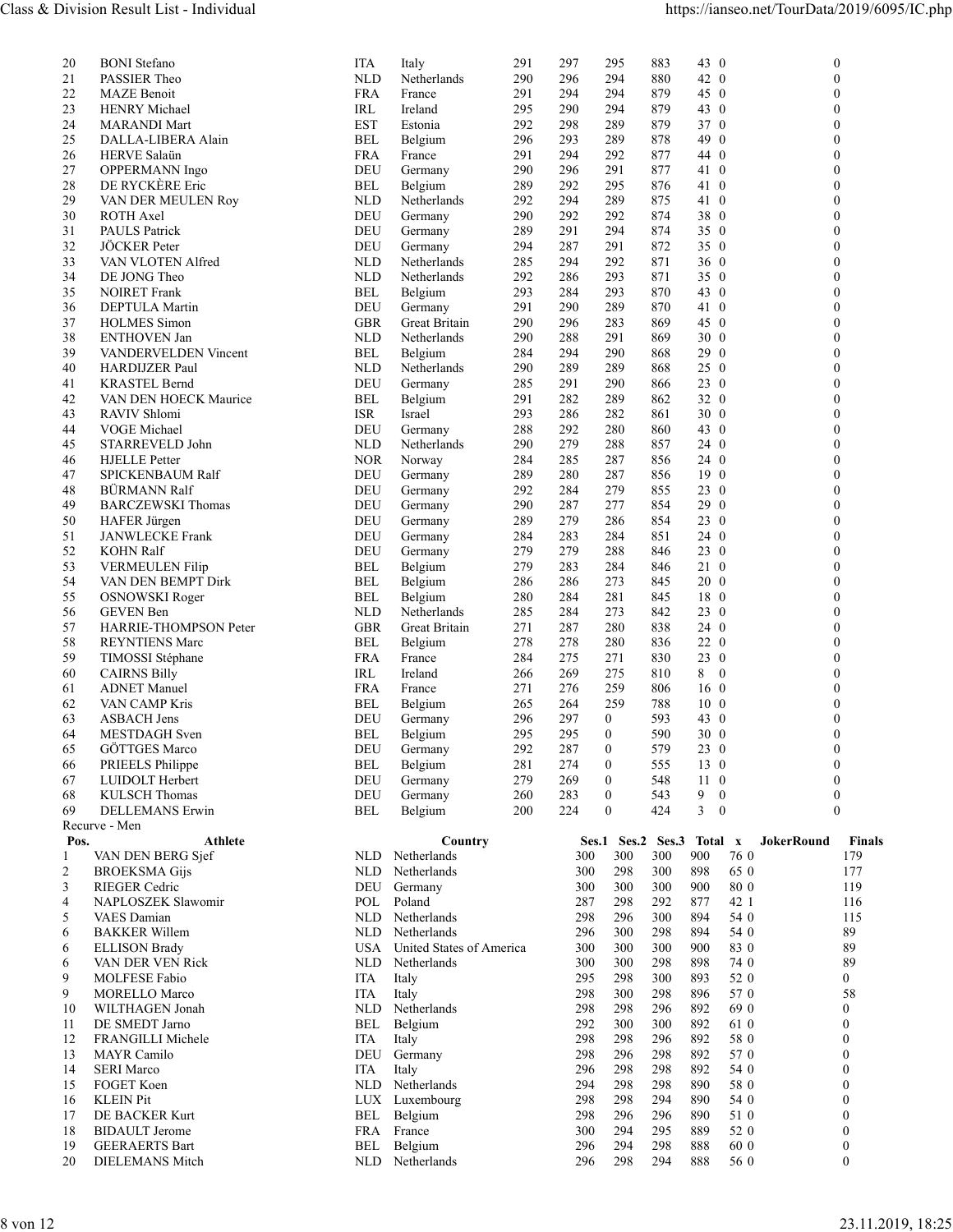| Class & Division Result List - Individual<br><b>BONI</b> Stefano<br><b>ITA</b><br>Italy<br>291<br>297<br>295<br>883<br>43 0<br>20<br>$\mathbf{0}$<br>42 0<br>21<br>NLD<br>Netherlands<br>290<br>296<br>294<br>880<br>PASSIER Theo<br>$\theta$<br>22<br><b>MAZE</b> Benoit<br><b>FRA</b><br>France<br>291<br>294<br>294<br>879<br>$45\quad0$<br>$\theta$<br>23<br>295<br>43 0<br><b>HENRY</b> Michael<br>IRL<br>Ireland<br>290<br>294<br>879<br>$\Omega$<br>24<br><b>EST</b><br>292<br>298<br>289<br>879<br>37 0<br><b>MARANDI Mart</b><br>Estonia<br>$\theta$<br>25<br>DALLA-LIBERA Alain<br><b>BEL</b><br>296<br>293<br>289<br>878<br>49 0<br>Belgium<br>$\Omega$<br>26<br>HERVE Salaün<br><b>FRA</b><br>291<br>294<br>292<br>877<br>44 0<br>$\theta$<br>France<br>27<br><b>DEU</b><br>296<br>291<br>877<br>41 0<br>OPPERMANN Ingo<br>Germany<br>290<br>$\theta$<br>28<br>DE RYCKÈRE Eric<br>289<br>292<br>295<br><b>BEL</b><br>876<br>41 0<br>$\theta$<br>Belgium<br>29<br>292<br>294<br>289<br>875<br>41 0<br>VAN DER MEULEN Roy<br><b>NLD</b><br>Netherlands<br>$\theta$<br>30<br>ROTH Axel<br><b>DEU</b><br>290<br>292<br>292<br>38 0<br>Germany<br>874<br>$\Omega$<br>294<br>350<br>31<br>PAULS Patrick<br>DEU<br>289<br>291<br>874<br>$\theta$<br>Germany<br>32<br>JÖCKER Peter<br>291<br>872<br>350<br>DEU<br>294<br>287<br>$\theta$<br>Germany<br>33<br>294<br>292<br>VAN VLOTEN Alfred<br><b>NLD</b><br>Netherlands<br>285<br>871<br>$36\quad0$<br>$\theta$<br>34<br>292<br>293<br>DE JONG Theo<br><b>NLD</b><br>Netherlands<br>286<br>871<br>350<br>$\Omega$<br>35<br>293<br>284<br>293<br>870<br>43 0<br><b>NOIRET</b> Frank<br>BEL<br>Belgium<br>$\theta$<br>DEPTULA Martin<br>DEU<br>Germany<br>291<br>290<br>289<br>870<br>41 0<br>$\theta$<br>36<br>296<br>283<br>37<br><b>HOLMES</b> Simon<br><b>GBR</b><br>Great Britain<br>290<br>869<br>45 0<br>$\mathbf{0}$<br><b>ENTHOVEN Jan</b><br>Netherlands<br>288<br>291<br>869<br>$30\quad0$<br>38<br><b>NLD</b><br>290<br>$\theta$<br>29 0<br>39<br>VANDERVELDEN Vincent<br><b>BEL</b><br>284<br>294<br>290<br>868<br>Belgium<br>$\theta$<br>40<br>Netherlands<br>289<br>289<br>868<br>$25\quad0$<br>HARDIJZER Paul<br><b>NLD</b><br>290<br>$\theta$<br><b>KRASTEL Bernd</b><br><b>DEU</b><br>291<br>290<br>23 0<br>41<br>Germany<br>285<br>866<br>$\Omega$<br>42<br>282<br>289<br>862<br>32 0<br>VAN DEN HOECK Maurice<br>BEL<br>Belgium<br>291<br>$\boldsymbol{0}$<br>43<br><b>ISR</b><br>293<br>286<br>282<br>861<br>$30\quad0$<br>$\theta$<br>RAVIV Shlomi<br>Israel<br>VOGE Michael<br>292<br>280<br>860<br>43 0<br>44<br>DEU<br>Germany<br>288<br>$\Omega$<br>279<br>45<br>STARREVELD John<br><b>NLD</b><br>Netherlands<br>290<br>288<br>857<br>24 0<br>$\theta$<br><b>NOR</b><br>287<br>856<br>24 0<br>46<br><b>HJELLE</b> Petter<br>Norway<br>284<br>285<br>$\theta$<br>47<br>280<br>287<br>19 0<br>$\theta$<br><b>SPICKENBAUM Ralf</b><br>DEU<br>Germany<br>289<br>856<br>23 0<br>48<br>BÜRMANN Ralf<br>DEU<br>292<br>284<br>279<br>855<br>$\theta$<br>Germany<br>49<br><b>BARCZEWSKI Thomas</b><br>DEU<br>29 0<br>Germany<br>290<br>287<br>277<br>854<br>$\Omega$<br>50<br>279<br>286<br>854<br>23 0<br>HAFER Jürgen<br>DEU<br>Germany<br>289<br>$\theta$<br>24 0<br>51<br>284<br>283<br>284<br>851<br>JANWLECKE Frank<br>DEU<br>$\theta$<br>Germany<br>52<br><b>KOHN Ralf</b><br>DEU<br>279<br>279<br>288<br>23 0<br>Germany<br>846<br>$\theta$<br>53<br>Belgium<br>284<br>846<br>21 0<br><b>VERMEULEN Filip</b><br>BEL<br>279<br>283<br>$\theta$<br>54<br>VAN DEN BEMPT Dirk<br><b>BEL</b><br>Belgium<br>286<br>286<br>273<br>845<br>20 0<br>$\theta$<br>55<br>284<br>281<br>18 0<br><b>OSNOWSKI</b> Roger<br>BEL<br>Belgium<br>280<br>845<br>$\Omega$<br>56<br><b>NLD</b><br>Netherlands<br>284<br>273<br>842<br>23 0<br><b>GEVEN</b> Ben<br>285<br>$\theta$<br>57<br>HARRIE-THOMPSON Peter<br><b>GBR</b><br>271<br>287<br>280<br>838<br>24 0<br>Great Britain<br>$\theta$<br>58<br>278<br>278<br>280<br>836<br>22 0<br>$\mathbf{0}$<br><b>REYNTIENS Marc</b><br>BEL<br>Belgium<br>230<br>59<br>TIMOSSI Stéphane<br>284<br>275<br>271<br>830<br><b>FRA</b><br>France<br>$\theta$<br>$8 \t0$<br><b>IRL</b><br>Ireland<br>269<br>275<br>60<br><b>CAIRNS Billy</b><br>266<br>810<br>$\Omega$<br><b>FRA</b><br>276<br>259<br>806<br>16 <sub>0</sub><br>61<br><b>ADNET</b> Manuel<br>France<br>271<br>$\theta$<br>$10\quad0$<br>62<br><b>BEL</b><br>264<br>259<br>788<br>$\theta$<br>VAN CAMP Kris<br>Belgium<br>265<br><b>ASBACH Jens</b><br>DEU<br>297<br>593<br>43 0<br>63<br>Germany<br>296<br>$\overline{0}$<br>$\Omega$<br>30 0<br>MESTDAGH Sven<br>Belgium<br>295<br>295<br>$\mathbf{0}$<br>590<br>64<br>BEL<br>65<br>GÖTTGES Marco<br>292<br>287<br>$\mathbf{0}$<br>579<br>23 0<br>DEU<br>Germany<br>$\Omega$<br>281<br>$\theta$<br>13 0<br>66<br>PRIEELS Philippe<br><b>BEL</b><br>Belgium<br>274<br>555<br>67<br>LUIDOLT Herbert<br>DEU<br>279<br>269<br>$\mathbf{0}$<br>548<br>11 0<br>Germany<br>$\theta$<br>68<br><b>KULSCH Thomas</b><br><b>DEU</b><br>$\mathbf{0}$<br>543<br>$9 \quad 0$<br>Germany<br>260<br>283<br>$\boldsymbol{0}$<br>224<br>424<br>$3 \quad 0$<br>69<br>200<br>$\mathbf{0}$<br>$\mathbf{0}$<br>DELLEMANS Erwin<br>BEL<br>Belgium<br>Recurve - Men<br>Ses.1 Ses.2 Ses.3<br>Finals<br>Pos.<br><b>Athlete</b><br>Country<br>Total x<br>JokerRound<br>300<br>900<br>76 0<br>VAN DEN BERG Sjef<br>NLD Netherlands<br>300<br>300<br>179<br>2<br>300<br>298<br>300<br>898<br>65 0<br>177<br><b>BROEKSMA Gijs</b><br>NLD<br>Netherlands<br>3<br>RIEGER Cedric<br>300<br>300<br>900<br>80 0<br>119<br>DEU<br>Germany<br>300<br>877<br>POL<br>Poland<br>298<br>292<br>42 1<br>116<br>$\overline{4}$<br>NAPLOSZEK Slawomir<br>287<br>VAES Damian<br>Netherlands<br>298<br>296<br>300<br>894<br>54 0<br>115<br>5<br>NLD<br>89<br>NLD Netherlands<br>300<br>298<br>894<br>54 0<br><b>BAKKER Willem</b><br>296<br>6<br>300<br>300<br>900<br>83 0<br>89<br><b>ELLISON Brady</b><br>USA<br>United States of America<br>300<br>6<br>Netherlands<br>300<br>298<br>898<br>89<br>VAN DER VEN Rick<br>NLD<br>300<br>74 0<br>6<br>298<br>300<br>52 0<br>9<br>MOLFESE Fabio<br><b>ITA</b><br>Italy<br>295<br>893<br>$\bf{0}$<br>58<br>9<br>300<br>298<br>896<br>57 0<br><b>MORELLO Marco</b><br>ITA<br>Italy<br>298<br>WILTHAGEN Jonah<br>NLD Netherlands<br>298<br>298<br>296<br>892<br>69 0<br>10<br>$\mathbf{0}$<br>DE SMEDT Jarno<br>BEL Belgium<br>292<br>300<br>300<br>892<br>11<br>61 0<br>$\mathbf{0}$<br>FRANGILLI Michele<br>Italy<br>298<br>298<br>296<br>892<br>58 0<br>12<br>ITA<br>$\mathbf{0}$<br>MAYR Camilo<br>298<br>892<br>57 0<br>DEU Germany<br>298<br>296<br>$\theta$<br>13<br><b>SERI Marco</b><br>ITA<br>298<br>298<br>892<br>54 0<br>14<br>Italy<br>296<br>298<br>FOGET Koen<br>NLD Netherlands<br>294<br>298<br>890<br>58 0<br>15<br>$\theta$<br>298<br>298<br>294<br>890<br><b>KLEIN Pit</b><br>LUX Luxembourg<br>54 0<br>$\mathbf{0}$<br>16<br>DE BACKER Kurt<br>BEL Belgium<br>296<br>296<br>890<br>17<br>298<br>51 0<br>$\theta$<br><b>BIDAULT</b> Jerome<br>FRA France<br>294<br>295<br>889<br>300<br>52 0<br>$\mathbf{0}$<br>18<br><b>GEERAERTS Bart</b><br>BEL Belgium<br>296<br>294<br>298<br>888<br>60 0<br>19<br>$\bf{0}$<br>298<br>$\boldsymbol{0}$<br>20<br><b>DIELEMANS</b> Mitch<br>NLD Netherlands<br>294<br>888<br>296<br>56 0<br>8 von 12 |  |  |  |  |  |  |
|------------------------------------------------------------------------------------------------------------------------------------------------------------------------------------------------------------------------------------------------------------------------------------------------------------------------------------------------------------------------------------------------------------------------------------------------------------------------------------------------------------------------------------------------------------------------------------------------------------------------------------------------------------------------------------------------------------------------------------------------------------------------------------------------------------------------------------------------------------------------------------------------------------------------------------------------------------------------------------------------------------------------------------------------------------------------------------------------------------------------------------------------------------------------------------------------------------------------------------------------------------------------------------------------------------------------------------------------------------------------------------------------------------------------------------------------------------------------------------------------------------------------------------------------------------------------------------------------------------------------------------------------------------------------------------------------------------------------------------------------------------------------------------------------------------------------------------------------------------------------------------------------------------------------------------------------------------------------------------------------------------------------------------------------------------------------------------------------------------------------------------------------------------------------------------------------------------------------------------------------------------------------------------------------------------------------------------------------------------------------------------------------------------------------------------------------------------------------------------------------------------------------------------------------------------------------------------------------------------------------------------------------------------------------------------------------------------------------------------------------------------------------------------------------------------------------------------------------------------------------------------------------------------------------------------------------------------------------------------------------------------------------------------------------------------------------------------------------------------------------------------------------------------------------------------------------------------------------------------------------------------------------------------------------------------------------------------------------------------------------------------------------------------------------------------------------------------------------------------------------------------------------------------------------------------------------------------------------------------------------------------------------------------------------------------------------------------------------------------------------------------------------------------------------------------------------------------------------------------------------------------------------------------------------------------------------------------------------------------------------------------------------------------------------------------------------------------------------------------------------------------------------------------------------------------------------------------------------------------------------------------------------------------------------------------------------------------------------------------------------------------------------------------------------------------------------------------------------------------------------------------------------------------------------------------------------------------------------------------------------------------------------------------------------------------------------------------------------------------------------------------------------------------------------------------------------------------------------------------------------------------------------------------------------------------------------------------------------------------------------------------------------------------------------------------------------------------------------------------------------------------------------------------------------------------------------------------------------------------------------------------------------------------------------------------------------------------------------------------------------------------------------------------------------------------------------------------------------------------------------------------------------------------------------------------------------------------------------------------------------------------------------------------------------------------------------------------------------------------------------------------------------------------------------------------------------------------------------------------------------------------------------------------------------------------------------------------------------------------------------------------------------------------------------------------------------------------------------------------------------------------------------------------------------------------------------------------------------------------------------------------------------------------------------------------------------------------------------------------------------------------------------------------------------------------------------------------------------------------------------------------------------------------------------------------------------------------------------------------------------------------------------------------------------------------------------------------------------------------------------------------------------------------------------------------------------------------------------------------------------------------------------------------------------------------------------------------------------------------------------------------------------------------------------------------------------------------------------------------------------------------------------------------------------------------------------------------------------------------------------------------------------------------------------------------------------------------------------------------------------|--|--|--|--|--|--|
| https://ianseo.net/TourData/2019/6095/IC.php                                                                                                                                                                                                                                                                                                                                                                                                                                                                                                                                                                                                                                                                                                                                                                                                                                                                                                                                                                                                                                                                                                                                                                                                                                                                                                                                                                                                                                                                                                                                                                                                                                                                                                                                                                                                                                                                                                                                                                                                                                                                                                                                                                                                                                                                                                                                                                                                                                                                                                                                                                                                                                                                                                                                                                                                                                                                                                                                                                                                                                                                                                                                                                                                                                                                                                                                                                                                                                                                                                                                                                                                                                                                                                                                                                                                                                                                                                                                                                                                                                                                                                                                                                                                                                                                                                                                                                                                                                                                                                                                                                                                                                                                                                                                                                                                                                                                                                                                                                                                                                                                                                                                                                                                                                                                                                                                                                                                                                                                                                                                                                                                                                                                                                                                                                                                                                                                                                                                                                                                                                                                                                                                                                                                                                                                                                                                                                                                                                                                                                                                                                                                                                                                                                                                                                                                                                                                                                                                                                                                                                                                                                                                                                                                                                                                                                                           |  |  |  |  |  |  |
|                                                                                                                                                                                                                                                                                                                                                                                                                                                                                                                                                                                                                                                                                                                                                                                                                                                                                                                                                                                                                                                                                                                                                                                                                                                                                                                                                                                                                                                                                                                                                                                                                                                                                                                                                                                                                                                                                                                                                                                                                                                                                                                                                                                                                                                                                                                                                                                                                                                                                                                                                                                                                                                                                                                                                                                                                                                                                                                                                                                                                                                                                                                                                                                                                                                                                                                                                                                                                                                                                                                                                                                                                                                                                                                                                                                                                                                                                                                                                                                                                                                                                                                                                                                                                                                                                                                                                                                                                                                                                                                                                                                                                                                                                                                                                                                                                                                                                                                                                                                                                                                                                                                                                                                                                                                                                                                                                                                                                                                                                                                                                                                                                                                                                                                                                                                                                                                                                                                                                                                                                                                                                                                                                                                                                                                                                                                                                                                                                                                                                                                                                                                                                                                                                                                                                                                                                                                                                                                                                                                                                                                                                                                                                                                                                                                                                                                                                                        |  |  |  |  |  |  |
|                                                                                                                                                                                                                                                                                                                                                                                                                                                                                                                                                                                                                                                                                                                                                                                                                                                                                                                                                                                                                                                                                                                                                                                                                                                                                                                                                                                                                                                                                                                                                                                                                                                                                                                                                                                                                                                                                                                                                                                                                                                                                                                                                                                                                                                                                                                                                                                                                                                                                                                                                                                                                                                                                                                                                                                                                                                                                                                                                                                                                                                                                                                                                                                                                                                                                                                                                                                                                                                                                                                                                                                                                                                                                                                                                                                                                                                                                                                                                                                                                                                                                                                                                                                                                                                                                                                                                                                                                                                                                                                                                                                                                                                                                                                                                                                                                                                                                                                                                                                                                                                                                                                                                                                                                                                                                                                                                                                                                                                                                                                                                                                                                                                                                                                                                                                                                                                                                                                                                                                                                                                                                                                                                                                                                                                                                                                                                                                                                                                                                                                                                                                                                                                                                                                                                                                                                                                                                                                                                                                                                                                                                                                                                                                                                                                                                                                                                                        |  |  |  |  |  |  |
|                                                                                                                                                                                                                                                                                                                                                                                                                                                                                                                                                                                                                                                                                                                                                                                                                                                                                                                                                                                                                                                                                                                                                                                                                                                                                                                                                                                                                                                                                                                                                                                                                                                                                                                                                                                                                                                                                                                                                                                                                                                                                                                                                                                                                                                                                                                                                                                                                                                                                                                                                                                                                                                                                                                                                                                                                                                                                                                                                                                                                                                                                                                                                                                                                                                                                                                                                                                                                                                                                                                                                                                                                                                                                                                                                                                                                                                                                                                                                                                                                                                                                                                                                                                                                                                                                                                                                                                                                                                                                                                                                                                                                                                                                                                                                                                                                                                                                                                                                                                                                                                                                                                                                                                                                                                                                                                                                                                                                                                                                                                                                                                                                                                                                                                                                                                                                                                                                                                                                                                                                                                                                                                                                                                                                                                                                                                                                                                                                                                                                                                                                                                                                                                                                                                                                                                                                                                                                                                                                                                                                                                                                                                                                                                                                                                                                                                                                                        |  |  |  |  |  |  |
|                                                                                                                                                                                                                                                                                                                                                                                                                                                                                                                                                                                                                                                                                                                                                                                                                                                                                                                                                                                                                                                                                                                                                                                                                                                                                                                                                                                                                                                                                                                                                                                                                                                                                                                                                                                                                                                                                                                                                                                                                                                                                                                                                                                                                                                                                                                                                                                                                                                                                                                                                                                                                                                                                                                                                                                                                                                                                                                                                                                                                                                                                                                                                                                                                                                                                                                                                                                                                                                                                                                                                                                                                                                                                                                                                                                                                                                                                                                                                                                                                                                                                                                                                                                                                                                                                                                                                                                                                                                                                                                                                                                                                                                                                                                                                                                                                                                                                                                                                                                                                                                                                                                                                                                                                                                                                                                                                                                                                                                                                                                                                                                                                                                                                                                                                                                                                                                                                                                                                                                                                                                                                                                                                                                                                                                                                                                                                                                                                                                                                                                                                                                                                                                                                                                                                                                                                                                                                                                                                                                                                                                                                                                                                                                                                                                                                                                                                                        |  |  |  |  |  |  |
|                                                                                                                                                                                                                                                                                                                                                                                                                                                                                                                                                                                                                                                                                                                                                                                                                                                                                                                                                                                                                                                                                                                                                                                                                                                                                                                                                                                                                                                                                                                                                                                                                                                                                                                                                                                                                                                                                                                                                                                                                                                                                                                                                                                                                                                                                                                                                                                                                                                                                                                                                                                                                                                                                                                                                                                                                                                                                                                                                                                                                                                                                                                                                                                                                                                                                                                                                                                                                                                                                                                                                                                                                                                                                                                                                                                                                                                                                                                                                                                                                                                                                                                                                                                                                                                                                                                                                                                                                                                                                                                                                                                                                                                                                                                                                                                                                                                                                                                                                                                                                                                                                                                                                                                                                                                                                                                                                                                                                                                                                                                                                                                                                                                                                                                                                                                                                                                                                                                                                                                                                                                                                                                                                                                                                                                                                                                                                                                                                                                                                                                                                                                                                                                                                                                                                                                                                                                                                                                                                                                                                                                                                                                                                                                                                                                                                                                                                                        |  |  |  |  |  |  |
|                                                                                                                                                                                                                                                                                                                                                                                                                                                                                                                                                                                                                                                                                                                                                                                                                                                                                                                                                                                                                                                                                                                                                                                                                                                                                                                                                                                                                                                                                                                                                                                                                                                                                                                                                                                                                                                                                                                                                                                                                                                                                                                                                                                                                                                                                                                                                                                                                                                                                                                                                                                                                                                                                                                                                                                                                                                                                                                                                                                                                                                                                                                                                                                                                                                                                                                                                                                                                                                                                                                                                                                                                                                                                                                                                                                                                                                                                                                                                                                                                                                                                                                                                                                                                                                                                                                                                                                                                                                                                                                                                                                                                                                                                                                                                                                                                                                                                                                                                                                                                                                                                                                                                                                                                                                                                                                                                                                                                                                                                                                                                                                                                                                                                                                                                                                                                                                                                                                                                                                                                                                                                                                                                                                                                                                                                                                                                                                                                                                                                                                                                                                                                                                                                                                                                                                                                                                                                                                                                                                                                                                                                                                                                                                                                                                                                                                                                                        |  |  |  |  |  |  |
|                                                                                                                                                                                                                                                                                                                                                                                                                                                                                                                                                                                                                                                                                                                                                                                                                                                                                                                                                                                                                                                                                                                                                                                                                                                                                                                                                                                                                                                                                                                                                                                                                                                                                                                                                                                                                                                                                                                                                                                                                                                                                                                                                                                                                                                                                                                                                                                                                                                                                                                                                                                                                                                                                                                                                                                                                                                                                                                                                                                                                                                                                                                                                                                                                                                                                                                                                                                                                                                                                                                                                                                                                                                                                                                                                                                                                                                                                                                                                                                                                                                                                                                                                                                                                                                                                                                                                                                                                                                                                                                                                                                                                                                                                                                                                                                                                                                                                                                                                                                                                                                                                                                                                                                                                                                                                                                                                                                                                                                                                                                                                                                                                                                                                                                                                                                                                                                                                                                                                                                                                                                                                                                                                                                                                                                                                                                                                                                                                                                                                                                                                                                                                                                                                                                                                                                                                                                                                                                                                                                                                                                                                                                                                                                                                                                                                                                                                                        |  |  |  |  |  |  |
|                                                                                                                                                                                                                                                                                                                                                                                                                                                                                                                                                                                                                                                                                                                                                                                                                                                                                                                                                                                                                                                                                                                                                                                                                                                                                                                                                                                                                                                                                                                                                                                                                                                                                                                                                                                                                                                                                                                                                                                                                                                                                                                                                                                                                                                                                                                                                                                                                                                                                                                                                                                                                                                                                                                                                                                                                                                                                                                                                                                                                                                                                                                                                                                                                                                                                                                                                                                                                                                                                                                                                                                                                                                                                                                                                                                                                                                                                                                                                                                                                                                                                                                                                                                                                                                                                                                                                                                                                                                                                                                                                                                                                                                                                                                                                                                                                                                                                                                                                                                                                                                                                                                                                                                                                                                                                                                                                                                                                                                                                                                                                                                                                                                                                                                                                                                                                                                                                                                                                                                                                                                                                                                                                                                                                                                                                                                                                                                                                                                                                                                                                                                                                                                                                                                                                                                                                                                                                                                                                                                                                                                                                                                                                                                                                                                                                                                                                                        |  |  |  |  |  |  |
|                                                                                                                                                                                                                                                                                                                                                                                                                                                                                                                                                                                                                                                                                                                                                                                                                                                                                                                                                                                                                                                                                                                                                                                                                                                                                                                                                                                                                                                                                                                                                                                                                                                                                                                                                                                                                                                                                                                                                                                                                                                                                                                                                                                                                                                                                                                                                                                                                                                                                                                                                                                                                                                                                                                                                                                                                                                                                                                                                                                                                                                                                                                                                                                                                                                                                                                                                                                                                                                                                                                                                                                                                                                                                                                                                                                                                                                                                                                                                                                                                                                                                                                                                                                                                                                                                                                                                                                                                                                                                                                                                                                                                                                                                                                                                                                                                                                                                                                                                                                                                                                                                                                                                                                                                                                                                                                                                                                                                                                                                                                                                                                                                                                                                                                                                                                                                                                                                                                                                                                                                                                                                                                                                                                                                                                                                                                                                                                                                                                                                                                                                                                                                                                                                                                                                                                                                                                                                                                                                                                                                                                                                                                                                                                                                                                                                                                                                                        |  |  |  |  |  |  |
|                                                                                                                                                                                                                                                                                                                                                                                                                                                                                                                                                                                                                                                                                                                                                                                                                                                                                                                                                                                                                                                                                                                                                                                                                                                                                                                                                                                                                                                                                                                                                                                                                                                                                                                                                                                                                                                                                                                                                                                                                                                                                                                                                                                                                                                                                                                                                                                                                                                                                                                                                                                                                                                                                                                                                                                                                                                                                                                                                                                                                                                                                                                                                                                                                                                                                                                                                                                                                                                                                                                                                                                                                                                                                                                                                                                                                                                                                                                                                                                                                                                                                                                                                                                                                                                                                                                                                                                                                                                                                                                                                                                                                                                                                                                                                                                                                                                                                                                                                                                                                                                                                                                                                                                                                                                                                                                                                                                                                                                                                                                                                                                                                                                                                                                                                                                                                                                                                                                                                                                                                                                                                                                                                                                                                                                                                                                                                                                                                                                                                                                                                                                                                                                                                                                                                                                                                                                                                                                                                                                                                                                                                                                                                                                                                                                                                                                                                                        |  |  |  |  |  |  |
|                                                                                                                                                                                                                                                                                                                                                                                                                                                                                                                                                                                                                                                                                                                                                                                                                                                                                                                                                                                                                                                                                                                                                                                                                                                                                                                                                                                                                                                                                                                                                                                                                                                                                                                                                                                                                                                                                                                                                                                                                                                                                                                                                                                                                                                                                                                                                                                                                                                                                                                                                                                                                                                                                                                                                                                                                                                                                                                                                                                                                                                                                                                                                                                                                                                                                                                                                                                                                                                                                                                                                                                                                                                                                                                                                                                                                                                                                                                                                                                                                                                                                                                                                                                                                                                                                                                                                                                                                                                                                                                                                                                                                                                                                                                                                                                                                                                                                                                                                                                                                                                                                                                                                                                                                                                                                                                                                                                                                                                                                                                                                                                                                                                                                                                                                                                                                                                                                                                                                                                                                                                                                                                                                                                                                                                                                                                                                                                                                                                                                                                                                                                                                                                                                                                                                                                                                                                                                                                                                                                                                                                                                                                                                                                                                                                                                                                                                                        |  |  |  |  |  |  |
|                                                                                                                                                                                                                                                                                                                                                                                                                                                                                                                                                                                                                                                                                                                                                                                                                                                                                                                                                                                                                                                                                                                                                                                                                                                                                                                                                                                                                                                                                                                                                                                                                                                                                                                                                                                                                                                                                                                                                                                                                                                                                                                                                                                                                                                                                                                                                                                                                                                                                                                                                                                                                                                                                                                                                                                                                                                                                                                                                                                                                                                                                                                                                                                                                                                                                                                                                                                                                                                                                                                                                                                                                                                                                                                                                                                                                                                                                                                                                                                                                                                                                                                                                                                                                                                                                                                                                                                                                                                                                                                                                                                                                                                                                                                                                                                                                                                                                                                                                                                                                                                                                                                                                                                                                                                                                                                                                                                                                                                                                                                                                                                                                                                                                                                                                                                                                                                                                                                                                                                                                                                                                                                                                                                                                                                                                                                                                                                                                                                                                                                                                                                                                                                                                                                                                                                                                                                                                                                                                                                                                                                                                                                                                                                                                                                                                                                                                                        |  |  |  |  |  |  |
|                                                                                                                                                                                                                                                                                                                                                                                                                                                                                                                                                                                                                                                                                                                                                                                                                                                                                                                                                                                                                                                                                                                                                                                                                                                                                                                                                                                                                                                                                                                                                                                                                                                                                                                                                                                                                                                                                                                                                                                                                                                                                                                                                                                                                                                                                                                                                                                                                                                                                                                                                                                                                                                                                                                                                                                                                                                                                                                                                                                                                                                                                                                                                                                                                                                                                                                                                                                                                                                                                                                                                                                                                                                                                                                                                                                                                                                                                                                                                                                                                                                                                                                                                                                                                                                                                                                                                                                                                                                                                                                                                                                                                                                                                                                                                                                                                                                                                                                                                                                                                                                                                                                                                                                                                                                                                                                                                                                                                                                                                                                                                                                                                                                                                                                                                                                                                                                                                                                                                                                                                                                                                                                                                                                                                                                                                                                                                                                                                                                                                                                                                                                                                                                                                                                                                                                                                                                                                                                                                                                                                                                                                                                                                                                                                                                                                                                                                                        |  |  |  |  |  |  |
|                                                                                                                                                                                                                                                                                                                                                                                                                                                                                                                                                                                                                                                                                                                                                                                                                                                                                                                                                                                                                                                                                                                                                                                                                                                                                                                                                                                                                                                                                                                                                                                                                                                                                                                                                                                                                                                                                                                                                                                                                                                                                                                                                                                                                                                                                                                                                                                                                                                                                                                                                                                                                                                                                                                                                                                                                                                                                                                                                                                                                                                                                                                                                                                                                                                                                                                                                                                                                                                                                                                                                                                                                                                                                                                                                                                                                                                                                                                                                                                                                                                                                                                                                                                                                                                                                                                                                                                                                                                                                                                                                                                                                                                                                                                                                                                                                                                                                                                                                                                                                                                                                                                                                                                                                                                                                                                                                                                                                                                                                                                                                                                                                                                                                                                                                                                                                                                                                                                                                                                                                                                                                                                                                                                                                                                                                                                                                                                                                                                                                                                                                                                                                                                                                                                                                                                                                                                                                                                                                                                                                                                                                                                                                                                                                                                                                                                                                                        |  |  |  |  |  |  |
|                                                                                                                                                                                                                                                                                                                                                                                                                                                                                                                                                                                                                                                                                                                                                                                                                                                                                                                                                                                                                                                                                                                                                                                                                                                                                                                                                                                                                                                                                                                                                                                                                                                                                                                                                                                                                                                                                                                                                                                                                                                                                                                                                                                                                                                                                                                                                                                                                                                                                                                                                                                                                                                                                                                                                                                                                                                                                                                                                                                                                                                                                                                                                                                                                                                                                                                                                                                                                                                                                                                                                                                                                                                                                                                                                                                                                                                                                                                                                                                                                                                                                                                                                                                                                                                                                                                                                                                                                                                                                                                                                                                                                                                                                                                                                                                                                                                                                                                                                                                                                                                                                                                                                                                                                                                                                                                                                                                                                                                                                                                                                                                                                                                                                                                                                                                                                                                                                                                                                                                                                                                                                                                                                                                                                                                                                                                                                                                                                                                                                                                                                                                                                                                                                                                                                                                                                                                                                                                                                                                                                                                                                                                                                                                                                                                                                                                                                                        |  |  |  |  |  |  |
|                                                                                                                                                                                                                                                                                                                                                                                                                                                                                                                                                                                                                                                                                                                                                                                                                                                                                                                                                                                                                                                                                                                                                                                                                                                                                                                                                                                                                                                                                                                                                                                                                                                                                                                                                                                                                                                                                                                                                                                                                                                                                                                                                                                                                                                                                                                                                                                                                                                                                                                                                                                                                                                                                                                                                                                                                                                                                                                                                                                                                                                                                                                                                                                                                                                                                                                                                                                                                                                                                                                                                                                                                                                                                                                                                                                                                                                                                                                                                                                                                                                                                                                                                                                                                                                                                                                                                                                                                                                                                                                                                                                                                                                                                                                                                                                                                                                                                                                                                                                                                                                                                                                                                                                                                                                                                                                                                                                                                                                                                                                                                                                                                                                                                                                                                                                                                                                                                                                                                                                                                                                                                                                                                                                                                                                                                                                                                                                                                                                                                                                                                                                                                                                                                                                                                                                                                                                                                                                                                                                                                                                                                                                                                                                                                                                                                                                                                                        |  |  |  |  |  |  |
|                                                                                                                                                                                                                                                                                                                                                                                                                                                                                                                                                                                                                                                                                                                                                                                                                                                                                                                                                                                                                                                                                                                                                                                                                                                                                                                                                                                                                                                                                                                                                                                                                                                                                                                                                                                                                                                                                                                                                                                                                                                                                                                                                                                                                                                                                                                                                                                                                                                                                                                                                                                                                                                                                                                                                                                                                                                                                                                                                                                                                                                                                                                                                                                                                                                                                                                                                                                                                                                                                                                                                                                                                                                                                                                                                                                                                                                                                                                                                                                                                                                                                                                                                                                                                                                                                                                                                                                                                                                                                                                                                                                                                                                                                                                                                                                                                                                                                                                                                                                                                                                                                                                                                                                                                                                                                                                                                                                                                                                                                                                                                                                                                                                                                                                                                                                                                                                                                                                                                                                                                                                                                                                                                                                                                                                                                                                                                                                                                                                                                                                                                                                                                                                                                                                                                                                                                                                                                                                                                                                                                                                                                                                                                                                                                                                                                                                                                                        |  |  |  |  |  |  |
|                                                                                                                                                                                                                                                                                                                                                                                                                                                                                                                                                                                                                                                                                                                                                                                                                                                                                                                                                                                                                                                                                                                                                                                                                                                                                                                                                                                                                                                                                                                                                                                                                                                                                                                                                                                                                                                                                                                                                                                                                                                                                                                                                                                                                                                                                                                                                                                                                                                                                                                                                                                                                                                                                                                                                                                                                                                                                                                                                                                                                                                                                                                                                                                                                                                                                                                                                                                                                                                                                                                                                                                                                                                                                                                                                                                                                                                                                                                                                                                                                                                                                                                                                                                                                                                                                                                                                                                                                                                                                                                                                                                                                                                                                                                                                                                                                                                                                                                                                                                                                                                                                                                                                                                                                                                                                                                                                                                                                                                                                                                                                                                                                                                                                                                                                                                                                                                                                                                                                                                                                                                                                                                                                                                                                                                                                                                                                                                                                                                                                                                                                                                                                                                                                                                                                                                                                                                                                                                                                                                                                                                                                                                                                                                                                                                                                                                                                                        |  |  |  |  |  |  |
|                                                                                                                                                                                                                                                                                                                                                                                                                                                                                                                                                                                                                                                                                                                                                                                                                                                                                                                                                                                                                                                                                                                                                                                                                                                                                                                                                                                                                                                                                                                                                                                                                                                                                                                                                                                                                                                                                                                                                                                                                                                                                                                                                                                                                                                                                                                                                                                                                                                                                                                                                                                                                                                                                                                                                                                                                                                                                                                                                                                                                                                                                                                                                                                                                                                                                                                                                                                                                                                                                                                                                                                                                                                                                                                                                                                                                                                                                                                                                                                                                                                                                                                                                                                                                                                                                                                                                                                                                                                                                                                                                                                                                                                                                                                                                                                                                                                                                                                                                                                                                                                                                                                                                                                                                                                                                                                                                                                                                                                                                                                                                                                                                                                                                                                                                                                                                                                                                                                                                                                                                                                                                                                                                                                                                                                                                                                                                                                                                                                                                                                                                                                                                                                                                                                                                                                                                                                                                                                                                                                                                                                                                                                                                                                                                                                                                                                                                                        |  |  |  |  |  |  |
|                                                                                                                                                                                                                                                                                                                                                                                                                                                                                                                                                                                                                                                                                                                                                                                                                                                                                                                                                                                                                                                                                                                                                                                                                                                                                                                                                                                                                                                                                                                                                                                                                                                                                                                                                                                                                                                                                                                                                                                                                                                                                                                                                                                                                                                                                                                                                                                                                                                                                                                                                                                                                                                                                                                                                                                                                                                                                                                                                                                                                                                                                                                                                                                                                                                                                                                                                                                                                                                                                                                                                                                                                                                                                                                                                                                                                                                                                                                                                                                                                                                                                                                                                                                                                                                                                                                                                                                                                                                                                                                                                                                                                                                                                                                                                                                                                                                                                                                                                                                                                                                                                                                                                                                                                                                                                                                                                                                                                                                                                                                                                                                                                                                                                                                                                                                                                                                                                                                                                                                                                                                                                                                                                                                                                                                                                                                                                                                                                                                                                                                                                                                                                                                                                                                                                                                                                                                                                                                                                                                                                                                                                                                                                                                                                                                                                                                                                                        |  |  |  |  |  |  |
|                                                                                                                                                                                                                                                                                                                                                                                                                                                                                                                                                                                                                                                                                                                                                                                                                                                                                                                                                                                                                                                                                                                                                                                                                                                                                                                                                                                                                                                                                                                                                                                                                                                                                                                                                                                                                                                                                                                                                                                                                                                                                                                                                                                                                                                                                                                                                                                                                                                                                                                                                                                                                                                                                                                                                                                                                                                                                                                                                                                                                                                                                                                                                                                                                                                                                                                                                                                                                                                                                                                                                                                                                                                                                                                                                                                                                                                                                                                                                                                                                                                                                                                                                                                                                                                                                                                                                                                                                                                                                                                                                                                                                                                                                                                                                                                                                                                                                                                                                                                                                                                                                                                                                                                                                                                                                                                                                                                                                                                                                                                                                                                                                                                                                                                                                                                                                                                                                                                                                                                                                                                                                                                                                                                                                                                                                                                                                                                                                                                                                                                                                                                                                                                                                                                                                                                                                                                                                                                                                                                                                                                                                                                                                                                                                                                                                                                                                                        |  |  |  |  |  |  |
|                                                                                                                                                                                                                                                                                                                                                                                                                                                                                                                                                                                                                                                                                                                                                                                                                                                                                                                                                                                                                                                                                                                                                                                                                                                                                                                                                                                                                                                                                                                                                                                                                                                                                                                                                                                                                                                                                                                                                                                                                                                                                                                                                                                                                                                                                                                                                                                                                                                                                                                                                                                                                                                                                                                                                                                                                                                                                                                                                                                                                                                                                                                                                                                                                                                                                                                                                                                                                                                                                                                                                                                                                                                                                                                                                                                                                                                                                                                                                                                                                                                                                                                                                                                                                                                                                                                                                                                                                                                                                                                                                                                                                                                                                                                                                                                                                                                                                                                                                                                                                                                                                                                                                                                                                                                                                                                                                                                                                                                                                                                                                                                                                                                                                                                                                                                                                                                                                                                                                                                                                                                                                                                                                                                                                                                                                                                                                                                                                                                                                                                                                                                                                                                                                                                                                                                                                                                                                                                                                                                                                                                                                                                                                                                                                                                                                                                                                                        |  |  |  |  |  |  |
|                                                                                                                                                                                                                                                                                                                                                                                                                                                                                                                                                                                                                                                                                                                                                                                                                                                                                                                                                                                                                                                                                                                                                                                                                                                                                                                                                                                                                                                                                                                                                                                                                                                                                                                                                                                                                                                                                                                                                                                                                                                                                                                                                                                                                                                                                                                                                                                                                                                                                                                                                                                                                                                                                                                                                                                                                                                                                                                                                                                                                                                                                                                                                                                                                                                                                                                                                                                                                                                                                                                                                                                                                                                                                                                                                                                                                                                                                                                                                                                                                                                                                                                                                                                                                                                                                                                                                                                                                                                                                                                                                                                                                                                                                                                                                                                                                                                                                                                                                                                                                                                                                                                                                                                                                                                                                                                                                                                                                                                                                                                                                                                                                                                                                                                                                                                                                                                                                                                                                                                                                                                                                                                                                                                                                                                                                                                                                                                                                                                                                                                                                                                                                                                                                                                                                                                                                                                                                                                                                                                                                                                                                                                                                                                                                                                                                                                                                                        |  |  |  |  |  |  |
|                                                                                                                                                                                                                                                                                                                                                                                                                                                                                                                                                                                                                                                                                                                                                                                                                                                                                                                                                                                                                                                                                                                                                                                                                                                                                                                                                                                                                                                                                                                                                                                                                                                                                                                                                                                                                                                                                                                                                                                                                                                                                                                                                                                                                                                                                                                                                                                                                                                                                                                                                                                                                                                                                                                                                                                                                                                                                                                                                                                                                                                                                                                                                                                                                                                                                                                                                                                                                                                                                                                                                                                                                                                                                                                                                                                                                                                                                                                                                                                                                                                                                                                                                                                                                                                                                                                                                                                                                                                                                                                                                                                                                                                                                                                                                                                                                                                                                                                                                                                                                                                                                                                                                                                                                                                                                                                                                                                                                                                                                                                                                                                                                                                                                                                                                                                                                                                                                                                                                                                                                                                                                                                                                                                                                                                                                                                                                                                                                                                                                                                                                                                                                                                                                                                                                                                                                                                                                                                                                                                                                                                                                                                                                                                                                                                                                                                                                                        |  |  |  |  |  |  |
|                                                                                                                                                                                                                                                                                                                                                                                                                                                                                                                                                                                                                                                                                                                                                                                                                                                                                                                                                                                                                                                                                                                                                                                                                                                                                                                                                                                                                                                                                                                                                                                                                                                                                                                                                                                                                                                                                                                                                                                                                                                                                                                                                                                                                                                                                                                                                                                                                                                                                                                                                                                                                                                                                                                                                                                                                                                                                                                                                                                                                                                                                                                                                                                                                                                                                                                                                                                                                                                                                                                                                                                                                                                                                                                                                                                                                                                                                                                                                                                                                                                                                                                                                                                                                                                                                                                                                                                                                                                                                                                                                                                                                                                                                                                                                                                                                                                                                                                                                                                                                                                                                                                                                                                                                                                                                                                                                                                                                                                                                                                                                                                                                                                                                                                                                                                                                                                                                                                                                                                                                                                                                                                                                                                                                                                                                                                                                                                                                                                                                                                                                                                                                                                                                                                                                                                                                                                                                                                                                                                                                                                                                                                                                                                                                                                                                                                                                                        |  |  |  |  |  |  |
|                                                                                                                                                                                                                                                                                                                                                                                                                                                                                                                                                                                                                                                                                                                                                                                                                                                                                                                                                                                                                                                                                                                                                                                                                                                                                                                                                                                                                                                                                                                                                                                                                                                                                                                                                                                                                                                                                                                                                                                                                                                                                                                                                                                                                                                                                                                                                                                                                                                                                                                                                                                                                                                                                                                                                                                                                                                                                                                                                                                                                                                                                                                                                                                                                                                                                                                                                                                                                                                                                                                                                                                                                                                                                                                                                                                                                                                                                                                                                                                                                                                                                                                                                                                                                                                                                                                                                                                                                                                                                                                                                                                                                                                                                                                                                                                                                                                                                                                                                                                                                                                                                                                                                                                                                                                                                                                                                                                                                                                                                                                                                                                                                                                                                                                                                                                                                                                                                                                                                                                                                                                                                                                                                                                                                                                                                                                                                                                                                                                                                                                                                                                                                                                                                                                                                                                                                                                                                                                                                                                                                                                                                                                                                                                                                                                                                                                                                                        |  |  |  |  |  |  |
|                                                                                                                                                                                                                                                                                                                                                                                                                                                                                                                                                                                                                                                                                                                                                                                                                                                                                                                                                                                                                                                                                                                                                                                                                                                                                                                                                                                                                                                                                                                                                                                                                                                                                                                                                                                                                                                                                                                                                                                                                                                                                                                                                                                                                                                                                                                                                                                                                                                                                                                                                                                                                                                                                                                                                                                                                                                                                                                                                                                                                                                                                                                                                                                                                                                                                                                                                                                                                                                                                                                                                                                                                                                                                                                                                                                                                                                                                                                                                                                                                                                                                                                                                                                                                                                                                                                                                                                                                                                                                                                                                                                                                                                                                                                                                                                                                                                                                                                                                                                                                                                                                                                                                                                                                                                                                                                                                                                                                                                                                                                                                                                                                                                                                                                                                                                                                                                                                                                                                                                                                                                                                                                                                                                                                                                                                                                                                                                                                                                                                                                                                                                                                                                                                                                                                                                                                                                                                                                                                                                                                                                                                                                                                                                                                                                                                                                                                                        |  |  |  |  |  |  |
|                                                                                                                                                                                                                                                                                                                                                                                                                                                                                                                                                                                                                                                                                                                                                                                                                                                                                                                                                                                                                                                                                                                                                                                                                                                                                                                                                                                                                                                                                                                                                                                                                                                                                                                                                                                                                                                                                                                                                                                                                                                                                                                                                                                                                                                                                                                                                                                                                                                                                                                                                                                                                                                                                                                                                                                                                                                                                                                                                                                                                                                                                                                                                                                                                                                                                                                                                                                                                                                                                                                                                                                                                                                                                                                                                                                                                                                                                                                                                                                                                                                                                                                                                                                                                                                                                                                                                                                                                                                                                                                                                                                                                                                                                                                                                                                                                                                                                                                                                                                                                                                                                                                                                                                                                                                                                                                                                                                                                                                                                                                                                                                                                                                                                                                                                                                                                                                                                                                                                                                                                                                                                                                                                                                                                                                                                                                                                                                                                                                                                                                                                                                                                                                                                                                                                                                                                                                                                                                                                                                                                                                                                                                                                                                                                                                                                                                                                                        |  |  |  |  |  |  |
|                                                                                                                                                                                                                                                                                                                                                                                                                                                                                                                                                                                                                                                                                                                                                                                                                                                                                                                                                                                                                                                                                                                                                                                                                                                                                                                                                                                                                                                                                                                                                                                                                                                                                                                                                                                                                                                                                                                                                                                                                                                                                                                                                                                                                                                                                                                                                                                                                                                                                                                                                                                                                                                                                                                                                                                                                                                                                                                                                                                                                                                                                                                                                                                                                                                                                                                                                                                                                                                                                                                                                                                                                                                                                                                                                                                                                                                                                                                                                                                                                                                                                                                                                                                                                                                                                                                                                                                                                                                                                                                                                                                                                                                                                                                                                                                                                                                                                                                                                                                                                                                                                                                                                                                                                                                                                                                                                                                                                                                                                                                                                                                                                                                                                                                                                                                                                                                                                                                                                                                                                                                                                                                                                                                                                                                                                                                                                                                                                                                                                                                                                                                                                                                                                                                                                                                                                                                                                                                                                                                                                                                                                                                                                                                                                                                                                                                                                                        |  |  |  |  |  |  |
|                                                                                                                                                                                                                                                                                                                                                                                                                                                                                                                                                                                                                                                                                                                                                                                                                                                                                                                                                                                                                                                                                                                                                                                                                                                                                                                                                                                                                                                                                                                                                                                                                                                                                                                                                                                                                                                                                                                                                                                                                                                                                                                                                                                                                                                                                                                                                                                                                                                                                                                                                                                                                                                                                                                                                                                                                                                                                                                                                                                                                                                                                                                                                                                                                                                                                                                                                                                                                                                                                                                                                                                                                                                                                                                                                                                                                                                                                                                                                                                                                                                                                                                                                                                                                                                                                                                                                                                                                                                                                                                                                                                                                                                                                                                                                                                                                                                                                                                                                                                                                                                                                                                                                                                                                                                                                                                                                                                                                                                                                                                                                                                                                                                                                                                                                                                                                                                                                                                                                                                                                                                                                                                                                                                                                                                                                                                                                                                                                                                                                                                                                                                                                                                                                                                                                                                                                                                                                                                                                                                                                                                                                                                                                                                                                                                                                                                                                                        |  |  |  |  |  |  |
|                                                                                                                                                                                                                                                                                                                                                                                                                                                                                                                                                                                                                                                                                                                                                                                                                                                                                                                                                                                                                                                                                                                                                                                                                                                                                                                                                                                                                                                                                                                                                                                                                                                                                                                                                                                                                                                                                                                                                                                                                                                                                                                                                                                                                                                                                                                                                                                                                                                                                                                                                                                                                                                                                                                                                                                                                                                                                                                                                                                                                                                                                                                                                                                                                                                                                                                                                                                                                                                                                                                                                                                                                                                                                                                                                                                                                                                                                                                                                                                                                                                                                                                                                                                                                                                                                                                                                                                                                                                                                                                                                                                                                                                                                                                                                                                                                                                                                                                                                                                                                                                                                                                                                                                                                                                                                                                                                                                                                                                                                                                                                                                                                                                                                                                                                                                                                                                                                                                                                                                                                                                                                                                                                                                                                                                                                                                                                                                                                                                                                                                                                                                                                                                                                                                                                                                                                                                                                                                                                                                                                                                                                                                                                                                                                                                                                                                                                                        |  |  |  |  |  |  |
|                                                                                                                                                                                                                                                                                                                                                                                                                                                                                                                                                                                                                                                                                                                                                                                                                                                                                                                                                                                                                                                                                                                                                                                                                                                                                                                                                                                                                                                                                                                                                                                                                                                                                                                                                                                                                                                                                                                                                                                                                                                                                                                                                                                                                                                                                                                                                                                                                                                                                                                                                                                                                                                                                                                                                                                                                                                                                                                                                                                                                                                                                                                                                                                                                                                                                                                                                                                                                                                                                                                                                                                                                                                                                                                                                                                                                                                                                                                                                                                                                                                                                                                                                                                                                                                                                                                                                                                                                                                                                                                                                                                                                                                                                                                                                                                                                                                                                                                                                                                                                                                                                                                                                                                                                                                                                                                                                                                                                                                                                                                                                                                                                                                                                                                                                                                                                                                                                                                                                                                                                                                                                                                                                                                                                                                                                                                                                                                                                                                                                                                                                                                                                                                                                                                                                                                                                                                                                                                                                                                                                                                                                                                                                                                                                                                                                                                                                                        |  |  |  |  |  |  |
|                                                                                                                                                                                                                                                                                                                                                                                                                                                                                                                                                                                                                                                                                                                                                                                                                                                                                                                                                                                                                                                                                                                                                                                                                                                                                                                                                                                                                                                                                                                                                                                                                                                                                                                                                                                                                                                                                                                                                                                                                                                                                                                                                                                                                                                                                                                                                                                                                                                                                                                                                                                                                                                                                                                                                                                                                                                                                                                                                                                                                                                                                                                                                                                                                                                                                                                                                                                                                                                                                                                                                                                                                                                                                                                                                                                                                                                                                                                                                                                                                                                                                                                                                                                                                                                                                                                                                                                                                                                                                                                                                                                                                                                                                                                                                                                                                                                                                                                                                                                                                                                                                                                                                                                                                                                                                                                                                                                                                                                                                                                                                                                                                                                                                                                                                                                                                                                                                                                                                                                                                                                                                                                                                                                                                                                                                                                                                                                                                                                                                                                                                                                                                                                                                                                                                                                                                                                                                                                                                                                                                                                                                                                                                                                                                                                                                                                                                                        |  |  |  |  |  |  |
|                                                                                                                                                                                                                                                                                                                                                                                                                                                                                                                                                                                                                                                                                                                                                                                                                                                                                                                                                                                                                                                                                                                                                                                                                                                                                                                                                                                                                                                                                                                                                                                                                                                                                                                                                                                                                                                                                                                                                                                                                                                                                                                                                                                                                                                                                                                                                                                                                                                                                                                                                                                                                                                                                                                                                                                                                                                                                                                                                                                                                                                                                                                                                                                                                                                                                                                                                                                                                                                                                                                                                                                                                                                                                                                                                                                                                                                                                                                                                                                                                                                                                                                                                                                                                                                                                                                                                                                                                                                                                                                                                                                                                                                                                                                                                                                                                                                                                                                                                                                                                                                                                                                                                                                                                                                                                                                                                                                                                                                                                                                                                                                                                                                                                                                                                                                                                                                                                                                                                                                                                                                                                                                                                                                                                                                                                                                                                                                                                                                                                                                                                                                                                                                                                                                                                                                                                                                                                                                                                                                                                                                                                                                                                                                                                                                                                                                                                                        |  |  |  |  |  |  |
|                                                                                                                                                                                                                                                                                                                                                                                                                                                                                                                                                                                                                                                                                                                                                                                                                                                                                                                                                                                                                                                                                                                                                                                                                                                                                                                                                                                                                                                                                                                                                                                                                                                                                                                                                                                                                                                                                                                                                                                                                                                                                                                                                                                                                                                                                                                                                                                                                                                                                                                                                                                                                                                                                                                                                                                                                                                                                                                                                                                                                                                                                                                                                                                                                                                                                                                                                                                                                                                                                                                                                                                                                                                                                                                                                                                                                                                                                                                                                                                                                                                                                                                                                                                                                                                                                                                                                                                                                                                                                                                                                                                                                                                                                                                                                                                                                                                                                                                                                                                                                                                                                                                                                                                                                                                                                                                                                                                                                                                                                                                                                                                                                                                                                                                                                                                                                                                                                                                                                                                                                                                                                                                                                                                                                                                                                                                                                                                                                                                                                                                                                                                                                                                                                                                                                                                                                                                                                                                                                                                                                                                                                                                                                                                                                                                                                                                                                                        |  |  |  |  |  |  |
|                                                                                                                                                                                                                                                                                                                                                                                                                                                                                                                                                                                                                                                                                                                                                                                                                                                                                                                                                                                                                                                                                                                                                                                                                                                                                                                                                                                                                                                                                                                                                                                                                                                                                                                                                                                                                                                                                                                                                                                                                                                                                                                                                                                                                                                                                                                                                                                                                                                                                                                                                                                                                                                                                                                                                                                                                                                                                                                                                                                                                                                                                                                                                                                                                                                                                                                                                                                                                                                                                                                                                                                                                                                                                                                                                                                                                                                                                                                                                                                                                                                                                                                                                                                                                                                                                                                                                                                                                                                                                                                                                                                                                                                                                                                                                                                                                                                                                                                                                                                                                                                                                                                                                                                                                                                                                                                                                                                                                                                                                                                                                                                                                                                                                                                                                                                                                                                                                                                                                                                                                                                                                                                                                                                                                                                                                                                                                                                                                                                                                                                                                                                                                                                                                                                                                                                                                                                                                                                                                                                                                                                                                                                                                                                                                                                                                                                                                                        |  |  |  |  |  |  |
|                                                                                                                                                                                                                                                                                                                                                                                                                                                                                                                                                                                                                                                                                                                                                                                                                                                                                                                                                                                                                                                                                                                                                                                                                                                                                                                                                                                                                                                                                                                                                                                                                                                                                                                                                                                                                                                                                                                                                                                                                                                                                                                                                                                                                                                                                                                                                                                                                                                                                                                                                                                                                                                                                                                                                                                                                                                                                                                                                                                                                                                                                                                                                                                                                                                                                                                                                                                                                                                                                                                                                                                                                                                                                                                                                                                                                                                                                                                                                                                                                                                                                                                                                                                                                                                                                                                                                                                                                                                                                                                                                                                                                                                                                                                                                                                                                                                                                                                                                                                                                                                                                                                                                                                                                                                                                                                                                                                                                                                                                                                                                                                                                                                                                                                                                                                                                                                                                                                                                                                                                                                                                                                                                                                                                                                                                                                                                                                                                                                                                                                                                                                                                                                                                                                                                                                                                                                                                                                                                                                                                                                                                                                                                                                                                                                                                                                                                                        |  |  |  |  |  |  |
|                                                                                                                                                                                                                                                                                                                                                                                                                                                                                                                                                                                                                                                                                                                                                                                                                                                                                                                                                                                                                                                                                                                                                                                                                                                                                                                                                                                                                                                                                                                                                                                                                                                                                                                                                                                                                                                                                                                                                                                                                                                                                                                                                                                                                                                                                                                                                                                                                                                                                                                                                                                                                                                                                                                                                                                                                                                                                                                                                                                                                                                                                                                                                                                                                                                                                                                                                                                                                                                                                                                                                                                                                                                                                                                                                                                                                                                                                                                                                                                                                                                                                                                                                                                                                                                                                                                                                                                                                                                                                                                                                                                                                                                                                                                                                                                                                                                                                                                                                                                                                                                                                                                                                                                                                                                                                                                                                                                                                                                                                                                                                                                                                                                                                                                                                                                                                                                                                                                                                                                                                                                                                                                                                                                                                                                                                                                                                                                                                                                                                                                                                                                                                                                                                                                                                                                                                                                                                                                                                                                                                                                                                                                                                                                                                                                                                                                                                                        |  |  |  |  |  |  |
|                                                                                                                                                                                                                                                                                                                                                                                                                                                                                                                                                                                                                                                                                                                                                                                                                                                                                                                                                                                                                                                                                                                                                                                                                                                                                                                                                                                                                                                                                                                                                                                                                                                                                                                                                                                                                                                                                                                                                                                                                                                                                                                                                                                                                                                                                                                                                                                                                                                                                                                                                                                                                                                                                                                                                                                                                                                                                                                                                                                                                                                                                                                                                                                                                                                                                                                                                                                                                                                                                                                                                                                                                                                                                                                                                                                                                                                                                                                                                                                                                                                                                                                                                                                                                                                                                                                                                                                                                                                                                                                                                                                                                                                                                                                                                                                                                                                                                                                                                                                                                                                                                                                                                                                                                                                                                                                                                                                                                                                                                                                                                                                                                                                                                                                                                                                                                                                                                                                                                                                                                                                                                                                                                                                                                                                                                                                                                                                                                                                                                                                                                                                                                                                                                                                                                                                                                                                                                                                                                                                                                                                                                                                                                                                                                                                                                                                                                                        |  |  |  |  |  |  |
|                                                                                                                                                                                                                                                                                                                                                                                                                                                                                                                                                                                                                                                                                                                                                                                                                                                                                                                                                                                                                                                                                                                                                                                                                                                                                                                                                                                                                                                                                                                                                                                                                                                                                                                                                                                                                                                                                                                                                                                                                                                                                                                                                                                                                                                                                                                                                                                                                                                                                                                                                                                                                                                                                                                                                                                                                                                                                                                                                                                                                                                                                                                                                                                                                                                                                                                                                                                                                                                                                                                                                                                                                                                                                                                                                                                                                                                                                                                                                                                                                                                                                                                                                                                                                                                                                                                                                                                                                                                                                                                                                                                                                                                                                                                                                                                                                                                                                                                                                                                                                                                                                                                                                                                                                                                                                                                                                                                                                                                                                                                                                                                                                                                                                                                                                                                                                                                                                                                                                                                                                                                                                                                                                                                                                                                                                                                                                                                                                                                                                                                                                                                                                                                                                                                                                                                                                                                                                                                                                                                                                                                                                                                                                                                                                                                                                                                                                                        |  |  |  |  |  |  |
|                                                                                                                                                                                                                                                                                                                                                                                                                                                                                                                                                                                                                                                                                                                                                                                                                                                                                                                                                                                                                                                                                                                                                                                                                                                                                                                                                                                                                                                                                                                                                                                                                                                                                                                                                                                                                                                                                                                                                                                                                                                                                                                                                                                                                                                                                                                                                                                                                                                                                                                                                                                                                                                                                                                                                                                                                                                                                                                                                                                                                                                                                                                                                                                                                                                                                                                                                                                                                                                                                                                                                                                                                                                                                                                                                                                                                                                                                                                                                                                                                                                                                                                                                                                                                                                                                                                                                                                                                                                                                                                                                                                                                                                                                                                                                                                                                                                                                                                                                                                                                                                                                                                                                                                                                                                                                                                                                                                                                                                                                                                                                                                                                                                                                                                                                                                                                                                                                                                                                                                                                                                                                                                                                                                                                                                                                                                                                                                                                                                                                                                                                                                                                                                                                                                                                                                                                                                                                                                                                                                                                                                                                                                                                                                                                                                                                                                                                                        |  |  |  |  |  |  |
|                                                                                                                                                                                                                                                                                                                                                                                                                                                                                                                                                                                                                                                                                                                                                                                                                                                                                                                                                                                                                                                                                                                                                                                                                                                                                                                                                                                                                                                                                                                                                                                                                                                                                                                                                                                                                                                                                                                                                                                                                                                                                                                                                                                                                                                                                                                                                                                                                                                                                                                                                                                                                                                                                                                                                                                                                                                                                                                                                                                                                                                                                                                                                                                                                                                                                                                                                                                                                                                                                                                                                                                                                                                                                                                                                                                                                                                                                                                                                                                                                                                                                                                                                                                                                                                                                                                                                                                                                                                                                                                                                                                                                                                                                                                                                                                                                                                                                                                                                                                                                                                                                                                                                                                                                                                                                                                                                                                                                                                                                                                                                                                                                                                                                                                                                                                                                                                                                                                                                                                                                                                                                                                                                                                                                                                                                                                                                                                                                                                                                                                                                                                                                                                                                                                                                                                                                                                                                                                                                                                                                                                                                                                                                                                                                                                                                                                                                                        |  |  |  |  |  |  |
|                                                                                                                                                                                                                                                                                                                                                                                                                                                                                                                                                                                                                                                                                                                                                                                                                                                                                                                                                                                                                                                                                                                                                                                                                                                                                                                                                                                                                                                                                                                                                                                                                                                                                                                                                                                                                                                                                                                                                                                                                                                                                                                                                                                                                                                                                                                                                                                                                                                                                                                                                                                                                                                                                                                                                                                                                                                                                                                                                                                                                                                                                                                                                                                                                                                                                                                                                                                                                                                                                                                                                                                                                                                                                                                                                                                                                                                                                                                                                                                                                                                                                                                                                                                                                                                                                                                                                                                                                                                                                                                                                                                                                                                                                                                                                                                                                                                                                                                                                                                                                                                                                                                                                                                                                                                                                                                                                                                                                                                                                                                                                                                                                                                                                                                                                                                                                                                                                                                                                                                                                                                                                                                                                                                                                                                                                                                                                                                                                                                                                                                                                                                                                                                                                                                                                                                                                                                                                                                                                                                                                                                                                                                                                                                                                                                                                                                                                                        |  |  |  |  |  |  |
|                                                                                                                                                                                                                                                                                                                                                                                                                                                                                                                                                                                                                                                                                                                                                                                                                                                                                                                                                                                                                                                                                                                                                                                                                                                                                                                                                                                                                                                                                                                                                                                                                                                                                                                                                                                                                                                                                                                                                                                                                                                                                                                                                                                                                                                                                                                                                                                                                                                                                                                                                                                                                                                                                                                                                                                                                                                                                                                                                                                                                                                                                                                                                                                                                                                                                                                                                                                                                                                                                                                                                                                                                                                                                                                                                                                                                                                                                                                                                                                                                                                                                                                                                                                                                                                                                                                                                                                                                                                                                                                                                                                                                                                                                                                                                                                                                                                                                                                                                                                                                                                                                                                                                                                                                                                                                                                                                                                                                                                                                                                                                                                                                                                                                                                                                                                                                                                                                                                                                                                                                                                                                                                                                                                                                                                                                                                                                                                                                                                                                                                                                                                                                                                                                                                                                                                                                                                                                                                                                                                                                                                                                                                                                                                                                                                                                                                                                                        |  |  |  |  |  |  |
|                                                                                                                                                                                                                                                                                                                                                                                                                                                                                                                                                                                                                                                                                                                                                                                                                                                                                                                                                                                                                                                                                                                                                                                                                                                                                                                                                                                                                                                                                                                                                                                                                                                                                                                                                                                                                                                                                                                                                                                                                                                                                                                                                                                                                                                                                                                                                                                                                                                                                                                                                                                                                                                                                                                                                                                                                                                                                                                                                                                                                                                                                                                                                                                                                                                                                                                                                                                                                                                                                                                                                                                                                                                                                                                                                                                                                                                                                                                                                                                                                                                                                                                                                                                                                                                                                                                                                                                                                                                                                                                                                                                                                                                                                                                                                                                                                                                                                                                                                                                                                                                                                                                                                                                                                                                                                                                                                                                                                                                                                                                                                                                                                                                                                                                                                                                                                                                                                                                                                                                                                                                                                                                                                                                                                                                                                                                                                                                                                                                                                                                                                                                                                                                                                                                                                                                                                                                                                                                                                                                                                                                                                                                                                                                                                                                                                                                                                                        |  |  |  |  |  |  |
|                                                                                                                                                                                                                                                                                                                                                                                                                                                                                                                                                                                                                                                                                                                                                                                                                                                                                                                                                                                                                                                                                                                                                                                                                                                                                                                                                                                                                                                                                                                                                                                                                                                                                                                                                                                                                                                                                                                                                                                                                                                                                                                                                                                                                                                                                                                                                                                                                                                                                                                                                                                                                                                                                                                                                                                                                                                                                                                                                                                                                                                                                                                                                                                                                                                                                                                                                                                                                                                                                                                                                                                                                                                                                                                                                                                                                                                                                                                                                                                                                                                                                                                                                                                                                                                                                                                                                                                                                                                                                                                                                                                                                                                                                                                                                                                                                                                                                                                                                                                                                                                                                                                                                                                                                                                                                                                                                                                                                                                                                                                                                                                                                                                                                                                                                                                                                                                                                                                                                                                                                                                                                                                                                                                                                                                                                                                                                                                                                                                                                                                                                                                                                                                                                                                                                                                                                                                                                                                                                                                                                                                                                                                                                                                                                                                                                                                                                                        |  |  |  |  |  |  |
|                                                                                                                                                                                                                                                                                                                                                                                                                                                                                                                                                                                                                                                                                                                                                                                                                                                                                                                                                                                                                                                                                                                                                                                                                                                                                                                                                                                                                                                                                                                                                                                                                                                                                                                                                                                                                                                                                                                                                                                                                                                                                                                                                                                                                                                                                                                                                                                                                                                                                                                                                                                                                                                                                                                                                                                                                                                                                                                                                                                                                                                                                                                                                                                                                                                                                                                                                                                                                                                                                                                                                                                                                                                                                                                                                                                                                                                                                                                                                                                                                                                                                                                                                                                                                                                                                                                                                                                                                                                                                                                                                                                                                                                                                                                                                                                                                                                                                                                                                                                                                                                                                                                                                                                                                                                                                                                                                                                                                                                                                                                                                                                                                                                                                                                                                                                                                                                                                                                                                                                                                                                                                                                                                                                                                                                                                                                                                                                                                                                                                                                                                                                                                                                                                                                                                                                                                                                                                                                                                                                                                                                                                                                                                                                                                                                                                                                                                                        |  |  |  |  |  |  |
|                                                                                                                                                                                                                                                                                                                                                                                                                                                                                                                                                                                                                                                                                                                                                                                                                                                                                                                                                                                                                                                                                                                                                                                                                                                                                                                                                                                                                                                                                                                                                                                                                                                                                                                                                                                                                                                                                                                                                                                                                                                                                                                                                                                                                                                                                                                                                                                                                                                                                                                                                                                                                                                                                                                                                                                                                                                                                                                                                                                                                                                                                                                                                                                                                                                                                                                                                                                                                                                                                                                                                                                                                                                                                                                                                                                                                                                                                                                                                                                                                                                                                                                                                                                                                                                                                                                                                                                                                                                                                                                                                                                                                                                                                                                                                                                                                                                                                                                                                                                                                                                                                                                                                                                                                                                                                                                                                                                                                                                                                                                                                                                                                                                                                                                                                                                                                                                                                                                                                                                                                                                                                                                                                                                                                                                                                                                                                                                                                                                                                                                                                                                                                                                                                                                                                                                                                                                                                                                                                                                                                                                                                                                                                                                                                                                                                                                                                                        |  |  |  |  |  |  |
| 23.11.2019, 18:25                                                                                                                                                                                                                                                                                                                                                                                                                                                                                                                                                                                                                                                                                                                                                                                                                                                                                                                                                                                                                                                                                                                                                                                                                                                                                                                                                                                                                                                                                                                                                                                                                                                                                                                                                                                                                                                                                                                                                                                                                                                                                                                                                                                                                                                                                                                                                                                                                                                                                                                                                                                                                                                                                                                                                                                                                                                                                                                                                                                                                                                                                                                                                                                                                                                                                                                                                                                                                                                                                                                                                                                                                                                                                                                                                                                                                                                                                                                                                                                                                                                                                                                                                                                                                                                                                                                                                                                                                                                                                                                                                                                                                                                                                                                                                                                                                                                                                                                                                                                                                                                                                                                                                                                                                                                                                                                                                                                                                                                                                                                                                                                                                                                                                                                                                                                                                                                                                                                                                                                                                                                                                                                                                                                                                                                                                                                                                                                                                                                                                                                                                                                                                                                                                                                                                                                                                                                                                                                                                                                                                                                                                                                                                                                                                                                                                                                                                      |  |  |  |  |  |  |
|                                                                                                                                                                                                                                                                                                                                                                                                                                                                                                                                                                                                                                                                                                                                                                                                                                                                                                                                                                                                                                                                                                                                                                                                                                                                                                                                                                                                                                                                                                                                                                                                                                                                                                                                                                                                                                                                                                                                                                                                                                                                                                                                                                                                                                                                                                                                                                                                                                                                                                                                                                                                                                                                                                                                                                                                                                                                                                                                                                                                                                                                                                                                                                                                                                                                                                                                                                                                                                                                                                                                                                                                                                                                                                                                                                                                                                                                                                                                                                                                                                                                                                                                                                                                                                                                                                                                                                                                                                                                                                                                                                                                                                                                                                                                                                                                                                                                                                                                                                                                                                                                                                                                                                                                                                                                                                                                                                                                                                                                                                                                                                                                                                                                                                                                                                                                                                                                                                                                                                                                                                                                                                                                                                                                                                                                                                                                                                                                                                                                                                                                                                                                                                                                                                                                                                                                                                                                                                                                                                                                                                                                                                                                                                                                                                                                                                                                                                        |  |  |  |  |  |  |
|                                                                                                                                                                                                                                                                                                                                                                                                                                                                                                                                                                                                                                                                                                                                                                                                                                                                                                                                                                                                                                                                                                                                                                                                                                                                                                                                                                                                                                                                                                                                                                                                                                                                                                                                                                                                                                                                                                                                                                                                                                                                                                                                                                                                                                                                                                                                                                                                                                                                                                                                                                                                                                                                                                                                                                                                                                                                                                                                                                                                                                                                                                                                                                                                                                                                                                                                                                                                                                                                                                                                                                                                                                                                                                                                                                                                                                                                                                                                                                                                                                                                                                                                                                                                                                                                                                                                                                                                                                                                                                                                                                                                                                                                                                                                                                                                                                                                                                                                                                                                                                                                                                                                                                                                                                                                                                                                                                                                                                                                                                                                                                                                                                                                                                                                                                                                                                                                                                                                                                                                                                                                                                                                                                                                                                                                                                                                                                                                                                                                                                                                                                                                                                                                                                                                                                                                                                                                                                                                                                                                                                                                                                                                                                                                                                                                                                                                                                        |  |  |  |  |  |  |
|                                                                                                                                                                                                                                                                                                                                                                                                                                                                                                                                                                                                                                                                                                                                                                                                                                                                                                                                                                                                                                                                                                                                                                                                                                                                                                                                                                                                                                                                                                                                                                                                                                                                                                                                                                                                                                                                                                                                                                                                                                                                                                                                                                                                                                                                                                                                                                                                                                                                                                                                                                                                                                                                                                                                                                                                                                                                                                                                                                                                                                                                                                                                                                                                                                                                                                                                                                                                                                                                                                                                                                                                                                                                                                                                                                                                                                                                                                                                                                                                                                                                                                                                                                                                                                                                                                                                                                                                                                                                                                                                                                                                                                                                                                                                                                                                                                                                                                                                                                                                                                                                                                                                                                                                                                                                                                                                                                                                                                                                                                                                                                                                                                                                                                                                                                                                                                                                                                                                                                                                                                                                                                                                                                                                                                                                                                                                                                                                                                                                                                                                                                                                                                                                                                                                                                                                                                                                                                                                                                                                                                                                                                                                                                                                                                                                                                                                                                        |  |  |  |  |  |  |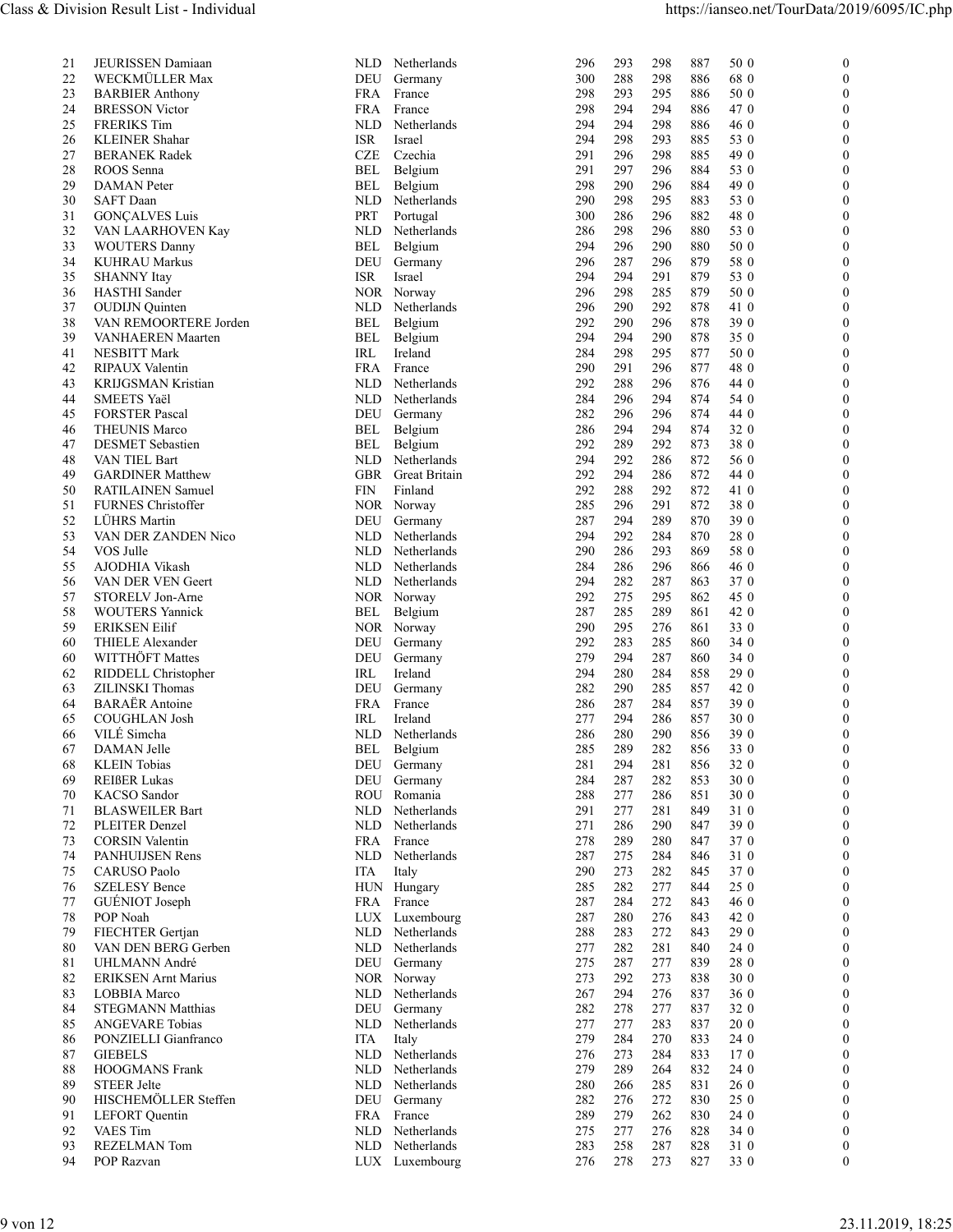| 21  | JEURISSEN Damiaan          |
|-----|----------------------------|
| 22  | WECKMÜLLER Max             |
| 23  | <b>BARBIER Anthony</b>     |
|     |                            |
| 24  | <b>BRESSON Victor</b>      |
| 25  | <b>FRERIKS</b> Tim         |
| 26  | <b>KLEINER Shahar</b>      |
| 27  | <b>BERANEK Radek</b>       |
|     |                            |
| 28  | ROOS Senna                 |
| 29  | <b>DAMAN</b> Peter         |
| 30  | SAFT Daan                  |
| 31  | <b>GONÇALVES Luis</b>      |
|     |                            |
| 32  | VAN LAARHOVEN Kay          |
| 33  | <b>WOUTERS Danny</b>       |
| 34  | <b>KUHRAU Markus</b>       |
| 35  | <b>SHANNY</b> Itay         |
| 36  | <b>HASTHI</b> Sander       |
|     |                            |
| 37  | <b>OUDIJN</b> Quinten      |
| 38  | VAN REMOORTERE Jorden      |
| 39  | VANHAEREN Maarten          |
| 41  | NESBITT Mark               |
|     |                            |
| 42  | RIPAUX Valentin            |
| 43  | KRIJGSMAN Kristian         |
| 44  | SMEETS Yaël                |
| 45  | <b>FORSTER Pascal</b>      |
|     |                            |
| 46  | <b>THEUNIS Marco</b>       |
| 47  | <b>DESMET</b> Sebastien    |
| 48  | VAN TIEL Bart              |
| 49  | <b>GARDINER Matthew</b>    |
|     |                            |
| 50  | RATILAINEN Samuel          |
| 51  | <b>FURNES Christoffer</b>  |
| 52  | LÜHRS Martin               |
| 53  | VAN DER ZANDEN Nico        |
| 54  |                            |
|     | VOS Julle                  |
| 55  | AJODHIA Vikash             |
| 56  | VAN DER VEN Geert          |
| 57  | STORELV Jon-Arne           |
| 58  | <b>WOUTERS</b> Yannick     |
|     |                            |
| 59  | <b>ERIKSEN Eilif</b>       |
| 60  | THIELE Alexander           |
| 60  | WITTHÖFT Mattes            |
| 62  | RIDDELL Christopher        |
|     |                            |
| 63  | ZILINSKI Thomas            |
| 64  | <b>BARAËR</b> Antoine      |
| 65  | <b>COUGHLAN Josh</b>       |
| 66  | VILÉ Simcha                |
|     | DAMAN Jelle                |
| 67  |                            |
| 68  | <b>KLEIN</b> Tobias        |
| 69  | <b>REIßER Lukas</b>        |
| 70  | <b>KACSO</b> Sandor        |
| 71  | <b>BLASWEILER Bart</b>     |
| 72  |                            |
|     | PLEITER Denzel             |
| 73  | <b>CORSIN Valentin</b>     |
| 74  | <b>PANHUIJSEN Rens</b>     |
| 75  | <b>CARUSO Paolo</b>        |
| 76  | <b>SZELESY Bence</b>       |
|     |                            |
| 77  | GUÉNIOT Joseph             |
| 78  | POP Noah                   |
| 79  | FIECHTER Gertjan           |
| 80  | VAN DEN BERG Gerben        |
| 81  | UHLMANN André              |
|     |                            |
| 82  | <b>ERIKSEN Arnt Marius</b> |
| 83  | LOBBIA Marco               |
| 84  | <b>STEGMANN Matthias</b>   |
| 85  | <b>ANGEVARE Tobias</b>     |
|     |                            |
| 86  | PONZIELLI Gianfranco       |
| 87  | <b>GIEBELS</b>             |
| 88  | <b>HOOGMANS</b> Frank      |
| 89  | <b>STEER Jelte</b>         |
| 90  | HISCHEMÖLLER Steffen       |
|     |                            |
| 91  | <b>LEFORT</b> Quentin      |
| 92  | <b>VAES</b> Tim            |
| 93. | REZELMAN Tom               |

| 21<br>22<br>23<br>24<br>25 | JEURISSEN Damiaan<br>WECKMÜLLER Max             |                                              |                                                                      |                              |
|----------------------------|-------------------------------------------------|----------------------------------------------|----------------------------------------------------------------------|------------------------------|
|                            |                                                 | NLD Netherlands<br>DEU Germany               | 293<br>298<br>887<br>50 0<br>296<br>68 0<br>300<br>288<br>298<br>886 | $\mathbf{0}$<br>$\mathbf{0}$ |
|                            | <b>BARBIER Anthony</b>                          | FRA France                                   | 295<br>298<br>293<br>886<br>50 0                                     | $\theta$                     |
|                            | <b>BRESSON</b> Victor<br><b>FRERIKS</b> Tim     | FRA France<br><b>NLD</b><br>Netherlands      | 298<br>294<br>294<br>886<br>47 0<br>294<br>298<br>294<br>886<br>46 0 | $\theta$<br>$\theta$         |
| 26                         | <b>KLEINER Shahar</b>                           | ISR<br>Israel                                | 294<br>298<br>293<br>885<br>53 0                                     | $\theta$                     |
| 27<br>28                   | <b>BERANEK Radek</b><br>ROOS Senna              | CZE<br>Czechia<br>BEL<br>Belgium             | 298<br>291<br>296<br>885<br>49 0<br>297<br>296<br>884<br>291<br>53 0 | $\theta$<br>$\theta$         |
| 29                         | <b>DAMAN</b> Peter                              | BEL<br>Belgium                               | 298<br>290<br>296<br>884<br>49 0                                     | $\theta$                     |
| 30<br>31                   | SAFT Daan<br><b>GONÇALVES Luis</b>              | <b>NLD</b><br>Netherlands<br>PRT<br>Portugal | 298<br>295<br>53 0<br>290<br>883<br>882<br>286<br>296<br>48 0<br>300 | $\theta$<br>$\theta$         |
| 32                         | VAN LAARHOVEN Kay                               | NLD<br>Netherlands                           | 298<br>296<br>880<br>53 0<br>286                                     | $\Omega$                     |
| 33<br>34                   | <b>WOUTERS Danny</b><br><b>KUHRAU Markus</b>    | Belgium<br>BEL<br>DEU<br>Germany             | 296<br>290<br>880<br>50 0<br>294<br>296<br>287<br>296<br>879<br>58 0 | $\theta$<br>$\Omega$         |
| 35                         | <b>SHANNY</b> Itay                              | ISR.<br>Israel                               | 291<br>879<br>53 0<br>294<br>294                                     | $\left($                     |
| 36<br>$3^{\circ}$          | HASTHI Sander<br><b>OUDIJN</b> Quinten          | NOR Norway<br>NLD<br>Netherlands             | 296<br>298<br>285<br>879<br>50 0<br>296<br>290<br>292<br>878<br>41 0 | $\Omega$<br>O                |
| 38                         | VAN REMOORTERE Jorden                           | BEL<br>Belgium                               | 292<br>290<br>296<br>878<br>39 0                                     | 0                            |
| 39<br>41                   | VANHAEREN Maarten<br>NESBITT Mark               | Belgium<br>BEL<br>IRL<br>Ireland             | 294<br>290<br>878<br>35 0<br>294<br>298<br>295<br>877<br>50 0<br>284 | $\theta$<br>$\theta$         |
| 42                         | RIPAUX Valentin                                 | FRA<br>France                                | 48 0<br>290<br>291<br>296<br>877                                     | $\Omega$                     |
| 43                         | KRIJGSMAN Kristian<br><b>SMEETS Yaël</b>        | NLD Netherlands<br>NLD Netherlands           | 292<br>288<br>296<br>876<br>44 0<br>296<br>294<br>54 0<br>284<br>874 | $\theta$<br>$\Omega$         |
| 44<br>45                   | <b>FORSTER Pascal</b>                           | DEU<br>Germany                               | 282<br>296<br>296<br>874<br>44 0                                     | $\theta$                     |
| 46                         | <b>THEUNIS Marco</b><br><b>DESMET</b> Sebastien | Belgium<br>BEL                               | 294<br>32 0<br>286<br>294<br>874<br>38 0                             | $\Omega$                     |
| 47<br>48                   | VAN TIEL Bart                                   | Belgium<br>BEL<br>NLD Netherlands            | 289<br>292<br>292<br>873<br>294<br>292<br>286<br>872<br>56 0         | 0<br>$\theta$                |
| 49                         | <b>GARDINER Matthew</b><br>RATILAINEN Samuel    | GBR Great Britain<br>FIN<br>Finland          | 872<br>292<br>294<br>286<br>44 0<br>292<br>288<br>292<br>872<br>41 0 | $\theta$<br>0                |
| 50<br>51                   | FURNES Christoffer                              | NOR Norway                                   | 291<br>872<br>285<br>296<br>38 0                                     | $\theta$                     |
| 52                         | LÜHRS Martin                                    | DEU Germany                                  | 289<br>39 0<br>287<br>294<br>870                                     | $\Omega$                     |
| 53<br>54                   | VAN DER ZANDEN Nico<br>VOS Julle                | NLD Netherlands<br>NLD Netherlands           | 292<br>284<br>28 0<br>294<br>870<br>290<br>286<br>293<br>869<br>58 0 | $\Omega$<br>$\theta$         |
| 55                         | AJODHIA Vikash                                  | NLD Netherlands                              | 284<br>286<br>296<br>866<br>46 0                                     | $\Omega$                     |
| 56<br>57                   | VAN DER VEN Geert<br>STORELV Jon-Arne           | NLD Netherlands<br>NOR Norway                | 294<br>282<br>287<br>863<br>37 0<br>292<br>275<br>295<br>862<br>45 0 | $\theta$<br>$\theta$         |
| 58                         | <b>WOUTERS Yannick</b>                          | Belgium<br>BEL                               | 285<br>289<br>42 0<br>287<br>861                                     | 0                            |
| 59<br>60                   | <b>ERIKSEN Eilif</b><br>THIELE Alexander        | NOR Norway<br>DEU<br>Germany                 | 295<br>276<br>290<br>861<br>33 0<br>292<br>283<br>285<br>34 0<br>860 | $\theta$<br>$\theta$         |
| 60                         | WITTHÖFT Mattes                                 | DEU<br>Germany                               | 279<br>294<br>287<br>34 0<br>860                                     |                              |
| 62<br>63                   | RIDDELL Christopher<br>ZILINSKI Thomas          | Ireland<br>IRL<br>DEU<br>Germany             | 280<br>284<br>29 0<br>294<br>858<br>857<br>42 0<br>282<br>290<br>285 | $\theta$<br>$\Omega$         |
| 64                         | <b>BARAËR</b> Antoine                           | FRA<br>France                                | 284<br>857<br>39 0<br>286<br>287                                     | $\theta$                     |
| 65<br>66                   | COUGHLAN Josh<br>VILÉ Simcha                    | Ireland<br>IRL<br><b>NLD</b><br>Netherlands  | 277<br>294<br>286<br>857<br>30 0<br>290<br>39 0<br>286<br>280<br>856 | $\Omega$<br>0                |
| 67                         | DAMAN Jelle                                     | BEL<br>Belgium                               | 289<br>282<br>285<br>856<br>33 0                                     | $\theta$                     |
| 68<br>69                   | <b>KLEIN</b> Tobias<br><b>REIßER Lukas</b>      | DEU Germany<br>DEU Germany                   | 281<br>32 0<br>281<br>294<br>856<br>287<br>282<br>853<br>30 0<br>284 | $\theta$<br>0                |
| 70                         | KACSO Sandor                                    | ROU Romania                                  | 288<br>277<br>286<br>851<br>30 0                                     | $\theta$                     |
| 71                         | <b>BLASWEILER Bart</b>                          | NLD Netherlands                              | 291<br>277<br>281<br>849<br>31 0                                     | $\theta$                     |
| 72<br>73                   | PLEITER Denzel<br><b>CORSIN Valentin</b>        | NLD<br>Netherlands<br>FRA France             | 286<br>39 0<br>271<br>290<br>847<br>278<br>289<br>280<br>847<br>37 0 | $\Omega$<br>$\theta$         |
| 74                         | PANHUIJSEN Rens                                 | NLD Netherlands                              | 275<br>284<br>31 0<br>287<br>846                                     | $\Omega$                     |
| 75<br>76                   | CARUSO Paolo<br><b>SZELESY Bence</b>            | ITA<br>Italy                                 | 290<br>273<br>282<br>37 0<br>845<br>282<br>277<br>285<br>844<br>25 0 | $\theta$<br>$\theta$         |
| 77                         | GUÉNIOT Joseph                                  | HUN Hungary<br>FRA France                    | 272<br>287<br>284<br>843<br>46 0                                     | 0                            |
| 78                         | POP Noah                                        | LUX Luxembourg                               | 276<br>287<br>280<br>843<br>42 0                                     | $\theta$                     |
| 79<br>80                   | FIECHTER Gertjan<br>VAN DEN BERG Gerben         | NLD Netherlands<br>NLD Netherlands           | 29 0<br>288<br>283<br>272<br>843<br>281<br>277<br>282<br>840<br>24 0 | $\theta$<br>0                |
| 81                         | UHLMANN André                                   | DEU Germany                                  | 277<br>839<br>28 0<br>275<br>287                                     | $\left($                     |
| 82                         | <b>ERIKSEN Arnt Marius</b>                      | NOR Norway                                   | 30 0<br>273<br>292<br>273<br>838                                     | $\theta$                     |
| 83<br>84                   | LOBBIA Marco<br><b>STEGMANN Matthias</b>        | NLD Netherlands<br>DEU Germany               | 267<br>294<br>276<br>837<br>36 0<br>282<br>278<br>277<br>32 0<br>837 | $\theta$<br>$\theta$         |
| 85                         | ANGEVARE Tobias                                 | NLD Netherlands                              | 283<br>837<br>277<br>277<br>20 0                                     | $\theta$                     |
| 86<br>87                   | PONZIELLI Gianfranco<br><b>GIEBELS</b>          | Italy<br>ITA<br>NLD Netherlands              | 270<br>279<br>284<br>833<br>24 0<br>284<br>833<br>276<br>273<br>170  | $\theta$<br>$\theta$         |
| 88                         | HOOGMANS Frank                                  | NLD Netherlands                              | 279<br>289<br>264<br>832<br>24 0                                     | $\theta$                     |
| 89                         | <b>STEER Jelte</b>                              | NLD Netherlands                              | 280<br>266<br>285<br>831<br>26 0                                     | $\theta$<br>$\theta$         |
| 90<br>91                   | HISCHEMÖLLER Steffen<br><b>LEFORT</b> Quentin   | DEU Germany<br>FRA France                    | 272<br>830<br>25 0<br>282<br>276<br>289<br>279<br>262<br>830<br>24 0 | $\theta$                     |
| 92                         | VAES Tim                                        | NLD Netherlands                              | 275<br>277<br>276<br>828<br>34 0                                     | $\theta$                     |
| 93<br>94                   | <b>REZELMAN Tom</b><br>POP Razvan               | NLD Netherlands<br>LUX Luxembourg            | 283<br>258<br>287<br>828<br>31 0<br>278<br>273<br>827<br>33 0<br>276 | $\theta$<br>$\mathbf{0}$     |
|                            |                                                 |                                              |                                                                      |                              |
|                            |                                                 |                                              |                                                                      |                              |
| 9 von 12                   |                                                 |                                              |                                                                      | 23.11.2019, 18:25            |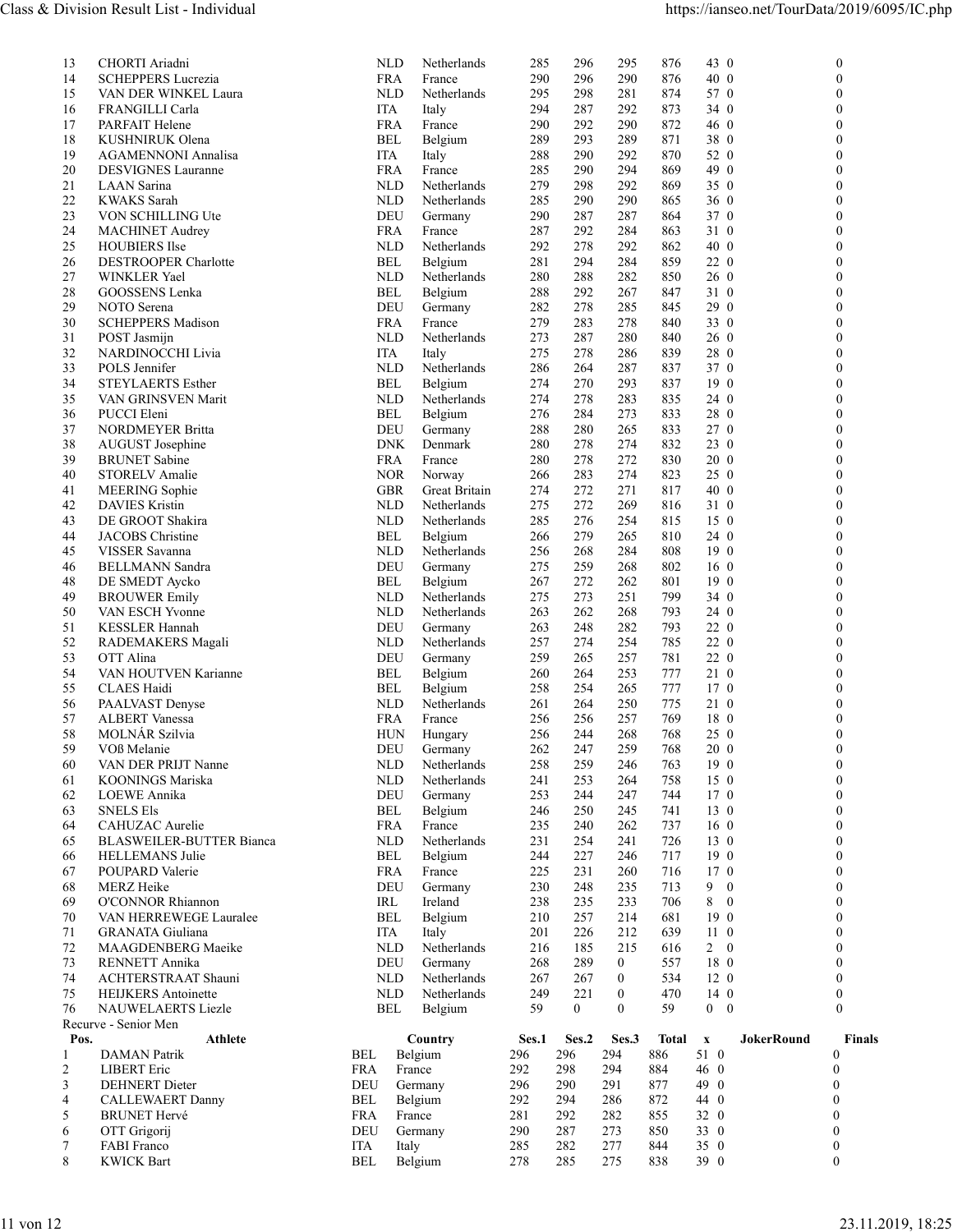| Class & Division Result List - Individual<br>CHORTI Ariadni<br>296<br>295<br><b>NLD</b><br>Netherlands<br>285<br>13<br>290<br>290<br>14<br><b>SCHEPPERS Lucrezia</b><br><b>FRA</b><br>France<br>296<br>15<br>VAN DER WINKEL Laura<br><b>NLD</b><br>Netherlands<br>295<br>298<br>281<br>292<br>16<br>FRANGILLI Carla<br>ITA<br>Italy<br>294<br>287<br>17<br>290<br>PARFAIT Helene<br><b>FRA</b><br>290<br>292<br>France<br>18<br>KUSHNIRUK Olena<br><b>BEL</b><br>Belgium<br>289<br>293<br>289<br>19<br>292<br><b>AGAMENNONI Annalisa</b><br><b>ITA</b><br>288<br>290<br>Italy<br>294<br>20<br><b>DESVIGNES Lauranne</b><br><b>FRA</b><br>France<br>285<br>290<br>21<br>279<br>298<br>292<br>LAAN Sarina<br><b>NLD</b><br>Netherlands<br>22<br>290<br><b>KWAKS</b> Sarah<br><b>NLD</b><br>285<br>290<br>Netherlands<br>23<br>DEU<br>VON SCHILLING Ute<br>290<br>287<br>Germany<br>287<br>24<br><b>MACHINET Audrey</b><br><b>FRA</b><br>287<br>292<br>284<br>France<br>25<br>292<br><b>NLD</b><br>292<br>278<br><b>HOUBIERS</b> Ilse<br>Netherlands<br>26<br><b>DESTROOPER Charlotte</b><br><b>BEL</b><br>281<br>294<br>284<br>Belgium<br>27<br>280<br>282<br>WINKLER Yael<br><b>NLD</b><br>Netherlands<br>288<br>28<br>292<br>GOOSSENS Lenka<br><b>BEL</b><br>288<br>267<br>Belgium<br>29<br>NOTO Serena<br>DEU<br>Germany<br>282<br>278<br>285<br>30<br><b>SCHEPPERS Madison</b><br>279<br>283<br>278<br><b>FRA</b><br>France<br>Netherlands<br>273<br>280<br>31<br>POST Jasmijn<br><b>NLD</b><br>287<br>32<br><b>ITA</b><br>275<br>278<br>286<br>NARDINOCCHI Livia<br>Italy<br>33<br>287<br>POLS Jennifer<br><b>NLD</b><br>Netherlands<br>286<br>264<br>34<br>STEYLAERTS Esther<br>274<br>270<br>293<br>BEL<br>Belgium<br>35<br>274<br>278<br>283<br>VAN GRINSVEN Marit<br><b>NLD</b><br>Netherlands<br>273<br>36<br><b>BEL</b><br>276<br>284<br>PUCCI Eleni<br>Belgium<br>37<br>NORDMEYER Britta<br>DEU<br>280<br>Germany<br>288<br>265<br>278<br>274<br>38<br>AUGUST Josephine<br><b>DNK</b><br>Denmark<br>280<br>39<br>272<br><b>BRUNET</b> Sabine<br><b>FRA</b><br>France<br>280<br>278<br>283<br>274<br>40<br>STORELV Amalie<br><b>NOR</b><br>Norway<br>266<br>272<br>271<br>41<br>MEERING Sophie<br>GBR<br><b>Great Britain</b><br>274<br>42<br><b>DAVIES Kristin</b><br>275<br>272<br>269<br><b>NLD</b><br>Netherlands<br>DE GROOT Shakira<br>276<br>43<br><b>NLD</b><br>Netherlands<br>285<br>254<br>44<br><b>JACOBS</b> Christine<br>265<br><b>BEL</b><br>Belgium<br>266<br>279<br>VISSER Savanna<br>268<br>284<br>45<br><b>NLD</b><br>Netherlands<br>256<br><b>BELLMANN</b> Sandra<br>268<br>46<br>DEU<br>275<br>259<br>Germany<br>48<br>DE SMEDT Aycko<br>267<br>272<br>262<br><b>BEL</b><br>Belgium<br>273<br>251<br>49<br><b>BROUWER Emily</b><br><b>NLD</b><br>Netherlands<br>275<br>50<br>VAN ESCH Yvonne<br>263<br>262<br>268<br><b>NLD</b><br>Netherlands<br>51<br><b>KESSLER Hannah</b><br>DEU<br>248<br>282<br>Germany<br>263<br>52<br>257<br>274<br>254<br>RADEMAKERS Magali<br><b>NLD</b><br>Netherlands<br>53<br>259<br>257<br>OTT Alina<br>DEU<br>265<br>Germany<br>54<br>VAN HOUTVEN Karianne<br><b>BEL</b><br>Belgium<br>253<br>260<br>264<br>265<br>55<br><b>CLAES</b> Haidi<br><b>BEL</b><br>Belgium<br>258<br>254<br>56<br>261<br>250<br>PAALVAST Denyse<br><b>NLD</b><br>Netherlands<br>264<br>57<br>ALBERT Vanessa<br><b>FRA</b><br>France<br>256<br>256<br>257<br>58<br>MOLNÁR Szilvia<br>268<br><b>HUN</b><br>256<br>244<br>Hungary<br>59<br>VOß Melanie<br>DEU<br>262<br>247<br>259<br>Germany<br>258<br>259<br>60<br>VAN DER PRIJT Nanne<br><b>NLD</b><br>Netherlands<br>246<br>KOONINGS Mariska<br>253<br>264<br>61<br><b>NLD</b><br>Netherlands<br>241<br>LOEWE Annika<br>DEU<br>62<br>Germany<br>253<br>244<br>247<br>63<br>246<br>250<br>245<br><b>SNELS Els</b><br><b>BEL</b><br>Belgium<br>235<br>262<br>64<br>CAHUZAC Aurelie<br><b>FRA</b><br>France<br>240<br><b>BLASWEILER-BUTTER Bianca</b><br><b>NLD</b><br>231<br>254<br>241<br>65<br>Netherlands<br>HELLEMANS Julie<br>227<br>246<br>66<br><b>BEL</b><br>Belgium<br>244<br>67<br><b>FRA</b><br>225<br>231<br>260<br>POUPARD Valerie<br>France<br>MERZ Heike<br>DEU<br>235<br>68<br>Germany<br>230<br>248<br>238<br>233<br>69<br><b>O'CONNOR Rhiannon</b><br>IRL<br>Ireland<br>235<br>70<br><b>BEL</b><br>257<br>214<br>VAN HERREWEGE Lauralee<br>Belgium<br>210<br>71<br>212<br><b>GRANATA</b> Giuliana<br><b>ITA</b><br>Italy<br>201<br>226<br>72<br>MAAGDENBERG Maeike<br><b>NLD</b><br>216<br>185<br>215<br>Netherlands<br>73<br>DEU<br>RENNETT Annika<br>Germany<br>268<br>289<br>$\mathbf{0}$<br>74<br>ACHTERSTRAAT Shauni<br><b>NLD</b><br>Netherlands<br>267<br>267<br>$\overline{0}$<br>75<br>221<br>$\overline{0}$<br><b>HEIJKERS</b> Antoinette<br><b>NLD</b><br>249<br>Netherlands<br>NAUWELAERTS Liezle<br>BEL<br>Belgium<br>59<br>$\mathbf{0}$<br>$\bf{0}$<br>76<br>Recurve - Senior Men<br>Athlete<br>Ses.2 Ses.3<br>Pos.<br>Country<br>Ses.1<br>296<br>294<br>Belgium<br>296<br>DAMAN Patrik<br>BEL<br><b>LIBERT</b> Eric<br>294<br>2<br>FRA<br>France<br>292<br>298<br><b>DEHNERT</b> Dieter<br>DEU<br>Germany<br>296<br>290<br>291<br>3<br><b>CALLEWAERT Danny</b><br>BEL<br>Belgium<br>292<br>294<br>286<br>$\overline{4}$<br><b>BRUNET Hervé</b><br>France<br>281<br>292<br>282<br>5<br>FRA<br>OTT Grigorij<br>DEU<br>Germany<br>290<br>273<br>6<br>287<br>FABI Franco<br>ITA<br>Italy<br>285<br>282<br>277<br>7<br>285<br>275<br>8<br><b>KWICK Bart</b><br>BEL<br>Belgium<br>278 |                                              |                          |
|-------------------------------------------------------------------------------------------------------------------------------------------------------------------------------------------------------------------------------------------------------------------------------------------------------------------------------------------------------------------------------------------------------------------------------------------------------------------------------------------------------------------------------------------------------------------------------------------------------------------------------------------------------------------------------------------------------------------------------------------------------------------------------------------------------------------------------------------------------------------------------------------------------------------------------------------------------------------------------------------------------------------------------------------------------------------------------------------------------------------------------------------------------------------------------------------------------------------------------------------------------------------------------------------------------------------------------------------------------------------------------------------------------------------------------------------------------------------------------------------------------------------------------------------------------------------------------------------------------------------------------------------------------------------------------------------------------------------------------------------------------------------------------------------------------------------------------------------------------------------------------------------------------------------------------------------------------------------------------------------------------------------------------------------------------------------------------------------------------------------------------------------------------------------------------------------------------------------------------------------------------------------------------------------------------------------------------------------------------------------------------------------------------------------------------------------------------------------------------------------------------------------------------------------------------------------------------------------------------------------------------------------------------------------------------------------------------------------------------------------------------------------------------------------------------------------------------------------------------------------------------------------------------------------------------------------------------------------------------------------------------------------------------------------------------------------------------------------------------------------------------------------------------------------------------------------------------------------------------------------------------------------------------------------------------------------------------------------------------------------------------------------------------------------------------------------------------------------------------------------------------------------------------------------------------------------------------------------------------------------------------------------------------------------------------------------------------------------------------------------------------------------------------------------------------------------------------------------------------------------------------------------------------------------------------------------------------------------------------------------------------------------------------------------------------------------------------------------------------------------------------------------------------------------------------------------------------------------------------------------------------------------------------------------------------------------------------------------------------------------------------------------------------------------------------------------------------------------------------------------------------------------------------------------------------------------------------------------------------------------------------------------------------------------------------------------------------------------------------------------------------------------------------------------------------------------------------------------------------------------------------------------------------------------------------------------------------------------------------------------------------------------------------------------------------------------------------------------------------------------------------------------------------------------------------------------------------------------------------------------------------------------------------------------------------------------------------------------------------------------------------------------------------------------------------------------------------------------------------------------------------|----------------------------------------------|--------------------------|
|                                                                                                                                                                                                                                                                                                                                                                                                                                                                                                                                                                                                                                                                                                                                                                                                                                                                                                                                                                                                                                                                                                                                                                                                                                                                                                                                                                                                                                                                                                                                                                                                                                                                                                                                                                                                                                                                                                                                                                                                                                                                                                                                                                                                                                                                                                                                                                                                                                                                                                                                                                                                                                                                                                                                                                                                                                                                                                                                                                                                                                                                                                                                                                                                                                                                                                                                                                                                                                                                                                                                                                                                                                                                                                                                                                                                                                                                                                                                                                                                                                                                                                                                                                                                                                                                                                                                                                                                                                                                                                                                                                                                                                                                                                                                                                                                                                                                                                                                                                                                                                                                                                                                                                                                                                                                                                                                                                                                                                                                                                       |                                              |                          |
|                                                                                                                                                                                                                                                                                                                                                                                                                                                                                                                                                                                                                                                                                                                                                                                                                                                                                                                                                                                                                                                                                                                                                                                                                                                                                                                                                                                                                                                                                                                                                                                                                                                                                                                                                                                                                                                                                                                                                                                                                                                                                                                                                                                                                                                                                                                                                                                                                                                                                                                                                                                                                                                                                                                                                                                                                                                                                                                                                                                                                                                                                                                                                                                                                                                                                                                                                                                                                                                                                                                                                                                                                                                                                                                                                                                                                                                                                                                                                                                                                                                                                                                                                                                                                                                                                                                                                                                                                                                                                                                                                                                                                                                                                                                                                                                                                                                                                                                                                                                                                                                                                                                                                                                                                                                                                                                                                                                                                                                                                                       |                                              |                          |
|                                                                                                                                                                                                                                                                                                                                                                                                                                                                                                                                                                                                                                                                                                                                                                                                                                                                                                                                                                                                                                                                                                                                                                                                                                                                                                                                                                                                                                                                                                                                                                                                                                                                                                                                                                                                                                                                                                                                                                                                                                                                                                                                                                                                                                                                                                                                                                                                                                                                                                                                                                                                                                                                                                                                                                                                                                                                                                                                                                                                                                                                                                                                                                                                                                                                                                                                                                                                                                                                                                                                                                                                                                                                                                                                                                                                                                                                                                                                                                                                                                                                                                                                                                                                                                                                                                                                                                                                                                                                                                                                                                                                                                                                                                                                                                                                                                                                                                                                                                                                                                                                                                                                                                                                                                                                                                                                                                                                                                                                                                       | https://ianseo.net/TourData/2019/6095/IC.php |                          |
|                                                                                                                                                                                                                                                                                                                                                                                                                                                                                                                                                                                                                                                                                                                                                                                                                                                                                                                                                                                                                                                                                                                                                                                                                                                                                                                                                                                                                                                                                                                                                                                                                                                                                                                                                                                                                                                                                                                                                                                                                                                                                                                                                                                                                                                                                                                                                                                                                                                                                                                                                                                                                                                                                                                                                                                                                                                                                                                                                                                                                                                                                                                                                                                                                                                                                                                                                                                                                                                                                                                                                                                                                                                                                                                                                                                                                                                                                                                                                                                                                                                                                                                                                                                                                                                                                                                                                                                                                                                                                                                                                                                                                                                                                                                                                                                                                                                                                                                                                                                                                                                                                                                                                                                                                                                                                                                                                                                                                                                                                                       | 876<br>43 0<br>876<br>40 0                   | $\mathbf{0}$<br>$\Omega$ |
|                                                                                                                                                                                                                                                                                                                                                                                                                                                                                                                                                                                                                                                                                                                                                                                                                                                                                                                                                                                                                                                                                                                                                                                                                                                                                                                                                                                                                                                                                                                                                                                                                                                                                                                                                                                                                                                                                                                                                                                                                                                                                                                                                                                                                                                                                                                                                                                                                                                                                                                                                                                                                                                                                                                                                                                                                                                                                                                                                                                                                                                                                                                                                                                                                                                                                                                                                                                                                                                                                                                                                                                                                                                                                                                                                                                                                                                                                                                                                                                                                                                                                                                                                                                                                                                                                                                                                                                                                                                                                                                                                                                                                                                                                                                                                                                                                                                                                                                                                                                                                                                                                                                                                                                                                                                                                                                                                                                                                                                                                                       | 874<br>57 0                                  | $\Omega$<br>$\Omega$     |
|                                                                                                                                                                                                                                                                                                                                                                                                                                                                                                                                                                                                                                                                                                                                                                                                                                                                                                                                                                                                                                                                                                                                                                                                                                                                                                                                                                                                                                                                                                                                                                                                                                                                                                                                                                                                                                                                                                                                                                                                                                                                                                                                                                                                                                                                                                                                                                                                                                                                                                                                                                                                                                                                                                                                                                                                                                                                                                                                                                                                                                                                                                                                                                                                                                                                                                                                                                                                                                                                                                                                                                                                                                                                                                                                                                                                                                                                                                                                                                                                                                                                                                                                                                                                                                                                                                                                                                                                                                                                                                                                                                                                                                                                                                                                                                                                                                                                                                                                                                                                                                                                                                                                                                                                                                                                                                                                                                                                                                                                                                       | 873<br>34 0<br>872<br>46 0                   | $\Omega$                 |
|                                                                                                                                                                                                                                                                                                                                                                                                                                                                                                                                                                                                                                                                                                                                                                                                                                                                                                                                                                                                                                                                                                                                                                                                                                                                                                                                                                                                                                                                                                                                                                                                                                                                                                                                                                                                                                                                                                                                                                                                                                                                                                                                                                                                                                                                                                                                                                                                                                                                                                                                                                                                                                                                                                                                                                                                                                                                                                                                                                                                                                                                                                                                                                                                                                                                                                                                                                                                                                                                                                                                                                                                                                                                                                                                                                                                                                                                                                                                                                                                                                                                                                                                                                                                                                                                                                                                                                                                                                                                                                                                                                                                                                                                                                                                                                                                                                                                                                                                                                                                                                                                                                                                                                                                                                                                                                                                                                                                                                                                                                       | 871<br>38 0<br>870<br>52 0                   | $\Omega$                 |
|                                                                                                                                                                                                                                                                                                                                                                                                                                                                                                                                                                                                                                                                                                                                                                                                                                                                                                                                                                                                                                                                                                                                                                                                                                                                                                                                                                                                                                                                                                                                                                                                                                                                                                                                                                                                                                                                                                                                                                                                                                                                                                                                                                                                                                                                                                                                                                                                                                                                                                                                                                                                                                                                                                                                                                                                                                                                                                                                                                                                                                                                                                                                                                                                                                                                                                                                                                                                                                                                                                                                                                                                                                                                                                                                                                                                                                                                                                                                                                                                                                                                                                                                                                                                                                                                                                                                                                                                                                                                                                                                                                                                                                                                                                                                                                                                                                                                                                                                                                                                                                                                                                                                                                                                                                                                                                                                                                                                                                                                                                       | 49 0<br>869<br>869<br>35 <sub>0</sub>        | $\Omega$<br>$\Omega$     |
|                                                                                                                                                                                                                                                                                                                                                                                                                                                                                                                                                                                                                                                                                                                                                                                                                                                                                                                                                                                                                                                                                                                                                                                                                                                                                                                                                                                                                                                                                                                                                                                                                                                                                                                                                                                                                                                                                                                                                                                                                                                                                                                                                                                                                                                                                                                                                                                                                                                                                                                                                                                                                                                                                                                                                                                                                                                                                                                                                                                                                                                                                                                                                                                                                                                                                                                                                                                                                                                                                                                                                                                                                                                                                                                                                                                                                                                                                                                                                                                                                                                                                                                                                                                                                                                                                                                                                                                                                                                                                                                                                                                                                                                                                                                                                                                                                                                                                                                                                                                                                                                                                                                                                                                                                                                                                                                                                                                                                                                                                                       | 360<br>865                                   | $\Omega$                 |
|                                                                                                                                                                                                                                                                                                                                                                                                                                                                                                                                                                                                                                                                                                                                                                                                                                                                                                                                                                                                                                                                                                                                                                                                                                                                                                                                                                                                                                                                                                                                                                                                                                                                                                                                                                                                                                                                                                                                                                                                                                                                                                                                                                                                                                                                                                                                                                                                                                                                                                                                                                                                                                                                                                                                                                                                                                                                                                                                                                                                                                                                                                                                                                                                                                                                                                                                                                                                                                                                                                                                                                                                                                                                                                                                                                                                                                                                                                                                                                                                                                                                                                                                                                                                                                                                                                                                                                                                                                                                                                                                                                                                                                                                                                                                                                                                                                                                                                                                                                                                                                                                                                                                                                                                                                                                                                                                                                                                                                                                                                       | 37 0<br>864<br>863<br>31 0                   | $\Omega$                 |
|                                                                                                                                                                                                                                                                                                                                                                                                                                                                                                                                                                                                                                                                                                                                                                                                                                                                                                                                                                                                                                                                                                                                                                                                                                                                                                                                                                                                                                                                                                                                                                                                                                                                                                                                                                                                                                                                                                                                                                                                                                                                                                                                                                                                                                                                                                                                                                                                                                                                                                                                                                                                                                                                                                                                                                                                                                                                                                                                                                                                                                                                                                                                                                                                                                                                                                                                                                                                                                                                                                                                                                                                                                                                                                                                                                                                                                                                                                                                                                                                                                                                                                                                                                                                                                                                                                                                                                                                                                                                                                                                                                                                                                                                                                                                                                                                                                                                                                                                                                                                                                                                                                                                                                                                                                                                                                                                                                                                                                                                                                       | 862<br>40 0<br>859<br>22 0                   | $\Omega$                 |
|                                                                                                                                                                                                                                                                                                                                                                                                                                                                                                                                                                                                                                                                                                                                                                                                                                                                                                                                                                                                                                                                                                                                                                                                                                                                                                                                                                                                                                                                                                                                                                                                                                                                                                                                                                                                                                                                                                                                                                                                                                                                                                                                                                                                                                                                                                                                                                                                                                                                                                                                                                                                                                                                                                                                                                                                                                                                                                                                                                                                                                                                                                                                                                                                                                                                                                                                                                                                                                                                                                                                                                                                                                                                                                                                                                                                                                                                                                                                                                                                                                                                                                                                                                                                                                                                                                                                                                                                                                                                                                                                                                                                                                                                                                                                                                                                                                                                                                                                                                                                                                                                                                                                                                                                                                                                                                                                                                                                                                                                                                       | 850<br>26 0                                  | $\Omega$<br>$\Omega$     |
|                                                                                                                                                                                                                                                                                                                                                                                                                                                                                                                                                                                                                                                                                                                                                                                                                                                                                                                                                                                                                                                                                                                                                                                                                                                                                                                                                                                                                                                                                                                                                                                                                                                                                                                                                                                                                                                                                                                                                                                                                                                                                                                                                                                                                                                                                                                                                                                                                                                                                                                                                                                                                                                                                                                                                                                                                                                                                                                                                                                                                                                                                                                                                                                                                                                                                                                                                                                                                                                                                                                                                                                                                                                                                                                                                                                                                                                                                                                                                                                                                                                                                                                                                                                                                                                                                                                                                                                                                                                                                                                                                                                                                                                                                                                                                                                                                                                                                                                                                                                                                                                                                                                                                                                                                                                                                                                                                                                                                                                                                                       | 847<br>31 0<br>845<br>29 0                   |                          |
|                                                                                                                                                                                                                                                                                                                                                                                                                                                                                                                                                                                                                                                                                                                                                                                                                                                                                                                                                                                                                                                                                                                                                                                                                                                                                                                                                                                                                                                                                                                                                                                                                                                                                                                                                                                                                                                                                                                                                                                                                                                                                                                                                                                                                                                                                                                                                                                                                                                                                                                                                                                                                                                                                                                                                                                                                                                                                                                                                                                                                                                                                                                                                                                                                                                                                                                                                                                                                                                                                                                                                                                                                                                                                                                                                                                                                                                                                                                                                                                                                                                                                                                                                                                                                                                                                                                                                                                                                                                                                                                                                                                                                                                                                                                                                                                                                                                                                                                                                                                                                                                                                                                                                                                                                                                                                                                                                                                                                                                                                                       | 33 0<br>840<br>840<br>26 0                   | $\Omega$                 |
|                                                                                                                                                                                                                                                                                                                                                                                                                                                                                                                                                                                                                                                                                                                                                                                                                                                                                                                                                                                                                                                                                                                                                                                                                                                                                                                                                                                                                                                                                                                                                                                                                                                                                                                                                                                                                                                                                                                                                                                                                                                                                                                                                                                                                                                                                                                                                                                                                                                                                                                                                                                                                                                                                                                                                                                                                                                                                                                                                                                                                                                                                                                                                                                                                                                                                                                                                                                                                                                                                                                                                                                                                                                                                                                                                                                                                                                                                                                                                                                                                                                                                                                                                                                                                                                                                                                                                                                                                                                                                                                                                                                                                                                                                                                                                                                                                                                                                                                                                                                                                                                                                                                                                                                                                                                                                                                                                                                                                                                                                                       | 839<br>28 0                                  |                          |
|                                                                                                                                                                                                                                                                                                                                                                                                                                                                                                                                                                                                                                                                                                                                                                                                                                                                                                                                                                                                                                                                                                                                                                                                                                                                                                                                                                                                                                                                                                                                                                                                                                                                                                                                                                                                                                                                                                                                                                                                                                                                                                                                                                                                                                                                                                                                                                                                                                                                                                                                                                                                                                                                                                                                                                                                                                                                                                                                                                                                                                                                                                                                                                                                                                                                                                                                                                                                                                                                                                                                                                                                                                                                                                                                                                                                                                                                                                                                                                                                                                                                                                                                                                                                                                                                                                                                                                                                                                                                                                                                                                                                                                                                                                                                                                                                                                                                                                                                                                                                                                                                                                                                                                                                                                                                                                                                                                                                                                                                                                       | 837<br>37 0<br>837<br>190                    | $\Omega$                 |
|                                                                                                                                                                                                                                                                                                                                                                                                                                                                                                                                                                                                                                                                                                                                                                                                                                                                                                                                                                                                                                                                                                                                                                                                                                                                                                                                                                                                                                                                                                                                                                                                                                                                                                                                                                                                                                                                                                                                                                                                                                                                                                                                                                                                                                                                                                                                                                                                                                                                                                                                                                                                                                                                                                                                                                                                                                                                                                                                                                                                                                                                                                                                                                                                                                                                                                                                                                                                                                                                                                                                                                                                                                                                                                                                                                                                                                                                                                                                                                                                                                                                                                                                                                                                                                                                                                                                                                                                                                                                                                                                                                                                                                                                                                                                                                                                                                                                                                                                                                                                                                                                                                                                                                                                                                                                                                                                                                                                                                                                                                       | 835<br>24 0<br>833<br>28 0                   |                          |
|                                                                                                                                                                                                                                                                                                                                                                                                                                                                                                                                                                                                                                                                                                                                                                                                                                                                                                                                                                                                                                                                                                                                                                                                                                                                                                                                                                                                                                                                                                                                                                                                                                                                                                                                                                                                                                                                                                                                                                                                                                                                                                                                                                                                                                                                                                                                                                                                                                                                                                                                                                                                                                                                                                                                                                                                                                                                                                                                                                                                                                                                                                                                                                                                                                                                                                                                                                                                                                                                                                                                                                                                                                                                                                                                                                                                                                                                                                                                                                                                                                                                                                                                                                                                                                                                                                                                                                                                                                                                                                                                                                                                                                                                                                                                                                                                                                                                                                                                                                                                                                                                                                                                                                                                                                                                                                                                                                                                                                                                                                       | 833<br>27 0                                  |                          |
|                                                                                                                                                                                                                                                                                                                                                                                                                                                                                                                                                                                                                                                                                                                                                                                                                                                                                                                                                                                                                                                                                                                                                                                                                                                                                                                                                                                                                                                                                                                                                                                                                                                                                                                                                                                                                                                                                                                                                                                                                                                                                                                                                                                                                                                                                                                                                                                                                                                                                                                                                                                                                                                                                                                                                                                                                                                                                                                                                                                                                                                                                                                                                                                                                                                                                                                                                                                                                                                                                                                                                                                                                                                                                                                                                                                                                                                                                                                                                                                                                                                                                                                                                                                                                                                                                                                                                                                                                                                                                                                                                                                                                                                                                                                                                                                                                                                                                                                                                                                                                                                                                                                                                                                                                                                                                                                                                                                                                                                                                                       | 23 0<br>832<br>830<br>20 0                   |                          |
|                                                                                                                                                                                                                                                                                                                                                                                                                                                                                                                                                                                                                                                                                                                                                                                                                                                                                                                                                                                                                                                                                                                                                                                                                                                                                                                                                                                                                                                                                                                                                                                                                                                                                                                                                                                                                                                                                                                                                                                                                                                                                                                                                                                                                                                                                                                                                                                                                                                                                                                                                                                                                                                                                                                                                                                                                                                                                                                                                                                                                                                                                                                                                                                                                                                                                                                                                                                                                                                                                                                                                                                                                                                                                                                                                                                                                                                                                                                                                                                                                                                                                                                                                                                                                                                                                                                                                                                                                                                                                                                                                                                                                                                                                                                                                                                                                                                                                                                                                                                                                                                                                                                                                                                                                                                                                                                                                                                                                                                                                                       | 823<br>25 0                                  |                          |
|                                                                                                                                                                                                                                                                                                                                                                                                                                                                                                                                                                                                                                                                                                                                                                                                                                                                                                                                                                                                                                                                                                                                                                                                                                                                                                                                                                                                                                                                                                                                                                                                                                                                                                                                                                                                                                                                                                                                                                                                                                                                                                                                                                                                                                                                                                                                                                                                                                                                                                                                                                                                                                                                                                                                                                                                                                                                                                                                                                                                                                                                                                                                                                                                                                                                                                                                                                                                                                                                                                                                                                                                                                                                                                                                                                                                                                                                                                                                                                                                                                                                                                                                                                                                                                                                                                                                                                                                                                                                                                                                                                                                                                                                                                                                                                                                                                                                                                                                                                                                                                                                                                                                                                                                                                                                                                                                                                                                                                                                                                       | 817<br>40 0<br>816<br>31 0                   |                          |
|                                                                                                                                                                                                                                                                                                                                                                                                                                                                                                                                                                                                                                                                                                                                                                                                                                                                                                                                                                                                                                                                                                                                                                                                                                                                                                                                                                                                                                                                                                                                                                                                                                                                                                                                                                                                                                                                                                                                                                                                                                                                                                                                                                                                                                                                                                                                                                                                                                                                                                                                                                                                                                                                                                                                                                                                                                                                                                                                                                                                                                                                                                                                                                                                                                                                                                                                                                                                                                                                                                                                                                                                                                                                                                                                                                                                                                                                                                                                                                                                                                                                                                                                                                                                                                                                                                                                                                                                                                                                                                                                                                                                                                                                                                                                                                                                                                                                                                                                                                                                                                                                                                                                                                                                                                                                                                                                                                                                                                                                                                       | 15 <sub>0</sub><br>815                       |                          |
|                                                                                                                                                                                                                                                                                                                                                                                                                                                                                                                                                                                                                                                                                                                                                                                                                                                                                                                                                                                                                                                                                                                                                                                                                                                                                                                                                                                                                                                                                                                                                                                                                                                                                                                                                                                                                                                                                                                                                                                                                                                                                                                                                                                                                                                                                                                                                                                                                                                                                                                                                                                                                                                                                                                                                                                                                                                                                                                                                                                                                                                                                                                                                                                                                                                                                                                                                                                                                                                                                                                                                                                                                                                                                                                                                                                                                                                                                                                                                                                                                                                                                                                                                                                                                                                                                                                                                                                                                                                                                                                                                                                                                                                                                                                                                                                                                                                                                                                                                                                                                                                                                                                                                                                                                                                                                                                                                                                                                                                                                                       | 810<br>24 0<br>808<br>19 0                   | $\Omega$                 |
|                                                                                                                                                                                                                                                                                                                                                                                                                                                                                                                                                                                                                                                                                                                                                                                                                                                                                                                                                                                                                                                                                                                                                                                                                                                                                                                                                                                                                                                                                                                                                                                                                                                                                                                                                                                                                                                                                                                                                                                                                                                                                                                                                                                                                                                                                                                                                                                                                                                                                                                                                                                                                                                                                                                                                                                                                                                                                                                                                                                                                                                                                                                                                                                                                                                                                                                                                                                                                                                                                                                                                                                                                                                                                                                                                                                                                                                                                                                                                                                                                                                                                                                                                                                                                                                                                                                                                                                                                                                                                                                                                                                                                                                                                                                                                                                                                                                                                                                                                                                                                                                                                                                                                                                                                                                                                                                                                                                                                                                                                                       | 802<br>16 <sub>0</sub><br>801<br>190         |                          |
|                                                                                                                                                                                                                                                                                                                                                                                                                                                                                                                                                                                                                                                                                                                                                                                                                                                                                                                                                                                                                                                                                                                                                                                                                                                                                                                                                                                                                                                                                                                                                                                                                                                                                                                                                                                                                                                                                                                                                                                                                                                                                                                                                                                                                                                                                                                                                                                                                                                                                                                                                                                                                                                                                                                                                                                                                                                                                                                                                                                                                                                                                                                                                                                                                                                                                                                                                                                                                                                                                                                                                                                                                                                                                                                                                                                                                                                                                                                                                                                                                                                                                                                                                                                                                                                                                                                                                                                                                                                                                                                                                                                                                                                                                                                                                                                                                                                                                                                                                                                                                                                                                                                                                                                                                                                                                                                                                                                                                                                                                                       | 799<br>$34\quad0$                            |                          |
|                                                                                                                                                                                                                                                                                                                                                                                                                                                                                                                                                                                                                                                                                                                                                                                                                                                                                                                                                                                                                                                                                                                                                                                                                                                                                                                                                                                                                                                                                                                                                                                                                                                                                                                                                                                                                                                                                                                                                                                                                                                                                                                                                                                                                                                                                                                                                                                                                                                                                                                                                                                                                                                                                                                                                                                                                                                                                                                                                                                                                                                                                                                                                                                                                                                                                                                                                                                                                                                                                                                                                                                                                                                                                                                                                                                                                                                                                                                                                                                                                                                                                                                                                                                                                                                                                                                                                                                                                                                                                                                                                                                                                                                                                                                                                                                                                                                                                                                                                                                                                                                                                                                                                                                                                                                                                                                                                                                                                                                                                                       | 793<br>24 0<br>793<br>22 0                   |                          |
|                                                                                                                                                                                                                                                                                                                                                                                                                                                                                                                                                                                                                                                                                                                                                                                                                                                                                                                                                                                                                                                                                                                                                                                                                                                                                                                                                                                                                                                                                                                                                                                                                                                                                                                                                                                                                                                                                                                                                                                                                                                                                                                                                                                                                                                                                                                                                                                                                                                                                                                                                                                                                                                                                                                                                                                                                                                                                                                                                                                                                                                                                                                                                                                                                                                                                                                                                                                                                                                                                                                                                                                                                                                                                                                                                                                                                                                                                                                                                                                                                                                                                                                                                                                                                                                                                                                                                                                                                                                                                                                                                                                                                                                                                                                                                                                                                                                                                                                                                                                                                                                                                                                                                                                                                                                                                                                                                                                                                                                                                                       | 785<br>22 0                                  |                          |
|                                                                                                                                                                                                                                                                                                                                                                                                                                                                                                                                                                                                                                                                                                                                                                                                                                                                                                                                                                                                                                                                                                                                                                                                                                                                                                                                                                                                                                                                                                                                                                                                                                                                                                                                                                                                                                                                                                                                                                                                                                                                                                                                                                                                                                                                                                                                                                                                                                                                                                                                                                                                                                                                                                                                                                                                                                                                                                                                                                                                                                                                                                                                                                                                                                                                                                                                                                                                                                                                                                                                                                                                                                                                                                                                                                                                                                                                                                                                                                                                                                                                                                                                                                                                                                                                                                                                                                                                                                                                                                                                                                                                                                                                                                                                                                                                                                                                                                                                                                                                                                                                                                                                                                                                                                                                                                                                                                                                                                                                                                       | 22 0<br>781<br>777<br>21 0                   |                          |
|                                                                                                                                                                                                                                                                                                                                                                                                                                                                                                                                                                                                                                                                                                                                                                                                                                                                                                                                                                                                                                                                                                                                                                                                                                                                                                                                                                                                                                                                                                                                                                                                                                                                                                                                                                                                                                                                                                                                                                                                                                                                                                                                                                                                                                                                                                                                                                                                                                                                                                                                                                                                                                                                                                                                                                                                                                                                                                                                                                                                                                                                                                                                                                                                                                                                                                                                                                                                                                                                                                                                                                                                                                                                                                                                                                                                                                                                                                                                                                                                                                                                                                                                                                                                                                                                                                                                                                                                                                                                                                                                                                                                                                                                                                                                                                                                                                                                                                                                                                                                                                                                                                                                                                                                                                                                                                                                                                                                                                                                                                       | 777<br>17 0<br>775<br>21 0                   |                          |
|                                                                                                                                                                                                                                                                                                                                                                                                                                                                                                                                                                                                                                                                                                                                                                                                                                                                                                                                                                                                                                                                                                                                                                                                                                                                                                                                                                                                                                                                                                                                                                                                                                                                                                                                                                                                                                                                                                                                                                                                                                                                                                                                                                                                                                                                                                                                                                                                                                                                                                                                                                                                                                                                                                                                                                                                                                                                                                                                                                                                                                                                                                                                                                                                                                                                                                                                                                                                                                                                                                                                                                                                                                                                                                                                                                                                                                                                                                                                                                                                                                                                                                                                                                                                                                                                                                                                                                                                                                                                                                                                                                                                                                                                                                                                                                                                                                                                                                                                                                                                                                                                                                                                                                                                                                                                                                                                                                                                                                                                                                       | 769<br>18 0                                  |                          |
|                                                                                                                                                                                                                                                                                                                                                                                                                                                                                                                                                                                                                                                                                                                                                                                                                                                                                                                                                                                                                                                                                                                                                                                                                                                                                                                                                                                                                                                                                                                                                                                                                                                                                                                                                                                                                                                                                                                                                                                                                                                                                                                                                                                                                                                                                                                                                                                                                                                                                                                                                                                                                                                                                                                                                                                                                                                                                                                                                                                                                                                                                                                                                                                                                                                                                                                                                                                                                                                                                                                                                                                                                                                                                                                                                                                                                                                                                                                                                                                                                                                                                                                                                                                                                                                                                                                                                                                                                                                                                                                                                                                                                                                                                                                                                                                                                                                                                                                                                                                                                                                                                                                                                                                                                                                                                                                                                                                                                                                                                                       | 250<br>768<br>20 0<br>768                    |                          |
|                                                                                                                                                                                                                                                                                                                                                                                                                                                                                                                                                                                                                                                                                                                                                                                                                                                                                                                                                                                                                                                                                                                                                                                                                                                                                                                                                                                                                                                                                                                                                                                                                                                                                                                                                                                                                                                                                                                                                                                                                                                                                                                                                                                                                                                                                                                                                                                                                                                                                                                                                                                                                                                                                                                                                                                                                                                                                                                                                                                                                                                                                                                                                                                                                                                                                                                                                                                                                                                                                                                                                                                                                                                                                                                                                                                                                                                                                                                                                                                                                                                                                                                                                                                                                                                                                                                                                                                                                                                                                                                                                                                                                                                                                                                                                                                                                                                                                                                                                                                                                                                                                                                                                                                                                                                                                                                                                                                                                                                                                                       | 763<br>190                                   |                          |
|                                                                                                                                                                                                                                                                                                                                                                                                                                                                                                                                                                                                                                                                                                                                                                                                                                                                                                                                                                                                                                                                                                                                                                                                                                                                                                                                                                                                                                                                                                                                                                                                                                                                                                                                                                                                                                                                                                                                                                                                                                                                                                                                                                                                                                                                                                                                                                                                                                                                                                                                                                                                                                                                                                                                                                                                                                                                                                                                                                                                                                                                                                                                                                                                                                                                                                                                                                                                                                                                                                                                                                                                                                                                                                                                                                                                                                                                                                                                                                                                                                                                                                                                                                                                                                                                                                                                                                                                                                                                                                                                                                                                                                                                                                                                                                                                                                                                                                                                                                                                                                                                                                                                                                                                                                                                                                                                                                                                                                                                                                       | 758<br>15 <sub>0</sub><br>744<br>17 0        |                          |
|                                                                                                                                                                                                                                                                                                                                                                                                                                                                                                                                                                                                                                                                                                                                                                                                                                                                                                                                                                                                                                                                                                                                                                                                                                                                                                                                                                                                                                                                                                                                                                                                                                                                                                                                                                                                                                                                                                                                                                                                                                                                                                                                                                                                                                                                                                                                                                                                                                                                                                                                                                                                                                                                                                                                                                                                                                                                                                                                                                                                                                                                                                                                                                                                                                                                                                                                                                                                                                                                                                                                                                                                                                                                                                                                                                                                                                                                                                                                                                                                                                                                                                                                                                                                                                                                                                                                                                                                                                                                                                                                                                                                                                                                                                                                                                                                                                                                                                                                                                                                                                                                                                                                                                                                                                                                                                                                                                                                                                                                                                       | 741<br>13 0<br>737<br>16 <sub>0</sub>        |                          |
|                                                                                                                                                                                                                                                                                                                                                                                                                                                                                                                                                                                                                                                                                                                                                                                                                                                                                                                                                                                                                                                                                                                                                                                                                                                                                                                                                                                                                                                                                                                                                                                                                                                                                                                                                                                                                                                                                                                                                                                                                                                                                                                                                                                                                                                                                                                                                                                                                                                                                                                                                                                                                                                                                                                                                                                                                                                                                                                                                                                                                                                                                                                                                                                                                                                                                                                                                                                                                                                                                                                                                                                                                                                                                                                                                                                                                                                                                                                                                                                                                                                                                                                                                                                                                                                                                                                                                                                                                                                                                                                                                                                                                                                                                                                                                                                                                                                                                                                                                                                                                                                                                                                                                                                                                                                                                                                                                                                                                                                                                                       | 726<br>13 0                                  |                          |
|                                                                                                                                                                                                                                                                                                                                                                                                                                                                                                                                                                                                                                                                                                                                                                                                                                                                                                                                                                                                                                                                                                                                                                                                                                                                                                                                                                                                                                                                                                                                                                                                                                                                                                                                                                                                                                                                                                                                                                                                                                                                                                                                                                                                                                                                                                                                                                                                                                                                                                                                                                                                                                                                                                                                                                                                                                                                                                                                                                                                                                                                                                                                                                                                                                                                                                                                                                                                                                                                                                                                                                                                                                                                                                                                                                                                                                                                                                                                                                                                                                                                                                                                                                                                                                                                                                                                                                                                                                                                                                                                                                                                                                                                                                                                                                                                                                                                                                                                                                                                                                                                                                                                                                                                                                                                                                                                                                                                                                                                                                       | 717<br>190<br>716<br>17 0                    |                          |
|                                                                                                                                                                                                                                                                                                                                                                                                                                                                                                                                                                                                                                                                                                                                                                                                                                                                                                                                                                                                                                                                                                                                                                                                                                                                                                                                                                                                                                                                                                                                                                                                                                                                                                                                                                                                                                                                                                                                                                                                                                                                                                                                                                                                                                                                                                                                                                                                                                                                                                                                                                                                                                                                                                                                                                                                                                                                                                                                                                                                                                                                                                                                                                                                                                                                                                                                                                                                                                                                                                                                                                                                                                                                                                                                                                                                                                                                                                                                                                                                                                                                                                                                                                                                                                                                                                                                                                                                                                                                                                                                                                                                                                                                                                                                                                                                                                                                                                                                                                                                                                                                                                                                                                                                                                                                                                                                                                                                                                                                                                       | 713<br>$9\quad 0$                            |                          |
|                                                                                                                                                                                                                                                                                                                                                                                                                                                                                                                                                                                                                                                                                                                                                                                                                                                                                                                                                                                                                                                                                                                                                                                                                                                                                                                                                                                                                                                                                                                                                                                                                                                                                                                                                                                                                                                                                                                                                                                                                                                                                                                                                                                                                                                                                                                                                                                                                                                                                                                                                                                                                                                                                                                                                                                                                                                                                                                                                                                                                                                                                                                                                                                                                                                                                                                                                                                                                                                                                                                                                                                                                                                                                                                                                                                                                                                                                                                                                                                                                                                                                                                                                                                                                                                                                                                                                                                                                                                                                                                                                                                                                                                                                                                                                                                                                                                                                                                                                                                                                                                                                                                                                                                                                                                                                                                                                                                                                                                                                                       | $8 \quad 0$<br>706<br>190<br>681             |                          |
|                                                                                                                                                                                                                                                                                                                                                                                                                                                                                                                                                                                                                                                                                                                                                                                                                                                                                                                                                                                                                                                                                                                                                                                                                                                                                                                                                                                                                                                                                                                                                                                                                                                                                                                                                                                                                                                                                                                                                                                                                                                                                                                                                                                                                                                                                                                                                                                                                                                                                                                                                                                                                                                                                                                                                                                                                                                                                                                                                                                                                                                                                                                                                                                                                                                                                                                                                                                                                                                                                                                                                                                                                                                                                                                                                                                                                                                                                                                                                                                                                                                                                                                                                                                                                                                                                                                                                                                                                                                                                                                                                                                                                                                                                                                                                                                                                                                                                                                                                                                                                                                                                                                                                                                                                                                                                                                                                                                                                                                                                                       | 639<br>$11\quad0$                            |                          |
|                                                                                                                                                                                                                                                                                                                                                                                                                                                                                                                                                                                                                                                                                                                                                                                                                                                                                                                                                                                                                                                                                                                                                                                                                                                                                                                                                                                                                                                                                                                                                                                                                                                                                                                                                                                                                                                                                                                                                                                                                                                                                                                                                                                                                                                                                                                                                                                                                                                                                                                                                                                                                                                                                                                                                                                                                                                                                                                                                                                                                                                                                                                                                                                                                                                                                                                                                                                                                                                                                                                                                                                                                                                                                                                                                                                                                                                                                                                                                                                                                                                                                                                                                                                                                                                                                                                                                                                                                                                                                                                                                                                                                                                                                                                                                                                                                                                                                                                                                                                                                                                                                                                                                                                                                                                                                                                                                                                                                                                                                                       | $2 \quad 0$<br>616<br>18 0<br>557            | $\Omega$                 |
|                                                                                                                                                                                                                                                                                                                                                                                                                                                                                                                                                                                                                                                                                                                                                                                                                                                                                                                                                                                                                                                                                                                                                                                                                                                                                                                                                                                                                                                                                                                                                                                                                                                                                                                                                                                                                                                                                                                                                                                                                                                                                                                                                                                                                                                                                                                                                                                                                                                                                                                                                                                                                                                                                                                                                                                                                                                                                                                                                                                                                                                                                                                                                                                                                                                                                                                                                                                                                                                                                                                                                                                                                                                                                                                                                                                                                                                                                                                                                                                                                                                                                                                                                                                                                                                                                                                                                                                                                                                                                                                                                                                                                                                                                                                                                                                                                                                                                                                                                                                                                                                                                                                                                                                                                                                                                                                                                                                                                                                                                                       | $12\quad0$<br>534<br>14 0<br>470             | $\Omega$                 |
|                                                                                                                                                                                                                                                                                                                                                                                                                                                                                                                                                                                                                                                                                                                                                                                                                                                                                                                                                                                                                                                                                                                                                                                                                                                                                                                                                                                                                                                                                                                                                                                                                                                                                                                                                                                                                                                                                                                                                                                                                                                                                                                                                                                                                                                                                                                                                                                                                                                                                                                                                                                                                                                                                                                                                                                                                                                                                                                                                                                                                                                                                                                                                                                                                                                                                                                                                                                                                                                                                                                                                                                                                                                                                                                                                                                                                                                                                                                                                                                                                                                                                                                                                                                                                                                                                                                                                                                                                                                                                                                                                                                                                                                                                                                                                                                                                                                                                                                                                                                                                                                                                                                                                                                                                                                                                                                                                                                                                                                                                                       | 59<br>$0\quad 0$                             | $\mathbf{0}$             |
|                                                                                                                                                                                                                                                                                                                                                                                                                                                                                                                                                                                                                                                                                                                                                                                                                                                                                                                                                                                                                                                                                                                                                                                                                                                                                                                                                                                                                                                                                                                                                                                                                                                                                                                                                                                                                                                                                                                                                                                                                                                                                                                                                                                                                                                                                                                                                                                                                                                                                                                                                                                                                                                                                                                                                                                                                                                                                                                                                                                                                                                                                                                                                                                                                                                                                                                                                                                                                                                                                                                                                                                                                                                                                                                                                                                                                                                                                                                                                                                                                                                                                                                                                                                                                                                                                                                                                                                                                                                                                                                                                                                                                                                                                                                                                                                                                                                                                                                                                                                                                                                                                                                                                                                                                                                                                                                                                                                                                                                                                                       | Total x<br>JokerRound                        | Finals                   |
|                                                                                                                                                                                                                                                                                                                                                                                                                                                                                                                                                                                                                                                                                                                                                                                                                                                                                                                                                                                                                                                                                                                                                                                                                                                                                                                                                                                                                                                                                                                                                                                                                                                                                                                                                                                                                                                                                                                                                                                                                                                                                                                                                                                                                                                                                                                                                                                                                                                                                                                                                                                                                                                                                                                                                                                                                                                                                                                                                                                                                                                                                                                                                                                                                                                                                                                                                                                                                                                                                                                                                                                                                                                                                                                                                                                                                                                                                                                                                                                                                                                                                                                                                                                                                                                                                                                                                                                                                                                                                                                                                                                                                                                                                                                                                                                                                                                                                                                                                                                                                                                                                                                                                                                                                                                                                                                                                                                                                                                                                                       | 51 0<br>886                                  | $\Omega$                 |
|                                                                                                                                                                                                                                                                                                                                                                                                                                                                                                                                                                                                                                                                                                                                                                                                                                                                                                                                                                                                                                                                                                                                                                                                                                                                                                                                                                                                                                                                                                                                                                                                                                                                                                                                                                                                                                                                                                                                                                                                                                                                                                                                                                                                                                                                                                                                                                                                                                                                                                                                                                                                                                                                                                                                                                                                                                                                                                                                                                                                                                                                                                                                                                                                                                                                                                                                                                                                                                                                                                                                                                                                                                                                                                                                                                                                                                                                                                                                                                                                                                                                                                                                                                                                                                                                                                                                                                                                                                                                                                                                                                                                                                                                                                                                                                                                                                                                                                                                                                                                                                                                                                                                                                                                                                                                                                                                                                                                                                                                                                       | 884<br>46 0<br>49 0<br>877                   | $\mathbf{0}$<br>$\Omega$ |
|                                                                                                                                                                                                                                                                                                                                                                                                                                                                                                                                                                                                                                                                                                                                                                                                                                                                                                                                                                                                                                                                                                                                                                                                                                                                                                                                                                                                                                                                                                                                                                                                                                                                                                                                                                                                                                                                                                                                                                                                                                                                                                                                                                                                                                                                                                                                                                                                                                                                                                                                                                                                                                                                                                                                                                                                                                                                                                                                                                                                                                                                                                                                                                                                                                                                                                                                                                                                                                                                                                                                                                                                                                                                                                                                                                                                                                                                                                                                                                                                                                                                                                                                                                                                                                                                                                                                                                                                                                                                                                                                                                                                                                                                                                                                                                                                                                                                                                                                                                                                                                                                                                                                                                                                                                                                                                                                                                                                                                                                                                       | 872<br>44 0                                  | $\Omega$                 |
|                                                                                                                                                                                                                                                                                                                                                                                                                                                                                                                                                                                                                                                                                                                                                                                                                                                                                                                                                                                                                                                                                                                                                                                                                                                                                                                                                                                                                                                                                                                                                                                                                                                                                                                                                                                                                                                                                                                                                                                                                                                                                                                                                                                                                                                                                                                                                                                                                                                                                                                                                                                                                                                                                                                                                                                                                                                                                                                                                                                                                                                                                                                                                                                                                                                                                                                                                                                                                                                                                                                                                                                                                                                                                                                                                                                                                                                                                                                                                                                                                                                                                                                                                                                                                                                                                                                                                                                                                                                                                                                                                                                                                                                                                                                                                                                                                                                                                                                                                                                                                                                                                                                                                                                                                                                                                                                                                                                                                                                                                                       | 855<br>32 0<br>330<br>850                    | $\Omega$                 |
|                                                                                                                                                                                                                                                                                                                                                                                                                                                                                                                                                                                                                                                                                                                                                                                                                                                                                                                                                                                                                                                                                                                                                                                                                                                                                                                                                                                                                                                                                                                                                                                                                                                                                                                                                                                                                                                                                                                                                                                                                                                                                                                                                                                                                                                                                                                                                                                                                                                                                                                                                                                                                                                                                                                                                                                                                                                                                                                                                                                                                                                                                                                                                                                                                                                                                                                                                                                                                                                                                                                                                                                                                                                                                                                                                                                                                                                                                                                                                                                                                                                                                                                                                                                                                                                                                                                                                                                                                                                                                                                                                                                                                                                                                                                                                                                                                                                                                                                                                                                                                                                                                                                                                                                                                                                                                                                                                                                                                                                                                                       | 844<br>$35\quad0$<br>838<br>39 0             | $\theta$<br>$\mathbf{0}$ |
|                                                                                                                                                                                                                                                                                                                                                                                                                                                                                                                                                                                                                                                                                                                                                                                                                                                                                                                                                                                                                                                                                                                                                                                                                                                                                                                                                                                                                                                                                                                                                                                                                                                                                                                                                                                                                                                                                                                                                                                                                                                                                                                                                                                                                                                                                                                                                                                                                                                                                                                                                                                                                                                                                                                                                                                                                                                                                                                                                                                                                                                                                                                                                                                                                                                                                                                                                                                                                                                                                                                                                                                                                                                                                                                                                                                                                                                                                                                                                                                                                                                                                                                                                                                                                                                                                                                                                                                                                                                                                                                                                                                                                                                                                                                                                                                                                                                                                                                                                                                                                                                                                                                                                                                                                                                                                                                                                                                                                                                                                                       |                                              |                          |
|                                                                                                                                                                                                                                                                                                                                                                                                                                                                                                                                                                                                                                                                                                                                                                                                                                                                                                                                                                                                                                                                                                                                                                                                                                                                                                                                                                                                                                                                                                                                                                                                                                                                                                                                                                                                                                                                                                                                                                                                                                                                                                                                                                                                                                                                                                                                                                                                                                                                                                                                                                                                                                                                                                                                                                                                                                                                                                                                                                                                                                                                                                                                                                                                                                                                                                                                                                                                                                                                                                                                                                                                                                                                                                                                                                                                                                                                                                                                                                                                                                                                                                                                                                                                                                                                                                                                                                                                                                                                                                                                                                                                                                                                                                                                                                                                                                                                                                                                                                                                                                                                                                                                                                                                                                                                                                                                                                                                                                                                                                       |                                              |                          |
| 11 von 12                                                                                                                                                                                                                                                                                                                                                                                                                                                                                                                                                                                                                                                                                                                                                                                                                                                                                                                                                                                                                                                                                                                                                                                                                                                                                                                                                                                                                                                                                                                                                                                                                                                                                                                                                                                                                                                                                                                                                                                                                                                                                                                                                                                                                                                                                                                                                                                                                                                                                                                                                                                                                                                                                                                                                                                                                                                                                                                                                                                                                                                                                                                                                                                                                                                                                                                                                                                                                                                                                                                                                                                                                                                                                                                                                                                                                                                                                                                                                                                                                                                                                                                                                                                                                                                                                                                                                                                                                                                                                                                                                                                                                                                                                                                                                                                                                                                                                                                                                                                                                                                                                                                                                                                                                                                                                                                                                                                                                                                                                             |                                              | 23.11.2019, 18:25        |